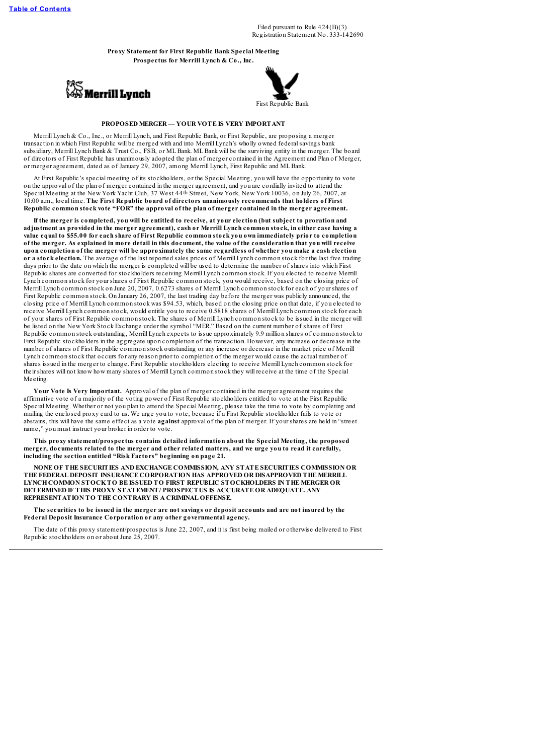Filed pursuant to Rule 424(B)(3) Registration Statement No. 333-142690

**Proxy Statement for First Republic Bank Special Meeting Prospectus for Merrill Lynch & Co., Inc.**





# **PROPOSED MERGER — YOUR VOTE IS VERY IMPORTANT**

Merrill Lynch & Co., Inc., or Merrill Lynch, and First Republic Bank, or First Republic, are proposing a merger transaction in which First Republic will be merged with and into Merrill Lynch's wholly owned federalsavings bank subsidiary, Merrill Lynch Bank & Trust Co., FSB, or MLBank. MLBank will be the surviving entity in the merger. The board of directors of First Republic has unanimously adopted the plan of merger contained in the Agreement and Plan of Merger, or merger agreement, dated as of January 29, 2007, among Merrill Lynch, First Republic and MLBank.

At First Republic's special meeting of its stockholders, or the Special Meeting, you will have the opportunity to vote on the approval of the plan of merger contained in the merger agreement, and you are cordially invited to attend the Special Meeting at the New York Yacht Club, 37 West 44th Street, New York, New York 10036, on July 26, 2007, at 10:00 a.m., local time. **The First Republic board of directors unanimously recommends that holders of First Republic common stock vote "FOR" the approval of the plan of merger contained in the merger agreement.**

If the merger is completed, you will be entitled to receive, at your election (but subject to proration and adjustment as provided in the merger agreement), cash or Merrill Lynch common stock, in either case having a value equal to \$55.00 for each share of First Republic common stock you own immediately prior to completion of the merger. As explained in more detail in this document, the value of the consideration that you will receive upon completion of the merger will be approximately the same regardless of whether you make a cash election **or a stock election.** The average of the last reported sales prices of Merrill Lynch common stock for the last five trading days prior to the date on which the merger is completed will be used to determine the number of shares into which First Republic shares are converted for stockholders receiving Merrill Lynch common stock. If you elected to receive Merrill Lynch common stock for your shares of First Republic common stock, you would receive, based on the closing price of Merrill Lynch common stock on June 20, 2007, 0.6273 shares of Merrill Lynch common stock for each of your shares of First Republic common stock. On January 26, 2007, the last trading day before the merger was publicly announced, the closing price of Merrill Lynch common stock was \$94.53, which, based on the closing price on that date, if you elected to receive Merrill Lynch common stock, would entitle you to receive 0.5818 shares of Merrill Lynch common stock for each of your shares of First Republic common stock. The shares of Merrill Lynch common stock to be issued in the merger will be listed on the New York Stock Exchange under the symbol "MER." Based on the current number of shares of First Republic common stock outstanding, Merrill Lynch expects to issue approximately 9.9 million shares of common stock to First Republic stockholders in the aggregate upon completion of the transaction. However, any increase or decrease in the number of shares of First Republic common stock outstanding or any increase or decrease in the market price of Merrill Lynch common stock that occurs for any reason prior to completion of the merger would cause the actual number of shares issued in the merger to change. First Republic stockholders electing to receive Merrill Lynch common stock for their shares will not know how many shares of Merrill Lynch common stock they will receive at the time of the Special Meeting.

**Your Vote Is Very Important.** Approval of the plan of merger contained in the merger agreement requires the affirmative vote of a majority of the voting power of First Republic stockholders entitled to vote at the First Republic Special Meeting. Whether or not you plan to attend the Special Meeting, please take the time to vote by completing and mailing the enclosed proxy card to us. We urge you to vote, because if a First Republic stockholder fails to vote or abstains, this will have the same effect as a vote **against** approval of the plan of merger. If your shares are held in "street name," you must instruct your broker in order to vote.

**This proxy statement/prospectus contains detailed information about the Special Meeting, the proposed** merger, documents related to the merger and other related matters, and we urge you to read it carefully, **including the section entitled "Risk Factors" beginning on page 21.**

**NONE OF THE SECURITIES AND EXCHANGE COMMISSION, ANY STATE SECURITIES COMMISSION OR THE FEDERAL DEPOSIT INSURANCE CORPORATION HAS APPROVED OR DISAPPROVED THE MERRILL LYNCHCOMMON STOCKTO BE ISSUED TO FIRST REPUBLIC STOCKHOLDERS IN THE MERGER OR DETERMINED IF THIS PROXY STATEMENT/ PROSPECTUS IS ACCURATE OR ADEQUATE. ANY REPRESENTATION TO THE CONTRARY IS A CRIMINAL OFFENSE.**

The securities to be issued in the merger are not savings or deposit accounts and are not insured by the **Federal Deposit Insurance Corporation or any other governmental agency.**

The date of this proxy statement/prospectus is June 22, 2007, and it is first being mailed or otherwise delivered to First Republic stockholders on or about June 25, 2007.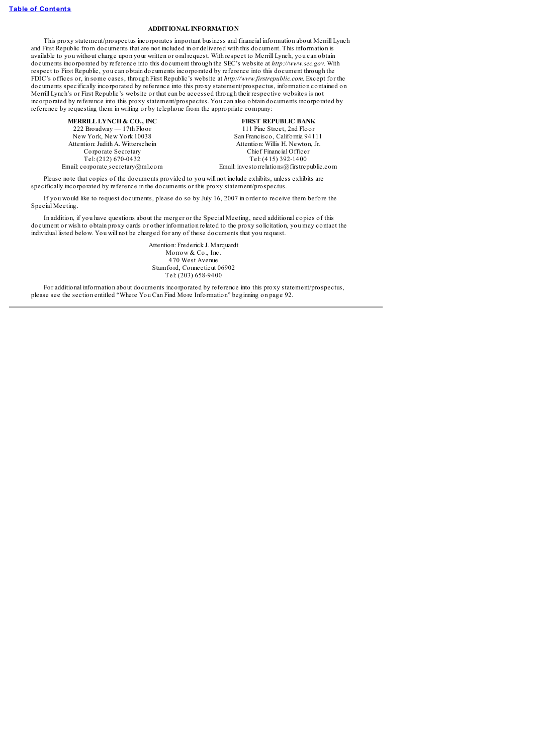## **ADDITIONAL INFORMATION**

This proxy statement/prospectus incorporates important business and financial information about Merrill Lynch and First Republic from documents that are not included in or delivered with this document. This information is available to you without charge upon your written or oral request. With respect to Merrill Lynch, you can obtain documents incorporated by reference into this document through the SEC's website at *http://www.sec.gov.* With respect to First Republic, you can obtain documents incorporated by reference into this document through the FDIC's offices or, in some cases, through First Republic's website at *http://www.firstrepublic.com.* Except for the documents specifically incorporated by reference into this proxy statement/prospectus, information contained on Merrill Lynch's or First Republic's website or that can be accessed through their respective websites is not incorporated by reference into this proxy statement/prospectus. You can also obtain documents incorporated by reference by requesting them in writing or by telephone from the appropriate company:

**MERRILL LYNCH & CO., INC**<br>222 Broadway - 17th Floor 111 Pine Street, 2nd Floor  $222$  Broadway — 17th Floor<br>New York, New York 10038 Attention: Judith A. Witterschein Email: corporate secretary@ml.com Email: investorrelations@firstrepublic.com

San Francisco, California 94111<br>Attention: Willis H. Newton, Jr. Corporate Secretary Chief Financial Officer<br>
Tel: (212) 670-0432 Tel: (415) 392-1400 Tel: (415) 392-1400

Please note that copies of the documents provided to you will not include exhibits, unless exhibits are specifically incorporated by reference in the documents or this proxy statement/prospectus.

If you would like to request documents, please do so by July 16, 2007 in order to receive them before the Special Meeting.

In addition, if you have questions about the merger or the Special Meeting, need additional copies of this document or wish to obtain proxy cards or other information related to the proxy solicitation, you may contact the individual listed below. You will not be charged for any of these documents that you request.

> Attention: Frederick J. Marquardt Morrow & Co., Inc. 470 West Avenue Stamford, Connecticut 06902 Tel: (203) 658-9400

For additional information about documents incorporated by reference into this proxy statement/prospectus, please see the section entitled "Where You Can Find More Information" beginning on page 92.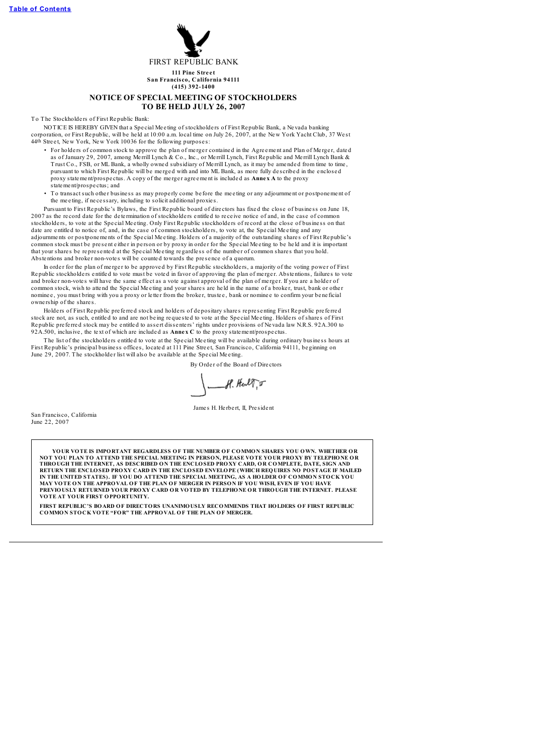

# **NOTICE OF SPECIAL MEETING OF STOCKHOLDERS TO BE HELD JULY 26, 2007**

To The Stockholders of First Republic Bank

NOTICE IS HEREBY GIVEN that a Special Meeting of stockholders of First Republic Bank, a Nevada banking corporation, or First Republic, will be he ld at 10:00 a.m. local time on July 26, 2007, at the Ne w York Yacht Club, 37 We st 44<sup>th</sup> Street, New York, New York 10036 for the following purposes:

- For holders of common stock to approve the plan of merger contained in the Agreement and Plan of Merger, dated as of January 29, 2007, among Me rrill Lynch & Co., Inc., or Me rrill Lynch, First Republic and Me rrill Lynch Bank & Trust Co., FSB, or ML Bank, a wholly owned subsidiary of Me rrill Lynch, as it may be amended from time to time , pursuant to which First Republic will be me rged with and into ML Bank, as more fully de s cribed in the enclos ed proxy statement/prospe ctus. A copy of the me rge r agre ement is included as **Annex A** to the proxy statement/prospectus; and
- To trans act such othe r busine ss as may prope rly come be fore the me e ting or any adjournment or postponement of the me e ting, if ne ce ss ary, including to solicit additional proxie s.

Pursuant to First Republic's Bylaws, the First Republic board of dire ctors has fixed the clos e of busine ss on June 18, 2007 as the record date for the determination of stockholders entitled to receive notice of and, in the case of common stockholders, to vote at the Special Meeting. Only First Republic stockholders of record at the close of business on that date are entitled to notice of, and, in the case of common stockholders, to vote at, the Special Meeting and any adjournments or postponements of the Special Meeting. Holders of a majority of the outstanding shares of First Republic's<br>common stock must be present either in person or by proxy in order for the Special Meeting to be hel that your share s be repre s ented at the Spe cial Me e ting regardle ss of the numbe r of common share s that you hold. Abstentions and broker non-votes will be counted towards the presence of a quorum.

In order for the plan of merger to be approved by First Republic stockholders, a majority of the voting power of First Republic stockholders entitled to vote must be voted in favor of approving the plan of merger. Abstentions, failures to vote and broker non-votes will have the same effect as a vote against approval of the plan of merger. If you are a holder of common stock, wish to attend the Spe cial Me e ting and your share s are he ld in the name of a broke r, trust, bank or othe r nomine e, you must bring with you a proxy or letter from the broker, trustee, bank or nomine e to confirm your beneficial owne rship of the share s.

Holders of First Republic preferred stock and holders of depositary shares representing First Republic preferred stock are not, as such, entitled to and are not being requested to vote at the Special Meeting. Holders of shares of First<br>Republic preferred stock may be entitled to assert dissenters' rights under provisions of Nevada la 92A.500, inclusive , the text of which are included as **Annex C** to the proxy statement/prospe ctus.

The list of the stockholders entitled to vote at the Special Meeting will be available during ordinary business hours at First Republic's principal busine ss office s, located at 111 Pine Stre e t, San Francis co, California 94111, beginning on June 29, 2007. The stockholder list will also be available at the Special Meeting.

By Order of the Board of Directors

 $-$ H. Herl $\sqrt[n]{r}$ 

Jame s H. He rbe rt, II, Pre sident

San Francis co, California June 22, 2007

> **YOUR VOTE IS IMPORTANT REGARDLESS OF THE NUMBER OF COMMON SHARES YOU OWN. WHETHER OR** NOT YOU PLAN TO ATTEND THE SPECIAL MEETING IN PERSON, PLEASE VOTE YOUR PROXY BY TELEPHONE OR<br>THROUGH THE INTERNET, AS DESCRIBED ON THE ENCLOSED PROXY CARD, OR COMPLETE, DATE, SIGN AND **RETURN THE ENCLOSED PROXY CARD IN THE ENCLOSED ENVELOPE (WHICH REQUIRES NO POSTAGE IF MAILED** IN THE UNITED STATES). IF YOU DO ATTEND THE SPECIAL MEETING, AS A HOLDER OF COMMON STOCK YOU<br>MAY VOTE ON THE APPROVAL OF THE PLAN OF MERGER IN PERSON IF YOU WISH, EVEN IF YOU HAVE **PREVIOUSLY RETURNED YOUR PROXY CARD OR VOTED BY TELEPHONE OR THROUGH THE INTERNET. PLEASE VOTE AT YOUR FIRST OPPORTUNITY.**

**FIRST REPUBLIC'S BOARD OF DIRECTORS UNANIMOUSLY RECOMMENDS THAT HOLDERS OF FIRST REPUBLIC COMMON STOCK VOTE "FOR" THE APPROVAL OF THE PLAN OF MERGER.**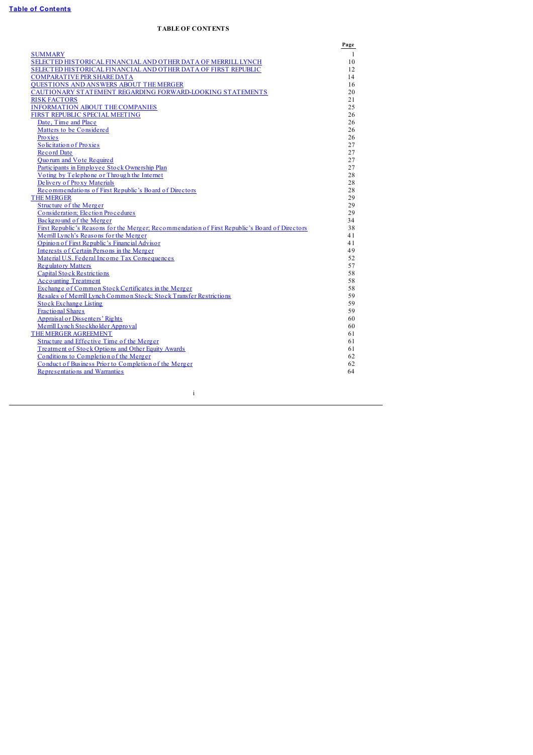# **TABLE OF CONTENTS**

<span id="page-4-0"></span>

|                                                                                                | Page         |
|------------------------------------------------------------------------------------------------|--------------|
| <b>SUMMARY</b>                                                                                 | $\mathbf{1}$ |
| SELECTED HISTORICAL FINANCIAL AND OTHER DATA OF MERRILL LYNCH                                  | 10           |
| SELECTED HISTORICAL FINANCIAL AND OTHER DATA OF FIRST REPUBLIC                                 | 12           |
| <b>COMPARATIVE PER SHARE DATA</b>                                                              | 14           |
| <b>OUESTIONS AND ANSWERS ABOUT THE MERGER</b>                                                  | 16           |
| CAUTIONARY STATEMENT REGARDING FORWARD-LOOKING STATEMENTS                                      | 20           |
| <b>RISK FACTORS</b>                                                                            | 21           |
| <b>INFORMATION ABOUT THE COMPANIES</b>                                                         | 25           |
| FIRST REPUBLIC SPECIAL MEETING                                                                 | 26           |
| Date, Time and Place                                                                           | 26           |
| Matters to be Considered                                                                       | 26           |
| Proxies                                                                                        | 26           |
| Solicitation of Proxies                                                                        | 27           |
| <b>Record Date</b>                                                                             | 27           |
| <b>Ouorum and Vote Required</b>                                                                | 27           |
| Participants in Employee Stock Ownership Plan                                                  | 27           |
| Voting by Telephone or Through the Internet                                                    | 28           |
| Delivery of Proxy Materials                                                                    | 28           |
| Recommendations of First Republic's Board of Directors                                         | 28           |
| <b>THE MERGER</b>                                                                              | 29           |
| Structure of the Merger                                                                        | 29           |
| Consideration; Election Procedures                                                             | 29           |
| Background of the Merger                                                                       | 34           |
| First Republic's Reasons for the Merger; Recommendation of First Republic's Board of Directors | 38           |
| Merrill Lynch's Reasons for the Merger                                                         | 41           |
| Opinion of First Republic's Financial Advisor                                                  | 41           |
| Interests of Certain Persons in the Merger                                                     | 49           |
| Material U.S. Federal Income Tax Consequences                                                  | 52           |
| <b>Regulatory Matters</b>                                                                      | 57           |
| <b>Capital Stock Restrictions</b>                                                              | 58           |
| <b>Accounting Treatment</b>                                                                    | 58           |
| Exchange of Common Stock Certificates in the Merger                                            | 58           |
| Resales of Merrill Lynch Common Stock; Stock Transfer Restrictions                             | 59           |
| <b>Stock Exchange Listing</b>                                                                  | 59           |
| <b>Fractional Shares</b>                                                                       | 59           |
| Appraisal or Dissenters' Rights                                                                | 60           |
| Merrill Lynch Stockholder Approval                                                             | 60           |
| THE MERGER AGREEMENT                                                                           | 61           |
| Structure and Effective Time of the Merger                                                     | 61           |
| Treatment of Stock Options and Other Equity Awards                                             | 61           |
| Conditions to Completion of the Merger                                                         | 62           |
| Conduct of Business Prior to Completion of the Merger                                          | 62           |
| Representations and Warranties                                                                 | 64           |
|                                                                                                |              |
|                                                                                                |              |
| $\mathbf{i}$                                                                                   |              |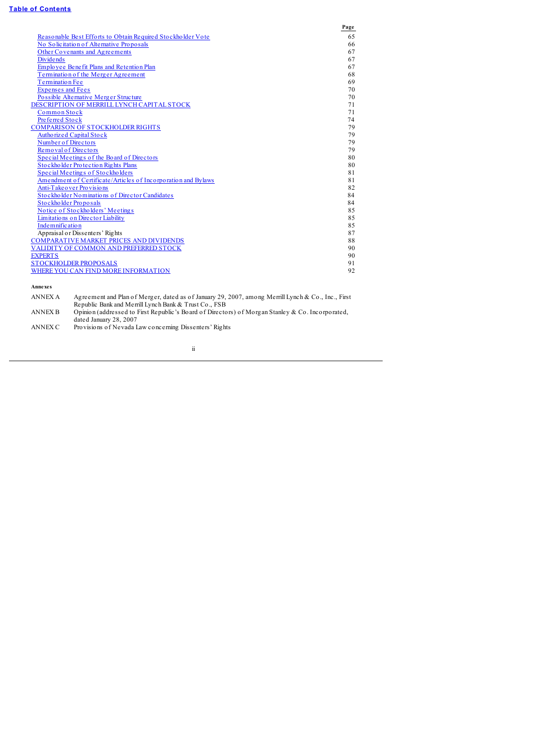# **Table of [Contents](#page-4-0)**

|                                                               | Page |
|---------------------------------------------------------------|------|
| Reasonable Best Efforts to Obtain Required Stockholder Vote   | 65   |
| No Solicitation of Alternative Proposals                      | 66   |
| Other Covenants and Agreements                                | 67   |
| <b>Dividends</b>                                              | 67   |
| Employee Benefit Plans and Retention Plan                     | 67   |
| Termination of the Merger Agreement                           | 68   |
| Termination Fee                                               | 69   |
| <b>Expenses and Fees</b>                                      | 70   |
| Possible Alternative Merger Structure                         | 70   |
| DESCRIPTION OF MERRILL LYNCH CAPITAL STOCK                    | 71   |
| Common Stock                                                  | 71   |
| Preferred Stock                                               | 74   |
| <b>COMPARISON OF STOCKHOLDER RIGHTS</b>                       | 79   |
| Authorized Capital Stock                                      | 79   |
| Number of Directors                                           | 79   |
| Removal of Directors                                          | 79   |
| Special Meetings of the Board of Directors                    | 80   |
| Stockholder Protection Rights Plans                           | 80   |
| Special Meetings of Stockholders                              | 81   |
| Amendment of Certificate/Articles of Incorporation and Bylaws | 81   |
| Anti-Take over Provisions                                     | 82   |
| Stockholder Nominations of Director Candidates                | 84   |
| Stockholder Proposals                                         | 84   |
| Notice of Stockholders' Meetings                              | 85   |
| Limitations on Director Liability                             | 85   |
| Indemnification                                               | 85   |
| Appraisal or Dissenters' Rights                               | 87   |
| <b>COMPARATIVE MARKET PRICES AND DIVIDENDS</b>                | 88   |
| VALIDITY OF COMMON AND PREFERRED STOCK                        | 90   |
| <b>EXPERTS</b>                                                | 90   |
| <b>STOCKHOLDER PROPOSALS</b>                                  | 91   |
| WHERE YOU CAN FIND MORE INFORMATION                           | 92   |
|                                                               |      |

**Annexes**

ANNEX A Agreement and Plan of Merger, dated as of January 29, 2007, among Merrill Lynch & Co., Inc., First Republic Bank and Merrill Lynch Bank & Trust Co., FSB ANNEX B Opinion (addressed to First Republic's Board of Directors) of Morgan Stanley & Co. Incorporated, dated January 28, 2007 ANNEX C Provisions of Nevada Law concerning Dissenters' Rights

ii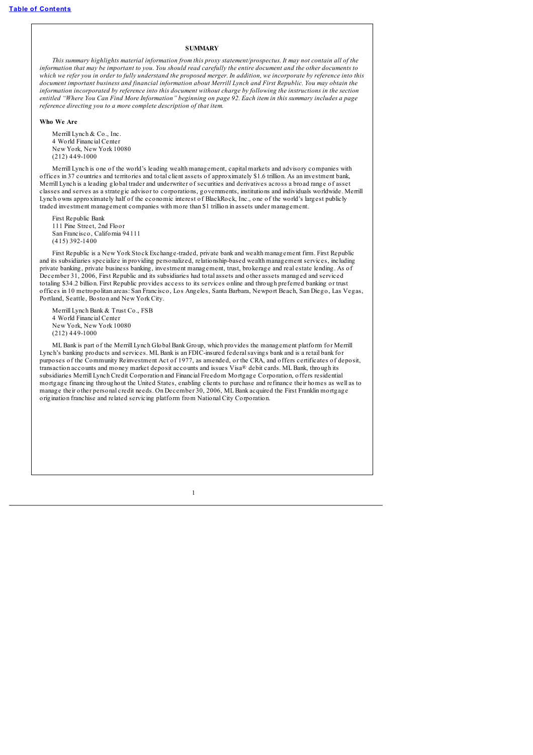# **SUMMARY**

<span id="page-6-0"></span>*This summary highlights material information from this proxy statement/prospectus. It may not contain all of the* information that may be important to you. You should read carefully the entire document and the other documents to which we refer you in order to fully understand the proposed merger. In addition, we incorporate by reference into this *document important business and financial information about Merrill Lynch and First Republic. You may obtain the* information incorporated by reference into this document without charge by following the instructions in the section entitled "Where You Can Find More Information" beginning on page 92. Each item in this summary includes a page *reference directing you to a more complete description of that item.*

#### **Who We Are**

Merrill Lynch & Co., Inc. 4 World Financial Center New York, New York 10080 (212) 449-1000

Merrill Lynch is one of the world's leading wealth management, capital markets and advisory companies with offices in 37 countries and territories and total client assets of approximately \$1.6 trillion. As an investment bank, Merrill Lynch is a leading global trader and underwriter of securities and derivatives across a broad range of asset classes and serves as a strategic advisor to corporations, governments, institutions and individuals worldwide. Merrill Lynch owns approximately half of the economic interest of BlackRock, Inc., one of the world's largest publicly traded investment management companies with more than \$1 trillion in assets under management.

First Republic Bank 111 Pine Street, 2nd Floor San Francisco, California 94111 (415) 392-1400

First Republic is a New York Stock Exchange-traded, private bank and wealth management firm. First Republic and its subsidiaries specialize in providing personalized, relationship-based wealth management services, including private banking, private business banking, investment management, trust, brokerage and real estate lending. As of December 31, 2006, First Republic and its subsidiaries had total assets and other assets managed and serviced totaling \$34.2 billion. First Republic provides access to its services online and through preferred banking or trust offices in 10 metropolitan areas: San Francisco, Los Angeles, Santa Barbara, Newport Beach, San Diego, Las Vegas, Portland, Seattle, Boston and New York City.

Merrill Lynch Bank & Trust Co., FSB 4 World Financial Center New York, New York 10080 (212) 449-1000

MLBank is part of the Merrill Lynch Global Bank Group, which provides the management platform for Merrill Lynch's banking products and services. MLBank is an FDIC-insured federalsavings bank and is a retail bank for purposes of the Community Reinvestment Act of 1977, as amended, or the CRA, and offers certificates of deposit, transaction accounts and money market deposit accounts and issues Visa® debit cards. MLBank, through its subsidiaries Merrill Lynch Credit Corporation and Financial Freedom Mortgage Corporation, offers residential mortgage financing throughout the United States, enabling clients to purchase and refinance their homes as well as to manage their other personal credit needs. On December 30, 2006, MLBank acquired the First Franklin mortgage origination franchise and related servicing platform from National City Corporation.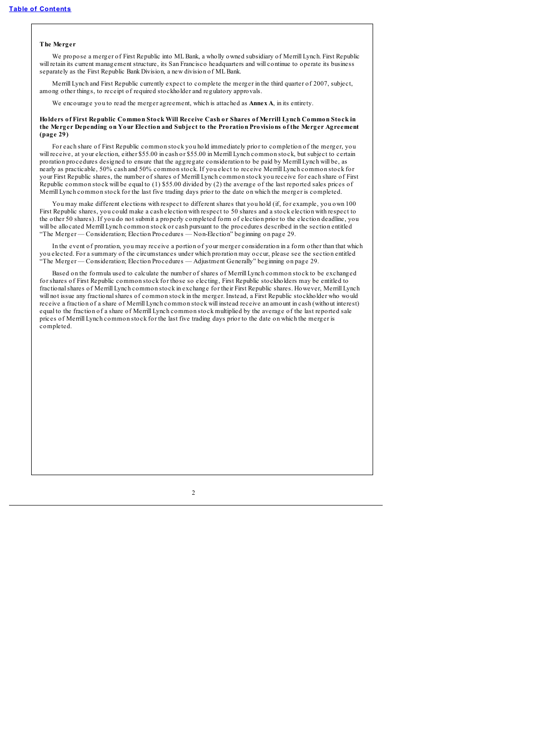#### **The Merger**

We propose a merger of First Republic into MLBank, a wholly owned subsidiary of Merrill Lynch. First Republic will retain its current management structure, its San Francisco headquarters and will continue to operate its business separately as the First Republic Bank Division, a new division of ML Bank.

Merrill Lynch and First Republic currently expect to complete the merger in the third quarter of 2007, subject, among other things, to receipt of required stockholder and regulatory approvals.

We encourage you to read the merger agreement, which is attached as **Annex A**, in its entirety.

#### **Holders of First Republic Common Stock Will Receive Cash or Shares of Merrill Lynch Common Stock in the Merger Depending on Your Election and Subject to the Proration Provisions of the Merger Agreement (page 29)**

For each share of First Republic common stock you hold immediately prior to completion of the merger, you will receive, at your election, either \$55.00 in cash or \$55.00 in Merrill Lynch common stock, but subject to certain proration procedures designed to ensure that the aggregate consideration to be paid by Merrill Lynch will be, as nearly as practicable, 50% cash and 50% common stock. If you elect to receive Merrill Lynch common stock for your First Republic shares, the number of shares of Merrill Lynch common stock you receive for each share of First Republic common stock will be equal to (1) \$55.00 divided by (2) the average of the last reported sales prices of Merrill Lynch common stock for the last five trading days prior to the date on which the merger is completed.

You may make different elections with respect to different shares that you hold (if, for example, you own 100 First Republic shares, you could make a cash election with respect to 50 shares and a stock election with respect to the other 50 shares). If you do not submit a properly completed form of election prior to the election deadline, you will be allocated Merrill Lynch common stock or cash pursuant to the procedures described in the section entitled "The Merger — Consideration; Election Procedures — Non-Election" beginning on page 29.

In the event of proration, you may receive a portion of your merger consideration in a form other than that which you elected. For a summary of the circumstances under which proration may occur, please see the section entitled "The Merger — Consideration; Election Procedures — Adjustment Generally" beginning on page 29.

Based on the formula used to calculate the number of shares of Merrill Lynch common stock to be exchanged for shares of First Republic common stock for those so electing, First Republic stockholders may be entitled to fractionalshares of Merrill Lynch common stock in exchange for their First Republic shares. However, Merrill Lynch will not issue any fractionalshares of common stock in the merger. Instead, a First Republic stockholder who would receive a fraction of a share of Merrill Lynch common stock will instead receive an amount in cash (without interest) equal to the fraction of a share of Merrill Lynch common stock multiplied by the average of the last reported sale prices of Merrill Lynch common stock for the last five trading days prior to the date on which the merger is completed.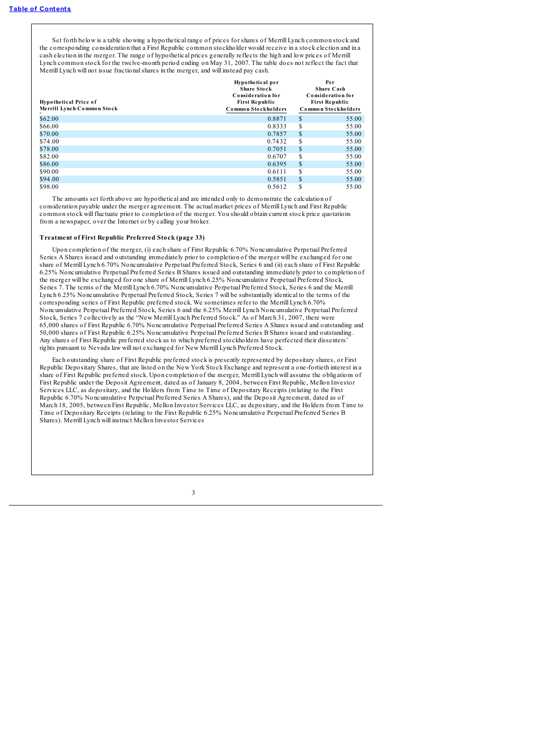Set forth below is a table showing a hypothetical range of prices for shares of Merrill Lynch common stock and the corresponding consideration that a First Republic common stockholder would receive in a stock election and in a cash election in the merger. The range of hypothetical prices generally reflects the high and low prices of Merrill Lynch common stock for the twelve-month period ending on May 31, 2007. The table does not reflect the fact that Merrill Lynch will not issue fractionalshares in the merger, and will instead pay cash.

| <b>Hypothetical Price of</b><br>Merrill Lynch Common Stock | Hypothetical per<br><b>Share Stock</b><br>Consideration for<br><b>First Republic</b><br>Common Stockholders |    | Per<br>Share Cash<br>Consideration for<br><b>First Republic</b><br>Common Stockholders |
|------------------------------------------------------------|-------------------------------------------------------------------------------------------------------------|----|----------------------------------------------------------------------------------------|
| \$62.00                                                    | 0.8871                                                                                                      | \$ | 55.00                                                                                  |
| \$66.00                                                    | 0.8333                                                                                                      | \$ | 55.00                                                                                  |
| \$70.00                                                    | 0.7857                                                                                                      | \$ | 55.00                                                                                  |
| \$74.00                                                    | 0.7432                                                                                                      | \$ | 55.00                                                                                  |
| \$78.00                                                    | 0.7051                                                                                                      | \$ | 55.00                                                                                  |
| \$82.00                                                    | 0.6707                                                                                                      | S  | 55.00                                                                                  |
| \$86.00                                                    | 0.6395                                                                                                      | \$ | 55.00                                                                                  |
| \$90.00                                                    | 0.6111                                                                                                      | \$ | 55.00                                                                                  |
| \$94.00                                                    | 0.5851                                                                                                      | \$ | 55.00                                                                                  |
| \$98.00                                                    | 0.5612                                                                                                      | S  | 55.00                                                                                  |

The amounts set forth above are hypothetical and are intended only to demonstrate the calculation of consideration payable under the merger agreement. The actual market prices of Merrill Lynch and First Republic common stock will fluctuate prior to completion of the merger. You should obtain current stock price quotations from a newspaper, over the Internet or by calling your broker.

#### **Treatment of First Republic Preferred Stock (page 33)**

Upon completion of the merger, (i) each share of First Republic 6.70% Noncumulative Perpetual Preferred Series A Shares issued and outstanding immediately prior to completion of the merger will be exchanged for one share of Merrill Lynch 6.70% Noncumulative Perpetual Preferred Stock, Series 6 and (ii) each share of First Republic 6.25% Noncumulative Perpetual Preferred Series B Shares issued and outstanding immediately prior to completion of the merger will be exchanged for one share of Merrill Lynch 6.25% Noncumulative Perpetual Preferred Stock, Series 7. The terms of the Merrill Lynch 6.70% Noncumulative Perpetual Preferred Stock, Series 6 and the Merrill Lynch 6.25% Noncumulative Perpetual Preferred Stock, Series 7 will be substantially identical to the terms of the corresponding series of First Republic preferred stock. We sometimes refer to the Merrill Lynch 6.70% Noncumulative Perpetual Preferred Stock, Series 6 and the 6.25% Merrill Lynch Noncumulative Perpetual Preferred Stock, Series 7 collectively as the "New Merrill Lynch Preferred Stock." As of March 31, 2007, there were 65,000 shares of First Republic 6.70% Noncumulative Perpetual Preferred Series A Shares issued and outstanding and 50,000 shares of First Republic 6.25% Noncumulative Perpetual Preferred Series B Shares issued and outstanding. Any shares of First Republic preferred stock as to which preferred stockholders have perfected their dissenters' rights pursuant to Nevada law will not exchanged for New Merrill Lynch Preferred Stock.

Each outstanding share of First Republic preferred stock is presently represented by depositary shares, or First Republic Depositary Shares, that are listed on the New York Stock Exchange and represent a one-fortieth interest in a share of First Republic preferred stock. Upon completion of the merger, Merrill Lynch will assume the obligations of First Republic under the Deposit Agreement, dated as of January 8, 2004, between First Republic, Mellon Investor Services LLC, as depositary, and the Holders from Time to Time of Depositary Receipts (relating to the First Republic 6.70% Noncumulative Perpetual Preferred Series A Shares), and the Deposit Agreement, dated as of March 18, 2005, between First Republic, Mellon Investor Services LLC, as depositary, and the Holders from Time to Time of Depositary Receipts (relating to the First Republic 6.25% Noncumulative Perpetual Preferred Series B Shares). Merrill Lynch will instruct Mellon Investor Services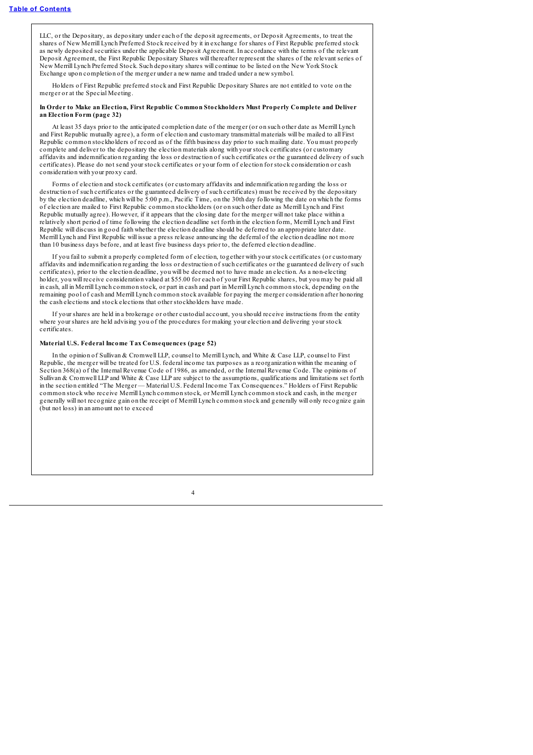LLC, or the Depositary, as depositary under each of the deposit agreements, or Deposit Agreements, to treat the shares of New Merrill Lynch Preferred Stock received by it in exchange for shares of First Republic preferred stock as newly deposited securities under the applicable Deposit Agreement. In accordance with the terms of the relevant Deposit Agreement, the First Republic Depositary Shares will thereafter represent the shares of the relevant series of New Merrill Lynch Preferred Stock. Such depositary shares will continue to be listed on the New York Stock Exchange upon completion of the merger under a new name and traded under a new symbol.

Holders of First Republic preferred stock and First Republic Depositary Shares are not entitled to vote on the merger or at the Special Meeting.

#### **In Order to Make an Election, First Republic Common Stockholders Must Properly Complete and Deliver an Election Form (page 32)**

At least 35 days prior to the anticipated completion date of the merger (or on such other date as Merrill Lynch and First Republic mutually agree), a form of election and customary transmittal materials will be mailed to all First Republic common stockholders of record as of the fifth business day prior to such mailing date. You must properly complete and deliver to the depositary the election materials along with your stock certificates (or customary affidavits and indemnification regarding the loss or destruction of such certificates or the guaranteed delivery of such certificates). Please do not send your stock certificates or your form of election for stock consideration or cash consideration with your proxy card.

Forms of election and stock certificates (or customary affidavits and indemnification regarding the loss or destruction of such certificates or the guaranteed delivery of such certificates) must be received by the depositary by the election deadline, which will be 5:00 p.m., Pacific Time, on the 30th day following the date on which the forms of election are mailed to First Republic common stockholders (or on such other date as Merrill Lynch and First Republic mutually agree). However, if it appears that the closing date for the merger will not take place within a relatively short period of time following the election deadline set forth in the election form, Merrill Lynch and First Republic will discuss in good faith whether the election deadline should be deferred to an appropriate later date. Merrill Lynch and First Republic will issue a press release announcing the deferral of the election deadline not more than 10 business days before, and at least five business days prior to, the deferred election deadline.

If you fail to submit a properly completed form of election, together with your stock certificates (or customary affidavits and indemnification regarding the loss or destruction of such certificates or the guaranteed delivery of such certificates), prior to the election deadline, you will be deemed not to have made an election. As a non-electing holder, you will receive consideration valued at \$55.00 for each of your First Republic shares, but you may be paid all in cash, all in Merrill Lynch common stock, or part in cash and part in Merrill Lynch common stock, depending on the remaining pool of cash and Merrill Lynch common stock available for paying the merger consideration after honoring the cash elections and stock elections that other stockholders have made.

If your shares are held in a brokerage or other custodial account, you should receive instructions from the entity where your shares are held advising you of the procedures for making your election and delivering your stock certificates.

#### **Material U.S. Federal Income Tax Consequences (page 52)**

In the opinion of Sullivan & Cromwell LLP, counsel to Merrill Lynch, and White & Case LLP, counsel to First Republic, the merger will be treated for U.S. federal income tax purposes as a reorganization within the meaning of Section 368(a) of the Internal Revenue Code of 1986, as amended, or the Internal Revenue Code. The opinions of Sullivan & Cromwell LLP and White & Case LLP are subject to the assumptions, qualifications and limitations set forth in the section entitled "The Merger — Material U.S. Federal Income Tax Consequences." Holders of First Republic common stock who receive Merrill Lynch common stock, or Merrill Lynch common stock and cash, in the merger generally will not recognize gain on the receipt of Merrill Lynch common stock and generally will only recognize gain (but not loss) in an amount not to exceed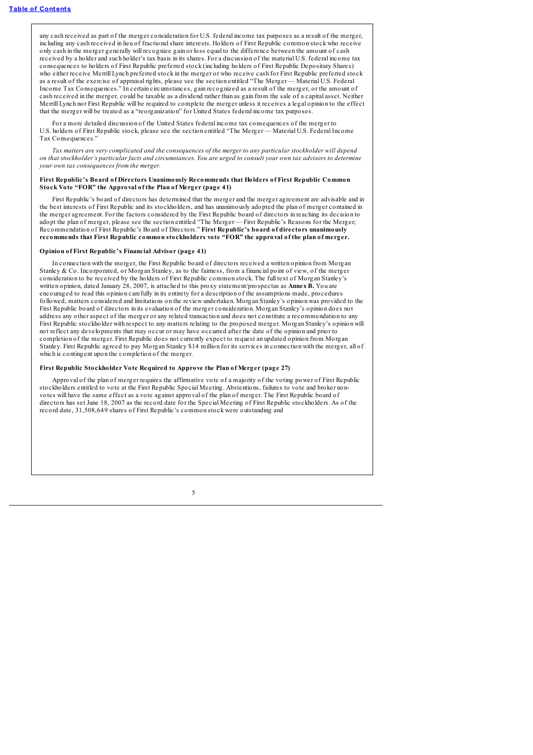any cash received as part of the merger consideration for U.S. federal income tax purposes as a result of the merger, including any cash received in lieu of fractionalshare interests. Holders of First Republic common stock who receive only cash in the merger generally will recognize gain or loss equal to the difference between the amount of cash received by a holder and such holder's tax basis in its shares. For a discussion of the material U.S. federal income tax consequences to holders of First Republic preferred stock (including holders of First Republic Depositary Shares) who either receive Merrill Lynch preferred stock in the merger or who receive cash for First Republic preferred stock as a result of the exercise of appraisal rights, please see the section entitled "The Merger — Material U.S. Federal Income Tax Consequences." In certain circumstances, gain recognized as a result of the merger, or the amount of cash received in the merger, could be taxable as a dividend rather than as gain from the sale of a capital asset. Neither Merrill Lynch nor First Republic will be required to complete the merger unless it receives a legal opinion to the effect that the merger will be treated as a "reorganization" for United States federal income tax purposes.

For a more detailed discussion of the United States federal income tax consequences of the merger to U.S. holders of First Republic stock, please see the section entitled "The Merger — Material U.S. Federal Income Tax Consequences."

Tax matters are very complicated and the consequences of the merger to any particular stockholder will depend on that stockholder's particular facts and circumstances. You are urged to consult your own tax advisors to determine *your own tax consequences from the merger.*

### **First Republic's Board of Directors Unanimously Recommends that Holders of First Republic Common Stock Vote "FOR" the Approval of the Plan of Merger (page 41)**

First Republic's board of directors has determined that the merger and the merger agreement are advisable and in the best interests of First Republic and its stockholders, and has unanimously adopted the plan of merger contained in the merger agreement. For the factors considered by the First Republic board of directors in reaching its decision to adopt the plan of merger, please see the section entitled "The Merger — First Republic's Reasons for the Merger; Recommendation of First Republic's Board of Directors." **First Republic's board of directors unanimously recommends that First Republic common stockholders vote "FOR" the approval of the plan of merger.**

# **Opinion of First Republic's Financial Advisor (page 41)**

In connection with the merger, the First Republic board of directors received a written opinion from Morgan Stanley & Co. Incorporated, or Morgan Stanley, as to the fairness, from a financial point of view, of the merger consideration to be received by the holders of First Republic common stock. The full text of Morgan Stanley's written opinion, dated January 28, 2007, is attached to this proxy statement/prospectus as **Annex B.** You are encouraged to read this opinion carefully in its entirety for a description of the assumptions made, procedures followed, matters considered and limitations on the review undertaken. Morgan Stanley's opinion was provided to the First Republic board of directors in its evaluation of the merger consideration. Morgan Stanley's opinion does not address any other aspect of the merger or any related transaction and does not constitute a recommendation to any First Republic stockholder with respect to any matters relating to the proposed merger. Morgan Stanley's opinion will not reflect any developments that may occur or may have occurred after the date of the opinion and prior to completion of the merger. First Republic does not currently expect to request an updated opinion from Morgan Stanley. First Republic agreed to pay Morgan Stanley \$14 million for its services in connection with the merger, all of which is contingent upon the completion of the merger.

## **First Republic Stockholder Vote Required to Approve the Plan of Merger (page 27)**

Approval of the plan of merger requires the affirmative vote of a majority of the voting power of First Republic stockholders entitled to vote at the First Republic Special Meeting. Abstentions, failures to vote and broker nonvotes will have the same effect as a vote against approval of the plan of merger. The First Republic board of directors has set June 18, 2007 as the record date for the Special Meeting of First Republic stockholders. As of the record date, 31,508,649 shares of First Republic's common stock were outstanding and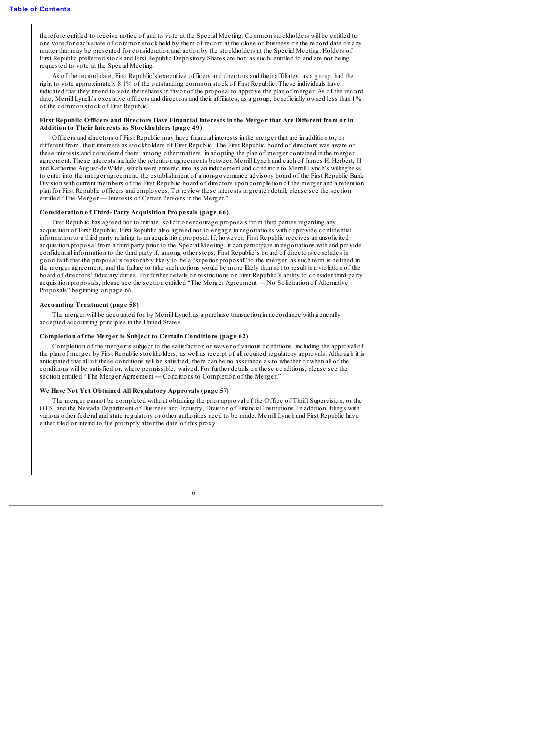therefore entitled to receive notice of and to vote at the Special Meeting. Common stockholders will be entitled to one vote for each share of common stock held by them of record at the close of business on the record date on any matter that may be presented for consideration and action by the stockholders at the Special Meeting. Holders of First Republic preferred stock and First Republic Depository Shares are not, as such, entitled to and are not being requested to vote at the Special Meeting.

As of the record date, First Republic's executive officers and directors and their affiliates, as a group, had the right to vote approximately 8.1% of the outstanding common stock of First Republic. These individuals have indicated that they intend to vote their shares in favor of the proposal to approve the plan of merger. As of the record date, Merrill Lynch's executive officers and directors and their affiliates, as a group, beneficially owned less than 1% of the common stock of First Republic.

### First Republic Officers and Directors Have Financial Interests in the Merger that Are Different from or in **Addition to Their Interests as Stockholders (page 49)**

Officers and directors of First Republic may have financial interests in the merger that are in addition to, or different from, their interests as stockholders of First Republic. The First Republic board of directors was aware of these interests and considered them, among other matters, in adopting the plan of merger contained in the merger agreement. These interests include the retention agreements between Merrill Lynch and each of James H. Herbert, II and Katherine August-deWilde, which were entered into as an inducement and condition to Merrill Lynch's willingness to enter into the merger agreement, the establishment of a non-governance advisory board of the First Republic Bank Division with current members of the First Republic board of directors upon completion of the merger and a retention plan for First Republic officers and employees. To review these interests in greater detail, please see the section entitled "The Merger — Interests of Certain Persons in the Merger."

#### **Consideration of Third-Party Acquisition Proposals (page 66)**

First Republic has agreed not to initiate, solicit or encourage proposals from third parties regarding any acquisition of First Republic. First Republic also agreed not to engage in negotiations with or provide confidential information to a third party relating to an acquisition proposal. If, however, First Republic receives an unsolicited acquisition proposal from a third party prior to the Special Meeting, it can participate in negotiations with and provide confidential information to the third party if, among other steps, First Republic's board of directors concludes in good faith that the proposal is reasonably likely to be a "superior proposal" to the merger, as such term is defined in the merger agreement, and the failure to take such actions would be more likely than not to result in a violation of the board of directors' fiduciary duties. For further details on restrictions on First Republic's ability to consider third-party acquisition proposals, please see the section entitled "The Merger Agreement — No Solicitation of Alternative Proposals" beginning on page 66.

#### **Accounting Treatment (page 58)**

The merger will be accounted for by Merrill Lynch as a purchase transaction in accordance with generally accepted accounting principles in the United States.

## **Completion of the Merger is Subject to Certain Conditions (page 62)**

Completion of the merger is subject to the satisfaction or waiver of various conditions, including the approval of the plan of merger by First Republic stockholders, as well as receipt of all required regulatory approvals. Although it is anticipated that all of these conditions will be satisfied, there can be no assurance as to whether or when all of the conditions will be satisfied or, where permissible, waived. For further details on these conditions, please see the section entitled "The Merger Agreement — Conditions to Completion of the Merger."

# **We Have Not Yet Obtained All Regulatory Approvals (page 57)**

The merger cannot be completed without obtaining the prior approval of the Office of Thrift Supervision, or the OTS, and the Nevada Department of Business and Industry, Division of Financial Institutions. In addition, filings with various other federal and state regulatory or other authorities need to be made. Merrill Lynch and First Republic have either filed or intend to file promptly after the date of this proxy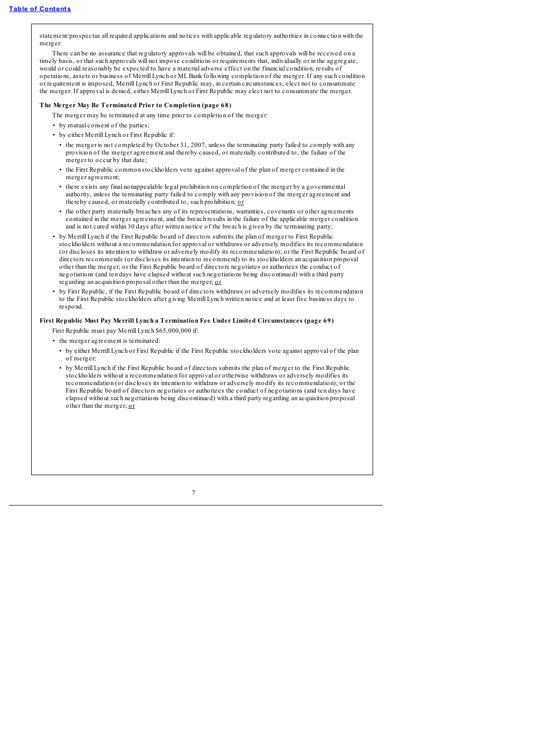statement/prospectus all required applications and notices with applicable regulatory authorities in connection with the merger.

There can be no assurance that regulatory approvals will be obtained, that such approvals will be received on a timely basis, or that such approvals will not impose conditions or requirements that, individually or in the aggregate would or could reasonably be expected to have a material adverse effect on the financial condition, results of operations, assets or business of Merrill Lynch or MLBank following completion of the merger. If any such condition or requirement is imposed, Merrill Lynch or First Republic may, in certain circumstances, elect not to consummate the merger. If approval is denied, either Merrill Lynch or First Republic may elect not to consummate the merger.

# **The Merger May Be Terminated Prior to Completion (page 68)**

The merger may be terminated at any time prior to completion of the merger:

- by mutual consent of the parties;
- by either Merrill Lynch or First Republic if:
	- the merger is not completed by October 31, 2007, unless the terminating party failed to comply with any provision of the merger agreement and thereby caused, or materially contributed to, the failure of the merger to occur by that date;
- the First Republic common stockholders vote against approval of the plan of merger contained in the merger agreement;
- there exists any final nonappealable legal prohibition on completion of the merger by a governmental authority, unless the terminating party failed to comply with any provision of the merger agreement and thereby caused, or materially contributed to, such prohibition; or
- the other party materially breaches any of its representations, warranties, covenants or other agreements contained in the merger agreement, and the breach results in the failure of the applicable merger condition and is not cured within 30 days after written notice of the breach is given by the terminating party;
- by Merrill Lynch if the First Republic board of directors submits the plan of merger to First Republic stockholders without a recommendation for approval or withdraws or adversely modifies its recommendation (or discloses its intention to withdraw or adversely modify its recommendation); or the First Republic board of directors recommends (or discloses its intention to recommend) to its stockholders an acquisition proposal other than the merger; or the First Republic board of directors negotiates or authorizes the conduct of negotiations (and ten days have elapsed without such negotiations being discontinued) with a third party regarding an acquisition proposal other than the merger; or
- by First Republic, if the First Republic board of directors withdraws or adversely modifies its recommendation to the First Republic stockholders after giving Merrill Lynch written notice and at least five business days to respond.

# **First Republic Must Pay Merrill Lynch a Termination Fee Under Limited Circumstances (page 69)**

- First Republic must pay Merrill Lynch \$65,000,000 if:
- the merger agreement is terminated:
	- by either Merrill Lynch or First Republic if the First Republic stockholders vote against approval of the plan of merger;
	- by Merrill Lynch if the First Republic board of directors submits the plan of merger to the First Republic stockholders without a recommendation for approval or otherwise withdraws or adversely modifies its recommendation (or discloses its intention to withdraw or adversely modify its recommendation); or the First Republic board of directors negotiates or authorizes the conduct of negotiations (and ten days have elapsed without such negotiations being discontinued) with a third party regarding an acquisition proposal other than the merger; or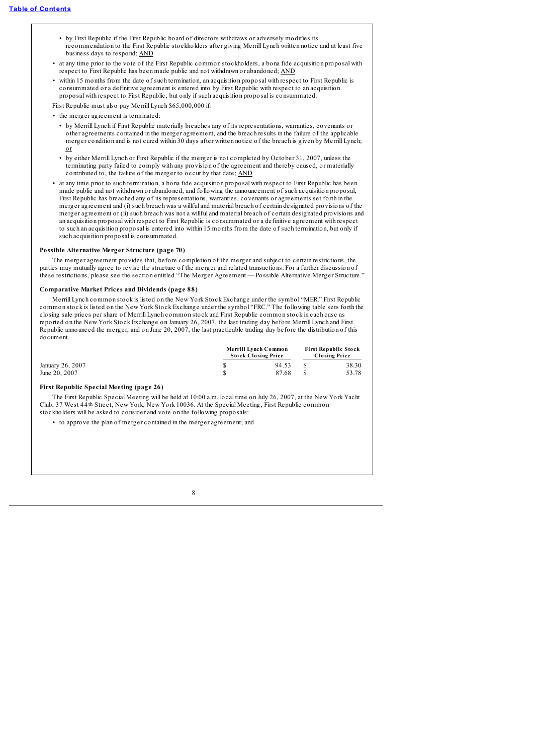- by First Republic if the First Republic board of directors withdraws or adversely modifies its recommendation to the First Republic stockholders after giving Merrill Lynch written notice and at least five business days to respond; AND
- at any time prior to the vote of the First Republic common stockholders, a bona fide acquisition proposal with respect to First Republic has been made public and not withdrawn or abandoned; AND
- within 15 months from the date of such termination, an acquisition proposal with respect to First Republic is consummated or a definitive agreement is entered into by First Republic with respect to an acquisition proposal with respect to First Republic, but only if such acquisition proposal is consummated.

First Republic must also pay Merrill Lynch \$65,000,000 if:

- the merger agreement is terminated:
	- by Merrill Lynch if First Republic materially breaches any of its representations, warranties, covenants or other agreements contained in the merger agreement, and the breach results in the failure of the applicable merger condition and is not cured within 30 days after written notice of the breach is given by Merrill Lynch; or
	- by either Merrill Lynch or First Republic if the merger is not completed by October 31, 2007, unless the terminating party failed to comply with any provision of the agreement and thereby caused, or materially contributed to, the failure of the merger to occur by that date; AND
- at any time prior to such termination, a bona fide acquisition proposal with respect to First Republic has been made public and not withdrawn or abandoned, and following the announcement of such acquisition proposal, First Republic has breached any of its representations, warranties, covenants or agreements set forth in the merger agreement and (i) such breach was a willful and material breach of certain designated provisions of the merger agreement or (ii) such breach was not a willful and material breach of certain designated provisions and an acquisition proposal with respect to First Republic is consummated or a definitive agreement with respect to such an acquisition proposal is entered into within 15 months from the date of such termination, but only if such acquisition proposal is consummated.

## **Possible Alternative Merger Structure (page 70)**

The merger agreement provides that, before completion of the merger and subject to certain restrictions, the parties may mutually agree to revise the structure of the merger and related transactions. For a further discussion of these restrictions, please see the section entitled "The Merger Agreement — Possible Alternative Merger Structure."

## **Comparative Market Prices and Dividends (page 88)**

Merrill Lynch common stock is listed on the New York Stock Exchange under the symbol "MER." First Republic common stock is listed on the New York Stock Exchange under the symbol "FRC." The following table sets forth the closing sale prices per share of Merrill Lynch common stock and First Republic common stock in each case as reported on the New York Stock Exchange on January 26, 2007, the last trading day before Merrill Lynch and First Republic announced the merger, and on June 20, 2007, the last practicable trading day before the distribution of this document.

|                  | Merrill Lynch Common<br><b>Stock Closing Price</b> |       | <b>First Republic Stock</b><br><b>Closing Price</b> |       |  |
|------------------|----------------------------------------------------|-------|-----------------------------------------------------|-------|--|
| January 26, 2007 |                                                    | 94.53 |                                                     | 38.30 |  |
| June 20, 2007    |                                                    | 87.68 |                                                     | 53.78 |  |

# **First Republic Special Meeting (page 26)**

The First Republic Special Meeting will be held at 10:00 a.m. local time on July 26, 2007, at the New York Yacht Club, 37 West 44th Street, New York, New York 10036. At the Special Meeting, First Republic common stockholders will be asked to consider and vote on the following proposals:

• to approve the plan of merger contained in the merger agreement; and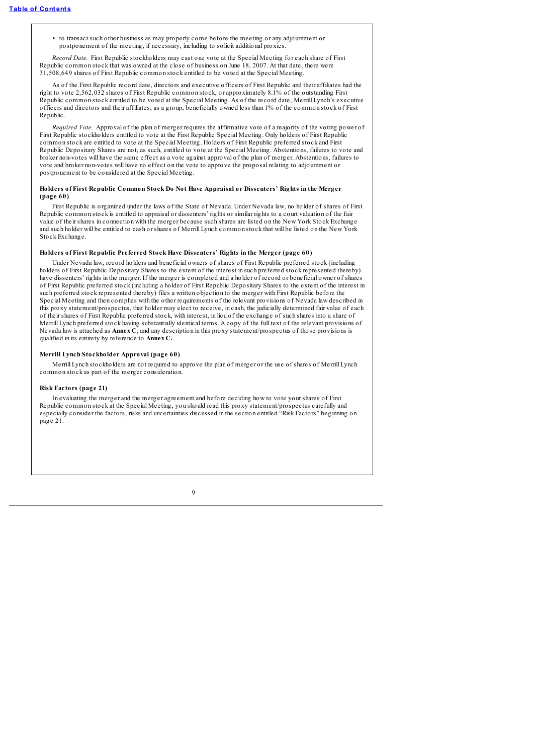• to transact such other business as may properly come before the meeting or any adjournment or postponement of the meeting, if necessary, including to solicit additional proxies.

*Record Date.* First Republic stockholders may cast one vote at the Special Meeting for each share of First Republic common stock that was owned at the close of business on June 18, 2007. At that date, there were 31,508,649 shares of First Republic common stock entitled to be voted at the Special Meeting.

As of the First Republic record date, directors and executive officers of First Republic and their affiliates had the right to vote 2,562,032 shares of First Republic common stock, or approximately 8.1% of the outstanding First Republic common stock entitled to be voted at the Special Meeting. As of the record date, Merrill Lynch's executive officers and directors and their affiliates, as a group, beneficially owned less than 1% of the common stock of First Republic.

*Required Vote.* Approval of the plan of merger requires the affirmative vote of a majority of the voting power of First Republic stockholders entitled to vote at the First Republic Special Meeting. Only holders of First Republic common stock are entitled to vote at the Special Meeting. Holders of First Republic preferred stock and First Republic Depositary Shares are not, as such, entitled to vote at the Special Meeting. Abstentions, failures to vote and broker non-votes will have the same effect as a vote against approval of the plan of merger. Abstentions, failures to vote and broker non-votes will have no effect on the vote to approve the proposal relating to adjournment or postponement to be considered at the Special Meeting.

### **Holders of First Republic Common Stock Do Not Have Appraisal or Dissenters' Rights in the Merger (page 60)**

First Republic is organized under the laws of the State of Nevada. Under Nevada law, no holder of shares of First Republic common stock is entitled to appraisal or dissenters' rights or similar rights to a court valuation of the fair value of their shares in connection with the merger because such shares are listed on the New York Stock Exchange and such holder will be entitled to cash or shares of Merrill Lynch common stock that will be listed on the New York Stock Exchange.

# **Holders of First Republic Preferred Stock Have Dissenters' Rights in the Merger (page 60)**

Under Nevada law, record holders and beneficial owners of shares of First Republic preferred stock (including holders of First Republic Depositary Shares to the extent of the interest in such preferred stock represented thereby) have dissenters' rights in the merger. If the merger is completed and a holder of record or beneficial owner of shares of First Republic preferred stock (including a holder of First Republic Depositary Shares to the extent of the interest in such preferred stock represented thereby) files a written objection to the merger with First Republic before the Special Meeting and then complies with the other requirements of the relevant provisions of Nevada law described in this proxy statement/prospectus, that holder may elect to receive, in cash, the judicially determined fair value of each of their shares of First Republic preferred stock, with interest, in lieu of the exchange of such shares into a share of Merrill Lynch preferred stock having substantially identical terms. A copy of the full text of the relevant provisions of Nevada law is attached as **Annex C**, and any description in this proxy statement/prospectus of those provisions is qualified in its entirety by reference to **Annex C.**

## **Merrill Lynch Stockholder Approval (page 60)**

Merrill Lynch stockholders are not required to approve the plan of merger or the use of shares of Merrill Lynch common stock as part of the merger consideration.

## **Risk Factors (page 21)**

In evaluating the merger and the merger agreement and before deciding how to vote your shares of First Republic common stock at the Special Meeting, you should read this proxy statement/prospectus carefully and especially consider the factors, risks and uncertainties discussed in the section entitled "Risk Factors" beginning on page 21.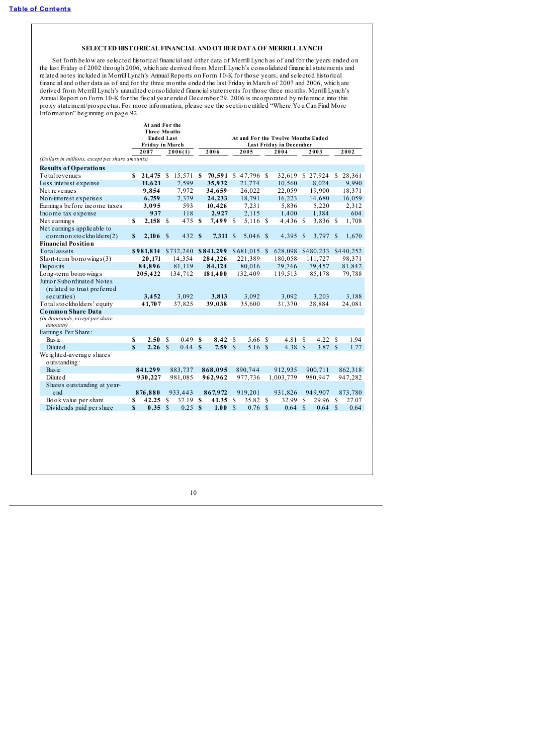# **SELECTED HISTORICAL FINANCIAL AND OTHER DATA OF MERRILL LYNCH**

<span id="page-15-0"></span>Set forth below are selected historical financial and other data of Merrill Lynch as of and for the years ended on the last Friday of 2002 through 2006, which are derived from Merrill Lynch's consolidated financial statements and related notes included in Merrill Lynch's Annual Reports on Form 10-K for those years, and selected historical financial and other data as of and for the three months ended the last Friday in March of 2007 and 2006, which are derived from Merrill Lynch's unaudited consolidated financialstatements for those three months. Merrill Lynch's Annual Report on Form 10-K for the fiscal year ended December 29, 2006 is incorporated by reference into this proxy statement/prospectus. For more information, please see the section entitled "Where You Can Find More Information" beginning on page 92.

|                                                                        |                                                                                                                                                                                           |                                                         | Last Friday in December                                                                                                                                                                                    |                                                                     |                                                                                                         |                                                                                                     |                                                                                           |                                                                                                     |                                                                                                              |                                                                     |                                                                                                                                                       |                                                                              |
|------------------------------------------------------------------------|-------------------------------------------------------------------------------------------------------------------------------------------------------------------------------------------|---------------------------------------------------------|------------------------------------------------------------------------------------------------------------------------------------------------------------------------------------------------------------|---------------------------------------------------------------------|---------------------------------------------------------------------------------------------------------|-----------------------------------------------------------------------------------------------------|-------------------------------------------------------------------------------------------|-----------------------------------------------------------------------------------------------------|--------------------------------------------------------------------------------------------------------------|---------------------------------------------------------------------|-------------------------------------------------------------------------------------------------------------------------------------------------------|------------------------------------------------------------------------------|
| 2007                                                                   |                                                                                                                                                                                           |                                                         |                                                                                                                                                                                                            | 2006                                                                |                                                                                                         | 2005                                                                                                |                                                                                           | 2004                                                                                                |                                                                                                              | 2003                                                                |                                                                                                                                                       | 2002                                                                         |
|                                                                        |                                                                                                                                                                                           |                                                         |                                                                                                                                                                                                            |                                                                     |                                                                                                         |                                                                                                     |                                                                                           |                                                                                                     |                                                                                                              |                                                                     |                                                                                                                                                       |                                                                              |
|                                                                        |                                                                                                                                                                                           |                                                         |                                                                                                                                                                                                            |                                                                     |                                                                                                         |                                                                                                     |                                                                                           |                                                                                                     |                                                                                                              |                                                                     |                                                                                                                                                       |                                                                              |
| \$                                                                     |                                                                                                                                                                                           |                                                         |                                                                                                                                                                                                            |                                                                     |                                                                                                         |                                                                                                     |                                                                                           | 32,619                                                                                              |                                                                                                              |                                                                     | S                                                                                                                                                     | 28,361                                                                       |
|                                                                        |                                                                                                                                                                                           |                                                         |                                                                                                                                                                                                            |                                                                     |                                                                                                         | 21,774                                                                                              |                                                                                           | 10,560                                                                                              |                                                                                                              | 8,024                                                               |                                                                                                                                                       | 9,990                                                                        |
|                                                                        |                                                                                                                                                                                           |                                                         |                                                                                                                                                                                                            |                                                                     |                                                                                                         |                                                                                                     |                                                                                           |                                                                                                     |                                                                                                              |                                                                     |                                                                                                                                                       | 18,371                                                                       |
| 6,759                                                                  |                                                                                                                                                                                           | 7,379                                                   |                                                                                                                                                                                                            | 24,233                                                              |                                                                                                         | 18,791                                                                                              |                                                                                           | 16,223                                                                                              |                                                                                                              | 14,680                                                              |                                                                                                                                                       | 16,059                                                                       |
|                                                                        |                                                                                                                                                                                           |                                                         |                                                                                                                                                                                                            | 10,426                                                              |                                                                                                         |                                                                                                     |                                                                                           |                                                                                                     |                                                                                                              | 5,220                                                               |                                                                                                                                                       | 2,312                                                                        |
|                                                                        |                                                                                                                                                                                           | 118                                                     |                                                                                                                                                                                                            | 2,927                                                               |                                                                                                         | 2,115                                                                                               |                                                                                           | 1,400                                                                                               |                                                                                                              | 1,384                                                               |                                                                                                                                                       | 604                                                                          |
|                                                                        |                                                                                                                                                                                           |                                                         |                                                                                                                                                                                                            |                                                                     |                                                                                                         |                                                                                                     |                                                                                           |                                                                                                     |                                                                                                              |                                                                     |                                                                                                                                                       | 1,708                                                                        |
|                                                                        |                                                                                                                                                                                           |                                                         |                                                                                                                                                                                                            |                                                                     |                                                                                                         |                                                                                                     |                                                                                           |                                                                                                     |                                                                                                              |                                                                     |                                                                                                                                                       |                                                                              |
|                                                                        |                                                                                                                                                                                           |                                                         |                                                                                                                                                                                                            |                                                                     |                                                                                                         |                                                                                                     |                                                                                           |                                                                                                     | $\mathbb{S}$                                                                                                 |                                                                     |                                                                                                                                                       | 1,670                                                                        |
|                                                                        |                                                                                                                                                                                           |                                                         |                                                                                                                                                                                                            |                                                                     |                                                                                                         |                                                                                                     |                                                                                           |                                                                                                     |                                                                                                              |                                                                     |                                                                                                                                                       |                                                                              |
|                                                                        |                                                                                                                                                                                           |                                                         |                                                                                                                                                                                                            |                                                                     |                                                                                                         |                                                                                                     |                                                                                           | 628,098                                                                                             |                                                                                                              |                                                                     |                                                                                                                                                       | \$440,252                                                                    |
|                                                                        |                                                                                                                                                                                           |                                                         |                                                                                                                                                                                                            |                                                                     |                                                                                                         |                                                                                                     |                                                                                           |                                                                                                     |                                                                                                              |                                                                     |                                                                                                                                                       | 98,371                                                                       |
|                                                                        |                                                                                                                                                                                           | 81,119                                                  |                                                                                                                                                                                                            | 84,124                                                              |                                                                                                         | 80,016                                                                                              |                                                                                           | 79,746                                                                                              |                                                                                                              | 79,457                                                              |                                                                                                                                                       | 81,842                                                                       |
|                                                                        |                                                                                                                                                                                           |                                                         |                                                                                                                                                                                                            |                                                                     |                                                                                                         |                                                                                                     |                                                                                           |                                                                                                     |                                                                                                              | 85,178                                                              |                                                                                                                                                       | 79,788                                                                       |
|                                                                        |                                                                                                                                                                                           |                                                         |                                                                                                                                                                                                            |                                                                     |                                                                                                         |                                                                                                     |                                                                                           |                                                                                                     |                                                                                                              |                                                                     |                                                                                                                                                       |                                                                              |
|                                                                        |                                                                                                                                                                                           |                                                         |                                                                                                                                                                                                            |                                                                     |                                                                                                         |                                                                                                     |                                                                                           |                                                                                                     |                                                                                                              |                                                                     |                                                                                                                                                       |                                                                              |
|                                                                        |                                                                                                                                                                                           |                                                         |                                                                                                                                                                                                            |                                                                     |                                                                                                         |                                                                                                     |                                                                                           |                                                                                                     |                                                                                                              |                                                                     |                                                                                                                                                       | 3,188                                                                        |
| 41,707                                                                 |                                                                                                                                                                                           | 37,825                                                  |                                                                                                                                                                                                            |                                                                     |                                                                                                         |                                                                                                     |                                                                                           |                                                                                                     |                                                                                                              |                                                                     |                                                                                                                                                       | 24,081                                                                       |
|                                                                        |                                                                                                                                                                                           |                                                         |                                                                                                                                                                                                            |                                                                     |                                                                                                         |                                                                                                     |                                                                                           |                                                                                                     |                                                                                                              |                                                                     |                                                                                                                                                       |                                                                              |
|                                                                        |                                                                                                                                                                                           |                                                         |                                                                                                                                                                                                            |                                                                     |                                                                                                         |                                                                                                     |                                                                                           |                                                                                                     |                                                                                                              |                                                                     |                                                                                                                                                       |                                                                              |
|                                                                        |                                                                                                                                                                                           |                                                         |                                                                                                                                                                                                            |                                                                     |                                                                                                         |                                                                                                     |                                                                                           |                                                                                                     |                                                                                                              |                                                                     |                                                                                                                                                       |                                                                              |
|                                                                        |                                                                                                                                                                                           |                                                         |                                                                                                                                                                                                            |                                                                     |                                                                                                         |                                                                                                     |                                                                                           |                                                                                                     |                                                                                                              |                                                                     |                                                                                                                                                       | 1.94                                                                         |
|                                                                        |                                                                                                                                                                                           |                                                         |                                                                                                                                                                                                            |                                                                     |                                                                                                         |                                                                                                     |                                                                                           |                                                                                                     |                                                                                                              |                                                                     |                                                                                                                                                       | 1.77                                                                         |
|                                                                        |                                                                                                                                                                                           |                                                         |                                                                                                                                                                                                            |                                                                     |                                                                                                         |                                                                                                     |                                                                                           |                                                                                                     |                                                                                                              |                                                                     |                                                                                                                                                       |                                                                              |
|                                                                        |                                                                                                                                                                                           |                                                         |                                                                                                                                                                                                            |                                                                     |                                                                                                         |                                                                                                     |                                                                                           |                                                                                                     |                                                                                                              |                                                                     |                                                                                                                                                       |                                                                              |
|                                                                        |                                                                                                                                                                                           |                                                         |                                                                                                                                                                                                            |                                                                     |                                                                                                         |                                                                                                     |                                                                                           |                                                                                                     |                                                                                                              |                                                                     |                                                                                                                                                       | 862,318                                                                      |
|                                                                        |                                                                                                                                                                                           |                                                         |                                                                                                                                                                                                            |                                                                     |                                                                                                         |                                                                                                     |                                                                                           |                                                                                                     |                                                                                                              |                                                                     |                                                                                                                                                       | 947,282                                                                      |
|                                                                        |                                                                                                                                                                                           |                                                         |                                                                                                                                                                                                            |                                                                     |                                                                                                         |                                                                                                     |                                                                                           |                                                                                                     |                                                                                                              |                                                                     |                                                                                                                                                       |                                                                              |
|                                                                        |                                                                                                                                                                                           |                                                         |                                                                                                                                                                                                            |                                                                     |                                                                                                         |                                                                                                     |                                                                                           |                                                                                                     |                                                                                                              |                                                                     |                                                                                                                                                       | 873,780                                                                      |
|                                                                        |                                                                                                                                                                                           |                                                         |                                                                                                                                                                                                            |                                                                     |                                                                                                         |                                                                                                     |                                                                                           |                                                                                                     |                                                                                                              |                                                                     |                                                                                                                                                       | 27.07                                                                        |
|                                                                        |                                                                                                                                                                                           |                                                         |                                                                                                                                                                                                            |                                                                     |                                                                                                         |                                                                                                     |                                                                                           |                                                                                                     |                                                                                                              |                                                                     |                                                                                                                                                       | 0.64                                                                         |
|                                                                        |                                                                                                                                                                                           |                                                         |                                                                                                                                                                                                            |                                                                     |                                                                                                         |                                                                                                     |                                                                                           |                                                                                                     |                                                                                                              |                                                                     |                                                                                                                                                       |                                                                              |
|                                                                        |                                                                                                                                                                                           |                                                         |                                                                                                                                                                                                            |                                                                     |                                                                                                         |                                                                                                     |                                                                                           |                                                                                                     |                                                                                                              |                                                                     |                                                                                                                                                       |                                                                              |
|                                                                        |                                                                                                                                                                                           |                                                         |                                                                                                                                                                                                            |                                                                     |                                                                                                         |                                                                                                     |                                                                                           |                                                                                                     |                                                                                                              |                                                                     |                                                                                                                                                       |                                                                              |
|                                                                        |                                                                                                                                                                                           |                                                         |                                                                                                                                                                                                            |                                                                     |                                                                                                         |                                                                                                     |                                                                                           |                                                                                                     |                                                                                                              |                                                                     |                                                                                                                                                       |                                                                              |
| $\mathbf{s}$<br>$\mathbb{S}$<br>$\mathbf S$<br>\$<br>S<br>$\mathbf{s}$ | (Dollars in millions, except per share amounts)<br>11,621<br>9,854<br>3,095<br>937<br>\$981,814<br>20.171<br>84,896<br>205,422<br>3,452<br>2.50<br>841,299<br>930,227<br>876,880<br>42.25 | $2,158$ \$<br>$2,106$ \$<br>S<br>2.26 S<br>-S<br>0.35 S | At and For the<br><b>Three Months</b><br><b>Ended Last</b><br>Friday in March<br>2006(1)<br>21,475 \$<br>7,599<br>7,972<br>593<br>\$732,240<br>14,354<br>134,712<br>3,092<br>883,737<br>981,085<br>933,443 | 15,571 \$<br>475 \$<br>432 \$<br>0.49S<br>0.44S<br>37.19 S<br>0.25S | 35,932<br>34,659<br>\$841,299<br>284,226<br>181,400<br>3,813<br>39,038<br>868,095<br>962,962<br>867,972 | $70,591$ \$<br>7,499 \$<br>7,311 \$<br>8.42<br>S<br>7.59S<br>41.35 \$<br>$\mathbf{\hat{s}}$<br>1.00 | 26,022<br>7,231<br>221,389<br>132,409<br>3,092<br>35,600<br>890.744<br>977,736<br>919,201 | 47,796 \$<br>5,116 \$<br>$5,046$ \$<br>$$681,015$ \$<br>5.66 \$<br>5.16 \$<br>35.82 \$<br>$0.76$ \$ | 22,059<br>5,836<br>180.058<br>119,513<br>3,092<br>31,370<br>4.81<br>912,935<br>1,003,779<br>931,826<br>32.99 | 4,436 \$<br>4,395<br>S<br>4.38 S<br>S<br>$\mathbf{\hat{s}}$<br>0.64 | At and For the Twelve Months Ended<br>\$27,924<br>19,900<br>\$480,233<br>111.727<br>3,203<br>28,884<br>4.22<br>900.711<br>980,947<br>949,907<br>29.96 | 3,836 \$<br>$3,797$ \$<br>- S<br>3.87 \$<br>£.<br>$\mathbf{\hat{s}}$<br>0.64 |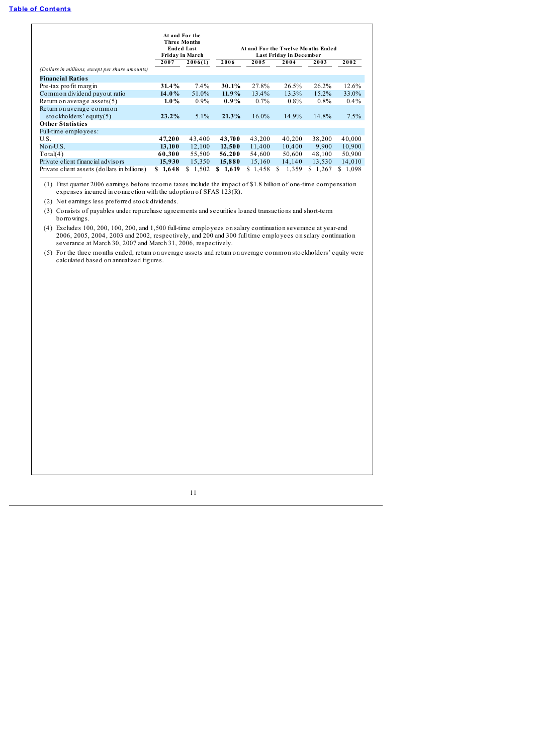| (Dollars in millions, except per share amounts)        | At and For the<br>Three Months<br>2007 | <b>Ended Last</b><br>Friday in March<br>2006(1) | 2006       | 2005     | At and For the Twelve Months Ended<br>Last Friday in December<br>2004 | 2003     | 2002        |
|--------------------------------------------------------|----------------------------------------|-------------------------------------------------|------------|----------|-----------------------------------------------------------------------|----------|-------------|
| <b>Financial Ratios</b>                                |                                        |                                                 |            |          |                                                                       |          |             |
| Pre-tax pro fit margin                                 | 31.4%                                  | $7.4\%$                                         | 30.1%      | 27.8%    | 26.5%                                                                 | 26.2%    | 12.6%       |
| Common dividend payout ratio                           | 14.0%                                  | 51.0%                                           | 11.9%      | 13.4%    | 13.3%                                                                 | $15.2\%$ | 33.0%       |
| Return on average assets $(5)$                         | $1.0\%$                                | $0.9\%$                                         | $0.9\%$    | $0.7\%$  | $0.8\%$                                                               | $0.8\%$  | $0.4\%$     |
| Return on average common<br>stockholders' equity $(5)$ | $23.2\%$                               | $5.1\%$                                         | 21.3%      | $16.0\%$ | 14.9%                                                                 | 14.8%    | 7.5%        |
| <b>Other Statistics</b>                                |                                        |                                                 |            |          |                                                                       |          |             |
| Full-time employees:                                   |                                        |                                                 |            |          |                                                                       |          |             |
| U.S.                                                   | 47,200                                 | 43,400                                          | 43,700     | 43,200   | 40,200                                                                | 38,200   | 40,000      |
| Non-U.S.                                               | 13,100                                 | 12,100                                          | 12,500     | 11,400   | 10,400                                                                | 9.900    | 10,900      |
| Total(4)                                               | 60,300                                 | 55,500                                          | 56,200     | 54,600   | 50,600                                                                | 48,100   | 50,900      |
| Private client financial advisors                      | 15,930                                 | 15,350                                          | 15,880     | 15,160   | 14,140                                                                | 13,530   | 14,010      |
| Private client assets (dollars in billions)            | 1,648<br>S.                            | 1,502<br>S                                      | 1,619<br>S | \$1,458  | 1,359<br>S                                                            | \$1,267  | 1,098<br>S. |

(1) First quarter 2006 earnings before income taxes include the impact of \$1.8 billion of one-time compensation expenses incurred in connection with the adoption of SFAS 123(R).

(2) Net earnings less preferred stock dividends.

(3) Consists of payables under repurchase agreements and securities loaned transactions and short-term borrowings.

(4) Excludes 100, 200, 100, 200, and 1,500 full-time employees on salary continuation severance at year-end 2006, 2005, 2004, 2003 and 2002, respectively, and 200 and 300 full time employees on salary continuation severance at March 30, 2007 and March 31, 2006, respectively.

(5) For the three months ended, return on average assets and return on average common stockholders' equity were calculated based on annualized figures.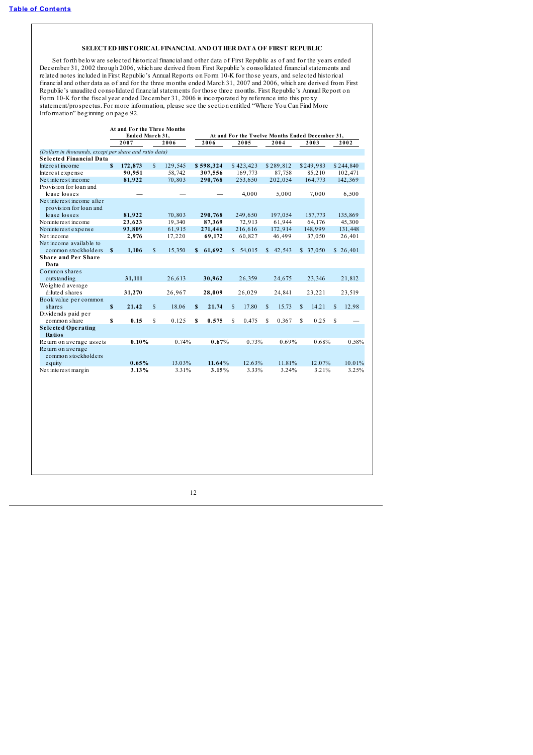# **SELECTED HISTORICAL FINANCIAL AND OTHER DATA OF FIRST REPUBLIC**

<span id="page-17-0"></span>Set forth below are selected historical financial and other data of First Republic as of and for the years ended December 31, 2002 through 2006, which are derived from First Republic's consolidated financialstatements and related notes included in First Republic's Annual Reports on Form 10-K for those years, and selected historical financial and other data as of and for the three months ended March 31, 2007 and 2006, which are derived from First Republic's unaudited consolidated financialstatements for those three months. First Republic's Annual Report on Form 10-K for the fiscal year ended December 31, 2006 is incorporated by reference into this proxy statement/prospectus. For more information, please see the section entitled "Where You Can Find More Information" beginning on page 92.

|                                                         |              | At and For the Three Months |              |         |                                                 |           |    |           |              |           |     |           |    |           |
|---------------------------------------------------------|--------------|-----------------------------|--------------|---------|-------------------------------------------------|-----------|----|-----------|--------------|-----------|-----|-----------|----|-----------|
|                                                         |              | Ended March 31,             |              |         | At and For the Twelve Months Ended December 31, |           |    |           |              |           |     |           |    |           |
|                                                         |              | 2007                        |              | 2006    |                                                 | 2006      |    | 2005      |              | 2004      |     | 2003      |    | 2002      |
| (Dollars in thousands, except per share and ratio data) |              |                             |              |         |                                                 |           |    |           |              |           |     |           |    |           |
| Selected Financial Data                                 |              |                             |              |         |                                                 |           |    |           |              |           |     |           |    |           |
| Interest income                                         | $\mathbf{s}$ | 172,873                     | S            | 129,545 |                                                 | \$598,324 |    | \$423,423 |              | \$289,812 |     | \$249,983 |    | \$244,840 |
| Interest expense                                        |              | 90,951                      |              | 58,742  |                                                 | 307,556   |    | 169,773   |              | 87,758    |     | 85,210    |    | 102,471   |
| Net interest income                                     |              | 81,922                      |              | 70,803  |                                                 | 290,768   |    | 253,650   |              | 202,054   |     | 164,773   |    | 142,369   |
| Provision for loan and                                  |              |                             |              |         |                                                 |           |    |           |              |           |     |           |    |           |
| lease losses                                            |              |                             |              |         |                                                 |           |    | 4,000     |              | 5,000     |     | 7,000     |    | 6,500     |
| Net interest income after                               |              |                             |              |         |                                                 |           |    |           |              |           |     |           |    |           |
| provision for loan and                                  |              |                             |              |         |                                                 |           |    |           |              |           |     |           |    |           |
| lease losses                                            |              | 81,922                      |              | 70,803  |                                                 | 290,768   |    | 249,650   |              | 197,054   |     | 157,773   |    | 135,869   |
| Noninterest income                                      |              | 23,623                      |              | 19,340  |                                                 | 87,369    |    | 72,913    |              | 61,944    |     | 64,176    |    | 45,300    |
| Noninterest expense                                     |              | 93,809                      |              | 61,915  |                                                 | 271,446   |    | 216,616   |              | 172,914   |     | 148,999   |    | 131,448   |
| Net income                                              |              | 2,976                       |              | 17,220  |                                                 | 69,172    |    | 60,827    |              | 46,499    |     | 37,050    |    | 26,401    |
| Net income available to                                 |              |                             |              |         |                                                 |           |    |           |              |           |     |           |    |           |
| common stockholders                                     | S            | 1,106                       | <sup>S</sup> | 15,350  | s.                                              | 61,692    |    | \$54,015  | $\mathbb{S}$ | 42,543    |     | \$37,050  |    | \$26,401  |
| <b>Share and Per Share</b>                              |              |                             |              |         |                                                 |           |    |           |              |           |     |           |    |           |
| Data                                                    |              |                             |              |         |                                                 |           |    |           |              |           |     |           |    |           |
| Common shares                                           |              |                             |              |         |                                                 |           |    |           |              |           |     |           |    |           |
| outstanding                                             |              | 31,111                      |              | 26,613  |                                                 | 30,962    |    | 26,359    |              | 24,675    |     | 23,346    |    | 21,812    |
| We ighted average                                       |              |                             |              |         |                                                 |           |    |           |              |           |     |           |    |           |
| diluted shares                                          |              | 31,270                      |              | 26,967  |                                                 | 28,009    |    | 26,029    |              | 24,841    |     | 23,221    |    | 23,519    |
| Book value per common                                   |              |                             |              |         |                                                 |           |    |           |              |           |     |           |    |           |
| shares                                                  | S            | 21.42                       | S            | 18.06   | S                                               | 21.74     | \$ | 17.80     | \$.          | 15.73     | S   | 14.21     | \$ | 12.98     |
| Dividends paid per                                      |              |                             |              |         |                                                 |           |    |           |              |           |     |           |    |           |
| common share                                            | S            | 0.15                        | S            | 0.125   | S                                               | 0.575     | \$ | 0.475     | S            | 0.367     | \$. | 0.25      | S  |           |
| <b>Selected Operating</b>                               |              |                             |              |         |                                                 |           |    |           |              |           |     |           |    |           |
| Ratios                                                  |              |                             |              |         |                                                 |           |    |           |              |           |     |           |    |           |
| Return on average assets                                |              | 0.10%                       |              | 0.74%   |                                                 | 0.67%     |    | 0.73%     |              | 0.69%     |     | 0.68%     |    | 0.58%     |
| Return on average                                       |              |                             |              |         |                                                 |           |    |           |              |           |     |           |    |           |
| common stockholders                                     |              |                             |              |         |                                                 |           |    |           |              |           |     |           |    |           |
| equity                                                  |              | 0.65%                       |              | 13.03%  |                                                 | 11.64%    |    | 12.63%    |              | 11.81%    |     | 12.07%    |    | 10.01%    |
| Net interest margin                                     |              | 3.13%                       |              | 3.31%   |                                                 | 3.15%     |    | 3.33%     |              | 3.24%     |     | 3.21%     |    | 3.25%     |
|                                                         |              |                             |              |         |                                                 |           |    |           |              |           |     |           |    |           |
|                                                         |              |                             |              |         |                                                 |           |    |           |              |           |     |           |    |           |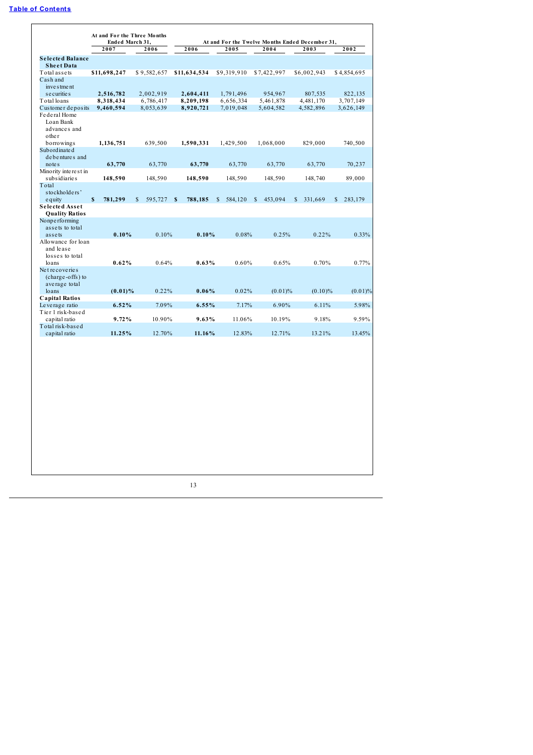|                                               | Ended March 31,        |                           |              |                         | At and For the Twelve Months Ended December 31, |                         |                         |
|-----------------------------------------------|------------------------|---------------------------|--------------|-------------------------|-------------------------------------------------|-------------------------|-------------------------|
|                                               | 2007                   | 2006                      | 2006         | 2005                    | 2004                                            | 2003                    | 2002                    |
| Selected Balance                              |                        |                           |              |                         |                                                 |                         |                         |
| <b>Sheet Data</b>                             |                        |                           |              |                         |                                                 |                         |                         |
| Total assets<br>Cash and                      | \$11,698,247           | \$9,582,657               | \$11,634,534 | \$9,319,910             | \$7,422,997                                     | \$6,002,943             | \$4,854,695             |
| inve s tme nt                                 |                        |                           |              |                         |                                                 |                         |                         |
| s e curitie s                                 | 2,516,782              | 2,002,919                 | 2,604,411    | 1,791,496               | 954,967                                         | 807,535                 | 822,135                 |
| Total loans                                   | 8,318,434              | 6,786,417                 | 8,209,198    | 6,656,334               | 5,461,878                                       | 4,481,170               | 3,707,149               |
| Customer deposits                             | 9,460,594              | 8,053,639                 | 8,920,721    | 7,019,048               | 5,604,582                                       | 4,582,896               | 3,626,149               |
| Federal Home<br>Loan Bank<br>advances and     |                        |                           |              |                         |                                                 |                         |                         |
| other                                         |                        |                           |              |                         |                                                 |                         |                         |
| borrowings<br>Subordinate d<br>debentures and | 1,136,751              | 639,500                   | 1,590,331    | 1,429,500               | 1,068,000                                       | 829,000                 | 740,500                 |
| note <sub>s</sub>                             | 63,770                 | 63,770                    | 63,770       | 63,770                  | 63,770                                          | 63,770                  | 70,237                  |
| Minority interest in                          |                        |                           |              |                         |                                                 |                         |                         |
| subsidiaries                                  | 148,590                | 148,590                   | 148,590      | 148,590                 | 148,590                                         | 148,740                 | 89,000                  |
| Total                                         |                        |                           |              |                         |                                                 |                         |                         |
| stockholders'                                 |                        |                           |              |                         |                                                 |                         |                         |
| equity                                        | $\mathbf S$<br>781,299 | $\mathbf S$<br>595,727 \$ | 788,185      | $\mathbb{S}$<br>584,120 | S<br>453,094                                    | $\mathbb{S}$<br>331,669 | $\mathbb{S}$<br>283,179 |
| Selected Asset<br><b>Quality Ratios</b>       |                        |                           |              |                         |                                                 |                         |                         |
| Nonperforming                                 |                        |                           |              |                         |                                                 |                         |                         |
| assets to total                               |                        |                           |              |                         |                                                 |                         |                         |
| assets                                        | 0.10%                  | 0.10%                     | 0.10%        | 0.08%                   | 0.25%                                           | 0.22%                   | 0.33%                   |
| Allowance for loan                            |                        |                           |              |                         |                                                 |                         |                         |
| and lease                                     |                        |                           |              |                         |                                                 |                         |                         |
| losses to total                               |                        |                           |              |                         |                                                 |                         |                         |
| loans                                         | 0.62%                  | 0.64%                     | 0.63%        | 0.60%                   | 0.65%                                           | 0.70%                   | 0.77%                   |
| Net recoveries                                |                        |                           |              |                         |                                                 |                         |                         |
| (charge-offs) to                              |                        |                           |              |                         |                                                 |                         |                         |
| average total<br>loans                        |                        |                           | 0.06%        | 0.02%                   |                                                 |                         |                         |
| <b>Capital Ratios</b>                         | $(0.01)\%$             | 0.22%                     |              |                         | $(0.01)\%$                                      | $(0.10)\%$              | $(0.01)\%$              |
| Leverage ratio                                | 6.52%                  | 7.09%                     | 6.55%        | 7.17%                   | 6.90%                                           | 6.11%                   | 5.98%                   |
| Tier 1 risk-based                             |                        |                           |              |                         |                                                 |                         |                         |
| capital ratio                                 | 9.72%                  | 10.90%                    | 9.63%        | 11.06%                  | 10.19%                                          | 9.18%                   | 9.59%                   |
| Total risk-based                              |                        |                           |              |                         |                                                 |                         |                         |
| capital ratio                                 | 11.25%                 | 12.70%                    | 11.16%       | 12.83%                  | 12.71%                                          | 13.21%                  | 13.45%                  |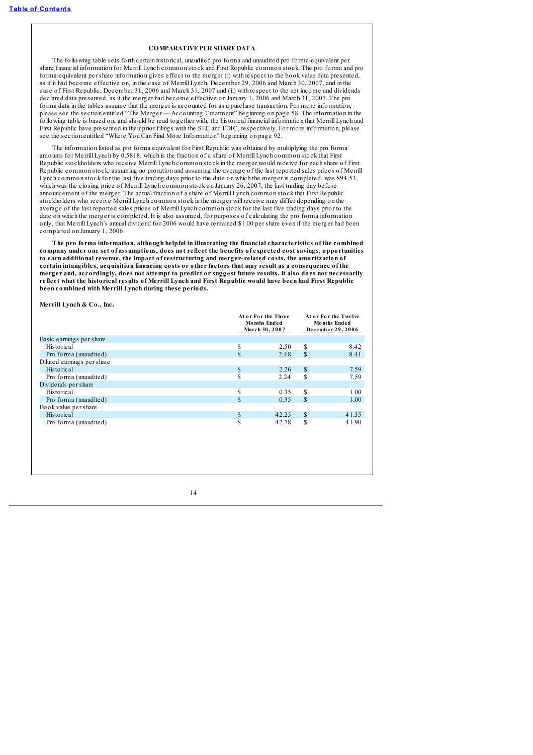# **COMPARATIVE PER SHARE DATA**

<span id="page-19-0"></span>The following table sets forth certain historical, unaudited pro forma and unaudited pro forma-equivalent per share financial information for Merrill Lynch common stock and First Republic common stock. The pro forma and pro forma-equivalent per share information gives effect to the merger (i) with respect to the book value data presented, as if it had become effective on, in the case of Merrill Lynch, December 29, 2006 and March 30, 2007, and in the case of First Republic, December 31, 2006 and March 31, 2007 and (ii) with respect to the net income and dividends declared data presented, as if the merger had become effective on January 1, 2006 and March 31, 2007. The pro forma data in the tables assume that the merger is accounted for as a purchase transaction. For more information, please see the section entitled "The Merger — Accounting Treatment" beginning on page 58. The information in the following table is based on, and should be read together with, the historical financial information that Merrill Lynch and First Republic have presented in their prior filings with the SEC and FDIC, respectively. For more information, please see the section entitled "Where You Can Find More Information" beginning on page 92.

The information listed as pro forma equivalent for First Republic was obtained by multiplying the pro forma amounts for Merrill Lynch by 0.5818, which is the fraction of a share of Merrill Lynch common stock that First Republic stockholders who receive Merrill Lynch common stock in the merger would receive for each share of First Republic common stock, assuming no proration and assuming the average of the last reported sales prices of Merrill Lynch common stock for the last five trading days prior to the date on which the merger is completed, was \$94.53, which was the closing price of Merrill Lynch common stock on January 26, 2007, the last trading day before announcement of the merger. The actual fraction of a share of Merrill Lynch common stock that First Republic stockholders who receive Merrill Lynch common stock in the merger will receive may differ depending on the average of the last reported sales prices of Merrill Lynch common stock for the last five trading days prior to the date on which the merger is completed. It is also assumed, for purposes of calculating the pro forma information only, that Merrill Lynch's annual dividend for 2006 would have remained \$1.00 per share even if the merger had been completed on January 1, 2006.

**The pro forma information, although helpful in illustrating the financial characteristics of the combined company under one set of assumptions, does not reflect the benefits of expected cost savings, opportunities to earn additional revenue, the impact of restructuring and merger- related costs, the amortization of certain intangibles, acquisition financing costs or other factors that may result as a consequence of the** merger and, accordingly, does not attempt to predict or suggest future results. It also does not necessarily reflect what the historical results of Merrill Lynch and First Republic would have been had First Republic **been combined with Merrill Lynch during these periods.**

**Merrill Lynch & Co., Inc.**

|                            |               | At or For the Three<br><b>Months Ended</b><br>March 30, 2007 |               | At or For the Twelve<br><b>Months Ended</b><br>December 29, 2006 |
|----------------------------|---------------|--------------------------------------------------------------|---------------|------------------------------------------------------------------|
| Basic earnings per share   |               |                                                              |               |                                                                  |
| <b>Historical</b>          | S             | 2.50                                                         | \$            | 8.42                                                             |
| Pro forma (unaudited)      | S             | 2.48                                                         | $\mathbb{S}$  | 8.41                                                             |
| Diluted earnings per share |               |                                                              |               |                                                                  |
| <b>Historical</b>          | $\mathbf{s}$  | 2.26                                                         | $\mathbb{S}$  | 7.59                                                             |
| Pro forma (unaudited)      | S             | 2.24                                                         | S             | 7.59                                                             |
| Dividends per share        |               |                                                              |               |                                                                  |
| <b>Historical</b>          | S             | 0.35                                                         | \$            | 1.00                                                             |
| Pro forma (unaudited)      | <sup>\$</sup> | 0.35                                                         | $\mathcal{S}$ | 1.00                                                             |
| Book value per share       |               |                                                              |               |                                                                  |
| <b>Historical</b>          | S             | 42.25                                                        | \$            | 41.35                                                            |
| Pro forma (unaudited)      | S             | 42.78                                                        | S             | 41.90                                                            |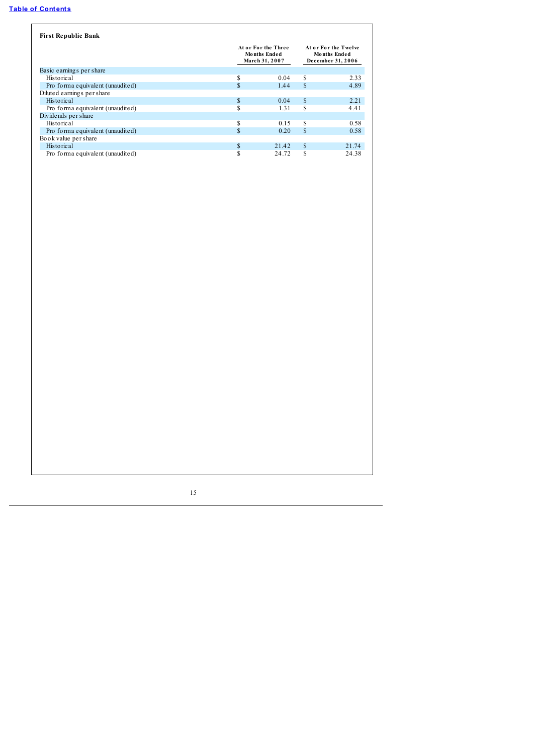| <b>First Republic Bank</b>       |     |                                                              |    |       |  |
|----------------------------------|-----|--------------------------------------------------------------|----|-------|--|
|                                  |     | At or For the Three<br><b>Months Ended</b><br>March 31, 2007 |    |       |  |
| Basic earnings per share         |     |                                                              |    |       |  |
| <b>Historical</b>                | S   | 0.04                                                         | \$ | 2.33  |  |
| Pro forma equivalent (unaudited) | \$. | 1.44                                                         | S  | 4.89  |  |
| Diluted earnings per share       |     |                                                              |    |       |  |
| <b>Historical</b>                | \$. | 0.04                                                         | \$ | 2.21  |  |
| Pro forma equivalent (unaudited) | \$  | 1.31                                                         | S  | 4.41  |  |
| Dividends per share              |     |                                                              |    |       |  |
| <b>Historical</b>                | S   | 0.15                                                         | \$ | 0.58  |  |
| Pro forma equivalent (unaudited) | \$  | 0.20                                                         | S  | 0.58  |  |
| Book value per share             |     |                                                              |    |       |  |
| <b>Historical</b>                | \$  | 21.42                                                        | S  | 21.74 |  |
| Pro forma equivalent (unaudited) | ъ   | 24.72                                                        | S  | 24.38 |  |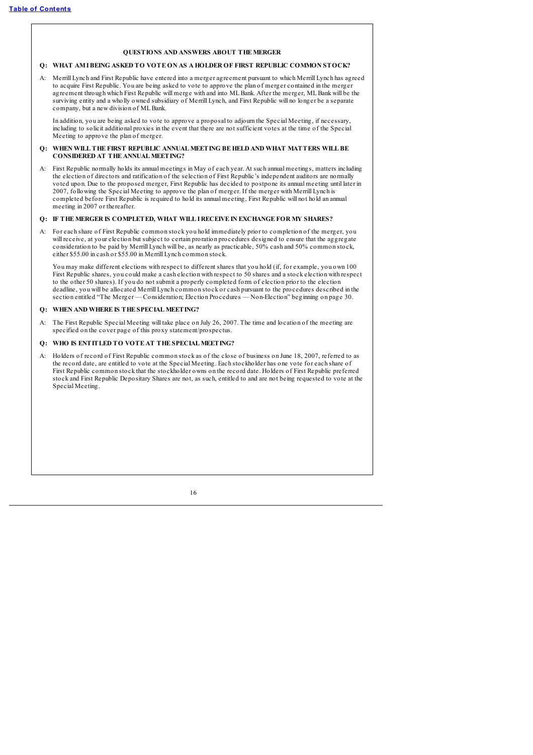## **QUESTIONS AND ANSWERS ABOUT THE MERGER**

# <span id="page-21-0"></span>**Q: WHAT AMIBEING ASKED TO VOTE ON AS A HOLDER OF FIRST REPUBLIC COMMON STOCK?**

A: Merrill Lynch and First Republic have entered into a merger agreement pursuant to which Merrill Lynch has agreed to acquire First Republic. You are being asked to vote to approve the plan of merger contained in the merger agreement through which First Republic will merge with and into MLBank. After the merger, MLBank will be the surviving entity and a wholly owned subsidiary of Merrill Lynch, and First Republic will no longer be a separate company, but a new division of MLBank.

In addition, you are being asked to vote to approve a proposal to adjourn the Special Meeting, if necessary, including to solicit additional proxies in the event that there are not sufficient votes at the time of the Special Meeting to approve the plan of merger.

## **Q: WHEN WILL THE FIRST REPUBLIC ANNUAL MEETING BE HELD AND WHAT MATTERS WILL BE CONSIDERED AT THE ANNUAL MEETING?**

A: First Republic normally holds its annual meetings in May of each year. At such annual meetings, matters including the election of directors and ratification of the selection of First Republic's independent auditors are normally voted upon. Due to the proposed merger, First Republic has decided to postpone its annual meeting until later in 2007, following the Special Meeting to approve the plan of merger. If the merger with Merrill Lynch is completed before First Republic is required to hold its annual meeting, First Republic will not hold an annual meeting in 2007 or thereafter.

## **Q: IF THE MERGER IS COMPLETED, WHAT WILL I RECEIVE IN EXCHANGE FOR MY SHARES?**

A: For each share of First Republic common stock you hold immediately prior to completion of the merger, you will receive, at your election but subject to certain proration procedures designed to ensure that the aggregate consideration to be paid by Merrill Lynch will be, as nearly as practicable, 50% cash and 50% common stock, either \$55.00 in cash or \$55.00 in Merrill Lynch common stock.

You may make different elections with respect to different shares that you hold (if, for example, you own 100 First Republic shares, you could make a cash election with respect to 50 shares and a stock election with respect to the other 50 shares). If you do not submit a properly completed form of election prior to the election deadline, you will be allocated Merrill Lynch common stock or cash pursuant to the procedures described in the section entitled "The Merger — Consideration; Election Procedures — Non-Election" beginning on page 30.

### **Q: WHEN AND WHERE IS THE SPECIAL MEETING?**

A: The First Republic Special Meeting will take place on July 26, 2007. The time and location of the meeting are specified on the cover page of this proxy statement/prospectus.

# **Q: WHO IS ENTITLED TO VOTE AT THE SPECIAL MEETING?**

A: Holders of record of First Republic common stock as of the close of business on June 18, 2007, referred to as the record date, are entitled to vote at the Special Meeting. Each stockholder has one vote for each share of First Republic common stock that the stockholder owns on the record date. Holders of First Republic preferred stock and First Republic Depositary Shares are not, as such, entitled to and are not being requested to vote at the Special Meeting.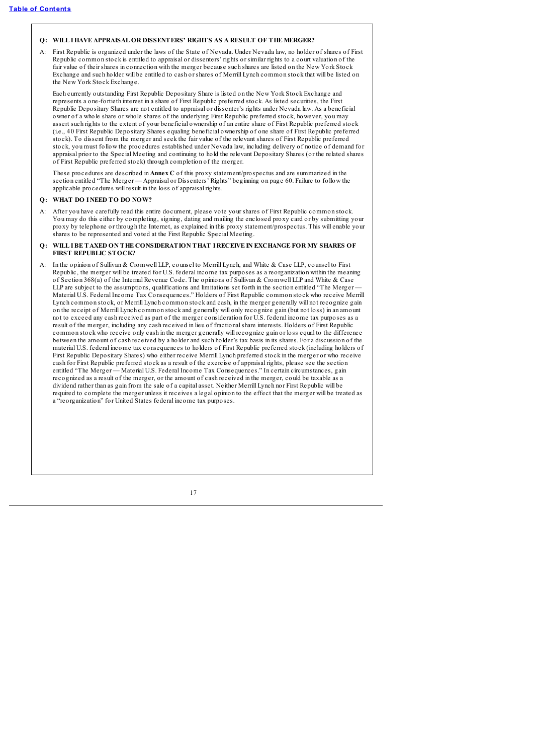## **Q: WILL IHAVE APPRAISAL OR DISSENTERS' RIGHTS AS A RESULT OF THE MERGER?**

A: First Republic is organized under the laws of the State of Nevada. Under Nevada law, no holder of shares of First Republic common stock is entitled to appraisal or dissenters' rights or similar rights to a court valuation of the fair value of their shares in connection with the merger because such shares are listed on the New York Stock Exchange and such holder will be entitled to cash or shares of Merrill Lynch common stock that will be listed on the New York Stock Exchange.

Each currently outstanding First Republic Depositary Share is listed on the New York Stock Exchange and represents a one-fortieth interest in a share of First Republic preferred stock. As listed securities, the First Republic Depositary Shares are not entitled to appraisal or dissenter's rights under Nevada law. As a beneficial owner of a whole share or whole shares of the underlying First Republic preferred stock, however, you may assert such rights to the extent of your beneficial ownership of an entire share of First Republic preferred stock (i.e., 40 First Republic Depositary Shares equaling beneficial ownership of one share of First Republic preferred stock). To dissent from the merger and seek the fair value of the relevant shares of First Republic preferred stock, you must follow the procedures established under Nevada law, including delivery of notice of demand for appraisal prior to the Special Meeting and continuing to hold the relevant Depositary Shares (or the related shares of First Republic preferred stock) through completion of the merger.

These procedures are described in **Annex C** of this proxy statement/prospectus and are summarized in the section entitled "The Merger — Appraisal or Dissenters' Rights" beginning on page 60. Failure to follow the applicable procedures will result in the loss of appraisal rights.

# **Q: WHAT DO I NEED TO DO NOW?**

A: After you have carefully read this entire document, please vote your shares of First Republic common stock. You may do this either by completing, signing, dating and mailing the enclosed proxy card or by submitting your proxy by telephone or through the Internet, as explained in this proxy statement/prospectus. This will enable your shares to be represented and voted at the First Republic Special Meeting.

## **Q: WILL IBE TAXED ON THE CONSIDERATION THAT I RECEIVE IN EXCHANGE FOR MY SHARES OF FIRST REPUBLIC STOCK?**

A: In the opinion of Sullivan & Cromwell LLP, counsel to Merrill Lynch, and White & Case LLP, counsel to First Republic, the merger will be treated for U.S. federal income tax purposes as a reorganization within the meaning of Section 368(a) of the Internal Revenue Code. The opinions of Sullivan & Cromwell LLP and White & Case LLP are subject to the assumptions, qualifications and limitations set forth in the section entitled "The Merger  $\overline{\phantom{a}}$ " Material U.S. Federal Income Tax Consequences." Holders of First Republic common stock who receive Merrill Lynch common stock, or Merrill Lynch common stock and cash, in the merger generally will not recognize gain on the receipt of Merrill Lynch common stock and generally will only recognize gain (but not loss) in an amount not to exceed any cash received as part of the merger consideration for U.S. federal income tax purposes as a result of the merger, including any cash received in lieu of fractionalshare interests. Holders of First Republic common stock who receive only cash in the merger generally will recognize gain or loss equal to the difference between the amount of cash received by a holder and such holder's tax basis in its shares. For a discussion of the material U.S. federal income tax consequences to holders of First Republic preferred stock (including holders of First Republic Depositary Shares) who either receive Merrill Lynch preferred stock in the merger or who receive cash for First Republic preferred stock as a result of the exercise of appraisal rights, please see the section entitled "The Merger — Material U.S. Federal Income Tax Consequences." In certain circumstances, gain recognized as a result of the merger, or the amount of cash received in the merger, could be taxable as a dividend rather than as gain from the sale of a capital asset. Neither Merrill Lynch nor First Republic will be required to complete the merger unless it receives a legal opinion to the effect that the merger will be treated as a "reorganization" for United States federal income tax purposes.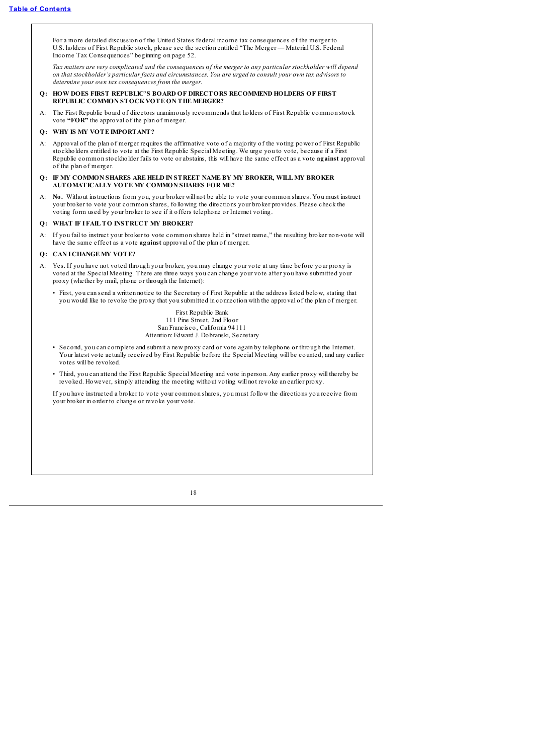For a more detailed discussion of the United States federal income tax consequences of the merger to U.S. holders of First Republic stock, please see the section entitled "The Merger — Material U.S. Federal Income Tax Consequences" beginning on page 52.

Tax matters are very complicated and the consequences of the merger to any particular stockholder will depend on that stockholder's particular facts and circumstances. You are urged to consult your own tax advisors to *determine your own tax consequences from the merger.*

- **Q: HOW DOES FIRST REPUBLIC'S BOARD OF DIRECTORS RECOMMEND HOLDERS OF FIRST REPUBLIC COMMON STOCKVOTE ON THE MERGER?**
- A: The First Republic board of directors unanimously recommends that holders of First Republic common stock vote **"FOR"** the approval of the plan of merger.

# **Q: WHY IS MY VOTE IMPORTANT?**

- A: Approval of the plan of merger requires the affirmative vote of a majority of the voting power of First Republic stockholders entitled to vote at the First Republic Special Meeting. We urge you to vote, because if a First Republic common stockholder fails to vote or abstains, this will have the same effect as a vote **against** approval of the plan of merger.
- **Q: IF MY COMMON SHARES ARE HELD IN STREET NAME BY MY BROKER, WILL MY BROKER AUTOMATICALLY VOTE MY COMMON SHARES FOR ME?**
- A: **No.** Without instructions from you, your broker will not be able to vote your common shares. You must instruct your broker to vote your common shares, following the directions your broker provides. Please check the voting form used by your broker to see if it offers telephone or Internet voting.

# **Q: WHAT IF I FAIL TO INSTRUCT MY BROKER?**

A: If you fail to instruct your broker to vote common shares held in "street name," the resulting broker non-vote will have the same effect as a vote **against** approval of the plan of merger.

## **Q: CAN I CHANGE MY VOTE?**

- A: Yes. If you have not voted through your broker, you may change your vote at any time before your proxy is voted at the Special Meeting. There are three ways you can change your vote after you have submitted your proxy (whether by mail, phone or through the Internet):
	- First, you can send a written notice to the Secretary of First Republic at the address listed below, stating that you would like to revoke the proxy that you submitted in connection with the approval of the plan of merger.

First Republic Bank 111 Pine Street, 2nd Floor San Francisco, California 94111 Attention: Edward J. Dobranski, Secretary

- Second, you can complete and submit a new proxy card or vote again by telephone or through the Internet. Your latest vote actually received by First Republic before the Special Meeting will be counted, and any earlier votes will be revoked.
- Third, you can attend the First Republic Special Meeting and vote in person. Any earlier proxy will thereby be revoked. However, simply attending the meeting without voting will not revoke an earlier proxy.

If you have instructed a broker to vote your common shares, you must follow the directions you receive from your broker in order to change or revoke your vote.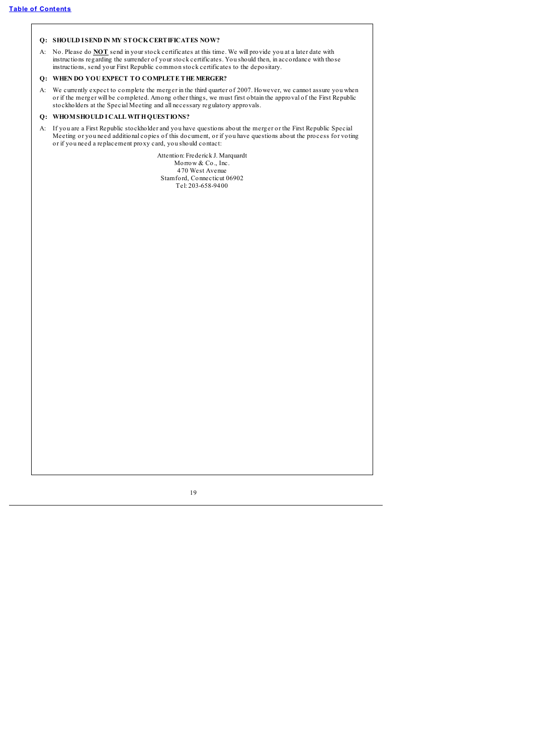# **Q: SHOULD I SEND IN MY STOCKCERTIFICATES NOW?**

A: No. Please do **NOT** send in your stock certificates at this time. We will provide you at a later date with instructions regarding the surrender of your stock certificates. You should then, in accordance with those instructions, send your First Republic common stock certificates to the depositary.

# **Q: WHEN DO YOU EXPECT TO COMPLETE THE MERGER?**

A: We currently expect to complete the merger in the third quarter of 2007. However, we cannot assure you when or if the merger will be completed. Among other things, we must first obtain the approval of the First Republic stockholders at the Special Meeting and all necessary regulatory approvals.

# **Q: WHOMSHOULD I CALL WITHQUESTIONS?**

A: If you are a First Republic stockholder and you have questions about the merger or the First Republic Special Meeting or you need additional copies of this document, or if you have questions about the process for voting or if you need a replacement proxy card, you should contact:

> Attention: Frederick J. Marquardt Morrow & Co., Inc. 470 West Avenue Stamford, Connecticut 06902 Tel: 203-658-9400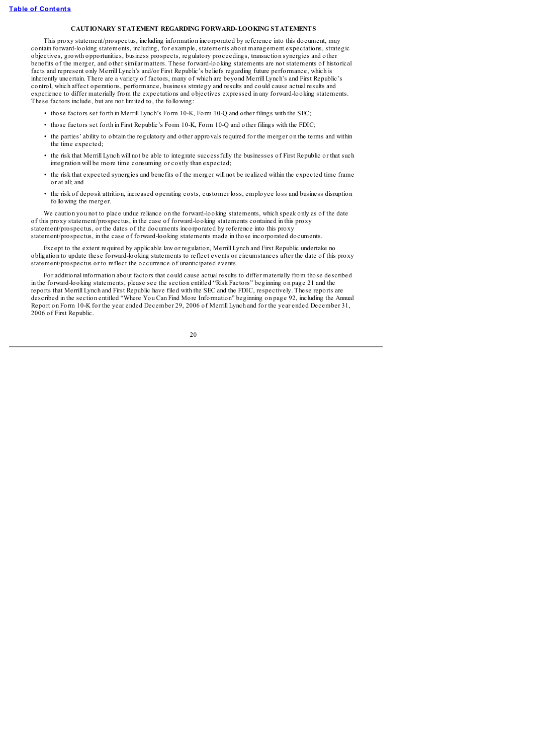## **CAUTIONARY STATEMENT REGARDING FORWARD-LOOKING STATEMENTS**

<span id="page-25-0"></span>This proxy statement/prospectus, including information incorporated by reference into this document, may contain forward-looking statements, including, for example, statements about management expectations, strategic objectives, growth opportunities, business prospects, regulatory proceedings, transaction synergies and other benefits of the merger, and other similar matters. These forward-looking statements are not statements of historical facts and represent only Merrill Lynch's and/or First Republic's beliefs regarding future performance, which is inherently uncertain. There are a variety of factors, many of which are beyond Merrill Lynch's and First Republic's control, which affect operations, performance, business strategy and results and could cause actual results and experience to differ materially from the expectations and objectives expressed in any forward-looking statements. These factors include, but are not limited to, the following:

- those factors set forth in Merrill Lynch's Form 10-K, Form 10-Q and other filings with the SEC;
- those factors set forth in First Republic's Form 10-K, Form 10-Q and other filings with the FDIC;
- the parties' ability to obtain the regulatory and other approvals required for the merger on the terms and within the time expected;
- the risk that Merrill Lynch will not be able to integrate successfully the businesses of First Republic or that such integration will be more time consuming or costly than expected;
- the risk that expected synergies and benefits of the merger will not be realized within the expected time frame or at all; and
- the risk of deposit attrition, increased operating costs, customer loss, employee loss and business disruption following the merger.

We caution you not to place undue reliance on the forward-looking statements, which speak only as of the date of this proxy statement/prospectus, in the case of forward-looking statements contained in this proxy statement/prospectus, or the dates of the documents incorporated by reference into this proxy statement/prospectus, in the case of forward-looking statements made in those incorporated documents.

Except to the extent required by applicable law or regulation, Merrill Lynch and First Republic undertake no obligation to update these forward-looking statements to reflect events or circumstances after the date of this proxy statement/prospectus or to reflect the occurrence of unanticipated events.

For additional information about factors that could cause actual results to differ materially from those described in the forward-looking statements, please see the section entitled "Risk Factors" beginning on page 21 and the reports that Merrill Lynch and First Republic have filed with the SEC and the FDIC, respectively. These reports are described in the section entitled "Where You Can Find More Information" beginning on page 92, including the Annual Report on Form 10-K for the year ended December 29, 2006 of Merrill Lynch and for the year ended December 31, 2006 of First Republic.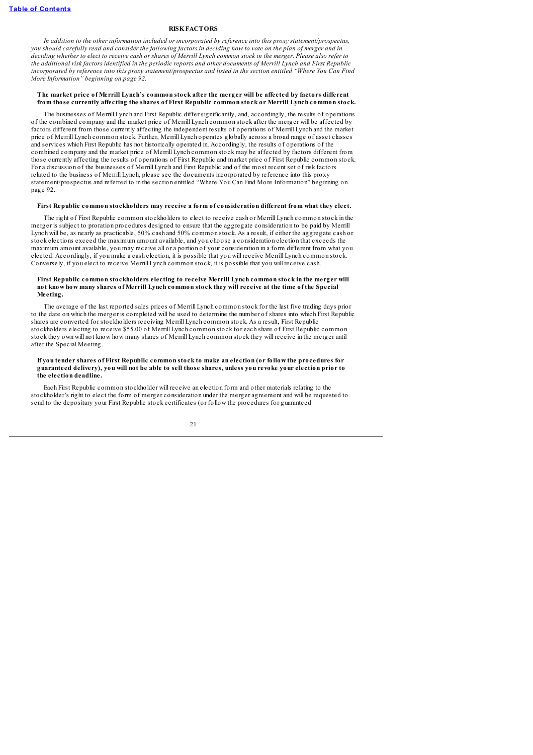### **RISKFACTORS**

<span id="page-26-0"></span>*In addition to the other information included or incorporated by reference into this proxy statement/prospectus,* you should carefully read and consider the following factors in deciding how to vote on the plan of merger and in deciding whether to elect to receive cash or shares of Merrill Lynch common stock in the merger. Please also refer to the additional risk factors identified in the periodic reports and other documents of Merrill Lynch and First Republic incorporated by reference into this proxy statement/prospectus and listed in the section entitled "Where You Can Find *More Information" beginning on page 92.*

#### **The market price of Merrill Lynch's common stock after the merger will be affected by factors different from those currently affecting the shares of First Republic common stock or Merrill Lynch common stock.**

The businesses of Merrill Lynch and First Republic differ significantly, and, accordingly, the results of operations of the combined company and the market price of Merrill Lynch common stock after the merger will be affected by factors different from those currently affecting the independent results of operations of Merrill Lynch and the market price of Merrill Lynch common stock. Further, Merrill Lynch operates globally across a broad range of asset classes and services which First Republic has not historically operated in. Accordingly, the results of operations of the combined company and the market price of Merrill Lynch common stock may be affected by factors different from those currently affecting the results of operations of First Republic and market price of First Republic common stock. For a discussion of the businesses of Merrill Lynch and First Republic and of the most recent set of risk factors related to the business of Merrill Lynch, please see the documents incorporated by reference into this proxy statement/prospectus and referred to in the section entitled "Where You Can Find More Information" beginning on page 92.

#### **First Republic common stockholders may receive a form of consideration different from what they elect.**

The right of First Republic common stockholders to elect to receive cash or Merrill Lynch common stock in the merger is subject to proration procedures designed to ensure that the aggregate consideration to be paid by Merrill Lynch will be, as nearly as practicable, 50% cash and 50% common stock. As a result, if either the aggregate cash or stock elections exceed the maximum amount available, and you choose a consideration election that exceeds the maximum amount available, you may receive all or a portion of your consideration in a form different from what you elected. Accordingly, if you make a cash election, it is possible that you will receive Merrill Lynch common stock. Conversely, if you elect to receive Merrill Lynch common stock, it is possible that you will receive cash.

#### **First Republic common stockholders electing to receive Merrill Lynch common stock in the merger will** not know how many shares of Merrill Lynch common stock they will receive at the time of the Special **Meeting.**

The average of the last reported sales prices of Merrill Lynch common stock for the last five trading days prior to the date on which the merger is completed will be used to determine the number of shares into which First Republic shares are converted for stockholders receiving Merrill Lynch common stock. As a result, First Republic stockholders electing to receive \$55.00 of Merrill Lynch common stock for each share of First Republic common stock they own will not know how many shares of Merrill Lynch common stock they will receive in the merger until after the Special Meeting.

#### If you tender shares of First Republic common stock to make an election (or follow the procedures for guaranteed delivery), you will not be able to sell those shares, unless you revoke your election prior to **the election deadline.**

Each First Republic common stockholder will receive an election form and other materials relating to the stockholder's right to elect the form of merger consideration under the merger agreement and will be requested to send to the depositary your First Republic stock certificates (or follow the procedures for guaranteed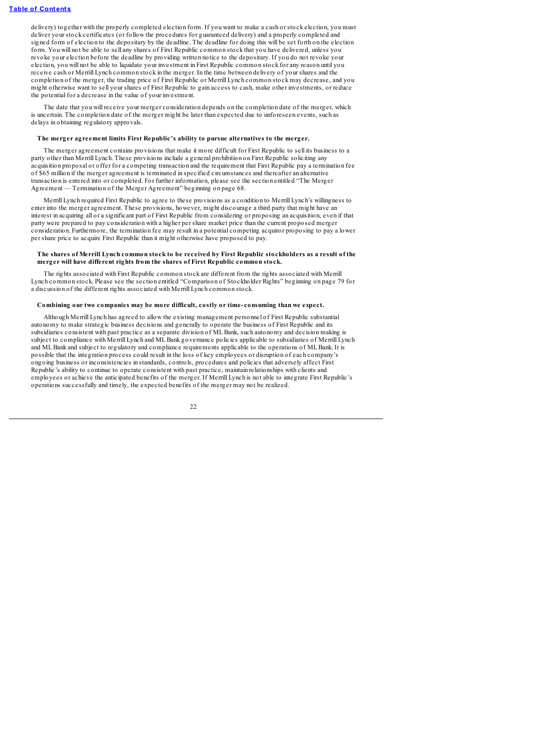delivery) together with the properly completed election form. If you want to make a cash or stock election, you must deliver your stock certificates (or follow the procedures for guaranteed delivery) and a properly completed and signed form of election to the depositary by the deadline. The deadline for doing this will be set forth on the election form. You will not be able to sell any shares of First Republic common stock that you have delivered, unless you revoke your election before the deadline by providing written notice to the depositary. If you do not revoke your election, you will not be able to liquidate your investment in First Republic common stock for any reason until you receive cash or Merrill Lynch common stock in the merger. In the time between delivery of your shares and the completion of the merger, the trading price of First Republic or Merrill Lynch common stock may decrease, and you might otherwise want to sell your shares of First Republic to gain access to cash, make other investments, or reduce the potential for a decrease in the value of your investment.

The date that you will receive your merger consideration depends on the completion date of the merger, which is uncertain. The completion date of the merger might be later than expected due to unforeseen events, such as delays in obtaining regulatory approvals.

#### **The merger agreement limits First Republic's ability to pursue alternatives to the merger.**

The merger agreement contains provisions that make it more difficult for First Republic to sell its business to a party other than Merrill Lynch. These provisions include a general prohibition on First Republic soliciting any acquisition proposal or offer for a competing transaction and the requirement that First Republic pay a termination fee of \$65 million if the merger agreement is terminated in specified circumstances and thereafter an alternative transaction is entered into or completed. For further information, please see the section entitled "The Merger Agreement — Termination of the Merger Agreement" beginning on page 68.

Merrill Lynch required First Republic to agree to these provisions as a condition to Merrill Lynch's willingness to enter into the merger agreement. These provisions, however, might discourage a third party that might have an interest in acquiring all or a significant part of First Republic from considering or proposing an acquisition, even if that party were prepared to pay consideration with a higher per share market price than the current proposed merger consideration. Furthermore, the termination fee may result in a potential competing acquiror proposing to pay a lower per share price to acquire First Republic than it might otherwise have proposed to pay.

#### The shares of Merrill Lynch common stock to be received by First Republic stockholders as a result of the **merger will have different rights from the shares of First Republic common stock.**

The rights associated with First Republic common stock are different from the rights associated with Merrill Lynch common stock. Please see the section entitled "Comparison of Stockholder Rights" beginning on page 79 for a discussion of the different rights associated with Merrill Lynch common stock.

## **Combining our two companies may be more difficult, costly or time- consuming than we expect.**

Although Merrill Lynch has agreed to allow the existing management personnel of First Republic substantial autonomy to make strategic business decisions and generally to operate the business of First Republic and its subsidiaries consistent with past practice as a separate division of MLBank, such autonomy and decision making is subject to compliance with Merrill Lynch and ML Bank governance policies applicable to subsidiaries of Merrill Lynch and MLBank and subject to regulatory and compliance requirements applicable to the operations of MLBank. It is possible that the integration process could result in the loss of key employees or disruption of each company's ongoing business or inconsistencies in standards, controls, procedures and policies that adversely affect First Republic's ability to continue to operate consistent with past practice, maintain relationships with clients and employees or achieve the anticipated benefits of the merger. If Merrill Lynch is not able to integrate First Republic's operations successfully and timely, the expected benefits of the merger may not be realized.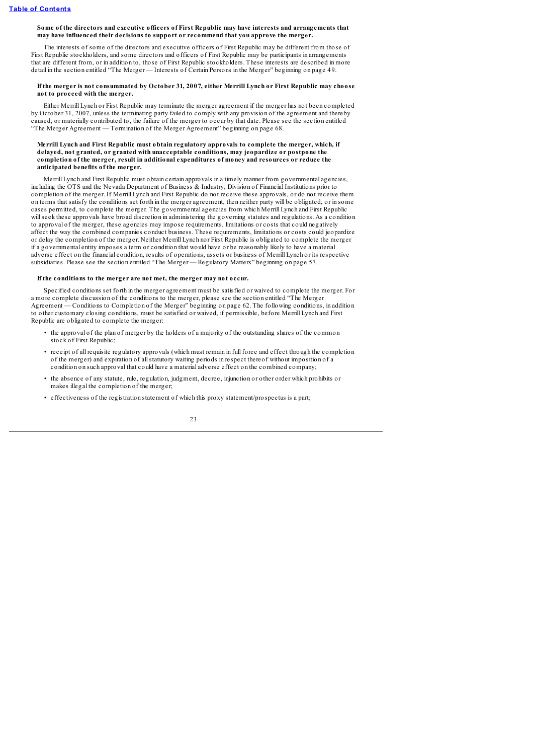#### **Some of the directors and executive officers of First Republic may have interests and arrangements that may have influenced their decisions to support or recommend that you approve the merger.**

The interests of some of the directors and executive officers of First Republic may be different from those of First Republic stockholders, and some directors and officers of First Republic may be participants in arrangements that are different from, or in addition to, those of First Republic stockholders. These interests are described in more detail in the section entitled "The Merger — Interests of Certain Persons in the Merger" beginning on page 49.

### If the merger is not consummated by October 31, 2007, either Merrill Lynch or First Republic may choose **not to proceed with the merger.**

Either Merrill Lynch or First Republic may terminate the merger agreement if the merger has not been completed by October 31, 2007, unless the terminating party failed to comply with any provision of the agreement and thereby caused, or materially contributed to, the failure of the merger to occur by that date. Please see the section entitled "The Merger Agreement — Termination of the Merger Agreement" beginning on page 68.

## **Merrill Lynch and First Republic must obtain regulatory approvals to complete the merger, which, if delayed, not granted, or granted with unacceptable conditions, may jeopardize or postpone the completion of the merger, result in additional expenditures of money and resources or reduce the anticipated benefits of the merger.**

Merrill Lynch and First Republic must obtain certain approvals in a timely manner from governmental agencies, including the OTS and the Nevada Department of Business & Industry, Division of Financial Institutions prior to completion of the merger. If Merrill Lynch and First Republic do not receive these approvals, or do not receive them on terms that satisfy the conditions set forth in the merger agreement, then neither party will be obligated, or in some cases permitted, to complete the merger. The governmental agencies from which Merrill Lynch and First Republic willseek these approvals have broad discretion in administering the governing statutes and regulations. As a condition to approval of the merger, these agencies may impose requirements, limitations or costs that could negatively affect the way the combined companies conduct business. These requirements, limitations or costs could jeopardize or delay the completion of the merger. Neither Merrill Lynch nor First Republic is obligated to complete the merger if a governmental entity imposes a term or condition that would have or be reasonably likely to have a material adverse effect on the financial condition, results of operations, assets or business of Merrill Lynch or its respective subsidiaries. Please see the section entitled "The Merger — Regulatory Matters" beginning on page 57.

## **If the conditions to the merger are not met, the merger may not occur.**

Specified conditions set forth in the merger agreement must be satisfied or waived to complete the merger. For a more complete discussion of the conditions to the merger, please see the section entitled "The Merger Agreement — Conditions to Completion of the Merger" beginning on page 62. The following conditions, in addition to other customary closing conditions, must be satisfied or waived, if permissible, before Merrill Lynch and First Republic are obligated to complete the merger:

- the approval of the plan of merger by the holders of a majority of the outstanding shares of the common stock of First Republic;
- receipt of all requisite regulatory approvals (which must remain in full force and effect through the completion of the merger) and expiration of allstatutory waiting periods in respect thereof without imposition of a condition on such approval that could have a material adverse effect on the combined company;
- the absence of any statute, rule, regulation, judgment, decree, injunction or other order which prohibits or makes illegal the completion of the merger
- effectiveness of the registration statement of which this proxy statement/prospectus is a part;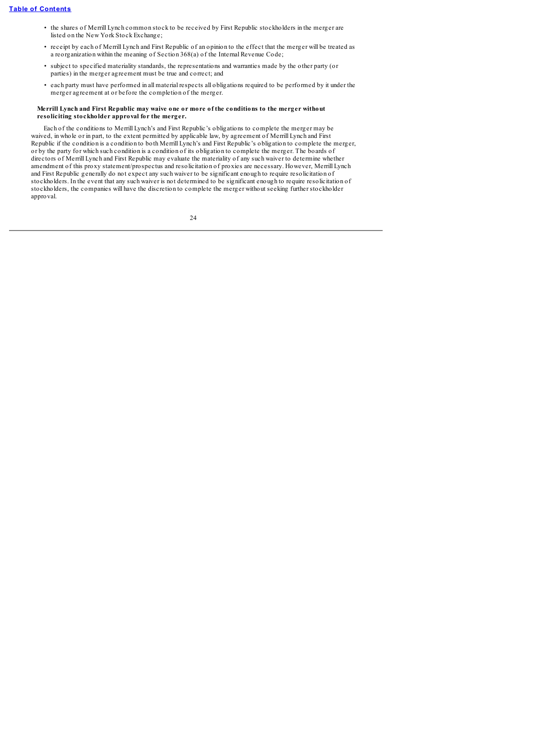- the shares of Merrill Lynch common stock to be received by First Republic stockholders in the merger are listed on the New York Stock Exchange;
- receipt by each of Merrill Lynch and First Republic of an opinion to the effect that the merger will be treated as a reorganization within the meaning of Section 368(a) of the Internal Revenue Code;
- subject to specified materiality standards, the representations and warranties made by the other party (or parties) in the merger agreement must be true and correct; and
- each party must have performed in all material respects all obligations required to be performed by it under the merger agreement at or before the completion of the merger.

## **Merrill Lynch and First Republic may waive one or more of the conditions to the merger without resoliciting stockholder approval for the merger.**

Each of the conditions to Merrill Lynch's and First Republic's obligations to complete the merger may be waived, in whole or in part, to the extent permitted by applicable law, by agreement of Merrill Lynch and First Republic if the condition is a condition to both Merrill Lynch's and First Republic's obligation to complete the merger, or by the party for which such condition is a condition of its obligation to complete the merger. The boards of directors of Merrill Lynch and First Republic may evaluate the materiality of any such waiver to determine whether amendment of this proxy statement/prospectus and resolicitation of proxies are necessary. However, Merrill Lynch and First Republic generally do not expect any such waiver to be significant enough to require resolicitation of stockholders. In the event that any such waiver is not determined to be significant enough to require resolicitation of stockholders, the companies will have the discretion to complete the merger without seeking further stockholder approval.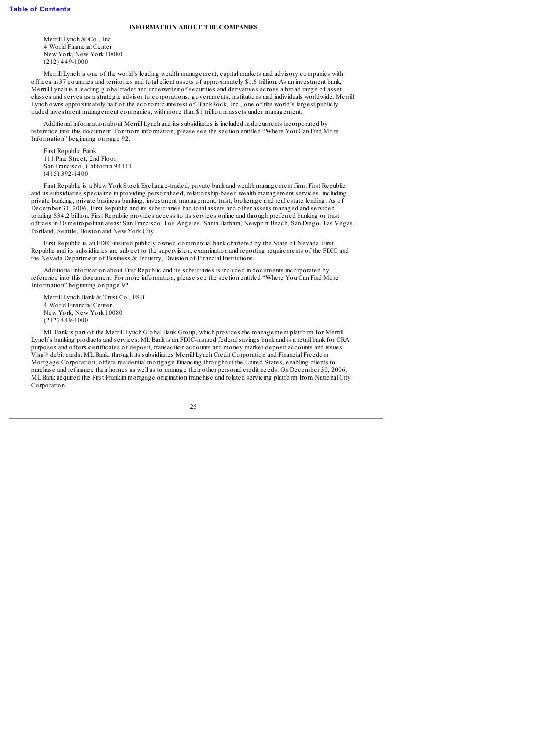## **INFORMATION ABOUT THE COMPANIES**

<span id="page-30-0"></span>Merrill Lynch & Co., Inc. 4 World Financial Center New York, New York 10080 (212) 449-1000

Merrill Lynch is one of the world's leading wealth management, capital markets and advisory companies with offices in 37 countries and territories and total client assets of approximately \$1.6 trillion. As an investment bank, Merrill Lynch is a leading global trader and underwriter of securities and derivatives across a broad range of asset classes and serves as a strategic advisor to corporations, governments, institutions and individuals worldwide. Merrill Lynch owns approximately half of the economic interest of BlackRock, Inc., one of the world's largest publicly traded investment management companies, with more than \$1 trillion in assets under management.

Additional information about Merrill Lynch and its subsidiaries is included in documents incorporated by reference into this document. For more information, please see the section entitled "Where You Can Find More Information" beginning on page 92.

First Republic Bank 111 Pine Street, 2nd Floor San Francisco, California 94111 (415) 392-1400

First Republic is a New York Stock Exchange-traded, private bank and wealth management firm. First Republic and its subsidiaries specialize in providing personalized, relationship-based wealth management services, including private banking, private business banking, investment management, trust, brokerage and real estate lending. As of December 31, 2006, First Republic and its subsidiaries had total assets and other assets managed and serviced totaling \$34.2 billion. First Republic provides access to its services online and through preferred banking or trust offices in 10 metropolitan areas: San Francisco, Los Angeles, Santa Barbara, Newport Beach, San Diego, Las Vegas, Portland, Seattle, Boston and New York City.

First Republic is an FDIC-insured publicly owned commercial bank chartered by the State of Nevada. First Republic and its subsidiaries are subject to the supervision, examination and reporting requirements of the FDIC and the Nevada Department of Business & Industry, Division of Financial Institutions.

Additional information about First Republic and its subsidiaries is included in documents incorporated by reference into this document. For more information, please see the section entitled "Where You Can Find More Information" beginning on page 92.

Merrill Lynch Bank & Trust Co., FSB 4 World Financial Center New York, New York 10080  $(212)$  449-1000

MLBank is part of the Merrill Lynch Global Bank Group, which provides the management platform for Merrill Lynch's banking products and services. MLBank is an FDIC-insured federalsavings bank and is a retail bank for CRA purposes and offers certificates of deposit, transaction accounts and money market deposit accounts and issues Visa® debit cards. MLBank, through its subsidiaries Merrill Lynch Credit Corporation and Financial Freedom Mortgage Corporation, offers residential mortgage financing throughout the United States, enabling clients to purchase and refinance their homes as well as to manage their other personal credit needs. On December 30, 2006, MLBank acquired the First Franklin mortgage origination franchise and related servicing platform from National City Corporation.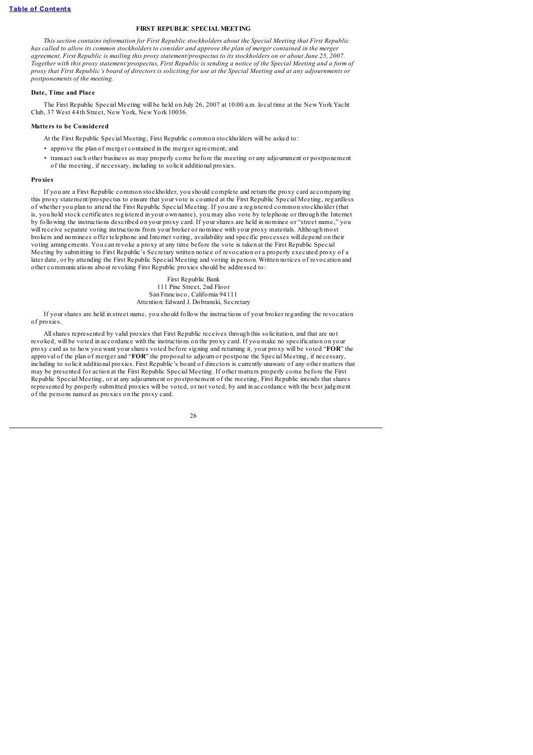## **FIRST REPUBLIC SPECIAL MEETING**

<span id="page-31-0"></span>*This section contains information for First Republic stockholders about the Special Meeting that First Republic* has called to allow its common stockholders to consider and approve the plan of merger contained in the merger agreement. First Republic is mailing this proxy statement/prospectus to its stockholders on or about June 25, 2007. Together with this proxy statement/prospectus, First Republic is sending a notice of the Special Meeting and a form of proxy that First Republic's board of directors is soliciting for use at the Special Meeting and at any adjournments or *postponements of the meeting.*

# **Date, Time and Place**

<span id="page-31-1"></span>The First Republic Special Meeting will be held on July 26, 2007 at 10:00 a.m. local time at the New York Yacht Club, 37 West 44th Street, New York, New York 10036.

### <span id="page-31-2"></span>**Matters to be Considered**

At the First Republic Special Meeting, First Republic common stockholders will be asked to:

- approve the plan of merger contained in the merger agreement; and
- transact such other business as may properly come before the meeting or any adjournment or postponement of the meeting, if necessary, including to solicit additional proxies.

#### **Proxies**

<span id="page-31-3"></span>If you are a First Republic common stockholder, you should complete and return the proxy card accompanying this proxy statement/prospectus to ensure that your vote is counted at the First Republic Special Meeting, regardless of whether you plan to attend the First Republic Special Meeting. If you are a registered common stockholder (that is, you hold stock certificates registered in your own name), you may also vote by telephone or through the Internet by following the instructions described on your proxy card. If your shares are held in nominee or "street name," you will receive separate voting instructions from your broker or nominee with your proxy materials. Although most brokers and nominees offer telephone and Internet voting, availability and specific processes will depend on their voting arrangements. You can revoke a proxy at any time before the vote is taken at the First Republic Special Meeting by submitting to First Republic's Secretary written notice of revocation or a properly executed proxy of a later date, or by attending the First Republic Special Meeting and voting in person. Written notices of revocation and other communications about revoking First Republic proxies should be addressed to:

> First Republic Bank 111 Pine Street, 2nd Floor San Francisco, California 94111 Attention: Edward J. Dobranski, Secretary

If your shares are held in street name, you should follow the instructions of your broker regarding the revocation of proxies.

Allshares represented by valid proxies that First Republic receives through this solicitation, and that are not revoked, will be voted in accordance with the instructions on the proxy card. If you make no specification on your proxy card as to how you want your shares voted before signing and returning it, your proxy will be voted "**FOR**" the approval of the plan of merger and "**FOR**" the proposal to adjourn or postpone the Special Meeting, if necessary, including to solicit additional proxies. First Republic's board of directors is currently unaware of any other matters that may be presented for action at the First Republic Special Meeting. If other matters properly come before the First Republic Special Meeting, or at any adjournment or postponement of the meeting, First Republic intends that shares represented by properly submitted proxies will be voted, or not voted, by and in accordance with the best judgment of the persons named as proxies on the proxy card.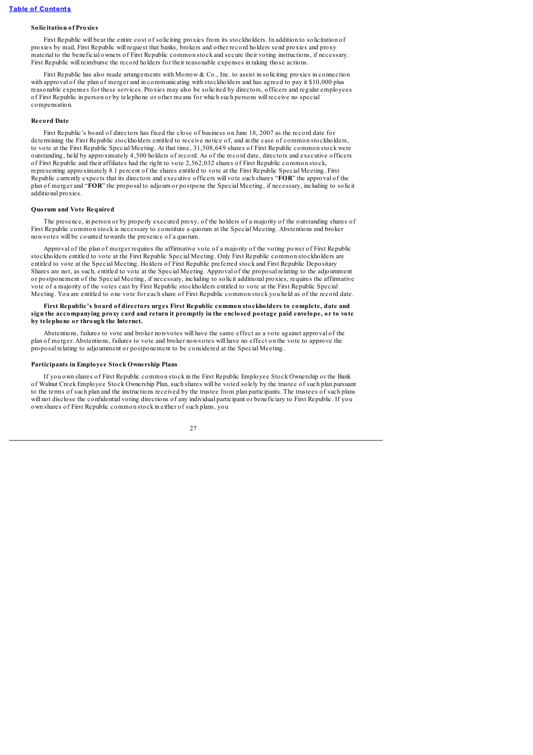# **Solicitation of Proxies**

<span id="page-32-0"></span>First Republic will bear the entire cost of soliciting proxies from its stockholders. In addition to solicitation of proxies by mail, First Republic will request that banks, brokers and other record holders send proxies and proxy material to the beneficial owners of First Republic common stock and secure their voting instructions, if necessary. First Republic will reimburse the record holders for their reasonable expenses in taking those actions.

First Republic has also made arrangements with Morrow & Co., Inc. to assist in soliciting proxies in connection with approval of the plan of merger and in communicating with stockholders and has agreed to pay it \$10,000 plus reasonable expenses for these services. Proxies may also be solicited by directors, officers and regular employees of First Republic in person or by telephone or other means for which such persons will receive no special compensation.

#### **Record Date**

<span id="page-32-1"></span>First Republic's board of directors has fixed the close of business on June 18, 2007 as the record date for determining the First Republic stockholders entitled to receive notice of, and in the case of common stockholders, to vote at the First Republic Special Meeting. At that time, 31,508,649 shares of First Republic common stock were outstanding, held by approximately 4,500 holders of record. As of the record date, directors and executive officers of First Republic and their affiliates had the right to vote 2,562,032 shares of First Republic common stock, representing approximately 8.1 percent of the shares entitled to vote at the First Republic Special Meeting. First Republic currently expects that its directors and executive officers will vote such shares "**FOR**" the approval of the plan of merger and "**FOR**" the proposal to adjourn or postpone the Special Meeting, if necessary, including to solicit additional proxies.

#### **Quorum and Vote Required**

<span id="page-32-2"></span>The presence, in person or by properly executed proxy, of the holders of a majority of the outstanding shares of First Republic common stock is necessary to constitute a quorum at the Special Meeting. Abstentions and broker non-votes will be counted towards the presence of a quorum.

Approval of the plan of merger requires the affirmative vote of a majority of the voting power of First Republic stockholders entitled to vote at the First Republic Special Meeting. Only First Republic common stockholders are entitled to vote at the Special Meeting. Holders of First Republic preferred stock and First Republic Depositary Shares are not, as such, entitled to vote at the Special Meeting. Approval of the proposal relating to the adjournment or postponement of the Special Meeting, if necessary, including to solicit additional proxies, requires the affirmative vote of a majority of the votes cast by First Republic stockholders entitled to vote at the First Republic Special Meeting. You are entitled to one vote for each share of First Republic common stock you held as of the record date.

### **First Republic's board of directors urges First Republic common stockholders to complete, date and** sign the accompanying proxy card and return it promptly in the enclosed postage paid envelope, or to vote **by telephone or through the Internet.**

Abstentions, failures to vote and broker non-votes will have the same effect as a vote against approval of the plan of merger. Abstentions, failures to vote and broker non-votes will have no effect on the vote to approve the proposal relating to adjournment or postponement to be considered at the Special Meeting.

#### **Participants in Employee Stock Ownership Plans**

<span id="page-32-3"></span>If you own shares of First Republic common stock in the First Republic Employee Stock Ownership or the Bank of Walnut Creek Employee Stock Ownership Plan, such shares will be voted solely by the trustee of such plan pursuant to the terms of such plan and the instructions received by the trustee from plan participants. The trustees of such plans will not disclose the confidential voting directions of any individual participant or beneficiary to First Republic. If you own shares of First Republic common stock in either of such plans, you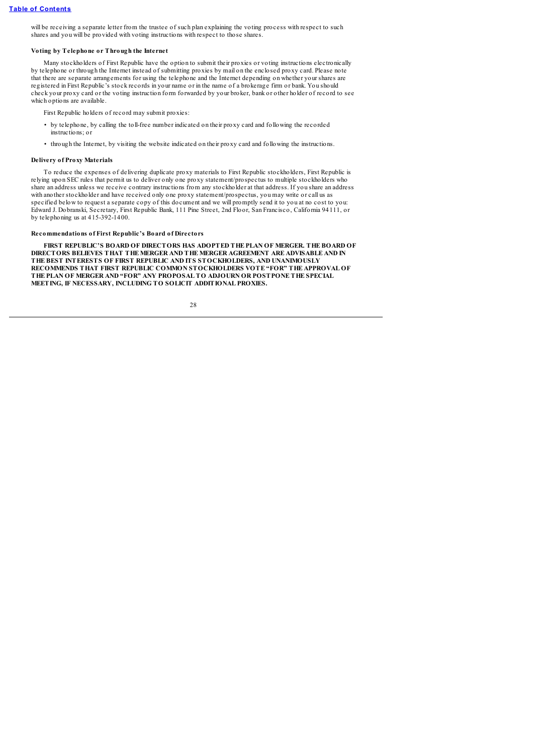will be receiving a separate letter from the trustee of such plan explaining the voting process with respect to such shares and you will be provided with voting instructions with respect to those shares.

#### **Voting by Telephone or Through the Internet**

<span id="page-33-0"></span>Many stockholders of First Republic have the option to submit their proxies or voting instructions electronically by telephone or through the Internet instead of submitting proxies by mail on the enclosed proxy card. Please note that there are separate arrangements for using the telephone and the Internet depending on whether your shares are registered in First Republic's stock records in your name or in the name of a brokerage firm or bank. You should check your proxy card or the voting instruction form forwarded by your broker, bank or other holder of record to see which options are available.

First Republic holders of record may submit proxies:

- by telephone, by calling the toll-free number indicated on their proxy card and following the recorded instructions; or
- through the Internet, by visiting the website indicated on their proxy card and following the instructions.

## **Delivery of Proxy Materials**

<span id="page-33-1"></span>To reduce the expenses of delivering duplicate proxy materials to First Republic stockholders, First Republic is relying upon SEC rules that permit us to deliver only one proxy statement/prospectus to multiple stockholders who share an address unless we receive contrary instructions from any stockholder at that address. If you share an address with another stockholder and have received only one proxy statement/prospectus, you may write or call us as specified below to request a separate copy of this document and we will promptly send it to you at no cost to you: Edward J. Dobranski, Secretary, First Republic Bank, 111 Pine Street, 2nd Floor, San Francisco, California 94111, or by telephoning us at 415-392-1400.

# **Recommendations of First Republic's Board of Directors**

<span id="page-33-2"></span>**FIRST REPUBLIC'S BOARD OF DIRECTORS HAS ADOPTED THE PLAN OF MERGER. THE BOARD OF DIRECTORS BELIEVES THAT THE MERGER AND THE MERGER AGREEMENT ARE ADVISABLE AND IN THE BEST INTERESTS OF FIRST REPUBLIC AND ITS STOCKHOLDERS, AND UNANIMOUSLY RECOMMENDS THAT FIRST REPUBLIC COMMON STOCKHOLDERS VOTE "FOR" THE APPROVAL OF THE PLAN OF MERGER AND "FOR" ANY PROPOSAL TO ADJOURN OR POSTPONE THE SPECIAL MEETING, IF NECESSARY, INCLUDING TO SOLICIT ADDITIONAL PROXIES.**

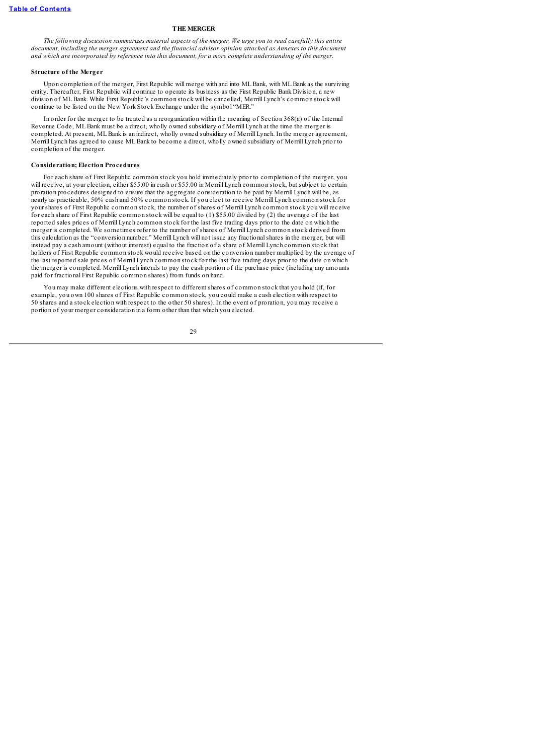# **THE MERGER**

<span id="page-34-0"></span>The following discussion summarizes material aspects of the merger. We urge you to read carefully this entire *document, including the merger agreement and the financial advisor opinion attached as Annexes to this document* and which are incorporated by reference into this document, for a more complete understanding of the merger.

# **Structure of the Merger**

<span id="page-34-1"></span>Upon completion of the merger, First Republic will merge with and into MLBank, with MLBank as the surviving entity. Thereafter, First Republic will continue to operate its business as the First Republic Bank Division, a new division of MLBank. While First Republic's common stock will be cancelled, Merrill Lynch's common stock will continue to be listed on the New York Stock Exchange under the symbol "MER."

In order for the merger to be treated as a reorganization within the meaning of Section 368(a) of the Internal Revenue Code, MLBank must be a direct, wholly owned subsidiary of Merrill Lynch at the time the merger is completed. At present, MLBank is an indirect, wholly owned subsidiary of Merrill Lynch. In the merger agreement, Merrill Lynch has agreed to cause MLBank to become a direct, wholly owned subsidiary of Merrill Lynch prior to completion of the merger.

#### **Consideration; Election Procedures**

<span id="page-34-2"></span>For each share of First Republic common stock you hold immediately prior to completion of the merger, you will receive, at your election, either \$55.00 in cash or \$55.00 in Merrill Lynch common stock, but subject to certain proration procedures designed to ensure that the aggregate consideration to be paid by Merrill Lynch will be, as nearly as practicable, 50% cash and 50% common stock. If you elect to receive Merrill Lynch common stock for your shares of First Republic common stock, the number of shares of Merrill Lynch common stock you will receive for each share of First Republic common stock will be equal to (1) \$55.00 divided by (2) the average of the last reported sales prices of Merrill Lynch common stock for the last five trading days prior to the date on which the merger is completed. We sometimes refer to the number of shares of Merrill Lynch common stock derived from this calculation as the "conversion number." Merrill Lynch will not issue any fractionalshares in the merger, but will instead pay a cash amount (without interest) equal to the fraction of a share of Merrill Lynch common stock that holders of First Republic common stock would receive based on the conversion number multiplied by the average of the last reported sale prices of Merrill Lynch common stock for the last five trading days prior to the date on which the merger is completed. Merrill Lynch intends to pay the cash portion of the purchase price (including any amounts paid for fractional First Republic common shares) from funds on hand.

You may make different elections with respect to different shares of common stock that you hold (if, for example, you own 100 shares of First Republic common stock, you could make a cash election with respect to 50 shares and a stock election with respect to the other 50 shares). In the event of proration, you may receive a portion of your merger consideration in a form other than that which you elected.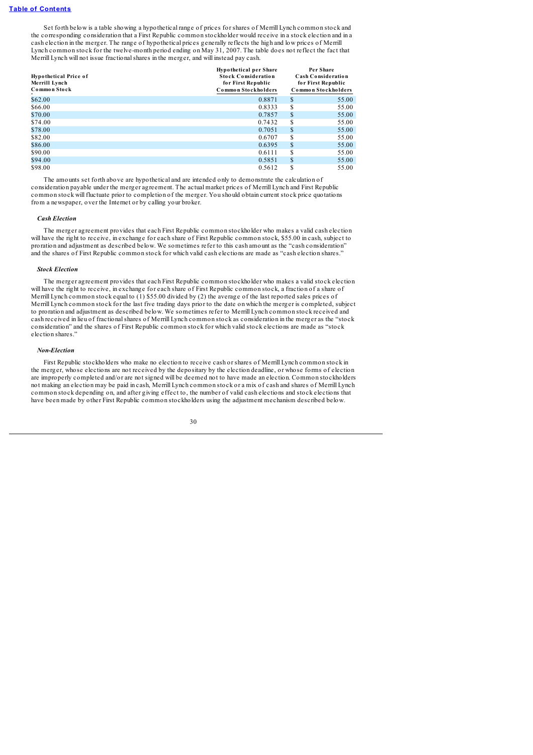Set forth below is a table showing a hypothetical range of prices for shares of Merrill Lynch common stock and the corresponding consideration that a First Republic common stockholder would receive in a stock election and in a cash election in the merger. The range of hypothetical prices generally reflects the high and low prices of Merrill Lynch common stock for the twelve-month period ending on May 31, 2007. The table does not reflect the fact that Merrill Lynch will not issue fractionalshares in the merger, and will instead pay cash.

| <b>Hypothetical Price of</b><br>Merrill Lynch<br>Common Stock | <b>Hypothetical per Share</b><br><b>Stock Consideration</b><br>for First Republic<br>Common Stockholders |    | Per Share<br><b>Cash Consideration</b><br>for First Republic<br>Common Stockholders |
|---------------------------------------------------------------|----------------------------------------------------------------------------------------------------------|----|-------------------------------------------------------------------------------------|
| \$62.00                                                       | 0.8871                                                                                                   | S  | 55.00                                                                               |
| \$66.00                                                       | 0.8333                                                                                                   | S  | 55.00                                                                               |
| \$70.00                                                       | 0.7857                                                                                                   | \$ | 55.00                                                                               |
| \$74.00                                                       | 0.7432                                                                                                   | S  | 55.00                                                                               |
| \$78.00                                                       | 0.7051                                                                                                   | \$ | 55.00                                                                               |
| \$82.00                                                       | 0.6707                                                                                                   | S  | 55.00                                                                               |
| \$86.00                                                       | 0.6395                                                                                                   | \$ | 55.00                                                                               |
| \$90.00                                                       | 0.6111                                                                                                   | S  | 55.00                                                                               |
| \$94.00                                                       | 0.5851                                                                                                   | \$ | 55.00                                                                               |
| \$98.00                                                       | 0.5612                                                                                                   | S  | 55.00                                                                               |

The amounts set forth above are hypothetical and are intended only to demonstrate the calculation of consideration payable under the merger agreement. The actual market prices of Merrill Lynch and First Republic common stock will fluctuate prior to completion of the merger. You should obtain current stock price quotations from a newspaper, over the Internet or by calling your broker.

#### *Cash Election*

The merger agreement provides that each First Republic common stockholder who makes a valid cash election will have the right to receive, in exchange for each share of First Republic common stock, \$55.00 in cash, subject to proration and adjustment as described below. We sometimes refer to this cash amount as the "cash consideration" and the shares of First Republic common stock for which valid cash elections are made as "cash election shares."

#### *Stock Election*

The merger agreement provides that each First Republic common stockholder who makes a valid stock election will have the right to receive, in exchange for each share of First Republic common stock, a fraction of a share of Merrill Lynch common stock equal to (1) \$55.00 divided by (2) the average of the last reported sales prices of Merrill Lynch common stock for the last five trading days prior to the date on which the merger is completed, subject to proration and adjustment as described below. We sometimes refer to Merrill Lynch common stock received and cash received in lieu of fractionalshares of Merrill Lynch common stock as consideration in the merger as the "stock consideration" and the shares of First Republic common stock for which valid stock elections are made as "stock election shares."

## *Non-Election*

First Republic stockholders who make no election to receive cash or shares of Merrill Lynch common stock in the merger, whose elections are not received by the depositary by the election deadline, or whose forms of election are improperly completed and/or are not signed will be deemed not to have made an election. Common stockholders not making an election may be paid in cash, Merrill Lynch common stock or a mix of cash and shares of Merrill Lynch common stock depending on, and after giving effect to, the number of valid cash elections and stock elections that have been made by other First Republic common stockholders using the adjustment mechanism described below.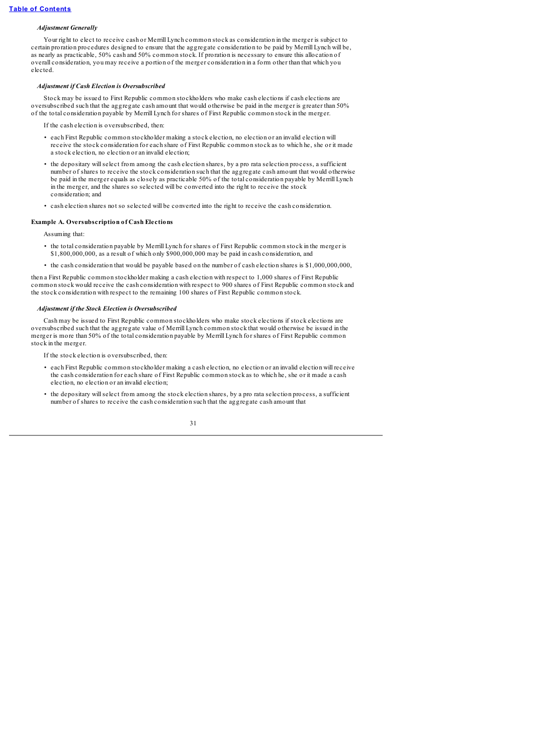# *Adjustment Generally*

Your right to elect to receive cash or Merrill Lynch common stock as consideration in the merger is subject to certain proration procedures designed to ensure that the aggregate consideration to be paid by Merrill Lynch will be, as nearly as practicable, 50% cash and 50% common stock. If proration is necessary to ensure this allocation of overall consideration, you may receive a portion of the merger consideration in a form other than that which you elected.

#### *Adjustment if Cash Election is Oversubscribed*

Stock may be issued to First Republic common stockholders who make cash elections if cash elections are oversubscribed such that the aggregate cash amount that would otherwise be paid in the merger is greater than 50% of the total consideration payable by Merrill Lynch for shares of First Republic common stock in the merger.

the cash election is oversubscribed, then:

- each First Republic common stockholder making a stock election, no election or an invalid election will receive the stock consideration for each share of First Republic common stock as to which he, she or it made a stock election, no election or an invalid election;
- the depositary willselect from among the cash election shares, by a pro rata selection process, a sufficient number of shares to receive the stock consideration such that the aggregate cash amount that would otherwise be paid in the merger equals as closely as practicable 50% of the total consideration payable by Merrill Lynch in the merger, and the shares so selected will be converted into the right to receive the stock consideration; and
- cash election shares not so selected will be converted into the right to receive the cash consideration.

# **Example A. Oversubscription of Cash Elections**

Assuming that:

- the total consideration payable by Merrill Lynch for shares of First Republic common stock in the merger is \$1,800,000,000, as a result of which only \$900,000,000 may be paid in cash consideration, and
- the cash consideration that would be payable based on the number of cash election shares is \$1,000,000,000,

then a First Republic common stockholder making a cash election with respect to 1,000 shares of First Republic common stock would receive the cash consideration with respect to 900 shares of First Republic common stock and the stock consideration with respect to the remaining 100 shares of First Republic common stock.

### *Adjustment if the Stock Election is Oversubscribed*

Cash may be issued to First Republic common stockholders who make stock elections if stock elections are oversubscribed such that the aggregate value of Merrill Lynch common stock that would otherwise be issued in the merger is more than 50% of the total consideration payable by Merrill Lynch for shares of First Republic common stock in the merger.

If the stock election is oversubscribed, then:

- each First Republic common stockholder making a cash election, no election or an invalid election will receive the cash consideration for each share of First Republic common stock as to which he, she or it made a cash election, no election or an invalid election;
- the depositary willselect from among the stock election shares, by a pro rata selection process, a sufficient number of shares to receive the cash consideration such that the aggregate cash amount that

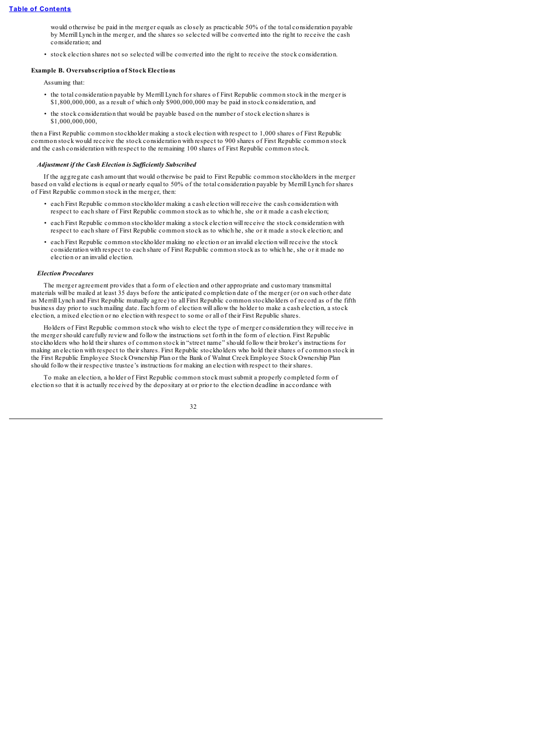would otherwise be paid in the merger equals as closely as practicable 50% of the total consideration payable by Merrill Lynch in the merger, and the shares so selected will be converted into the right to receive the cash consideration; and

• stock election shares not so selected will be converted into the right to receive the stock consideration.

### **Example B. Oversubscription of Stock Elections**

Assuming that:

- the total consideration payable by Merrill Lynch for shares of First Republic common stock in the merger is \$1,800,000,000, as a result of which only \$900,000,000 may be paid in stock consideration, and
- the stock consideration that would be payable based on the number of stock election shares is \$1,000,000,000,

then a First Republic common stockholder making a stock election with respect to 1,000 shares of First Republic common stock would receive the stock consideration with respect to 900 shares of First Republic common stock and the cash consideration with respect to the remaining 100 shares of First Republic common stock.

### *Adjustment if the Cash Election is Suf iciently Subscribed*

If the aggregate cash amount that would otherwise be paid to First Republic common stockholders in the merger based on valid elections is equal or nearly equal to 50% of the total consideration payable by Merrill Lynch for shares of First Republic common stock in the merger, then:

- each First Republic common stockholder making a cash election will receive the cash consideration with respect to each share of First Republic common stock as to which he, she or it made a cash election;
- each First Republic common stockholder making a stock election will receive the stock consideration with respect to each share of First Republic common stock as to which he, she or it made a stock election; and
- each First Republic common stockholder making no election or an invalid election will receive the stock consideration with respect to each share of First Republic common stock as to which he, she or it made no election or an invalid election.

#### *Election Procedures*

The merger agreement provides that a form of election and other appropriate and customary transmittal materials will be mailed at least 35 days before the anticipated completion date of the merger (or on such other date as Merrill Lynch and First Republic mutually agree) to all First Republic common stockholders of record as of the fifth business day prior to such mailing date. Each form of election will allow the holder to make a cash election, a stock election, a mixed election or no election with respect to some or all of their First Republic shares.

Holders of First Republic common stock who wish to elect the type of merger consideration they will receive in the merger should carefully review and follow the instructions set forth in the form of election. First Republic stockholders who hold their shares of common stock in "street name" should follow their broker's instructions for making an election with respect to their shares. First Republic stockholders who hold their shares of common stock in the First Republic Employee Stock Ownership Plan or the Bank of Walnut Creek Employee Stock Ownership Plan should follow their respective trustee's instructions for making an election with respect to their shares.

To make an election, a holder of First Republic common stock must submit a properly completed form of election so that it is actually received by the depositary at or prior to the election deadline in accordance with

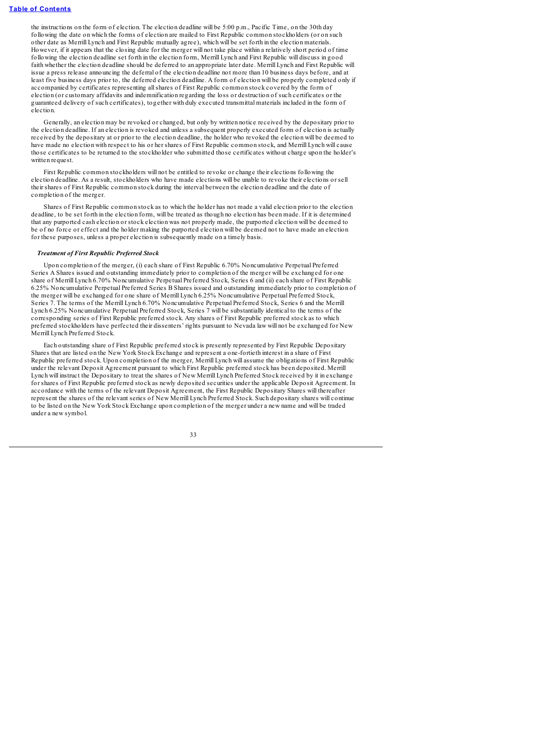the instructions on the form of election. The election deadline will be 5:00 p.m., Pacific Time, on the 30th day following the date on which the forms of election are mailed to First Republic common stockholders (or on such other date as Merrill Lynch and First Republic mutually agree), which will be set forth in the election materials. However, if it appears that the closing date for the merger will not take place within a relatively short period of time following the election deadline set forth in the election form, Merrill Lynch and First Republic will discuss in good faith whether the election deadline should be deferred to an appropriate later date. Merrill Lynch and First Republic will issue a press release announcing the deferral of the election deadline not more than 10 business days before, and at least five business days prior to, the deferred election deadline. A form of election will be properly completed only if accompanied by certificates representing allshares of First Republic common stock covered by the form of election (or customary affidavits and indemnification regarding the loss or destruction of such certificates or the guaranteed delivery of such certificates), together with duly executed transmittal materials included in the form of election.

Generally, an election may be revoked or changed, but only by written notice received by the depositary prior to the election deadline. If an election is revoked and unless a subsequent properly executed form of election is actually received by the depositary at or prior to the election deadline, the holder who revoked the election will be deemed to have made no election with respect to his or her shares of First Republic common stock, and Merrill Lynch will cause those certificates to be returned to the stockholder who submitted those certificates without charge upon the holder's written request.

First Republic common stockholders will not be entitled to revoke or change their elections following the election deadline. As a result, stockholders who have made elections will be unable to revoke their elections or sell their shares of First Republic common stock during the interval between the election deadline and the date of completion of the merger.

Shares of First Republic common stock as to which the holder has not made a valid election prior to the election deadline, to be set forth in the election form, will be treated as though no election has been made. If it is determined that any purported cash election or stock election was not properly made, the purported election will be deemed to be of no force or effect and the holder making the purported election will be deemed not to have made an election for these purposes, unless a proper election is subsequently made on a timely basis.

### *Treatment of First Republic Preferred Stock*

Upon completion of the merger, (i) each share of First Republic 6.70% Noncumulative Perpetual Preferred Series A Shares issued and outstanding immediately prior to completion of the merger will be exchanged for one share of Merrill Lynch 6.70% Noncumulative Perpetual Preferred Stock, Series 6 and (ii) each share of First Republic 6.25% Noncumulative Perpetual Preferred Series B Shares issued and outstanding immediately prior to completion of the merger will be exchanged for one share of Merrill Lynch 6.25% Noncumulative Perpetual Preferred Stock, Series 7. The terms of the Merrill Lynch 6.70% Noncumulative Perpetual Preferred Stock, Series 6 and the Merrill Lynch 6.25% Noncumulative Perpetual Preferred Stock, Series 7 will be substantially identical to the terms of the corresponding series of First Republic preferred stock. Any shares of First Republic preferred stock as to which preferred stockholders have perfected their dissenters' rights pursuant to Nevada law will not be exchanged for New Merrill Lynch Preferred Stock.

Each outstanding share of First Republic preferred stock is presently represented by First Republic Depositary Shares that are listed on the New York Stock Exchange and represent a one-fortieth interest in a share of First Republic preferred stock. Upon completion of the merger, Merrill Lynch will assume the obligations of First Republic under the relevant Deposit Agreement pursuant to which First Republic preferred stock has been deposited. Merrill Lynch will instruct the Depositary to treat the shares of New Merrill Lynch Preferred Stock received by it in exchange for shares of First Republic preferred stock as newly deposited securities under the applicable Deposit Agreement. In accordance with the terms of the relevant Deposit Agreement, the First Republic Depositary Shares will thereafter represent the shares of the relevant series of New Merrill Lynch Preferred Stock. Such depositary shares will continue to be listed on the New York Stock Exchange upon completion of the merger under a new name and will be traded under a new symbol.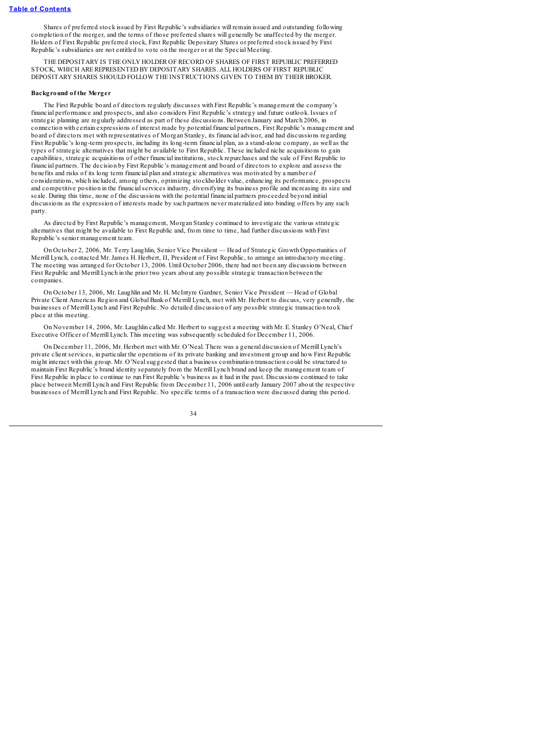Shares of preferred stock issued by First Republic's subsidiaries will remain issued and outstanding following completion of the merger, and the terms of those preferred shares will generally be unaffected by the merger. Holders of First Republic preferred stock, First Republic Depositary Shares or preferred stock issued by First Republic's subsidiaries are not entitled to vote on the merger or at the Special Meeting.

THE DEPOSITARY IS THE ONLY HOLDER OF RECORD OF SHARES OF FIRST REPUBLIC PREFERRED STOCK, WHICH AREREPRESENTED BY DEPOSITARY SHARES. ALL HOLDERS OF FIRST REPUBLIC DEPOSITARY SHARES SHOULD FOLLOW THE INSTRUCTIONS GIVEN TO THEM BY THEIR BROKER.

# **Background of the Merger**

The First Republic board of directors regularly discusses with First Republic's management the company's financial performance and prospects, and also considers First Republic's strategy and future outlook. Issues of strategic planning are regularly addressed as part of these discussions. Between January and March 2006, in connection with certain expressions of interest made by potential financial partners, First Republic's management and board of directors met with representatives of Morgan Stanley, its financial advisor, and had discussions regarding First Republic's long-term prospects, including its long-term financial plan, as a stand-alone company, as well as the types of strategic alternatives that might be available to First Republic. These included niche acquisitions to gain capabilities, strategic acquisitions of other financial institutions, stock repurchases and the sale of First Republic to financial partners. The decision by First Republic's management and board of directors to explore and assess the benefits and risks of its long term financial plan and strategic alternatives was motivated by a number of considerations, which included, among others, optimizing stockholder value, enhancing its performance, prospects and competitive position in the financialservices industry, diversifying its business profile and increasing its size and scale. During this time, none of the discussions with the potential financial partners proceeded beyond initial discussions as the expression of interests made by such partners never materialized into binding offers by any such party.

As directed by First Republic's management, Morgan Stanley continued to investigate the various strategic alternatives that might be available to First Republic and, from time to time, had further discussions with First Republic's senior management team.

On October 2, 2006, Mr. Terry Laughlin, Senior Vice President — Head of Strategic Growth Opportunities of Merrill Lynch, contacted Mr. James H. Herbert, II, President of First Republic, to arrange an introductory meeting. The meeting was arranged for October 13, 2006. Until October 2006, there had not been any discussions between First Republic and Merrill Lynch in the prior two years about any possible strategic transaction between the companies.

On October 13, 2006, Mr. Laughlin and Mr. H. McIntyre Gardner, Senior Vice President — Head of Global Private Client Americas Region and Global Bank of Merrill Lynch, met with Mr. Herbert to discuss, very generally, the businesses of Merrill Lynch and First Republic. No detailed discussion of any possible strategic transaction took place at this meeting.

On November 14, 2006, Mr. Laughlin called Mr. Herbert to suggest a meeting with Mr. E. Stanley O'Neal, Chief Executive Officer of Merrill Lynch. This meeting was subsequently scheduled for December 11, 2006.

On December 11, 2006, Mr. Herbert met with Mr. O'Neal. There was a general discussion of Merrill Lynch's private client services, in particular the operations of its private banking and investment group and how First Republic might interact with this group. Mr. O'Nealsuggested that a business combination transaction could be structured to maintain First Republic's brand identity separately from the Merrill Lynch brand and keep the management team of First Republic in place to continue to run First Republic's business as it had in the past. Discussions continued to take place between Merrill Lynch and First Republic from December 11, 2006 until early January 2007 about the respective businesses of Merrill Lynch and First Republic. No specific terms of a transaction were discussed during this period.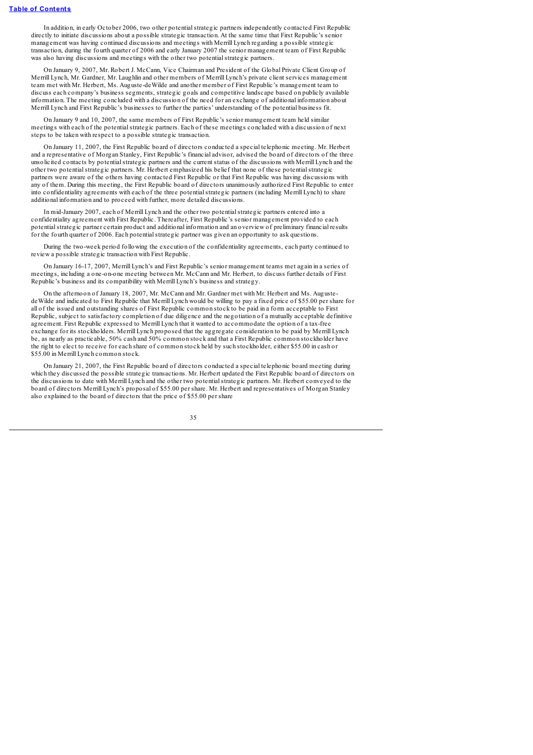In addition, in early October 2006, two other potentialstrategic partners independently contacted First Republic directly to initiate discussions about a possible strategic transaction. At the same time that First Republic's senior management was having continued discussions and meetings with Merrill Lynch regarding a possible strategic transaction, during the fourth quarter of 2006 and early January 2007 the senior management team of First Republic was also having discussions and meetings with the other two potentialstrategic partners.

On January 9, 2007, Mr. Robert J. McCann, Vice Chairman and President of the Global Private Client Group of Merrill Lynch, Mr. Gardner, Mr. Laughlin and other members of Merrill Lynch's private client services management team met with Mr. Herbert, Ms. Auguste-deWilde and another member of First Republic's management team to discuss each company's business segments, strategic goals and competitive landscape based on publicly available information. The meeting concluded with a discussion of the need for an exchange of additional information about Merrill Lynch and First Republic's businesses to further the parties' understanding of the potential business fit.

On January 9 and 10, 2007, the same members of First Republic's senior management team held similar meetings with each of the potentialstrategic partners. Each of these meetings concluded with a discussion of next steps to be taken with respect to a possible strategic transaction.

On January 11, 2007, the First Republic board of directors conducted a special telephonic meeting. Mr. Herbert and a representative of Morgan Stanley, First Republic's financial advisor, advised the board of directors of the three unsolicited contacts by potentialstrategic partners and the current status of the discussions with Merrill Lynch and the other two potentialstrategic partners. Mr. Herbert emphasized his belief that none of these potentialstrategic partners were aware of the others having contacted First Republic or that First Republic was having discussions with any of them. During this meeting, the First Republic board of directors unanimously authorized First Republic to enter into confidentiality agreements with each of the three potentialstrategic partners (including Merrill Lynch) to share additional information and to proceed with further, more detailed discussions.

In mid-January 2007, each of Merrill Lynch and the other two potentialstrategic partners entered into a confidentiality agreement with First Republic. Thereafter, First Republic's senior management provided to each potentialstrategic partner certain product and additional information and an overview of preliminary financial results for the fourth quarter of 2006. Each potentialstrategic partner was given an opportunity to ask questions.

During the two-week period following the execution of the confidentiality agreements, each party continued to review a possible strategic transaction with First Republic.

On January 16-17, 2007, Merrill Lynch's and First Republic's senior management teams met again in a series of meetings, including a one-on-one meeting between Mr. McCann and Mr. Herbert, to discuss further details of First Republic's business and its compatibility with Merrill Lynch's business and strategy.

On the afternoon of January 18, 2007, Mr. McCann and Mr. Gardner met with Mr. Herbert and Ms. AugustedeWilde and indicated to First Republic that Merrill Lynch would be willing to pay a fixed price of \$55.00 per share for all of the issued and outstanding shares of First Republic common stock to be paid in a form acceptable to First Republic, subject to satisfactory completion of due diligence and the negotiation of a mutually acceptable definitive agreement. First Republic expressed to Merrill Lynch that it wanted to accommodate the option of a tax-free exchange for its stockholders. Merrill Lynch proposed that the aggregate consideration to be paid by Merrill Lynch be, as nearly as practicable, 50% cash and 50% common stock and that a First Republic common stockholder have the right to elect to receive for each share of common stock held by such stockholder, either \$55.00 in cash or \$55.00 in Merrill Lynch common stock.

On January 21, 2007, the First Republic board of directors conducted a special telephonic board meeting during which they discussed the possible strategic transactions. Mr. Herbert updated the First Republic board of directors on the discussions to date with Merrill Lynch and the other two potentialstrategic partners. Mr. Herbert conveyed to the board of directors Merrill Lynch's proposal of \$55.00 per share. Mr. Herbert and representatives of Morgan Stanley also explained to the board of directors that the price of \$55.00 per share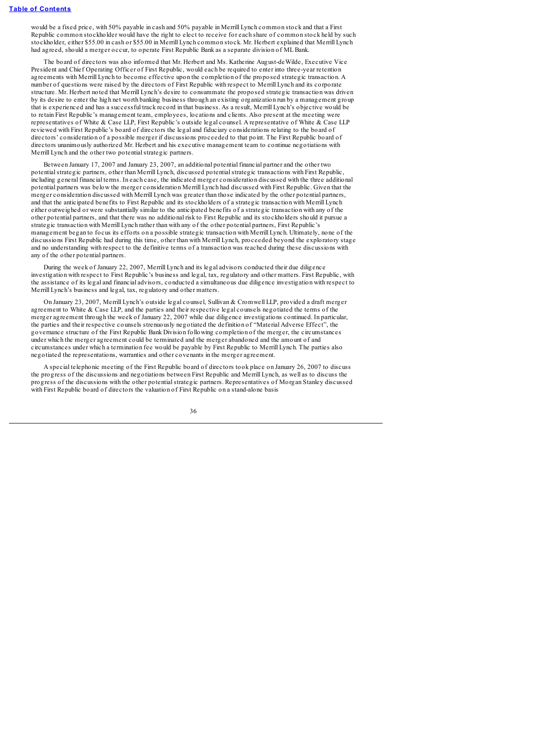would be a fixed price, with 50% payable in cash and 50% payable in Merrill Lynch common stock and that a First Republic common stockholder would have the right to elect to receive for each share of common stock held by such stockholder, either \$55.00 in cash or \$55.00 in Merrill Lynch common stock. Mr. Herbert explained that Merrill Lynch had agreed, should a merger occur, to operate First Republic Bank as a separate division of MLBank.

The board of directors was also informed that Mr. Herbert and Ms. Katherine August-deWilde, Executive Vice President and Chief Operating Officer of First Republic, would each be required to enter into three-year retention agreements with Merrill Lynch to become effective upon the completion of the proposed strategic transaction. A number of questions were raised by the directors of First Republic with respect to Merrill Lynch and its corporate structure. Mr. Herbert noted that Merrill Lynch's desire to consummate the proposed strategic transaction was driven by its desire to enter the high net worth banking business through an existing organization run by a management group that is experienced and has a successful track record in that business. As a result, Merrill Lynch's objective would be to retain First Republic's management team, employees, locations and clients. Also present at the meeting were representatives of White & Case LLP, First Republic's outside legal counsel. A representative of White & Case LLP reviewed with First Republic's board of directors the legal and fiduciary considerations relating to the board of directors' consideration of a possible merger if discussions proceeded to that point. The First Republic board of directors unanimously authorized Mr. Herbert and his executive management team to continue negotiations with Merrill Lynch and the other two potentialstrategic partners.

Between January 17, 2007 and January 23, 2007, an additional potential financial partner and the other two potentialstrategic partners, other than Merrill Lynch, discussed potentialstrategic transactions with First Republic, including general financial terms. In each case, the indicated merger consideration discussed with the three additional potential partners was below the merger consideration Merrill Lynch had discussed with First Republic. Given that the merger consideration discussed with Merrill Lynch was greater than those indicated by the other potential partners, and that the anticipated benefits to First Republic and its stockholders of a strategic transaction with Merrill Lynch either outweighed or were substantially similar to the anticipated benefits of a strategic transaction with any of the other potential partners, and that there was no additional risk to First Republic and its stockholders should it pursue a strategic transaction with Merrill Lynch rather than with any of the other potential partners, First Republic's management began to focus its efforts on a possible strategic transaction with Merrill Lynch. Ultimately, none of the discussions First Republic had during this time, other than with Merrill Lynch, proceeded beyond the exploratory stage and no understanding with respect to the definitive terms of a transaction was reached during these discussions with any of the other potential partners.

During the week of January 22, 2007, Merrill Lynch and its legal advisors conducted their due diligence investigation with respect to First Republic's business and legal, tax, regulatory and other matters. First Republic, with the assistance of its legal and financial advisors, conducted a simultaneous due diligence investigation with respect to Merrill Lynch's business and legal, tax, regulatory and other matters.

On January 23, 2007, Merrill Lynch's outside legal counsel, Sullivan & Cromwell LLP, provided a draft merger agreement to White & Case LLP, and the parties and their respective legal counsels negotiated the terms of the merger agreement through the week of January 22, 2007 while due diligence investigations continued. In particular, the parties and their respective counsels strenuously negotiated the definition of "Material Adverse Effect", the governance structure of the First Republic Bank Division following completion of the merger, the circumstances under which the merger agreement could be terminated and the merger abandoned and the amount of and circumstances under which a termination fee would be payable by First Republic to Merrill Lynch. The parties also negotiated the representations, warranties and other covenants in the merger agreement.

A special telephonic meeting of the First Republic board of directors took place on January 26, 2007 to discuss the progress of the discussions and negotiations between First Republic and Merrill Lynch, as well as to discuss the progress of the discussions with the other potentialstrategic partners. Representatives of Morgan Stanley discussed with First Republic board of directors the valuation of First Republic on a stand-alone basis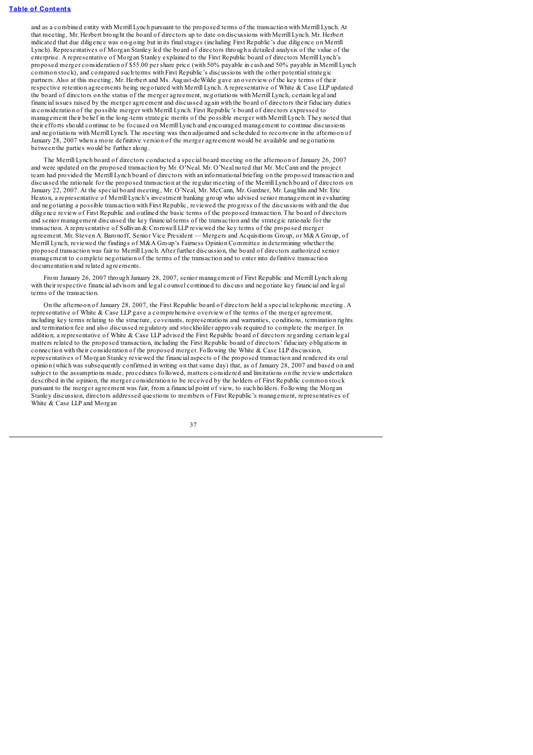and as a combined entity with Merrill Lynch pursuant to the proposed terms of the transaction with Merrill Lynch. At that meeting, Mr. Herbert brought the board of directors up to date on discussions with Merrill Lynch. Mr. Herbert indicated that due diligence was on-going but in its finalstages (including First Republic's due diligence on Merrill Lynch). Representatives of Morgan Stanley led the board of directors through a detailed analysis of the value of the enterprise. A representative of Morgan Stanley explained to the First Republic board of directors Merrill Lynch's proposed merger consideration of \$55.00 per share price (with 50% payable in cash and 50% payable in Merrill Lynch common stock), and compared such terms with First Republic's discussions with the other potentialstrategic partners. Also at this meeting, Mr. Herbert and Ms. August-deWilde gave an overview of the key terms of their respective retention agreements being negotiated with Merrill Lynch. A representative of White & Case LLP updated the board of directors on the status of the merger agreement, negotiations with Merrill Lynch, certain legal and financial issues raised by the merger agreement and discussed again with the board of directors their fiduciary duties in consideration of the possible merger with Merrill Lynch. First Republic's board of directors expressed to management their belief in the long-term strategic merits of the possible merger with Merrill Lynch. They noted that their efforts should continue to be focused on Merrill Lynch and encouraged management to continue discussions and negotiations with Merrill Lynch. The meeting was then adjourned and scheduled to reconvene in the afternoon of January 28, 2007 when a more definitive version of the merger agreement would be available and negotiations between the parties would be further along.

The Merrill Lynch board of directors conducted a special board meeting on the afternoon of January 26, 2007 and were updated on the proposed transaction by Mr. O'Neal. Mr. O'Neal noted that Mr. McCann and the project team had provided the Merrill Lynch board of directors with an informational briefing on the proposed transaction and discussed the rationale for the proposed transaction at the regular meeting of the Merrill Lynch board of directors on January 22, 2007. At the special board meeting, Mr. O'Neal, Mr. McCann, Mr. Gardner, Mr. Laughlin and Mr. Eric Heaton, a representative of Merrill Lynch's investment banking group who advised senior management in evaluating and negotiating a possible transaction with First Republic, reviewed the progress of the discussions with and the due diligence review of First Republic and outlined the basic terms of the proposed transaction. The board of directors and senior management discussed the key financial terms of the transaction and the strategic rationale for the transaction. A representative of Sullivan & Cromwell LLP reviewed the key terms of the proposed merger agreement. Mr. Steven A. Baronoff, Senior Vice President — Mergers and Acquisitions Group, or M&A Group, of Merrill Lynch, reviewed the findings of M&A Group's Fairness Opinion Committee in determining whether the proposed transaction was fair to Merrill Lynch. After further discussion, the board of directors authorized senior management to complete negotiation of the terms of the transaction and to enter into definitive transaction documentation and related agreements.

From January 26, 2007 through January 28, 2007, senior management of First Republic and Merrill Lynch along with their respective financial advisors and legal counsel continued to discuss and negotiate key financial and legal terms of the transaction.

On the afternoon of January 28, 2007, the First Republic board of directors held a special telephonic meeting. A representative of White & Case LLP gave a comprehensive overview of the terms of the merger agreement, including key terms relating to the structure, covenants, representations and warranties, conditions, termination rights and termination fee and also discussed regulatory and stockholder approvals required to complete the merger. In addition, a representative of White & Case LLP advised the First Republic board of directors regarding certain legal matters related to the proposed transaction, including the First Republic board of directors' fiduciary obligations in connection with their consideration of the proposed merger. Following the White & Case LLP discussion, representatives of Morgan Stanley reviewed the financial aspects of the proposed transaction and rendered its oral opinion (which was subsequently confirmed in writing on that same day) that, as of January 28, 2007 and based on and subject to the assumptions made, procedures followed, matters considered and limitations on the review undertaken described in the opinion, the merger consideration to be received by the holders of First Republic common stock pursuant to the merger agreement was fair, from a financial point of view, to such holders. Following the Morgan Stanley discussion, directors addressed questions to members of First Republic's management, representatives of White & Case LLP and Morgan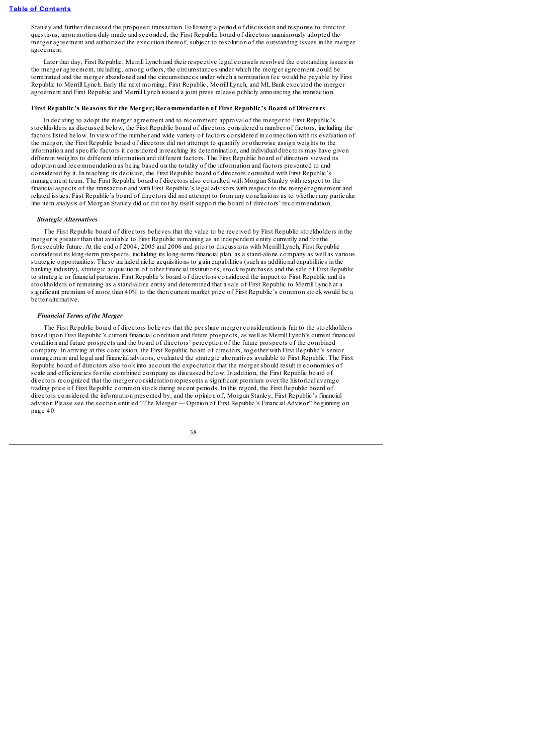Stanley and further discussed the proposed transaction. Following a period of discussion and response to director questions, upon motion duly made and seconded, the First Republic board of directors unanimously adopted the merger agreement and authorized the execution thereof, subject to resolution of the outstanding issues in the merger agreement.

Later that day, First Republic, Merrill Lynch and their respective legal counsels resolved the outstanding issues in the merger agreement, including, among others, the circumstances under which the merger agreement could be terminated and the merger abandoned and the circumstances under which a termination fee would be payable by First Republic to Merrill Lynch. Early the next morning, First Republic, Merrill Lynch, and MLBank executed the merger agreement and First Republic and Merrill Lynch issued a joint press release publicly announcing the transaction.

## **First Republic's Reasons for the Merger; Recommendation of First Republic's Board of Directors**

In deciding to adopt the merger agreement and to recommend approval of the merger to First Republic's stockholders as discussed below, the First Republic board of directors considered a number of factors, including the factors listed below. In view of the number and wide variety of factors considered in connection with its evaluation of the merger, the First Republic board of directors did not attempt to quantify or otherwise assign weights to the information and specific factors it considered in reaching its determination, and individual directors may have given different weights to different information and different factors. The First Republic board of directors viewed its adoption and recommendation as being based on the totality of the information and factors presented to and considered by it. In reaching its decision, the First Republic board of directors consulted with First Republic's management team. The First Republic board of directors also consulted with Morgan Stanley with respect to the financial aspects of the transaction and with First Republic's legal advisors with respect to the merger agreement and related issues. First Republic's board of directors did not attempt to form any conclusions as to whether any particular line item analysis of Morgan Stanley did or did not by itself support the board of directors' recommendation.

#### *Strategic Alternatives*

The First Republic board of directors believes that the value to be received by First Republic stockholders in the merger is greater than that available to First Republic remaining as an independent entity currently and for the foreseeable future. At the end of 2004, 2005 and 2006 and prior to discussions with Merrill Lynch, First Republic considered its long-term prospects, including its long-term financial plan, as a stand-alone company as well as various strategic opportunities. These included niche acquisitions to gain capabilities (such as additional capabilities in the banking industry), strategic acquisitions of other financial institutions, stock repurchases and the sale of First Republic to strategic or financial partners. First Republic's board of directors considered the impact to First Republic and its stockholders of remaining as a stand-alone entity and determined that a sale of First Republic to Merrill Lynch at a significant premium of more than 40% to the then current market price of First Republic's common stock would be a better alternative.

#### *Financial Terms of the Merger*

The First Republic board of directors believes that the per share merger consideration is fair to the stockholders based upon First Republic's current financial condition and future prospects, as well as Merrill Lynch's current financial condition and future prospects and the board of directors' perception of the future prospects of the combined company. In arriving at this conclusion, the First Republic board of directors, together with First Republic's senior management and legal and financial advisors, evaluated the strategic alternatives available to First Republic. The First Republic board of directors also took into account the expectation that the merger should result in economies of scale and efficiencies for the combined company as discussed below. In addition, the First Republic board of directors recognized that the merger consideration represents a significant premium over the historical average trading price of First Republic common stock during recent periods. In this regard, the First Republic board of directors considered the information presented by, and the opinion of, Morgan Stanley, First Republic's financial advisor. Please see the section entitled "The Merger — Opinion of First Republic's Financial Advisor" beginning on page 40.

$$
^{38}
$$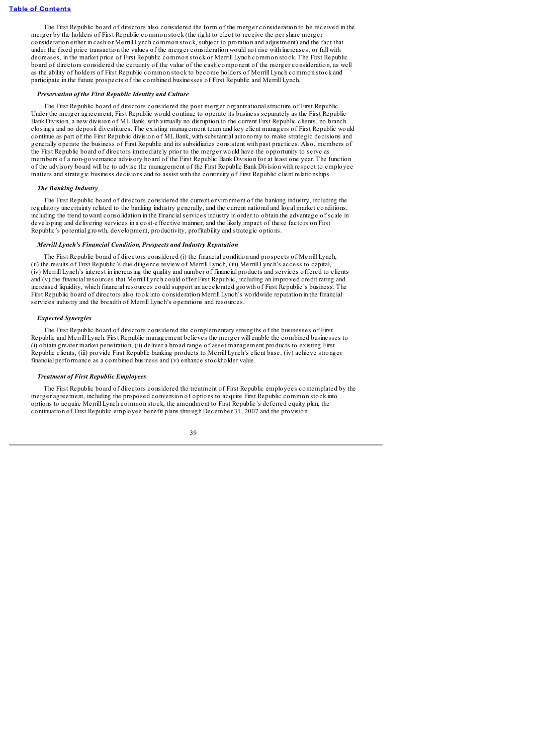The First Republic board of directors also considered the form of the merger consideration to be received in the merger by the holders of First Republic common stock (the right to elect to receive the per share merger consideration either in cash or Merrill Lynch common stock, subject to proration and adjustment) and the fact that under the fixed price transaction the values of the merger consideration would not rise with increases, or fall with decreases, in the market price of First Republic common stock or Merrill Lynch common stock. The First Republic board of directors considered the certainty of the value of the cash component of the merger consideration, as well as the ability of holders of First Republic common stock to become holders of Merrill Lynch common stock and participate in the future prospects of the combined businesses of First Republic and Merrill Lynch.

### *Preservation of the First Republic Identity and Culture*

The First Republic board of directors considered the post merger organizationalstructure of First Republic. Under the merger agreement, First Republic would continue to operate its business separately as the First Republic Bank Division, a new division of MLBank, with virtually no disruption to the current First Republic clients, no branch closings and no deposit divestitures. The existing management team and key client managers of First Republic would continue as part of the First Republic division of MLBank, with substantial autonomy to make strategic decisions and generally operate the business of First Republic and its subsidiaries consistent with past practices. Also, members of the First Republic board of directors immediately prior to the merger would have the opportunity to serve as members of a non-governance advisory board of the First Republic Bank Division for at least one year. The function of the advisory board will be to advise the management of the First Republic Bank Division with respect to employee matters and strategic business decisions and to assist with the continuity of First Republic client relationships.

### *The Banking Industry*

The First Republic board of directors considered the current environment of the banking industry, including the regulatory uncertainty related to the banking industry generally, and the current national and local market conditions, including the trend toward consolidation in the financialservices industry in order to obtain the advantage of scale in developing and delivering services in a cost-effective manner, and the likely impact of these factors on First Republic's potential growth, development, productivity, profitability and strategic options.

### *Merrill Lynch's Financial Condition, Prospects and Industry Reputation*

The First Republic board of directors considered (i) the financial condition and prospects of Merrill Lynch, (ii) the results of First Republic's due diligence review of Merrill Lynch, (iii) Merrill Lynch's access to capital, (iv) Merrill Lynch's interest in increasing the quality and number of financial products and services offered to clients and (v) the financial resources that Merrill Lynch could offer First Republic, including an improved credit rating and increased liquidity, which financial resources could support an accelerated growth of First Republic's business. The First Republic board of directors also took into consideration Merrill Lynch's worldwide reputation in the financial services industry and the breadth of Merrill Lynch's operations and resources.

### *Expected Synergies*

The First Republic board of directors considered the complementary strengths of the businesses of First Republic and Merrill Lynch. First Republic management believes the merger will enable the combined businesses to (i) obtain greater market penetration, (ii) deliver a broad range of asset management products to existing First Republic clients, (iii) provide First Republic banking products to Merrill Lynch's client base, (iv) achieve stronger financial performance as a combined business and  $(v)$  enhance stockholder value.

## *Treatment of First Republic Employees*

The First Republic board of directors considered the treatment of First Republic employees contemplated by the merger agreement, including the proposed conversion of options to acquire First Republic common stock into options to acquire Merrill Lynch common stock, the amendment to First Republic's deferred equity plan, the continuation of First Republic employee benefit plans through December 31, 2007 and the provision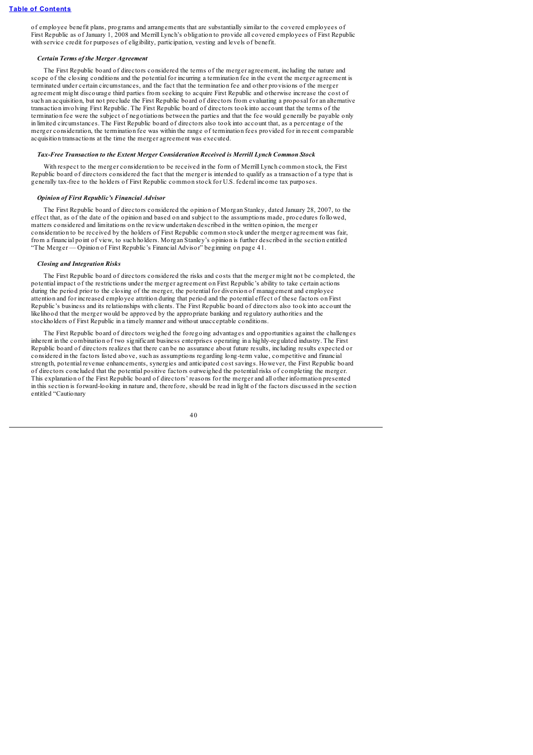of employee benefit plans, programs and arrangements that are substantially similar to the covered employees of First Republic as of January 1, 2008 and Merrill Lynch's obligation to provide all covered employees of First Republic with service credit for purposes of eligibility, participation, vesting and levels of benefit.

### *Certain Terms of the Merger Agreement*

The First Republic board of directors considered the terms of the merger agreement, including the nature and scope of the closing conditions and the potential for incurring a termination fee in the event the merger agreement is terminated under certain circumstances, and the fact that the termination fee and other provisions of the merger agreement might discourage third parties from seeking to acquire First Republic and otherwise increase the cost of such an acquisition, but not preclude the First Republic board of directors from evaluating a proposal for an alternative transaction involving First Republic. The First Republic board of directors took into account that the terms of the termination fee were the subject of negotiations between the parties and that the fee would generally be payable only in limited circumstances. The First Republic board of directors also took into account that, as a percentage of the merger consideration, the termination fee was within the range of termination fees provided for in recent comparable acquisition transactions at the time the merger agreement was executed.

### *Tax-Free Transaction to the Extent Merger Consideration Received is Merrill Lynch Common Stock*

With respect to the merger consideration to be received in the form of Merrill Lynch common stock, the First Republic board of directors considered the fact that the merger is intended to qualify as a transaction of a type that is generally tax-free to the holders of First Republic common stock for U.S. federal income tax purposes.

### *Opinion of First Republic's Financial Advisor*

The First Republic board of directors considered the opinion of Morgan Stanley, dated January 28, 2007, to the effect that, as of the date of the opinion and based on and subject to the assumptions made, procedures followed, matters considered and limitations on the review undertaken described in the written opinion, the merger consideration to be received by the holders of First Republic common stock under the merger agreement was fair, from a financial point of view, to such holders. Morgan Stanley's opinion is further described in the section entitled "The Merger — Opinion of First Republic's Financial Advisor" beginning on page 41.

### *Closing and Integration Risks*

The First Republic board of directors considered the risks and costs that the merger might not be completed, the potential impact of the restrictions under the merger agreement on First Republic's ability to take certain actions during the period prior to the closing of the merger, the potential for diversion of management and employee attention and for increased employee attrition during that period and the potential effect of these factors on First Republic's business and its relationships with clients. The First Republic board of directors also took into account the likelihood that the merger would be approved by the appropriate banking and regulatory authorities and the stockholders of First Republic in a timely manner and without unacceptable conditions.

The First Republic board of directors weighed the foregoing advantages and opportunities against the challenges inherent in the combination of two significant business enterprises operating in a highly-regulated industry. The First Republic board of directors realizes that there can be no assurance about future results, including results expected or considered in the factors listed above, such as assumptions regarding long-term value, competitive and financial strength, potential revenue enhancements, synergies and anticipated cost savings. However, the First Republic board of directors concluded that the potential positive factors outweighed the potential risks of completing the merger. This explanation of the First Republic board of directors' reasons for the merger and all other information presented in this section is forward-looking in nature and, therefore, should be read in light of the factors discussed in the section entitled "Cautionary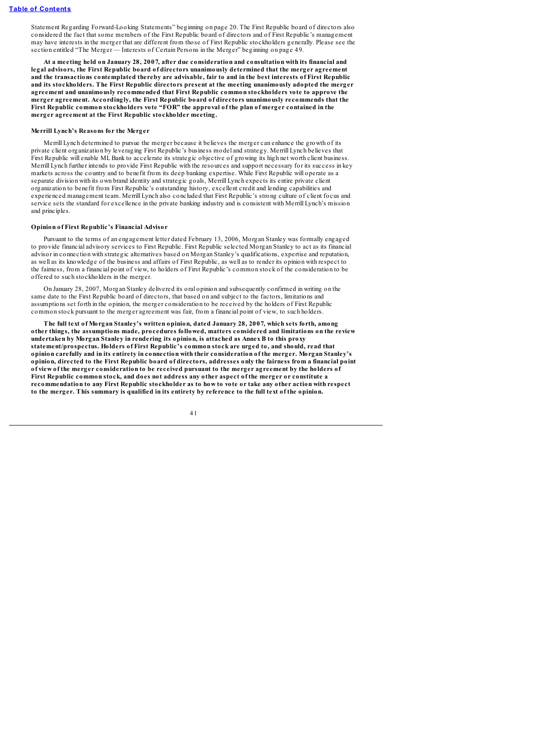Statement Regarding Forward-Looking Statements" beginning on page 20. The First Republic board of directors also considered the fact that some members of the First Republic board of directors and of First Republic's management may have interests in the merger that are different from those of First Republic stockholders generally. Please see the section entitled "The Merger — Interests of Certain Persons in the Merger" beginning on page 49.

**At a meeting held on January 28, 2007, after due consideration and consultation with its financial and legal advisors, the First Republic board of directors unanimously determined that the merger agreement** and the transactions contemplated thereby are advisable, fair to and in the best interests of First Republic **and its stockholders. The First Republic directors present at the meeting unanimously adopted the merger agreement and unanimously recommended that First Republic common stockholders vote to approve the merger agreement. Accordingly, the First Republic board of directors unanimously recommends that the First Republic common stockholders vote "FOR" the approval of the plan of merger contained in the merger agreement at the First Republic stockholder meeting.**

# **Merrill Lynch's Reasons for the Merger**

Merrill Lynch determined to pursue the merger because it believes the merger can enhance the growth of its private client organization by leveraging First Republic's business model and strategy. Merrill Lynch believes that First Republic will enable ML Bank to accelerate its strategic objective of growing its high net worth client business. Merrill Lynch further intends to provide First Republic with the resources and support necessary for its success in key markets across the country and to benefit from its deep banking expertise. While First Republic will operate as a separate division with its own brand identity and strategic goals, Merrill Lynch expects its entire private client organization to benefit from First Republic's outstanding history, excellent credit and lending capabilities and experienced management team. Merrill Lynch also concluded that First Republic's strong culture of client focus and service sets the standard for excellence in the private banking industry and is consistent with Merrill Lynch's mission and principles.

#### **Opinion of First Republic's Financial Advisor**

Pursuant to the terms of an engagement letter dated February 13, 2006, Morgan Stanley was formally engaged to provide financial advisory services to First Republic. First Republic selected Morgan Stanley to act as its financial advisor in connection with strategic alternatives based on Morgan Stanley's qualifications, expertise and reputation, as well as its knowledge of the business and affairs of First Republic, as well as to render its opinion with respect to the fairness, from a financial point of view, to holders of First Republic's common stock of the consideration to be offered to such stockholders in the merger.

On January 28, 2007, Morgan Stanley delivered its oral opinion and subsequently confirmed in writing on the same date to the First Republic board of directors, that based on and subject to the factors, limitations and assumptions set forth in the opinion, the merger consideration to be received by the holders of First Republic common stock pursuant to the merger agreement was fair, from a financial point of view, to such holders.

**The full text of Morgan Stanley's written opinion, dated January 28, 2007, which sets forth, among other things, the assumptions made, procedures followed, matters considered and limitations on the review undertaken by Morgan Stanley in rendering its opinion, is attached as Annex B to this proxy statement/prospectus. Holders of First Republic's common stock are urged to, and should, read that opinion carefully and in its entirety in connection with their consideration of the merger. Morgan Stanley's** opinion, directed to the First Republic board of directors, addresses only the fairness from a financial point of view of the merger consideration to be received pursuant to the merger agreement by the holders of **First Republic common stock, and does not address any other aspect of the merger or constitute a** recommendation to any First Republic stockholder as to how to vote or take any other action with respect to the merger. This summary is qualified in its entirety by reference to the full text of the opinion.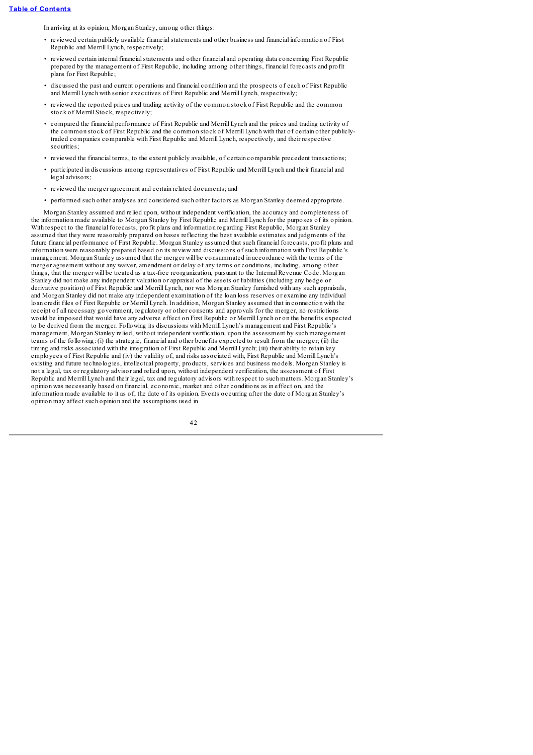In arriving at its opinion, Morgan Stanley, among other things:

- reviewed certain publicly available financialstatements and other business and financial information of First Republic and Merrill Lynch, respectively;
- reviewed certain internal financialstatements and other financial and operating data concerning First Republic prepared by the management of First Republic, including among other things, financial forecasts and profit plans for First Republic;
- discussed the past and current operations and financial condition and the prospects of each of First Republic and Merrill Lynch with senior executives of First Republic and Merrill Lynch, respectively;
- reviewed the reported prices and trading activity of the common stock of First Republic and the common stock of Merrill Stock, respectively;
- compared the financial performance of First Republic and Merrill Lynch and the prices and trading activity of the common stock of First Republic and the common stock of Merrill Lynch with that of certain other publiclytraded companies comparable with First Republic and Merrill Lynch, respectively, and their respective securities:
- reviewed the financial terms, to the extent publicly available, of certain comparable precedent transactions;
- participated in discussions among representatives of First Republic and Merrill Lynch and their financial and legal advisors;
- reviewed the merger agreement and certain related documents; and
- performed such other analyses and considered such other factors as Morgan Stanley deemed appropriate.

Morgan Stanley assumed and relied upon, without independent verification, the accuracy and completeness of the information made available to Morgan Stanley by First Republic and Merrill Lynch for the purposes of its opinion. With respect to the financial forecasts, profit plans and information regarding First Republic, Morgan Stanley assumed that they were reasonably prepared on bases reflecting the best available estimates and judgments of the future financial performance of First Republic. Morgan Stanley assumed that such financial forecasts, profit plans and information were reasonably prepared based on its review and discussions of such information with First Republic's management. Morgan Stanley assumed that the merger will be consummated in accordance with the terms of the merger agreement without any waiver, amendment or delay of any terms or conditions, including, among other things, that the merger will be treated as a tax-free reorganization, pursuant to the Internal Revenue Code. Morgan Stanley did not make any independent valuation or appraisal of the assets or liabilities (including any hedge or derivative position) of First Republic and Merrill Lynch, nor was Morgan Stanley furnished with any such appraisals, and Morgan Stanley did not make any independent examination of the loan loss reserves or examine any individual loan credit files of First Republic or Merrill Lynch. In addition, Morgan Stanley assumed that in connection with the receipt of all necessary government, regulatory or other consents and approvals for the merger, no restrictions would be imposed that would have any adverse effect on First Republic or Merrill Lynch or on the benefits expected to be derived from the merger. Following its discussions with Merrill Lynch's management and First Republic's management, Morgan Stanley relied, without independent verification, upon the assessment by such management teams of the following: (i) the strategic, financial and other benefits expected to result from the merger; (ii) the timing and risks associated with the integration of First Republic and Merrill Lynch; (iii) their ability to retain key employees of First Republic and (iv) the validity of, and risks associated with, First Republic and Merrill Lynch's existing and future technologies, intellectual property, products, services and business models. Morgan Stanley is not a legal, tax or regulatory advisor and relied upon, without independent verification, the assessment of First Republic and Merrill Lynch and their legal, tax and regulatory advisors with respect to such matters. Morgan Stanley's opinion was necessarily based on financial, economic, market and other conditions as in effect on, and the information made available to it as of, the date of its opinion. Events occurring after the date of Morgan Stanley's opinion may affect such opinion and the assumptions used in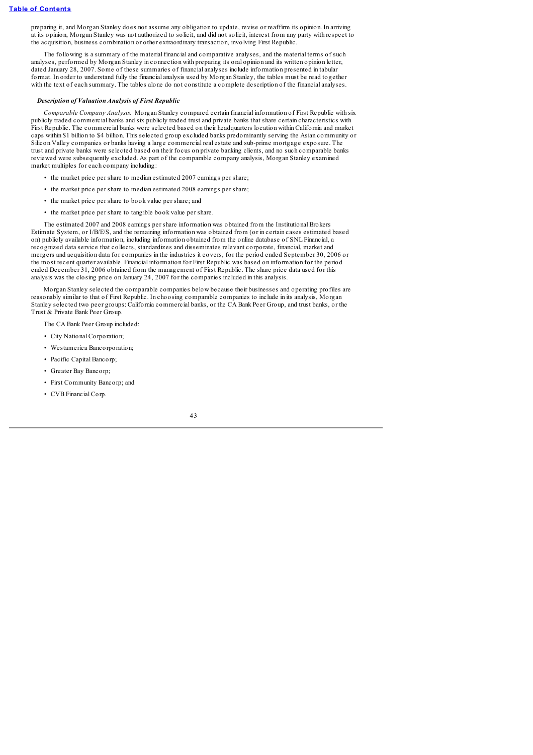preparing it, and Morgan Stanley does not assume any obligation to update, revise or reaffirm its opinion. In arriving at its opinion, Morgan Stanley was not authorized to solicit, and did not solicit, interest from any party with respect to the acquisition, business combination or other extraordinary transaction, involving First Republic.

The following is a summary of the material financial and comparative analyses, and the material terms of such analyses, performed by Morgan Stanley in connection with preparing its oral opinion and its written opinion letter, dated January 28, 2007. Some of these summaries of financial analyses include information presented in tabular format. In order to understand fully the financial analysis used by Morgan Stanley, the tables must be read together with the text of each summary. The tables alone do not constitute a complete description of the financial analyses.

### *Description of Valuation Analysis of First Republic*

*Comparable Company Analysis.* Morgan Stanley compared certain financial information of First Republic with six publicly traded commercial banks and six publicly traded trust and private banks that share certain characteristics with First Republic. The commercial banks were selected based on their headquarters location within California and market caps within \$1 billion to \$4 billion. This selected group excluded banks predominantly serving the Asian community or Silicon Valley companies or banks having a large commercial real estate and sub-prime mortgage exposure. The trust and private banks were selected based on their focus on private banking clients, and no such comparable banks reviewed were subsequently excluded. As part of the comparable company analysis, Morgan Stanley examined market multiples for each company including:

- the market price per share to median estimated 2007 earnings per share;
- the market price per share to median estimated 2008 earnings per share;
- the market price per share to book value per share; and
- the market price per share to tangible book value per share.

The estimated 2007 and 2008 earnings per share information was obtained from the Institutional Brokers Estimate System, or I/B/E/S, and the remaining information was obtained from (or in certain cases estimated based on) publicly available information, including information obtained from the online database of SNL Financial, a recognized data service that collects, standardizes and disseminates relevant corporate, financial, market and mergers and acquisition data for companies in the industries it covers, for the period ended September 30, 2006 or the most recent quarter available. Financial information for First Republic was based on information for the period ended December 31, 2006 obtained from the management of First Republic. The share price data used for this analysis was the closing price on January 24, 2007 for the companies included in this analysis.

Morgan Stanley selected the comparable companies below because their businesses and operating profiles are reasonably similar to that of First Republic. In choosing comparable companies to include in its analysis, Morgan Stanley selected two peer groups: California commercial banks, or the CA Bank Peer Group, and trust banks, or the Trust & Private Bank Peer Group.

The CA Bank Peer Group included:

- City National Corporation;
- Westamerica Bancorporation;
- Pacific Capital Bancorp;
- Greater Bay Bancorp;
- First Community Bancorp; and
- CVB Financial Corp.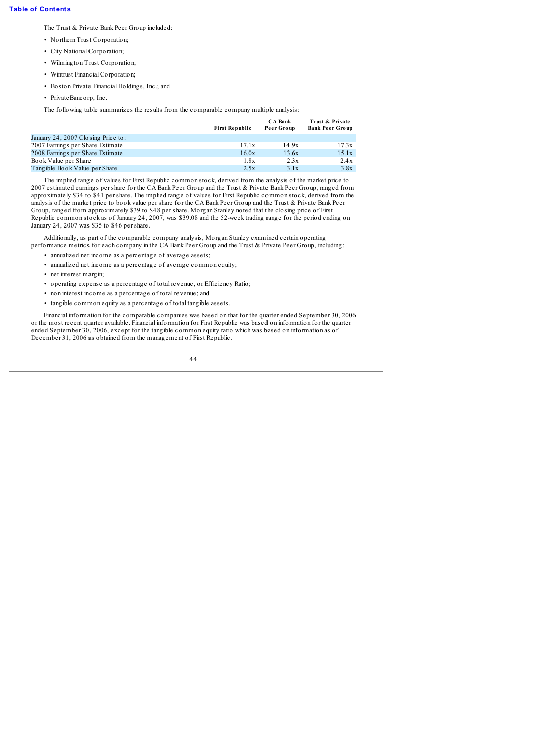The Trust & Private Bank Peer Group included:

- Northern Trust Corporation;
- City National Corporation;
- Wilmington Trust Corporation;
- Wintrust Financial Corporation;
- Boston Private Financial Holdings, Inc.; and
- PrivateBancorp, Inc.

The following table summarizes the results from the comparable company multiple analysis:

|                                    | <b>First Republic</b> | <b>CA Bank</b><br>Peer Group | Trust & Private<br><b>Bank Peer Group</b> |
|------------------------------------|-----------------------|------------------------------|-------------------------------------------|
| January 24, 2007 Closing Price to: |                       |                              |                                           |
| 2007 Earnings per Share Estimate   | 17.1x                 | 14.9x                        | 17.3x                                     |
| 2008 Earnings per Share Estimate   | 16.0x                 | 13.6x                        | 15.1x                                     |
| Book Value per Share               | 1.8x                  | 2.3x                         | 2.4x                                      |
| Tangible Book Value per Share      | 2.5x                  | 3.1x                         | 3.8x                                      |

The implied range of values for First Republic common stock, derived from the analysis of the market price to 2007 estimated earnings per share for the CA Bank Peer Group and the Trust & Private Bank Peer Group, ranged from approximately \$34 to \$41 per share. The implied range of values for First Republic common stock, derived from the analysis of the market price to book value per share for the CA Bank Peer Group and the Trust & Private Bank Peer Group, ranged from approximately \$39 to \$48 per share. Morgan Stanley noted that the closing price of First Republic common stock as of January 24, 2007, was \$39.08 and the 52-week trading range for the period ending on January 24, 2007 was \$35 to \$46 per share.

Additionally, as part of the comparable company analysis, Morgan Stanley examined certain operating performance metrics for each company in the CA Bank Peer Group and the Trust & Private Peer Group, including:

- annualized net income as a percentage of average assets;
- annualized net income as a percentage of average common equity;
- net interest margin;
- operating expense as a percentage of total revenue, or Efficiency Ratio;
- non interest income as a percentage of total revenue; and
- tangible common equity as a percentage of total tangible assets.

Financial information for the comparable companies was based on that for the quarter ended September 30, 2006 or the most recent quarter available. Financial information for First Republic was based on information for the quarter ended September 30, 2006, except for the tangible common equity ratio which was based on information as of December 31, 2006 as obtained from the management of First Republic.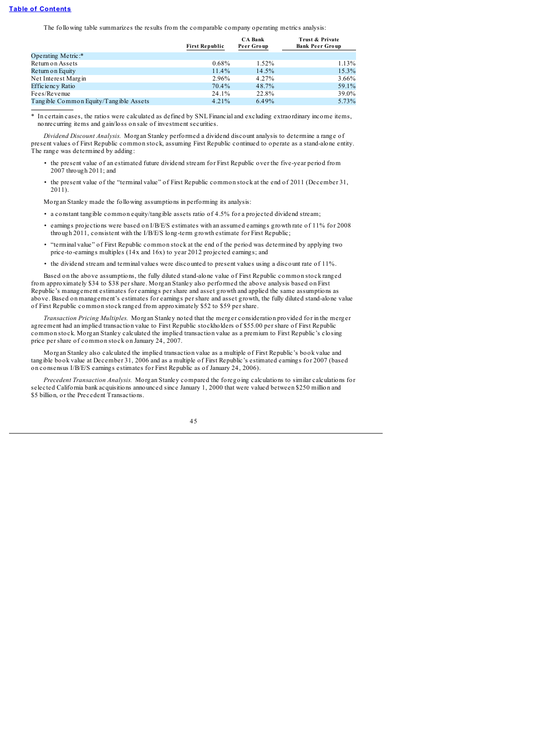The following table summarizes the results from the comparable company operating metrics analysis:

|                                          | <b>First Republic</b> | <b>CA Bank</b><br>Peer Group | Trust & Private<br><b>Bank Peer Group</b> |
|------------------------------------------|-----------------------|------------------------------|-------------------------------------------|
| Operating Metric:*                       |                       |                              |                                           |
| Return on Assets                         | $0.68\%$              | 1.52%                        | 1.13%                                     |
| Return on Equity                         | $11.4\%$              | 14.5%                        | 15.3%                                     |
| Net Interest Margin                      | 2.96%                 | 4.27%                        | 3.66%                                     |
| Efficiency Ratio                         | 70.4%                 | 48.7%                        | 59.1%                                     |
| Fees/Revenue                             | 24.1%                 | 22.8%                        | 39.0%                                     |
| Tang ible Common Equity/Tang ible Assets | $4.21\%$              | 6.49%                        | 5.73%                                     |

\* In certain cases, the ratios were calculated as defined by SNL Financial and excluding extraordinary income items, nonrecurring items and gain/loss on sale of investment securities.

*Dividend Discount Analysis.* Morgan Stanley performed a dividend discount analysis to determine a range of present values of First Republic common stock, assuming First Republic continued to operate as a stand-alone entity. The range was determined by adding:

- the present value of an estimated future dividend stream for First Republic over the five-year period from 2007 through 2011; and
- the present value of the "terminal value" of First Republic common stock at the end of 2011 (December 31,  $2011$ ).

Morgan Stanley made the following assumptions in performing its analysis:

- a constant tangible common equity/tangible assets ratio of 4.5% for a projected dividend stream;
- earnings projections were based on I/B/E/S estimates with an assumed earnings growth rate of 11% for 2008 through 2011, consistent with the I/B/E/S long-term growth estimate for First Republic;
- "terminal value" of First Republic common stock at the end of the period was determined by applying two price-to-earnings multiples  $(14x$  and  $16x)$  to year 2012 projected earnings; and
- the dividend stream and terminal values were discounted to present values using a discount rate of 11%.

Based on the above assumptions, the fully diluted stand-alone value of First Republic common stock ranged from approximately \$34 to \$38 per share. Morgan Stanley also performed the above analysis based on First Republic's management estimates for earnings per share and asset growth and applied the same assumptions as above. Based on management's estimates for earnings per share and asset growth, the fully diluted stand-alone value of First Republic common stock ranged from approximately \$52 to \$59 per share.

*Transaction Pricing Multiples.* Morgan Stanley noted that the merger consideration provided for in the merger agreement had an implied transaction value to First Republic stockholders of \$55.00 per share of First Republic common stock. Morgan Stanley calculated the implied transaction value as a premium to First Republic's closing price per share of common stock on January 24, 2007.

Morgan Stanley also calculated the implied transaction value as a multiple of First Republic's book value and tangible book value at December 31, 2006 and as a multiple of First Republic's estimated earnings for 2007 (based on consensus I/B/E/S earnings estimates for First Republic as of January 24, 2006).

*Precedent Transaction Analysis.* Morgan Stanley compared the foregoing calculations to similar calculations for selected California bank acquisitions announced since January 1, 2000 that were valued between \$250 million and \$5 billion, or the Precedent Transactions.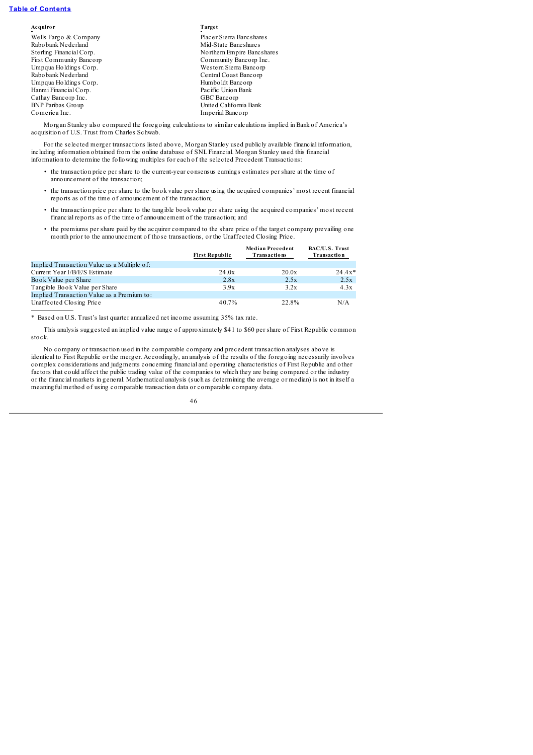| Acquiror                 | Target                     |
|--------------------------|----------------------------|
| Wells Fargo & Company    | Placer Sierra Bancshares   |
| Rabobank Nederland       | Mid-State Bancshares       |
| Sterling Financial Corp. | Northern Empire Bancshares |
| First Community Bancorp  | Community Bancorp Inc.     |
| Umpqua Holdings Corp.    | Western Sierra Bancorp     |
| Rabobank Nederland       | Central Coast Bancorp      |
| Umpqua Holdings Corp.    | Humboldt Bancorp           |
| Hanmi Financial Corp.    | Pacific Union Bank         |
| Cathay Bancorp Inc.      | GBC Bancorp                |
| <b>BNP Paribas Group</b> | United California Bank     |
| Comerica Inc.            | Imperial Banc orp          |
|                          |                            |

Morgan Stanley also compared the foregoing calculations to similar calculations implied in Bank of America's acquisition of U.S. Trust from Charles Schwab.

For the selected merger transactions listed above, Morgan Stanley used publicly available financial information, including information obtained from the online database of SNL Financial. Morgan Stanley used this financial information to determine the following multiples for each of the selected Precedent Transactions:

- the transaction price per share to the current-year consensus earnings estimates per share at the time of announcement of the transaction;
- the transaction price per share to the book value per share using the acquired companies' most recent financial reports as of the time of announcement of the transaction;
- the transaction price per share to the tangible book value per share using the acquired companies' most recent financial reports as of the time of announcement of the transaction; and
- the premiums per share paid by the acquirer compared to the share price of the target company prevailing one month prior to the announcement of those transactions, or the Unaffected Closing Price.

|                                             | <b>First Republic</b> | <b>Median Precedent</b><br>Transactions | BAC/U.S. Trust<br>Transaction |  |
|---------------------------------------------|-----------------------|-----------------------------------------|-------------------------------|--|
| Implied Transaction Value as a Multiple of: |                       |                                         |                               |  |
| Current Year I/B/E/S Estimate               | 24.0x                 | 20.0x                                   | $24.4x*$                      |  |
| Book Value per Share                        | 2.8x                  | 2.5x                                    | 2.5x                          |  |
| Tangible Book Value per Share               | 3.9x                  | 3.2x                                    | 4.3x                          |  |
| Implied Transaction Value as a Premium to:  |                       |                                         |                               |  |
| Unaffected Closing Price                    | 40.7%                 | 22.8%                                   | N/A                           |  |

\* Based on U.S. Trust's last quarter annualized net income assuming 35% tax rate.

This analysis suggested an implied value range of approximately \$41 to \$60 per share of First Republic common stock.

No company or transaction used in the comparable company and precedent transaction analyses above is identical to First Republic or the merger. Accordingly, an analysis of the results of the foregoing necessarily involves complex considerations and judgments concerning financial and operating characteristics of First Republic and other factors that could affect the public trading value of the companies to which they are being compared or the industry or the financial markets in general. Mathematical analysis (such as determining the average or median) is not in itself a meaningful method of using comparable transaction data or comparable company data.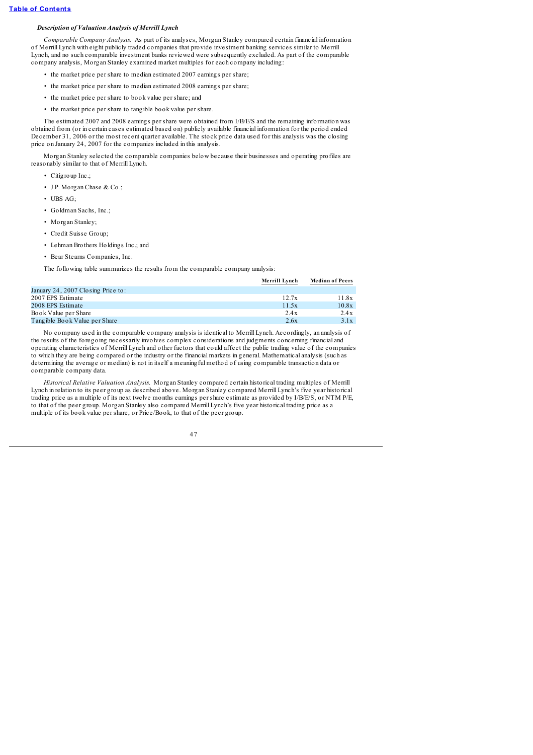# *Description of Valuation Analysis of Merrill Lynch*

*Comparable Company Analysis.* As part of its analyses, Morgan Stanley compared certain financial information of Merrill Lynch with eight publicly traded companies that provide investment banking services similar to Merrill Lynch, and no such comparable investment banks reviewed were subsequently excluded. As part of the comparable company analysis, Morgan Stanley examined market multiples for each company including:

- the market price per share to median estimated 2007 earnings per share;
- the market price per share to median estimated 2008 earnings per share;
- the market price per share to book value per share; and
- the market price per share to tangible book value per share.

The estimated 2007 and 2008 earnings per share were obtained from I/B/E/S and the remaining information was obtained from (or in certain cases estimated based on) publicly available financial information for the period ended December 31, 2006 or the most recent quarter available. The stock price data used for this analysis was the closing price on January 24, 2007 for the companies included in this analysis.

Morgan Stanley selected the comparable companies below because their businesses and operating profiles are reasonably similar to that of Merrill Lynch.

- Citigroup Inc.;
- J.P. Morgan Chase & Co.;
- UBS AG;
- Goldman Sachs, Inc.;
- Morgan Stanley;
- Credit Suisse Group;
- Lehman Brothers Holdings Inc.; and
- Bear Stearns Companies, Inc.

The following table summarizes the results from the comparable company analysis:

|                                    | Merrill Lynch | <b>Median of Peers</b> |
|------------------------------------|---------------|------------------------|
| January 24, 2007 Closing Price to: |               |                        |
| 2007 EPS Estimate                  | 12.7x         | 11.8x                  |
| 2008 EPS Estimate                  | 11.5x         | 10.8x                  |
| Book Value per Share               | 2.4x          | 2.4x                   |
| Tangible Book Value per Share      | 2.6x          | 3.1x                   |

No company used in the comparable company analysis is identical to Merrill Lynch. Accordingly, an analysis of the results of the foregoing necessarily involves complex considerations and judgments concerning financial and operating characteristics of Merrill Lynch and other factors that could affect the public trading value of the companies to which they are being compared or the industry or the financial markets in general. Mathematical analysis (such as determining the average or median) is not in itself a meaningful method of using comparable transaction data or comparable company data.

*Historical Relative Valuation Analysis.* Morgan Stanley compared certain historical trading multiples of Merrill Lynch in relation to its peer group as described above. Morgan Stanley compared Merrill Lynch's five year historical trading price as a multiple of its next twelve months earnings per share estimate as provided by I/B/E/S, or NTM P/E, to that of the peer group. Morgan Stanley also compared Merrill Lynch's five year historical trading price as a multiple of its book value per share, or Price/Book, to that of the peer group.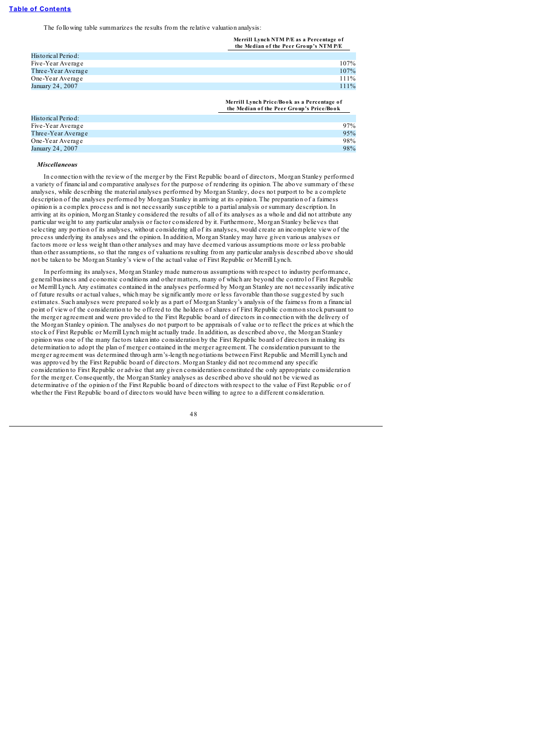The following table summarizes the results from the relative valuation analysis:

**Merrill Lynch NTM P/E as a Percentage o f the Median o f the Peer Gro up's NTM P/E**

| Five-Year Average  | 107%    |
|--------------------|---------|
| Three-Year Average |         |
|                    | 107%    |
| One-Year Average   | $111\%$ |
| January 24, 2007   | 111%    |

**Merrill Lynch Price/Bo o k as a Percentage o f the Median o f the Peer Gro up's Price/Bo o k**

| Historical Period: |     |
|--------------------|-----|
| Five-Year Average  | 97% |
| Three-Year Average | 95% |
| One-Year Average   | 98% |
| January 24, 2007   | 98% |
|                    |     |

### *Miscellaneous*

In connection with the review of the merger by the First Republic board of directors, Morgan Stanley performed a variety of financial and comparative analyses for the purpose of rendering its opinion. The above summary of these analyses, while describing the material analyses performed by Morgan Stanley, does not purport to be a complete description of the analyses performed by Morgan Stanley in arriving at its opinion. The preparation of a fairness opinion is a complex process and is not necessarily susceptible to a partial analysis or summary description. In arriving at its opinion, Morgan Stanley considered the results of all of its analyses as a whole and did not attribute any particular weight to any particular analysis or factor considered by it. Furthermore, Morgan Stanley believes that selecting any portion of its analyses, without considering all of its analyses, would create an incomplete view of the process underlying its analyses and the opinion. In addition, Morgan Stanley may have given various analyses or factors more or less weight than other analyses and may have deemed various assumptions more or less probable than other assumptions, so that the ranges of valuations resulting from any particular analysis described above should not be taken to be Morgan Stanley's view of the actual value of First Republic or Merrill Lynch.

In performing its analyses, Morgan Stanley made numerous assumptions with respect to industry performance, general business and economic conditions and other matters, many of which are beyond the control of First Republic or Merrill Lynch. Any estimates contained in the analyses performed by Morgan Stanley are not necessarily indicative of future results or actual values, which may be significantly more or less favorable than those suggested by such estimates. Such analyses were prepared solely as a part of Morgan Stanley's analysis of the fairness from a financial point of view of the consideration to be offered to the holders of shares of First Republic common stock pursuant to the merger agreement and were provided to the First Republic board of directors in connection with the delivery of the Morgan Stanley opinion. The analyses do not purport to be appraisals of value or to reflect the prices at which the stock of First Republic or Merrill Lynch might actually trade. In addition, as described above, the Morgan Stanley opinion was one of the many factors taken into consideration by the First Republic board of directors in making its determination to adopt the plan of merger contained in the merger agreement. The consideration pursuant to the merger agreement was determined through arm's-length negotiations between First Republic and Merrill Lynch and was approved by the First Republic board of directors. Morgan Stanley did not recommend any specific consideration to First Republic or advise that any given consideration constituted the only appropriate consideration for the merger. Consequently, the Morgan Stanley analyses as described above should not be viewed as determinative of the opinion of the First Republic board of directors with respect to the value of First Republic or of whether the First Republic board of directors would have been willing to agree to a different consideration.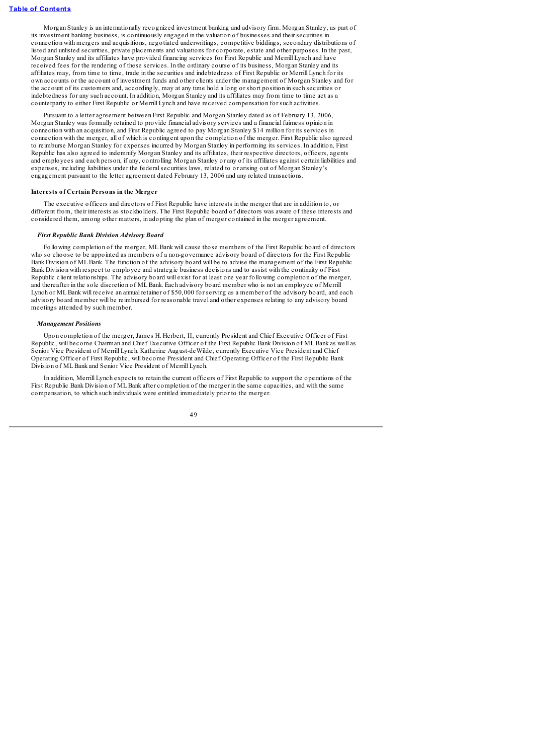Morgan Stanley is an internationally recognized investment banking and advisory firm. Morgan Stanley, as part of its investment banking business, is continuously engaged in the valuation of businesses and their securities in connection with mergers and acquisitions, negotiated underwritings, competitive biddings, secondary distributions of listed and unlisted securities, private placements and valuations for corporate, estate and other purposes. In the past, Morgan Stanley and its affiliates have provided financing services for First Republic and Merrill Lynch and have received fees for the rendering of these services. In the ordinary course of its business, Morgan Stanley and its affiliates may, from time to time, trade in the securities and indebtedness of First Republic or Merrill Lynch for its own accounts or the account of investment funds and other clients under the management of Morgan Stanley and for the account of its customers and, accordingly, may at any time hold a long or short position in such securities or indebtedness for any such account. In addition, Morgan Stanley and its affiliates may from time to time act as a counterparty to either First Republic or Merrill Lynch and have received compensation for such activities.

Pursuant to a letter agreement between First Republic and Morgan Stanley dated as of February 13, 2006, Morgan Stanley was formally retained to provide financial advisory services and a financial fairness opinion in connection with an acquisition, and First Republic agreed to pay Morgan Stanley \$14 million for its services in connection with the merger, all of which is contingent upon the completion of the merger. First Republic also agreed to reimburse Morgan Stanley for expenses incurred by Morgan Stanley in performing its services. In addition, First Republic has also agreed to indemnify Morgan Stanley and its affiliates, their respective directors, officers, agents and employees and each person, if any, controlling Morgan Stanley or any of its affiliates against certain liabilities and expenses, including liabilities under the federalsecurities laws, related to or arising out of Morgan Stanley's engagement pursuant to the letter agreement dated February 13, 2006 and any related transactions.

### **Interests of Certain Persons in the Merger**

The executive officers and directors of First Republic have interests in the merger that are in addition to, or different from, their interests as stockholders. The First Republic board of directors was aware of these interests and considered them, among other matters, in adopting the plan of merger contained in the merger agreement.

#### *First Republic Bank Division Advisory Board*

Following completion of the merger, MLBank will cause those members of the First Republic board of directors who so choose to be appointed as members of a non-governance advisory board of directors for the First Republic Bank Division of MLBank. The function of the advisory board will be to advise the management of the First Republic Bank Division with respect to employee and strategic business decisions and to assist with the continuity of First Republic client relationships. The advisory board will exist for at least one year following completion of the merger, and thereafter in the sole discretion of MLBank. Each advisory board member who is not an employee of Merrill Lynch or ML Bank will receive an annual retainer of \$50,000 for serving as a member of the advisory board, and each advisory board member will be reimbursed for reasonable travel and other expenses relating to any advisory board meetings attended by such member.

### *Management Positions*

Upon completion of the merger, James H. Herbert, II, currently President and Chief Executive Officer of First Republic, will become Chairman and Chief Executive Officer of the First Republic Bank Division of MLBank as well as Senior Vice President of Merrill Lynch. Katherine August-deWilde, currently Executive Vice President and Chief Operating Officer of First Republic, will become President and Chief Operating Officer of the First Republic Bank Division of MLBank and Senior Vice President of Merrill Lynch.

In addition, Merrill Lynch expects to retain the current officers of First Republic to support the operations of the First Republic Bank Division of MLBank after completion of the merger in the same capacities, and with the same compensation, to which such individuals were entitled immediately prior to the merger.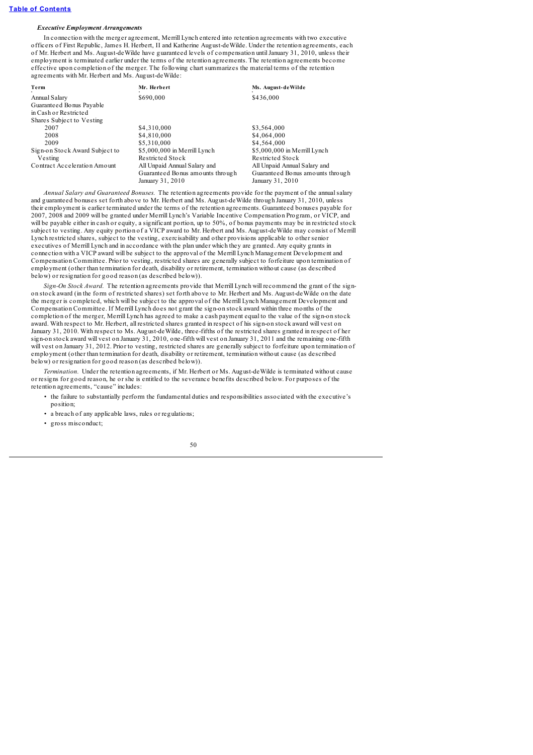# *Executive Employment Arrangements*

In connection with the merger agreement, Merrill Lynch entered into retention agreements with two executive officers of First Republic, James H. Herbert, II and Katherine August-deWilde. Under the retention agreements, each of Mr. Herbert and Ms. August-deWilde have guaranteed levels of compensation untilJanuary 31, 2010, unless their employment is terminated earlier under the terms of the retention agreements. The retention agreements become effective upon completion of the merger. The following chart summarizes the material terms of the retention agreements with Mr. Herbert and Ms. August-deWilde:

| Term                           | Mr. Herbert                      | Ms. August-deWilde               |
|--------------------------------|----------------------------------|----------------------------------|
| Annual Salary                  | \$690,000                        | \$436,000                        |
| Guaranteed Bonus Payable       |                                  |                                  |
| in Cash or Restricted          |                                  |                                  |
| Shares Subject to Vesting      |                                  |                                  |
| 2007                           | \$4,310,000                      | \$3,564,000                      |
| 2008                           | \$4,810,000                      | \$4,064,000                      |
| 2009                           | \$5,310,000                      | \$4,564,000                      |
| Sign-on Stock Award Subject to | \$5,000,000 in Merrill Lynch     | \$5,000,000 in Merrill Lynch     |
| Vesting                        | Restricted Stock                 | Restricted Stock                 |
| Contract Acceleration Amount   | All Unpaid Annual Salary and     | All Unpaid Annual Salary and     |
|                                | Guaranteed Bonus amounts through | Guaranteed Bonus amounts through |
|                                | January 31, 2010                 | January 31, 2010                 |

*Annual Salary and Guaranteed Bonuses.* The retention agreements provide for the payment of the annualsalary and guaranteed bonuses set forth above to Mr. Herbert and Ms. August-deWilde through January 31, 2010, unless their employment is earlier terminated under the terms of the retention agreements. Guaranteed bonuses payable for 2007, 2008 and 2009 will be granted under Merrill Lynch's Variable Incentive Compensation Program, or VICP, and will be payable either in cash or equity, a significant portion, up to 50%, of bonus payments may be in restricted stock subject to vesting. Any equity portion of a VICP award to Mr. Herbert and Ms. August-deWilde may consist of Merrill Lynch restricted shares, subject to the vesting, exercisability and other provisions applicable to other senior executives of Merrill Lynch and in accordance with the plan under which they are granted. Any equity grants in connection with a VICP award will be subject to the approval of the Merrill Lynch Management Development and Compensation Committee. Prior to vesting, restricted shares are generally subject to forfeiture upon termination of employment (other than termination for death, disability or retirement, termination without cause (as described below) or resignation for good reason (as described below)).

*Sign-On Stock Award.* The retention agreements provide that Merrill Lynch will recommend the grant of the signon stock award (in the form of restricted shares) set forth above to Mr. Herbert and Ms. August-deWilde on the date the merger is completed, which will be subject to the approval of the Merrill Lynch Management Development and Compensation Committee. If Merrill Lynch does not grant the sign-on stock award within three months of the completion of the merger, Merrill Lynch has agreed to make a cash payment equal to the value of the sign-on stock award. With respect to Mr. Herbert, all restricted shares granted in respect of his sign-on stock award will vest on January 31, 2010. With respect to Ms. August-deWilde, three-fifths of the restricted shares granted in respect of her sign-on stock award will vest on January 31, 2010, one-fifth will vest on January 31, 2011 and the remaining one-fifth will vest on January 31, 2012. Prior to vesting, restricted shares are generally subject to forfeiture upon termination of employment (other than termination for death, disability or retirement, termination without cause (as described below) or resignation for good reason (as described below)).

*Termination.* Under the retention agreements, if Mr. Herbert or Ms. August-deWilde is terminated without cause or resigns for good reason, he or she is entitled to the severance benefits described below. For purposes of the retention agreements, "cause" includes:

- the failure to substantially perform the fundamental duties and responsibilities associated with the executive's position;
- a breach of any applicable laws, rules or regulations:
- gross misconduct;

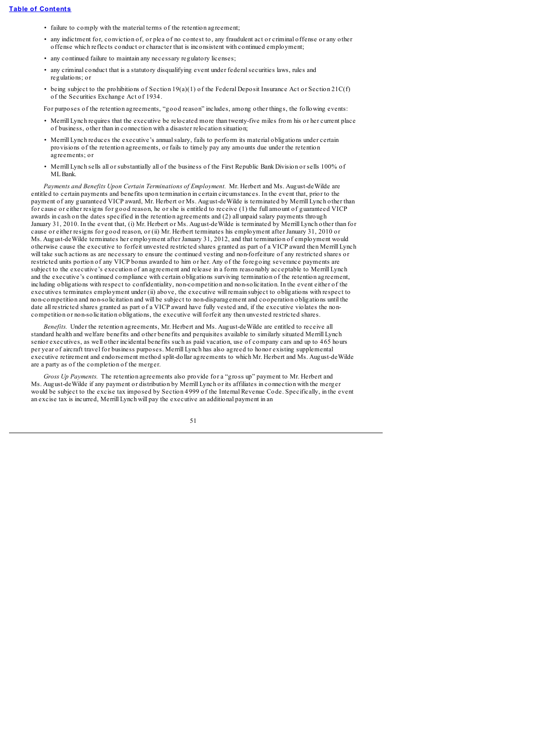- failure to comply with the material terms of the retention agreement;
- any indictment for, conviction of, or plea of no contest to, any fraudulent act or criminal offense or any other offense which reflects conduct or character that is inconsistent with continued employment;
- any continued failure to maintain any necessary regulatory licenses;
- any criminal conduct that is a statutory disqualifying event under federalsecurities laws, rules and regulations; or
- being subject to the prohibitions of Section 19(a)(1) of the Federal Deposit Insurance Act or Section 21 $C(f)$ of the Securities Exchange Act of 1934.

For purposes of the retention agreements, "good reason" includes, among other things, the following events:

- Merrill Lynch requires that the executive be relocated more than twenty-five miles from his or her current place of business, other than in connection with a disaster relocation situation;
- Merrill Lynch reduces the executive's annualsalary, fails to perform its material obligations under certain provisions of the retention agreements, or fails to timely pay any amounts due under the retention agreements; or
- Merrill Lynch sells all or substantially all of the business of the First Republic Bank Division or sells 100% of MLBank.

*Payments and Benefits Upon Certain Terminations of Employment.* Mr. Herbert and Ms. August-deWilde are entitled to certain payments and benefits upon termination in certain circumstances. In the event that, prior to the payment of any guaranteed VICP award, Mr. Herbert or Ms. August-deWilde is terminated by Merrill Lynch other than for cause or either resigns for good reason, he or she is entitled to receive (1) the full amount of guaranteed VICP awards in cash on the dates specified in the retention agreements and (2) all unpaid salary payments through January 31, 2010. In the event that, (i) Mr. Herbert or Ms. August-deWilde is terminated by Merrill Lynch other than for cause or either resigns for good reason, or (ii) Mr. Herbert terminates his employment after January 31, 2010 or Ms. August-deWilde terminates her employment after January 31, 2012, and that termination of employment would otherwise cause the executive to forfeit unvested restricted shares granted as part of a VICP award then Merrill Lynch will take such actions as are necessary to ensure the continued vesting and non-forfeiture of any restricted shares or restricted units portion of any VICP bonus awarded to him or her. Any of the foregoing severance payments are subject to the executive's execution of an agreement and release in a form reasonably acceptable to Merrill Lynch and the executive's continued compliance with certain obligations surviving termination of the retention agreement, including obligations with respect to confidentiality, non-competition and non-solicitation. In the event either of the executives terminates employment under (ii) above, the executive will remain subject to obligations with respect to non-competition and non-solicitation and will be subject to non-disparagement and cooperation obligations until the date all restricted shares granted as part of a VICP award have fully vested and, if the executive violates the noncompetition or non-solicitation obligations, the executive will forfeit any then unvested restricted shares.

*Benefits.* Under the retention agreements, Mr. Herbert and Ms. August-deWilde are entitled to receive all standard health and welfare benefits and other benefits and perquisites available to similarly situated Merrill Lynch senior executives, as well other incidental benefits such as paid vacation, use of company cars and up to 465 hours per year of aircraft travel for business purposes. Merrill Lynch has also agreed to honor existing supplemental executive retirement and endorsement method split-dollar agreements to which Mr. Herbert and Ms. August-deWilde are a party as of the completion of the merger.

*Gross Up Payments.* The retention agreements also provide for a "gross up" payment to Mr. Herbert and Ms. August-deWilde if any payment or distribution by Merrill Lynch or its affiliates in connection with the merger would be subject to the excise tax imposed by Section 4999 of the Internal Revenue Code. Specifically, in the event an excise tax is incurred, Merrill Lynch will pay the executive an additional payment in an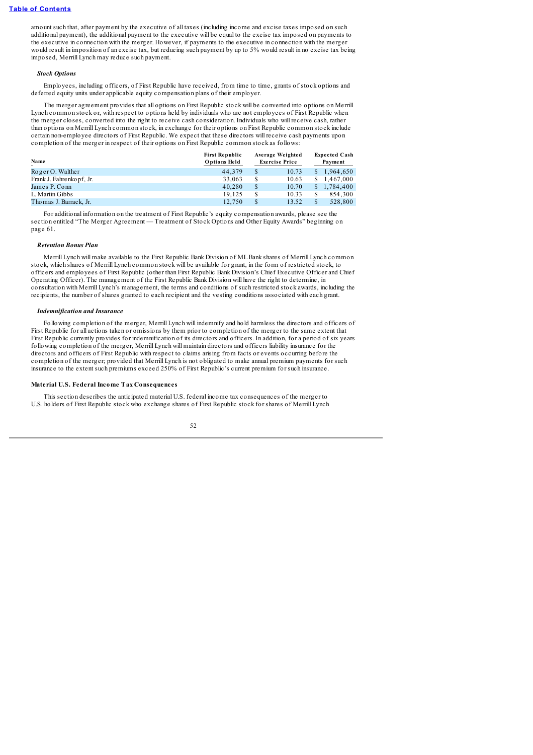amount such that, after payment by the executive of all taxes (including income and excise taxes imposed on such additional payment), the additional payment to the executive will be equal to the excise tax imposed on payments to the executive in connection with the merger. However, if payments to the executive in connection with the merger would result in imposition of an excise tax, but reducing such payment by up to 5% would result in no excise tax being imposed, Merrill Lynch may reduce such payment.

### *Stock Options*

Employees, including officers, of First Republic have received, from time to time, grants of stock options and deferred equity units under applicable equity compensation plans of their employer.

The merger agreement provides that all options on First Republic stock will be converted into options on Merrill Lynch common stock or, with respect to options held by individuals who are not employees of First Republic when the merger closes, converted into the right to receive cash consideration. Individuals who will receive cash, rather than options on Merrill Lynch common stock, in exchange for their options on First Republic common stock include certain non-employee directors of First Republic. We expect that these directors will receive cash payments upon completion of the merger in respect of their options on First Republic common stock as follows:

| Name                      | <b>First Republic</b><br>Options Held | Average Weighted<br><b>Exercise Price</b> |       | <b>Expected Cash</b><br>Payment |             |
|---------------------------|---------------------------------------|-------------------------------------------|-------|---------------------------------|-------------|
| $RogerO.$ Walther         | 44,379                                | \$                                        | 10.73 | S.                              | 1.964.650   |
| Frank J. Fahrenko pf, Jr. | 33,063                                | \$                                        | 10.63 |                                 | \$1.467,000 |
| James P. Conn             | 40.280                                | \$                                        | 10.70 |                                 | \$1,784,400 |
| L. Martin Gibbs           | 19.125                                | S                                         | 10.33 | \$                              | 854,300     |
| Thomas J. Barrack, Jr.    | 12.750                                | \$                                        | 13.52 |                                 | 528,800     |

For additional information on the treatment of First Republic's equity compensation awards, please see the section entitled "The Merger Agreement — Treatment of Stock Options and Other Equity Awards" beginning on page 61.

### *Retention Bonus Plan*

Merrill Lynch will make available to the First Republic Bank Division of MLBank shares of Merrill Lynch common stock, which shares of Merrill Lynch common stock will be available for grant, in the form of restricted stock, to officers and employees of First Republic (other than First Republic Bank Division's Chief Executive Officer and Chief Operating Officer). The management of the First Republic Bank Division will have the right to determine, in consultation with Merrill Lynch's management, the terms and conditions of such restricted stock awards, including the recipients, the number of shares granted to each recipient and the vesting conditions associated with each grant.

### *Indemnification and Insurance*

Following completion of the merger, Merrill Lynch will indemnify and hold harmless the directors and officers of First Republic for all actions taken or omissions by them prior to completion of the merger to the same extent that First Republic currently provides for indemnification of its directors and officers. In addition, for a period of six years following completion of the merger, Merrill Lynch will maintain directors and officers liability insurance for the directors and officers of First Republic with respect to claims arising from facts or events occurring before the completion of the merger; provided that Merrill Lynch is not obligated to make annual premium payments for such insurance to the extent such premiums exceed 250% of First Republic's current premium for such insurance.

### **Material U.S. Federal Income Tax Consequences**

This section describes the anticipated material U.S. federal income tax consequences of the merger to U.S. holders of First Republic stock who exchange shares of First Republic stock for shares of Merrill Lynch

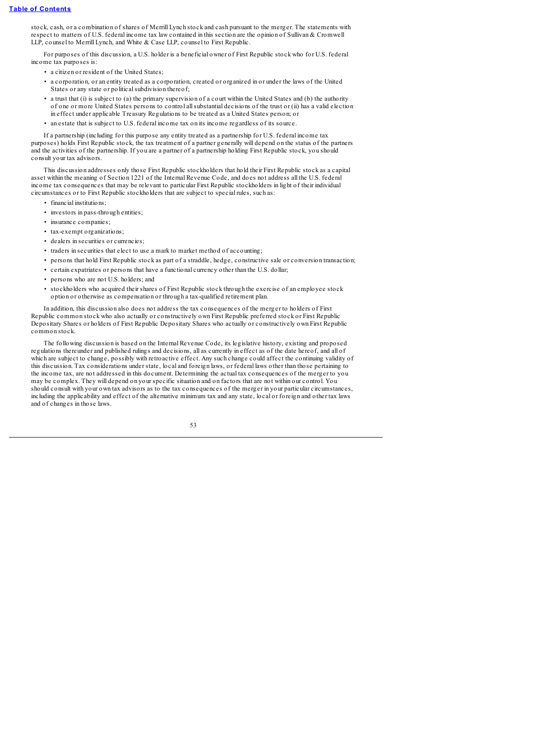stock, cash, or a combination of shares of Merrill Lynch stock and cash pursuant to the merger. The statements with respect to matters of U.S. federal income tax law contained in this section are the opinion of Sullivan & Cromwell LLP, counsel to Merrill Lynch, and White & Case LLP, counsel to First Republic.

For purposes of this discussion, a U.S. holder is a beneficial owner of First Republic stock who for U.S. federal income tax purposes is:

• a citizen or resident of the United States;

- a corporation, or an entity treated as a corporation, created or organized in or under the laws of the United States or any state or political subdivision thereof;
- a trust that (i) is subject to (a) the primary supervision of a court within the United States and (b) the authority of one or more United States persons to control allsubstantial decisions of the trust or (ii) has a valid election in effect under applicable Treasury Regulations to be treated as a United States person; or
- an estate that is subject to U.S. federal income tax on its income regardless of its source.

If a partnership (including for this purpose any entity treated as a partnership for U.S. federal income tax purposes) holds First Republic stock, the tax treatment of a partner generally will depend on the status of the partners and the activities of the partnership. If you are a partner of a partnership holding First Republic stock, you should consult your tax advisors.

This discussion addresses only those First Republic stockholders that hold their First Republic stock as a capital asset within the meaning of Section 1221 of the Internal Revenue Code, and does not address all the U.S. federal income tax consequences that may be relevant to particular First Republic stockholders in light of their individual circumstances or to First Republic stockholders that are subject to special rules, such as:

- financial institutions;
- investors in pass-through entities;
- insurance companies;
- tax-exempt organizations;
- dealers in securities or currencies;
- traders in securities that elect to use a mark to market method of accounting;
- persons that hold First Republic stock as part of a straddle, hedge, constructive sale or conversion transaction;
- certain expatriates or persons that have a functional currency other than the U.S. dollar;
- persons who are not U.S. holders; and
- stockholders who acquired their shares of First Republic stock through the exercise of an employee stock option or otherwise as compensation or through a tax-qualified retirement plan.

In addition, this discussion also does not address the tax consequences of the merger to holders of First Republic common stock who also actually or constructively own First Republic preferred stock or First Republic Depositary Shares or holders of First Republic Depositary Shares who actually or constructively own First Republic common stock.

The following discussion is based on the Internal Revenue Code, its legislative history, existing and proposed regulations thereunder and published rulings and decisions, all as currently in effect as of the date hereof, and all of which are subject to change, possibly with retroactive effect. Any such change could affect the continuing validity of this discussion. Tax considerations under state, local and foreign laws, or federal laws other than those pertaining to the income tax, are not addressed in this document. Determining the actual tax consequences of the merger to you may be complex. They will depend on your specific situation and on factors that are not within our control. You should consult with your own tax advisors as to the tax consequences of the merger in your particular circumstances, including the applicability and effect of the alternative minimum tax and any state, local or foreign and other tax laws and of changes in those laws.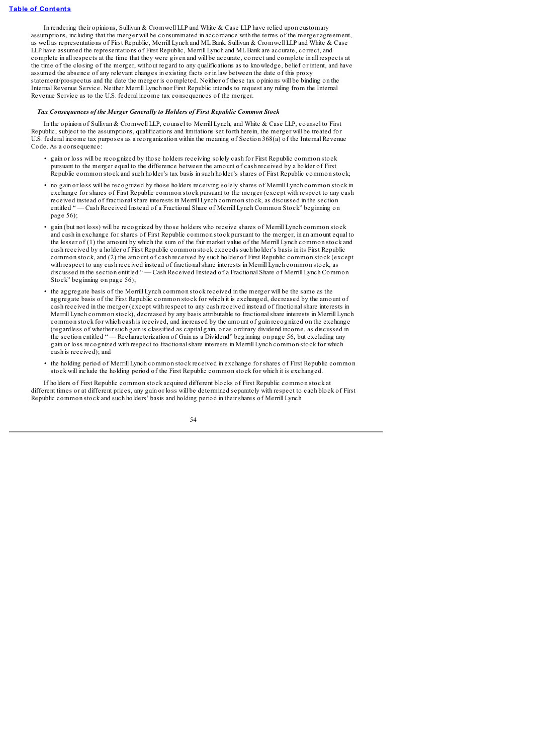In rendering their opinions, Sullivan & Cromwell LLP and White & Case LLP have relied upon customary assumptions, including that the merger will be consummated in accordance with the terms of the merger agreement, as well as representations of First Republic, Merrill Lynch and MLBank. Sullivan & Cromwell LLP and White & Case LLP have assumed the representations of First Republic, Merrill Lynch and MLBank are accurate, correct, and complete in all respects at the time that they were given and will be accurate, correct and complete in all respects at the time of the closing of the merger, without regard to any qualifications as to knowledge, belief or intent, and have assumed the absence of any relevant changes in existing facts or in law between the date of this proxy statement/prospectus and the date the merger is completed. Neither of these tax opinions will be binding on the Internal Revenue Service. Neither Merrill Lynch nor First Republic intends to request any ruling from the Internal Revenue Service as to the U.S. federal income tax consequences of the merger.

## *Tax Consequences of the Merger Generally to Holders of First Republic Common Stock*

In the opinion of Sullivan & Cromwell LLP, counsel to Merrill Lynch, and White & Case LLP, counsel to First Republic, subject to the assumptions, qualifications and limitations set forth herein, the merger will be treated for U.S. federal income tax purposes as a reorganization within the meaning of Section 368(a) of the Internal Revenue Code. As a consequence:

- gain or loss will be recognized by those holders receiving solely cash for First Republic common stock pursuant to the merger equal to the difference between the amount of cash received by a holder of First Republic common stock and such holder's tax basis in such holder's shares of First Republic common stock;
- no gain or loss will be recognized by those holders receiving solely shares of Merrill Lynch common stock in exchange for shares of First Republic common stock pursuant to the merger (except with respect to any cash received instead of fractionalshare interests in Merrill Lynch common stock, as discussed in the section entitled " — Cash Received Instead of a Fractional Share of Merrill Lynch Common Stock" beginning on page 56);
- gain (but not loss) will be recognized by those holders who receive shares of Merrill Lynch common stock and cash in exchange for shares of First Republic common stock pursuant to the merger, in an amount equal to the lesser of (1) the amount by which the sum of the fair market value of the Merrill Lynch common stock and cash received by a holder of First Republic common stock exceeds such holder's basis in its First Republic common stock, and (2) the amount of cash received by such holder of First Republic common stock (except with respect to any cash received instead of fractionalshare interests in Merrill Lynch common stock, as discussed in the section entitled " — Cash Received Instead of a Fractional Share of Merrill Lynch Common Stock" beginning on page 56);
- the aggregate basis of the Merrill Lynch common stock received in the merger will be the same as the aggregate basis of the First Republic common stock for which it is exchanged, decreased by the amount of cash received in the merger (except with respect to any cash received instead of fractionalshare interests in Merrill Lynch common stock), decreased by any basis attributable to fractionalshare interests in Merrill Lynch common stock for which cash is received, and increased by the amount of gain recognized on the exchange (regardless of whether such gain is classified as capital gain, or as ordinary dividend income, as discussed in the section entitled " — Recharacterization of Gain as a Dividend" beginning on page 56, but excluding any gain or loss recognized with respect to fractionalshare interests in Merrill Lynch common stock for which cash is received); and
- the holding period of Merrill Lynch common stock received in exchange for shares of First Republic common stock will include the holding period of the First Republic common stock for which it is exchanged.

If holders of First Republic common stock acquired different blocks of First Republic common stock at different times or at different prices, any gain or loss will be determined separately with respect to each block of First Republic common stock and such holders' basis and holding period in their shares of Merrill Lynch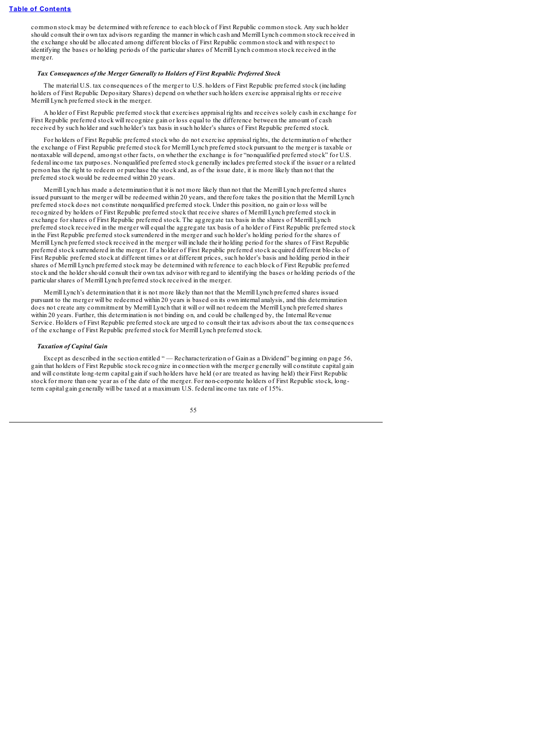common stock may be determined with reference to each block of First Republic common stock. Any such holder should consult their own tax advisors regarding the manner in which cash and Merrill Lynch common stock received in the exchange should be allocated among different blocks of First Republic common stock and with respect to identifying the bases or holding periods of the particular shares of Merrill Lynch common stock received in the merger.

## *Tax Consequences of the Merger Generally to Holders of First Republic Preferred Stock*

The material U.S. tax consequences of the merger to U.S. holders of First Republic preferred stock (including holders of First Republic Depositary Shares) depend on whether such holders exercise appraisal rights or receive Merrill Lynch preferred stock in the merger.

A holder of First Republic preferred stock that exercises appraisal rights and receives solely cash in exchange for First Republic preferred stock will recognize gain or loss equal to the difference between the amount of cash received by such holder and such holder's tax basis in such holder's shares of First Republic preferred stock.

For holders of First Republic preferred stock who do not exercise appraisal rights, the determination of whether the exchange of First Republic preferred stock for Merrill Lynch preferred stock pursuant to the merger is taxable or nontaxable will depend, amongst other facts, on whether the exchange is for "nonqualified preferred stock" for U.S. federal income tax purposes. Nonqualified preferred stock generally includes preferred stock if the issuer or a related person has the right to redeem or purchase the stock and, as of the issue date, it is more likely than not that the preferred stock would be redeemed within 20 years.

Merrill Lynch has made a determination that it is not more likely than not that the Merrill Lynch preferred shares issued pursuant to the merger will be redeemed within 20 years, and therefore takes the position that the Merrill Lynch preferred stock does not constitute nonqualified preferred stock. Under this position, no gain or loss will be recognized by holders of First Republic preferred stock that receive shares of Merrill Lynch preferred stock in exchange for shares of First Republic preferred stock. The aggregate tax basis in the shares of Merrill Lynch preferred stock received in the merger will equal the aggregate tax basis of a holder of First Republic preferred stock in the First Republic preferred stock surrendered in the merger and such holder's holding period for the shares of Merrill Lynch preferred stock received in the merger will include their holding period for the shares of First Republic preferred stock surrendered in the merger. If a holder of First Republic preferred stock acquired different blocks of First Republic preferred stock at different times or at different prices, such holder's basis and holding period in their shares of Merrill Lynch preferred stock may be determined with reference to each block of First Republic preferred stock and the holder should consult their own tax advisor with regard to identifying the bases or holding periods of the particular shares of Merrill Lynch preferred stock received in the merger.

Merrill Lynch's determination that it is not more likely than not that the Merrill Lynch preferred shares issued pursuant to the merger will be redeemed within 20 years is based on its own internal analysis, and this determination does not create any commitment by Merrill Lynch that it will or will not redeem the Merrill Lynch preferred shares within 20 years. Further, this determination is not binding on, and could be challenged by, the Internal Revenue Service. Holders of First Republic preferred stock are urged to consult their tax advisors about the tax consequences of the exchange of First Republic preferred stock for Merrill Lynch preferred stock.

### *Taxation of Capital Gain*

Except as described in the section entitled " — Recharacterization of Gain as a Dividend" beginning on page 56, gain that holders of First Republic stock recognize in connection with the merger generally will constitute capital gain and will constitute long-term capital gain if such holders have held (or are treated as having held) their First Republic stock for more than one year as of the date of the merger. For non-corporate holders of First Republic stock, longterm capital gain generally will be taxed at a maximum U.S. federal income tax rate of 15%.

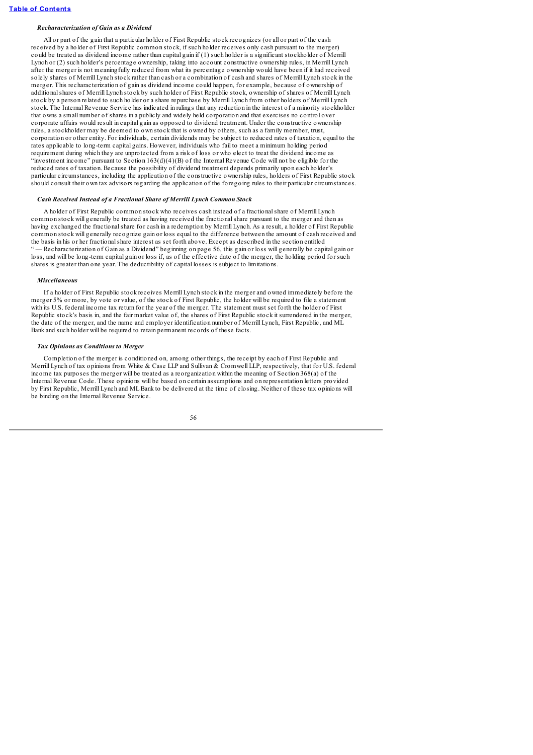## *Recharacterization of Gain as a Dividend*

All or part of the gain that a particular holder of First Republic stock recognizes (or all or part of the cash received by a holder of First Republic common stock, if such holder receives only cash pursuant to the merger) could be treated as dividend income rather than capital gain if (1) such holder is a significant stockholder of Merrill Lynch or (2) such holder's percentage ownership, taking into account constructive ownership rules, in Merrill Lynch after the merger is not meaningfully reduced from what its percentage ownership would have been if it had received solely shares of Merrill Lynch stock rather than cash or a combination of cash and shares of Merrill Lynch stock in the merger. This recharacterization of gain as dividend income could happen, for example, because of ownership of additionalshares of Merrill Lynch stock by such holder of First Republic stock, ownership of shares of Merrill Lynch stock by a person related to such holder or a share repurchase by Merrill Lynch from other holders of Merrill Lynch stock. The Internal Revenue Service has indicated in rulings that any reduction in the interest of a minority stockholder that owns a small number of shares in a publicly and widely held corporation and that exercises no control over corporate affairs would result in capital gain as opposed to dividend treatment. Under the constructive ownership rules, a stockholder may be deemed to own stock that is owned by others, such as a family member, trust, corporation or other entity. For individuals, certain dividends may be subject to reduced rates of taxation, equal to the rates applicable to long-term capital gains. However, individuals who fail to meet a minimum holding period requirement during which they are unprotected from a risk of loss or who elect to treat the dividend income as "investment income" pursuant to Section 163(d)(4)(B) of the Internal Revenue Code will not be eligible for the reduced rates of taxation. Because the possibility of dividend treatment depends primarily upon each holder's particular circumstances, including the application of the constructive ownership rules, holders of First Republic stock should consult their own tax advisors regarding the application of the foregoing rules to their particular circumstances.

## *Cash Received Instead of a Fractional Share of Merrill Lynch Common Stock*

A holder of First Republic common stock who receives cash instead of a fractionalshare of Merrill Lynch common stock will generally be treated as having received the fractionalshare pursuant to the merger and then as having exchanged the fractionalshare for cash in a redemption by Merrill Lynch. As a result, a holder of First Republic common stock will generally recognize gain or loss equal to the difference between the amount of cash received and the basis in his or her fractionalshare interest as set forth above. Except as described in the section entitled " — Recharacterization of Gain as a Dividend" beginning on page 56, this gain or loss will generally be capital gain or loss, and will be long-term capital gain or loss if, as of the effective date of the merger, the holding period for such shares is greater than one year. The deductibility of capital losses is subject to limitations.

#### *Miscellaneous*

If a holder of First Republic stock receives Merrill Lynch stock in the merger and owned immediately before the merger 5% or more, by vote or value, of the stock of First Republic, the holder will be required to file a statement with its U.S. federal income tax return for the year of the merger. The statement must set forth the holder of First Republic stock's basis in, and the fair market value of, the shares of First Republic stock it surrendered in the merger, the date of the merger, and the name and employer identification number of Merrill Lynch, First Republic, and ML Bank and such holder will be required to retain permanent records of these facts.

#### *Tax Opinions as Conditions to Merger*

Completion of the merger is conditioned on, among other things, the receipt by each of First Republic and Merrill Lynch of tax opinions from White & Case LLP and Sullivan & Cromwell LLP, respectively, that for U.S. federal income tax purposes the merger will be treated as a reorganization within the meaning of Section 368(a) of the Internal Revenue Code. These opinions will be based on certain assumptions and on representation letters provided by First Republic, Merrill Lynch and MLBank to be delivered at the time of closing. Neither of these tax opinions will be binding on the Internal Revenue Service.

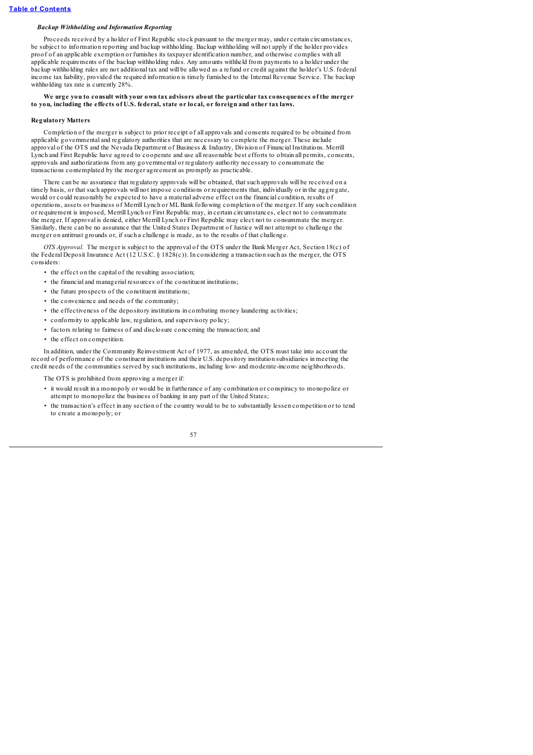# *Backup Withholding and Information Reporting*

Proceeds received by a holder of First Republic stock pursuant to the merger may, under certain circumstances, be subject to information reporting and backup withholding. Backup withholding will not apply if the holder provides proof of an applicable exemption or furnishes its taxpayer identification number, and otherwise complies with all applicable requirements of the backup withholding rules. Any amounts withheld from payments to a holder under the backup withholding rules are not additional tax and will be allowed as a refund or credit against the holder's U.S. federal income tax liability, provided the required information is timely furnished to the Internal Revenue Service. The backup withholding tax rate is currently 28%.

# .<br>We urge vou to consult with your own tax advisors about the particular tax consequences of the merger **to you, including the effects of U.S. federal, state or local, or foreign and other tax laws.**

### **Regulatory Matters**

Completion of the merger is subject to prior receipt of all approvals and consents required to be obtained from applicable governmental and regulatory authorities that are necessary to complete the merger. These include approval of the OTS and the Nevada Department of Business & Industry, Division of Financial Institutions. Merrill Lynch and First Republic have agreed to cooperate and use all reasonable best efforts to obtain all permits, consents, approvals and authorizations from any governmental or regulatory authority necessary to consummate the transactions contemplated by the merger agreement as promptly as practicable.

There can be no assurance that regulatory approvals will be obtained, that such approvals will be received on a timely basis, or that such approvals will not impose conditions or requirements that, individually or in the aggregate, would or could reasonably be expected to have a material adverse effect on the financial condition, results of operations, assets or business of Merrill Lynch or MLBank following completion of the merger. If any such condition or requirement is imposed, Merrill Lynch or First Republic may, in certain circumstances, elect not to consummate the merger. If approval is denied, either Merrill Lynch or First Republic may elect not to consummate the merger. Similarly, there can be no assurance that the United States Department of Justice will not attempt to challenge the merger on antitrust grounds or, if such a challenge is made, as to the results of that challenge.

*OTS Approval.* The merger is subject to the approval of the OTS under the Bank Merger Act, Section 18(c) of the Federal Deposit Insurance Act (12 U.S.C. § 1828(c)). In considering a transaction such as the merger, the OTS considers:

- the effect on the capital of the resulting association;
- the financial and managerial resources of the constituent institutions;
- the future prospects of the constituent institutions;
- the convenience and needs of the community;
- the effectiveness of the depository institutions in combating money laundering activities;
- conformity to applicable law, regulation, and supervisory policy;
- factors relating to fairness of and disclosure concerning the transaction; and
- the effect on competition.

In addition, under the Community Reinvestment Act of 1977, as amended, the OTS must take into account the record of performance of the constituent institutions and their U.S. depository institution subsidiaries in meeting the credit needs of the communities served by such institutions, including low- and moderate-income neighborhoods.

The OTS is prohibited from approving a merger if:

- it would result in a monopoly or would be in furtherance of any combination or conspiracy to monopolize or attempt to monopolize the business of banking in any part of the United States;
- the transaction's effect in any section of the country would to be to substantially lessen competition or to tend to create a monopoly; or

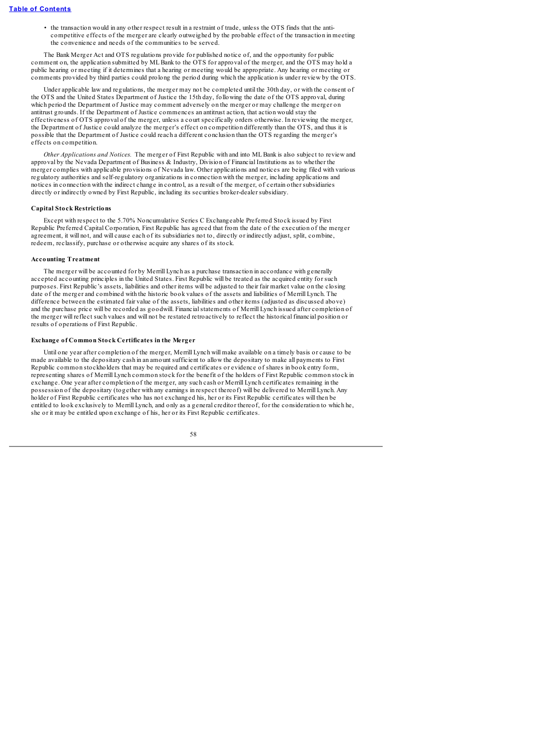• the transaction would in any other respect result in a restraint of trade, unless the OTS finds that the anticompetitive effects of the merger are clearly outweighed by the probable effect of the transaction in meeting the convenience and needs of the communities to be served.

The Bank Merger Act and OTS regulations provide for published notice of, and the opportunity for public comment on, the application submitted by MLBank to the OTS for approval of the merger, and the OTS may hold a public hearing or meeting if it determines that a hearing or meeting would be appropriate. Any hearing or meeting or comments provided by third parties could prolong the period during which the application is under review by the OTS.

Under applicable law and regulations, the merger may not be completed until the 30th day, or with the consent of the OTS and the United States Department of Justice the 15th day, following the date of the OTS approval, during which period the Department of Justice may comment adversely on the merger or may challenge the merger on antitrust grounds. If the Department of Justice commences an antitrust action, that action would stay the effectiveness of OTS approval of the merger, unless a court specifically orders otherwise. In reviewing the merger, the Department of Justice could analyze the merger's effect on competition differently than the OTS, and thus it is possible that the Department of Justice could reach a different conclusion than the OTS regarding the merger's effects on competition.

*Other Applications and Notices.* The merger of First Republic with and into MLBank is also subject to review and approval by the Nevada Department of Business & Industry, Division of Financial Institutions as to whether the merger complies with applicable provisions of Nevada law. Other applications and notices are being filed with various regulatory authorities and self-regulatory organizations in connection with the merger, including applications and notices in connection with the indirect change in control, as a result of the merger, of certain other subsidiaries directly or indirectly owned by First Republic, including its securities broker-dealer subsidiary.

### **Capital Stock Restrictions**

Except with respect to the 5.70% Noncumulative Series C Exchangeable Preferred Stock issued by First Republic Preferred Capital Corporation, First Republic has agreed that from the date of the execution of the merger agreement, it will not, and will cause each of its subsidiaries not to, directly or indirectly adjust, split, combine, redeem, reclassify, purchase or otherwise acquire any shares of its stock.

# **Accounting Treatment**

The merger will be accounted for by Merrill Lynch as a purchase transaction in accordance with generally accepted accounting principles in the United States. First Republic will be treated as the acquired entity for such purposes. First Republic's assets, liabilities and other items will be adjusted to their fair market value on the closing date of the merger and combined with the historic book values of the assets and liabilities of Merrill Lynch. The difference between the estimated fair value of the assets, liabilities and other items (adjusted as discussed above) and the purchase price will be recorded as goodwill. Financialstatements of Merrill Lynch issued after completion of the merger will reflect such values and will not be restated retroactively to reflect the historical financial position or results of operations of First Republic.

# **Exchange of Common Stock Certificates in the Merger**

Until one year after completion of the merger, Merrill Lynch will make available on a timely basis or cause to be made available to the depositary cash in an amount sufficient to allow the depositary to make all payments to First Republic common stockholders that may be required and certificates or evidence of shares in book entry form, representing shares of Merrill Lynch common stock for the benefit of the holders of First Republic common stock in exchange. One year after completion of the merger, any such cash or Merrill Lynch certificates remaining in the possession of the depositary (together with any earnings in respect thereof) will be delivered to Merrill Lynch. Any holder of First Republic certificates who has not exchanged his, her or its First Republic certificates will then be entitled to look exclusively to Merrill Lynch, and only as a general creditor thereof, for the consideration to which he, she or it may be entitled upon exchange of his, her or its First Republic certificates.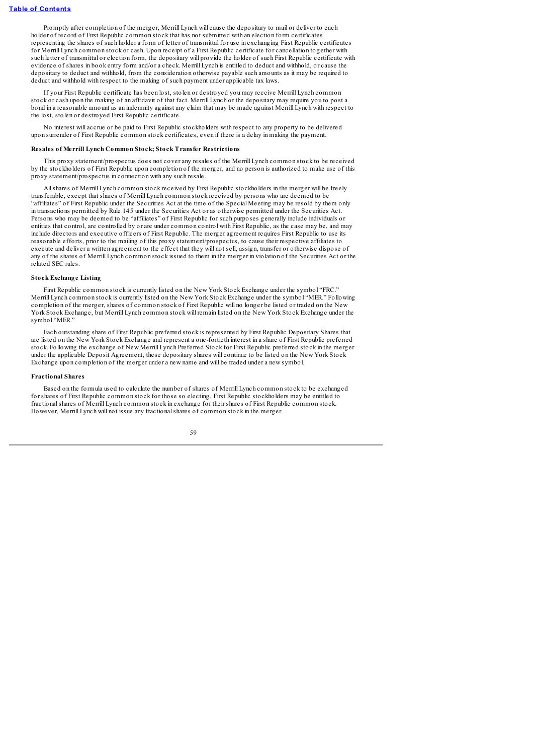Promptly after completion of the merger, Merrill Lynch will cause the depositary to mail or deliver to each holder of record of First Republic common stock that has not submitted with an election form certificates representing the shares of such holder a form of letter of transmittal for use in exchanging First Republic certificates for Merrill Lynch common stock or cash. Upon receipt of a First Republic certificate for cancellation together with such letter of transmittal or election form, the depositary will provide the holder of such First Republic certificate with evidence of shares in book entry form and/or a check. Merrill Lynch is entitled to deduct and withhold, or cause the depositary to deduct and withhold, from the consideration otherwise payable such amounts as it may be required to deduct and withhold with respect to the making of such payment under applicable tax laws.

If your First Republic certificate has been lost, stolen or destroyed you may receive Merrill Lynch common stock or cash upon the making of an affidavit of that fact. Merrill Lynch or the depositary may require you to post a bond in a reasonable amount as an indemnity against any claim that may be made against Merrill Lynch with respect to the lost, stolen or destroyed First Republic certificate.

No interest will accrue or be paid to First Republic stockholders with respect to any property to be delivered upon surrender of First Republic common stock certificates, even if there is a delay in making the payment.

#### **Resales of Merrill Lynch Common Stock; Stock Transfer Restrictions**

This proxy statement/prospectus does not cover any resales of the Merrill Lynch common stock to be received by the stockholders of First Republic upon completion of the merger, and no person is authorized to make use of this proxy statement/prospectus in connection with any such resale.

Allshares of Merrill Lynch common stock received by First Republic stockholders in the merger will be freely transferable, except that shares of Merrill Lynch common stock received by persons who are deemed to be "affiliates" of First Republic under the Securities Act at the time of the Special Meeting may be resold by them only in transactions permitted by Rule 145 under the Securities Act or as otherwise permitted under the Securities Act. Persons who may be deemed to be "affiliates" of First Republic for such purposes generally include individuals or entities that control, are controlled by or are under common control with First Republic, as the case may be, and may include directors and executive officers of First Republic. The merger agreement requires First Republic to use its reasonable efforts, prior to the mailing of this proxy statement/prospectus, to cause their respective affiliates to execute and deliver a written agreement to the effect that they will not sell, assign, transfer or otherwise dispose of any of the shares of Merrill Lynch common stock issued to them in the merger in violation of the Securities Act or the related SEC rules.

#### **Stock Exchange Listing**

First Republic common stock is currently listed on the New York Stock Exchange under the symbol "FRC." Merrill Lynch common stock is currently listed on the New York Stock Exchange under the symbol "MER." Following completion of the merger, shares of common stock of First Republic will no longer be listed or traded on the New York Stock Exchange, but Merrill Lynch common stock will remain listed on the New York Stock Exchange under the symbol "MER."

Each outstanding share of First Republic preferred stock is represented by First Republic Depositary Shares that are listed on the New York Stock Exchange and represent a one-fortieth interest in a share of First Republic preferred stock. Following the exchange of New Merrill Lynch Preferred Stock for First Republic preferred stock in the merger under the applicable Deposit Agreement, these depositary shares will continue to be listed on the New York Stock Exchange upon completion of the merger under a new name and will be traded under a new symbol.

### **Fractional Shares**

Based on the formula used to calculate the number of shares of Merrill Lynch common stock to be exchanged for shares of First Republic common stock for those so electing, First Republic stockholders may be entitled to fractionalshares of Merrill Lynch common stock in exchange for their shares of First Republic common stock. However, Merrill Lynch will not issue any fractionalshares of common stock in the merger.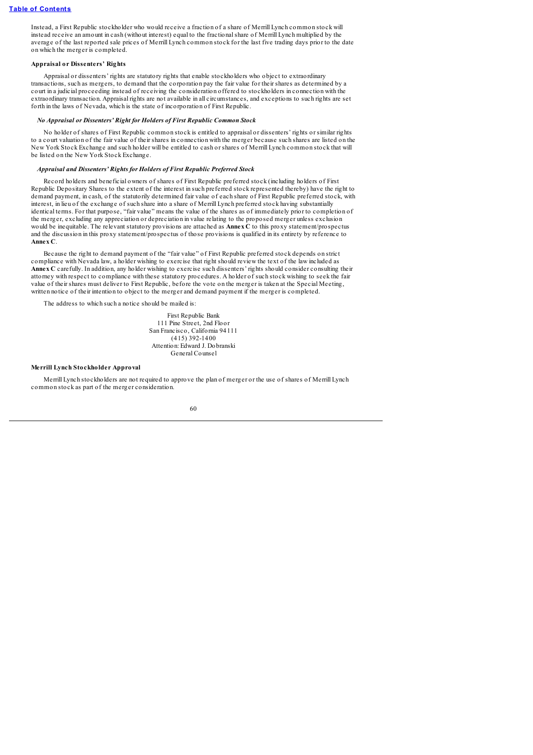Instead, a First Republic stockholder who would receive a fraction of a share of Merrill Lynch common stock will instead receive an amount in cash (without interest) equal to the fractionalshare of Merrill Lynch multiplied by the average of the last reported sale prices of Merrill Lynch common stock for the last five trading days prior to the date on which the merger is completed.

# **Appraisal or Dissenters' Rights**

Appraisal or dissenters' rights are statutory rights that enable stockholders who object to extraordinary transactions, such as mergers, to demand that the corporation pay the fair value for their shares as determined by a court in a judicial proceeding instead of receiving the consideration offered to stockholders in connection with the extraordinary transaction. Appraisal rights are not available in all circumstances, and exceptions to such rights are set forth in the laws of Nevada, which is the state of incorporation of First Republic.

# *No Appraisal or Dissenters' Right for Holders of First Republic Common Stock*

No holder of shares of First Republic common stock is entitled to appraisal or dissenters' rights or similar rights to a court valuation of the fair value of their shares in connection with the merger because such shares are listed on the New York Stock Exchange and such holder will be entitled to cash or shares of Merrill Lynch common stock that will be listed on the New York Stock Exchange.

# *Appraisal and Dissenters' Rights for Holders of First Republic Preferred Stock*

Record holders and beneficial owners of shares of First Republic preferred stock (including holders of First Republic Depositary Shares to the extent of the interest in such preferred stock represented thereby) have the right to demand payment, in cash, of the statutorily determined fair value of each share of First Republic preferred stock, with interest, in lieu of the exchange of such share into a share of Merrill Lynch preferred stock having substantially identical terms. For that purpose, "fair value" means the value of the shares as of immediately prior to completion of the merger, excluding any appreciation or depreciation in value relating to the proposed merger unless exclusion would be inequitable. The relevant statutory provisions are attached as **Annex C** to this proxy statement/prospectus and the discussion in this proxy statement/prospectus of those provisions is qualified in its entirety by reference to **Annex C**.

Because the right to demand payment of the "fair value" of First Republic preferred stock depends on strict compliance with Nevada law, a holder wishing to exercise that right should review the text of the law included as **Annex C** carefully. In addition, any holder wishing to exercise such dissenters' rights should consider consulting their attorney with respect to compliance with these statutory procedures. A holder of such stock wishing to seek the fair value of their shares must deliver to First Republic, before the vote on the merger is taken at the Special Meeting, written notice of their intention to object to the merger and demand payment if the merger is completed.

The address to which such a notice should be mailed is:

First Republic Bank 111 Pine Street, 2nd Floor San Francisco, California 94111  $(415)$  392-1400 Attention: Edward J. Dobranski General Counsel

# **Merrill Lynch Stockholder Approval**

Merrill Lynch stockholders are not required to approve the plan of merger or the use of shares of Merrill Lynch common stock as part of the merger consideration.

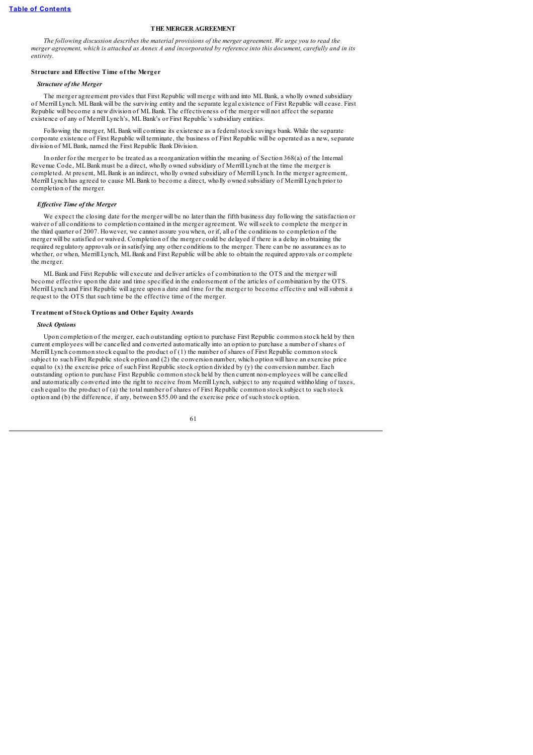# **THE MERGER AGREEMENT**

The following discussion describes the material provisions of the merger gareement. We urge you to read the merger agreement, which is attached as Annex A and incorporated by reference into this document, carefully and in its *entirety.*

# **Structure and Effective Time of the Merger**

### *Structure of the Merger*

The merger agreement provides that First Republic will merge with and into MLBank, a wholly owned subsidiary of Merrill Lynch. MLBank will be the surviving entity and the separate legal existence of First Republic will cease. First Republic will become a new division of MLBank. The effectiveness of the merger will not affect the separate existence of any of Merrill Lynch's, MLBank's or First Republic's subsidiary entities.

Following the merger, MLBank will continue its existence as a federalstock savings bank. While the separate corporate existence of First Republic will terminate, the business of First Republic will be operated as a new, separate division of MLBank, named the First Republic Bank Division.

In order for the merger to be treated as a reorganization within the meaning of Section 368(a) of the Internal Revenue Code, MLBank must be a direct, wholly owned subsidiary of Merrill Lynch at the time the merger is completed. At present, MLBank is an indirect, wholly owned subsidiary of Merrill Lynch. In the merger agreement, Merrill Lynch has agreed to cause MLBank to become a direct, wholly owned subsidiary of Merrill Lynch prior to completion of the merger.

### *Ef ective Time of the Merger*

We expect the closing date for the merger will be no later than the fifth business day following the satisfaction or waiver of all conditions to completion contained in the merger agreement. We willseek to complete the merger in the third quarter of 2007. However, we cannot assure you when, or if, all of the conditions to completion of the merger will be satisfied or waived. Completion of the merger could be delayed if there is a delay in obtaining the required regulatory approvals or in satisfying any other conditions to the merger. There can be no assurances as to whether, or when, Merrill Lynch, MLBank and First Republic will be able to obtain the required approvals or complete the merger.

MLBank and First Republic will execute and deliver articles of combination to the OTS and the merger will become effective upon the date and time specified in the endorsement of the articles of combination by the OTS. Merrill Lynch and First Republic will agree upon a date and time for the merger to become effective and willsubmit a request to the OTS that such time be the effective time of the merger.

# **Treatment of Stock Options and Other Equity Awards**

### *Stock Options*

Upon completion of the merger, each outstanding option to purchase First Republic common stock held by then current employees will be cancelled and converted automatically into an option to purchase a number of shares of Merrill Lynch common stock equal to the product of (1) the number of shares of First Republic common stock subject to such First Republic stock option and (2) the conversion number, which option will have an exercise price equal to (x) the exercise price of such First Republic stock option divided by (y) the conversion number. Each outstanding option to purchase First Republic common stock held by then current non-employees will be cancelled and automatically converted into the right to receive from Merrill Lynch, subject to any required withholding of taxes, cash equal to the product of (a) the total number of shares of First Republic common stock subject to such stock option and (b) the difference, if any, between \$55.00 and the exercise price of such stock option.

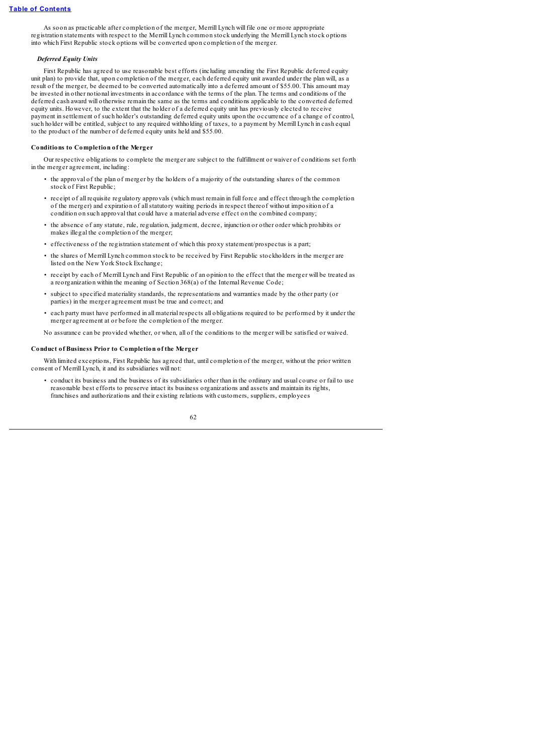As soon as practicable after completion of the merger, Merrill Lynch will file one or more appropriate registration statements with respect to the Merrill Lynch common stock underlying the Merrill Lynch stock options into which First Republic stock options will be converted upon completion of the merger.

#### *Deferred Equity Units*

First Republic has agreed to use reasonable best efforts (including amending the First Republic deferred equity unit plan) to provide that, upon completion of the merger, each deferred equity unit awarded under the plan will, as a result of the merger, be deemed to be converted automatically into a deferred amount of \$55.00. This amount may be invested in other notional investments in accordance with the terms of the plan. The terms and conditions of the deferred cash award will otherwise remain the same as the terms and conditions applicable to the converted deferred equity units. However, to the extent that the holder of a deferred equity unit has previously elected to receive payment in settlement of such holder's outstanding deferred equity units upon the occurrence of a change of control, such holder will be entitled, subject to any required withholding of taxes, to a payment by Merrill Lynch in cash equal to the product of the number of deferred equity units held and \$55.00.

### **Conditions to Completion of the Merger**

Our respective obligations to complete the merger are subject to the fulfillment or waiver of conditions set forth in the merger agreement, including:

- the approval of the plan of merger by the holders of a majority of the outstanding shares of the common stock of First Republic:
- receipt of all requisite regulatory approvals (which must remain in full force and effect through the completion of the merger) and expiration of allstatutory waiting periods in respect thereof without imposition of a condition on such approval that could have a material adverse effect on the combined company;
- the absence of any statute, rule, regulation, judgment, decree, injunction or other order which prohibits or makes illegal the completion of the merger;
- effectiveness of the registration statement of which this proxy statement/prospectus is a part;
- the shares of Merrill Lynch common stock to be received by First Republic stockholders in the merger are listed on the New York Stock Exchange;
- receipt by each of Merrill Lynch and First Republic of an opinion to the effect that the merger will be treated as a reorganization within the meaning of Section 368(a) of the Internal Revenue Code;
- subject to specified materiality standards, the representations and warranties made by the other party (or parties) in the merger agreement must be true and correct; and
- each party must have performed in all material respects all obligations required to be performed by it under the merger agreement at or before the completion of the merger.

No assurance can be provided whether, or when, all of the conditions to the merger will be satisfied or waived.

### **Conduct of Business Prior to Completion of the Merger**

With limited exceptions, First Republic has agreed that, until completion of the merger, without the prior written consent of Merrill Lynch, it and its subsidiaries will not:

• conduct its business and the business of its subsidiaries other than in the ordinary and usual course or fail to use reasonable best efforts to preserve intact its business organizations and assets and maintain its rights, franchises and authorizations and their existing relations with customers, suppliers, employees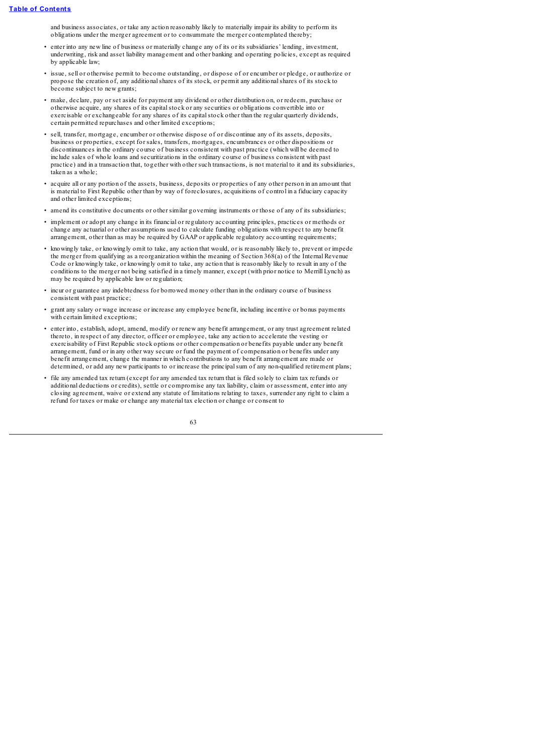and business associates, or take any action reasonably likely to materially impair its ability to perform its obligations under the merger agreement or to consummate the merger contemplated thereby;

- enter into any new line of business or materially change any of its or its subsidiaries' lending, investment, underwriting, risk and asset liability management and other banking and operating policies, except as required by applicable law;
- issue, sell or otherwise permit to become outstanding, or dispose of or encumber or pledge, or authorize or propose the creation of, any additionalshares of its stock, or permit any additionalshares of its stock to become subject to new grants;
- make, declare, pay or set aside for payment any dividend or other distribution on, or redeem, purchase or otherwise acquire, any shares of its capitalstock or any securities or obligations convertible into or exercisable or exchangeable for any shares of its capital stock other than the regular quarterly dividends, certain permitted repurchases and other limited exceptions;
- sell, transfer, mortgage, encumber or otherwise dispose of or discontinue any of its assets, deposits, business or properties, except for sales, transfers, mortgages, encumbrances or other dispositions or discontinuances in the ordinary course of business consistent with past practice (which will be deemed to include sales of whole loans and securitizations in the ordinary course of business consistent with past practice) and in a transaction that, together with other such transactions, is not material to it and its subsidiaries, taken as a whole;
- acquire all or any portion of the assets, business, deposits or properties of any other person in an amount that is material to First Republic other than by way of foreclosures, acquisitions of control in a fiduciary capacity and other limited exceptions;
- amend its constitutive documents or other similar governing instruments or those of any of its subsidiaries;
- implement or adopt any change in its financial or regulatory accounting principles, practices or methods or change any actuarial or other assumptions used to calculate funding obligations with respect to any benefit arrangement, other than as may be required by GAAP or applicable regulatory accounting requirements;
- knowingly take, or knowingly omit to take, any action that would, or is reasonably likely to, prevent or impede the merger from qualifying as a reorganization within the meaning of Section 368(a) of the Internal Revenue Code or knowingly take, or knowingly omit to take, any action that is reasonably likely to result in any of the conditions to the merger not being satisfied in a timely manner, except (with prior notice to Merrill Lynch) as may be required by applicable law or regulation;
- incur or guarantee any indebtedness for borrowed money other than in the ordinary course of business consistent with past practice;
- grant any salary or wage increase or increase any employee benefit, including incentive or bonus payments with certain limited exceptions;
- enter into, establish, adopt, amend, modify or renew any benefit arrangement, or any trust agreement related thereto, in respect of any director, officer or employee, take any action to accelerate the vesting or exercisability of First Republic stock options or other compensation or benefits payable under any benefit arrangement, fund or in any other way secure or fund the payment of compensation or benefits under any benefit arrangement, change the manner in which contributions to any benefit arrangement are made or determined, or add any new participants to or increase the principalsum of any non-qualified retirement plans;
- file any amended tax return (except for any amended tax return that is filed solely to claim tax refunds or additional deductions or credits), settle or compromise any tax liability, claim or assessment, enter into any closing agreement, waive or extend any statute of limitations relating to taxes, surrender any right to claim a refund for taxes or make or change any material tax election or change or consent to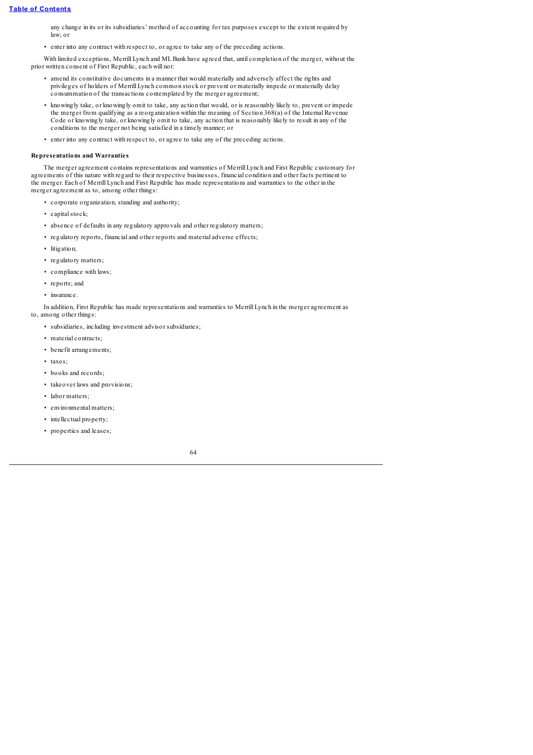any change in its or its subsidiaries' method of accounting for tax purposes except to the extent required by law; or

• enter into any contract with respect to, or agree to take any of the preceding actions.

With limited exceptions, Merrill Lynch and ML Bank have agreed that, until completion of the merger, without the prior written consent of First Republic, each will not:

- amend its constitutive documents in a manner that would materially and adversely affect the rights and privileges of holders of Merrill Lynch common stock or prevent or materially impede or materially delay consummation of the transactions contemplated by the merger agreement;
- knowingly take, or knowingly omit to take, any action that would, or is reasonably likely to, prevent or impede the merger from qualifying as a reorganization within the meaning of Section 368(a) of the Internal Revenue Code or knowingly take, or knowingly omit to take, any action that is reasonably likely to result in any of the conditions to the merger not being satisfied in a timely manner; or
- enter into any contract with respect to, or agree to take any of the preceding actions.

# **Representations and Warranties**

The merger agreement contains representations and warranties of Merrill Lynch and First Republic customary for agreements of this nature with regard to their respective businesses, financial condition and other facts pertinent to the merger. Each of Merrill Lynch and First Republic has made representations and warranties to the other in the merger agreement as to, among other things:

- corporate organization, standing and authority;
- capital stock;
- absence of defaults in any regulatory approvals and other regulatory matters;
- regulatory reports, financial and other reports and material adverse effects;
- litigation;
- regulatory matters;
- compliance with laws;
- reports; and
- insurance.

In addition, First Republic has made representations and warranties to Merrill Lynch in the merger agreement as to, among other things:

- subsidiaries, including investment advisor subsidiaries;
- material contracts;
- benefit arrangements;
- taxes:
- books and records;
- takeover laws and provisions;
- labor matters;
- environmental matters;
- intellectual property;
- properties and leases;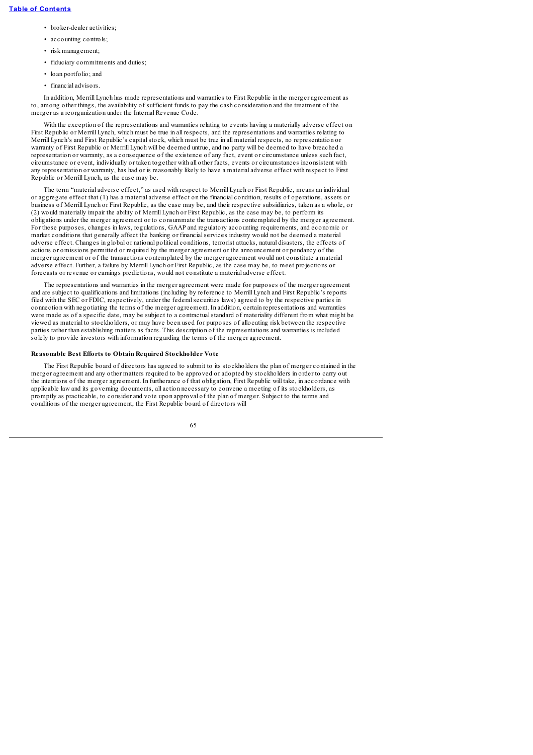- broker-dealer activities;
- accounting controls:
- risk management;
- fiduciary commitments and duties;
- loan portfolio; and
- financial advisors.

In addition, Merrill Lynch has made representations and warranties to First Republic in the merger agreement as to, among other things, the availability of sufficient funds to pay the cash consideration and the treatment of the merger as a reorganization under the Internal Revenue Code.

With the exception of the representations and warranties relating to events having a materially adverse effect on First Republic or Merrill Lynch, which must be true in all respects, and the representations and warranties relating to Merrill Lynch's and First Republic's capitalstock, which must be true in all material respects, no representation or warranty of First Republic or Merrill Lynch will be deemed untrue, and no party will be deemed to have breached a representation or warranty, as a consequence of the existence of any fact, event or circumstance unless such fact, circumstance or event, individually or taken together with all other facts, events or circumstances inconsistent with any representation or warranty, has had or is reasonably likely to have a material adverse effect with respect to First Republic or Merrill Lynch, as the case may be.

The term "material adverse effect," as used with respect to Merrill Lynch or First Republic, means an individual or aggregate effect that (1) has a material adverse effect on the financial condition, results of operations, assets or business of Merrill Lynch or First Republic, as the case may be, and their respective subsidiaries, taken as a whole, or (2) would materially impair the ability of Merrill Lynch or First Republic, as the case may be, to perform its obligations under the merger agreement or to consummate the transactions contemplated by the merger agreement. For these purposes, changes in laws, regulations, GAAP and regulatory accounting requirements, and economic or market conditions that generally affect the banking or financialservices industry would not be deemed a material adverse effect. Changes in global or national political conditions, terrorist attacks, natural disasters, the effects of actions or omissions permitted or required by the merger agreement or the announcement or pendancy of the merger agreement or of the transactions contemplated by the merger agreement would not constitute a material adverse effect. Further, a failure by Merrill Lynch or First Republic, as the case may be, to meet projections or forecasts or revenue or earnings predictions, would not constitute a material adverse effect.

The representations and warranties in the merger agreement were made for purposes of the merger agreement and are subject to qualifications and limitations (including by reference to Merrill Lynch and First Republic's reports filed with the SEC or FDIC, respectively, under the federalsecurities laws) agreed to by the respective parties in connection with negotiating the terms of the merger agreement. In addition, certain representations and warranties were made as of a specific date, may be subject to a contractualstandard of materiality different from what might be viewed as material to stockholders, or may have been used for purposes of allocating risk between the respective parties rather than establishing matters as facts. This description of the representations and warranties is included solely to provide investors with information regarding the terms of the merger agreement.

### **Reasonable Best Efforts to Obtain Required Stockholder Vote**

The First Republic board of directors has agreed to submit to its stockholders the plan of merger contained in the merger agreement and any other matters required to be approved or adopted by stockholders in order to carry out the intentions of the merger agreement. In furtherance of that obligation, First Republic will take, in accordance with applicable law and its governing documents, all action necessary to convene a meeting of its stockholders, as promptly as practicable, to consider and vote upon approval of the plan of merger. Subject to the terms and conditions of the merger agreement, the First Republic board of directors will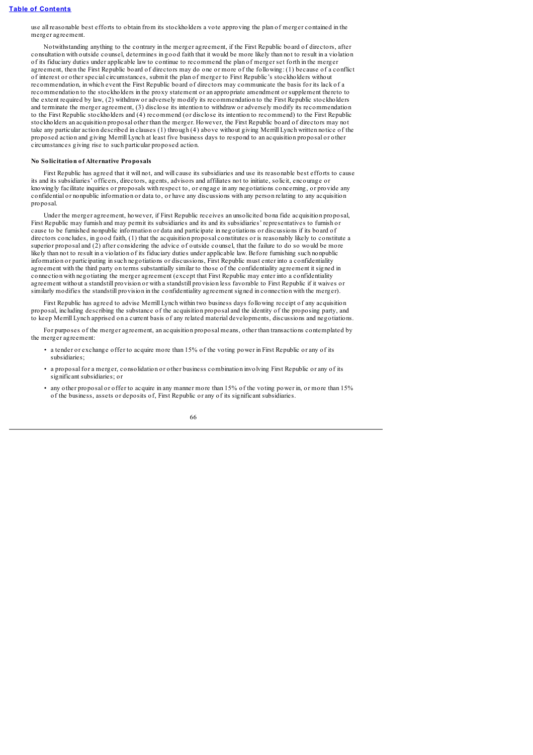use all reasonable best efforts to obtain from its stockholders a vote approving the plan of merger contained in the merger agreement.

Notwithstanding anything to the contrary in the merger agreement, if the First Republic board of directors, after consultation with outside counsel, determines in good faith that it would be more likely than not to result in a violation of its fiduciary duties under applicable law to continue to recommend the plan of merger set forth in the merger agreement, then the First Republic board of directors may do one or more of the following: (1) because of a conflict of interest or other special circumstances, submit the plan of merger to First Republic's stockholders without recommendation, in which event the First Republic board of directors may communicate the basis for its lack of a recommendation to the stockholders in the proxy statement or an appropriate amendment or supplement thereto to the extent required by law, (2) withdraw or adversely modify its recommendation to the First Republic stockholders and terminate the merger agreement, (3) disclose its intention to withdraw or adversely modify its recommendation to the First Republic stockholders and (4) recommend (or disclose its intention to recommend) to the First Republic stockholders an acquisition proposal other than the merger. However, the First Republic board of directors may not take any particular action described in clauses (1) through (4) above without giving Merrill Lynch written notice of the proposed action and giving Merrill Lynch at least five business days to respond to an acquisition proposal or other circumstances giving rise to such particular proposed action.

# **No Solicitation of Alternative Proposals**

First Republic has agreed that it will not, and will cause its subsidiaries and use its reasonable best efforts to cause its and its subsidiaries' officers, directors, agents, advisors and affiliates not to initiate, solicit, encourage or knowingly facilitate inquiries or proposals with respect to, or engage in any negotiations concerning, or provide any confidential or nonpublic information or data to, or have any discussions with any person relating to any acquisition proposal.

Under the merger agreement, however, if First Republic receives an unsolicited bona fide acquisition proposal, First Republic may furnish and may permit its subsidiaries and its and its subsidiaries' representatives to furnish or cause to be furnished nonpublic information or data and participate in negotiations or discussions if its board of directors concludes, in good faith, (1) that the acquisition proposal constitutes or is reasonably likely to constitute a superior proposal and (2) after considering the advice of outside counsel, that the failure to do so would be more likely than not to result in a violation of its fiduciary duties under applicable law. Before furnishing such nonpublic information or participating in such negotiations or discussions, First Republic must enter into a confidentiality agreement with the third party on terms substantially similar to those of the confidentiality agreement it signed in connection with negotiating the merger agreement (except that First Republic may enter into a confidentiality agreement without a standstill provision or with a standstill provision less favorable to First Republic if it waives or similarly modifies the standstill provision in the confidentiality agreement signed in connection with the merger).

First Republic has agreed to advise Merrill Lynch within two business days following receipt of any acquisition proposal, including describing the substance of the acquisition proposal and the identity of the proposing party, and to keep Merrill Lynch apprised on a current basis of any related material developments, discussions and negotiations.

For purposes of the merger agreement, an acquisition proposal means, other than transactions contemplated by the merger agreement:

- a tender or exchange offer to acquire more than 15% of the voting power in First Republic or any of its subsidiaries;
- a proposal for a merger, consolidation or other business combination involving First Republic or any of its significant subsidiaries; or
- any other proposal or offer to acquire in any manner more than 15% of the voting power in, or more than 15% of the business, assets or deposits of, First Republic or any of its significant subsidiaries.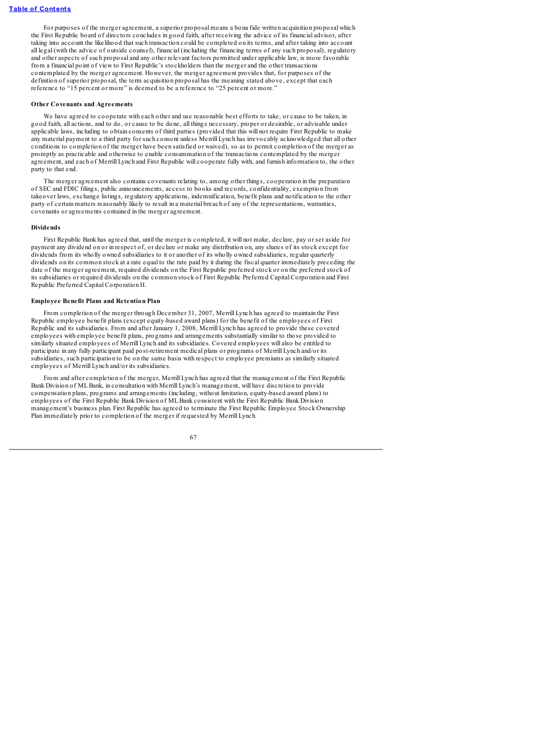For purposes of the merger agreement, a superior proposal means a bona fide written acquisition proposal which the First Republic board of directors concludes in good faith, after receiving the advice of its financial advisor, after taking into account the likelihood that such transaction could be completed on its terms, and after taking into account all legal (with the advice of outside counsel), financial (including the financing terms of any such proposal), regulatory and other aspects of such proposal and any other relevant factors permitted under applicable law, is more favorable from a financial point of view to First Republic's stockholders than the merger and the other transactions contemplated by the merger agreement. However, the merger agreement provides that, for purposes of the definition of superior proposal, the term acquisition proposal has the meaning stated above, except that each reference to "15 percent or more" is deemed to be a reference to "25 percent or more."

### **Other Covenants and Agreements**

We have agreed to cooperate with each other and use reasonable best efforts to take, or cause to be taken, in good faith, all actions, and to do, or cause to be done, all things necessary, proper or desirable, or advisable under applicable laws, including to obtain consents of third parties (provided that this will not require First Republic to make any material payment to a third party for such consent unless Merrill Lynch has irrevocably acknowledged that all other conditions to completion of the merger have been satisfied or waived), so as to permit completion of the merger as promptly as practicable and otherwise to enable consummation of the transactions contemplated by the merger agreement, and each of Merrill Lynch and First Republic will cooperate fully with, and furnish information to, the other party to that end.

The merger agreement also contains covenants relating to, among other things, cooperation in the preparation of SEC and FDIC filings, public announcements, access to books and records, confidentiality, exemption from takeover laws, exchange listings, regulatory applications, indemnification, benefit plans and notification to the other party of certain matters reasonably likely to result in a material breach of any of the representations, warranties, covenants or agreements contained in the merger agreement.

### **Dividends**

First Republic Bank has agreed that, until the merger is completed, it will not make, declare, pay or set aside for payment any dividend on or in respect of, or declare or make any distribution on, any shares of its stock except for dividends from its wholly owned subsidiaries to it or another of its wholly owned subsidiaries, regular quarterly dividends on its common stock at a rate equal to the rate paid by it during the fiscal quarter immediately preceding the date of the merger agreement, required dividends on the First Republic preferred stock or on the preferred stock of its subsidiaries or required dividends on the common stock of First Republic Preferred Capital Corporation and First Republic Preferred Capital Corporation II.

### **Employee Benefit Plans and Retention Plan**

From completion of the merger through December 31, 2007, Merrill Lynch has agreed to maintain the First Republic employee benefit plans (except equity-based award plans) for the benefit of the employees of First Republic and its subsidiaries. From and after January 1, 2008, Merrill Lynch has agreed to provide these covered employees with employee benefit plans, programs and arrangements substantially similar to those provided to similarly situated employees of Merrill Lynch and its subsidiaries. Covered employees will also be entitled to participate in any fully participant paid post-retirement medical plans or programs of Merrill Lynch and/or its subsidiaries, such participation to be on the same basis with respect to employee premiums as similarly situated employees of Merrill Lynch and/or its subsidiaries.

From and after completion of the merger, Merrill Lynch has agreed that the management of the First Republic Bank Division of MLBank, in consultation with Merrill Lynch's management, will have discretion to provide compensation plans, programs and arrangements (including, without limitation, equity-based award plans) to employees of the First Republic Bank Division of MLBank consistent with the First Republic Bank Division management's business plan. First Republic has agreed to terminate the First Republic Employee Stock Ownership Plan immediately prior to completion of the merger if requested by Merrill Lynch.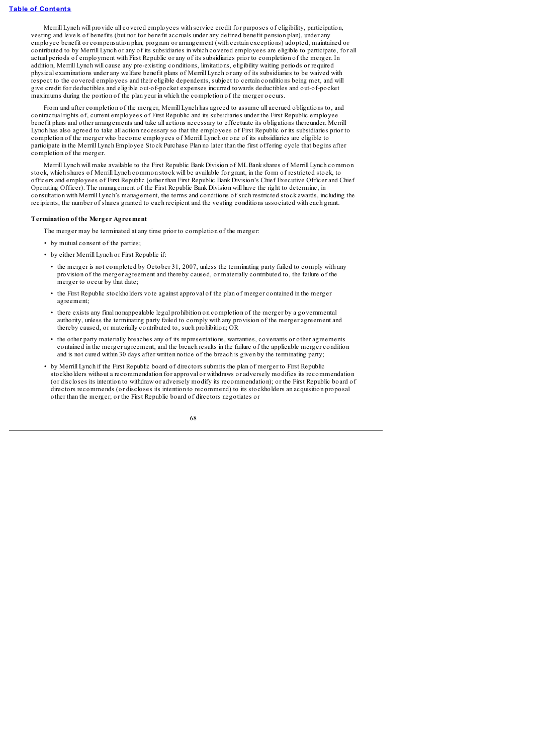Merrill Lynch will provide all covered employees with service credit for purposes of eligibility, participation, vesting and levels of benefits (but not for benefit accruals under any defined benefit pension plan), under any employee benefit or compensation plan, program or arrangement (with certain exceptions) adopted, maintained or contributed to by Merrill Lynch or any of its subsidiaries in which covered employees are eligible to participate, for all actual periods of employment with First Republic or any of its subsidiaries prior to completion of the merger. In addition, Merrill Lynch will cause any pre-existing conditions, limitations, eligibility waiting periods or required physical examinations under any welfare benefit plans of Merrill Lynch or any of its subsidiaries to be waived with respect to the covered employees and their eligible dependents, subject to certain conditions being met, and will give credit for deductibles and eligible out-of-pocket expenses incurred towards deductibles and out-of-pocket maximums during the portion of the plan year in which the completion of the merger occurs.

From and after completion of the merger, Merrill Lynch has agreed to assume all accrued obligations to, and contractual rights of, current employees of First Republic and its subsidiaries under the First Republic employee benefit plans and other arrangements and take all actions necessary to effectuate its obligations thereunder. Merrill Lynch has also agreed to take all action necessary so that the employees of First Republic or its subsidiaries prior to completion of the merger who become employees of Merrill Lynch or one of its subsidiaries are eligible to participate in the Merrill Lynch Employee Stock Purchase Plan no later than the first offering cycle that begins after completion of the merger.

Merrill Lynch will make available to the First Republic Bank Division of MLBank shares of Merrill Lynch common stock, which shares of Merrill Lynch common stock will be available for grant, in the form of restricted stock, to officers and employees of First Republic (other than First Republic Bank Division's Chief Executive Officer and Chief Operating Officer). The management of the First Republic Bank Division will have the right to determine, in consultation with Merrill Lynch's management, the terms and conditions of such restricted stock awards, including the recipients, the number of shares granted to each recipient and the vesting conditions associated with each grant.

### **Termination of the Merger Agreement**

The merger may be terminated at any time prior to completion of the merger:

- by mutual consent of the parties;
- by either Merrill Lynch or First Republic if:
	- the merger is not completed by October 31, 2007, unless the terminating party failed to comply with any provision of the merger agreement and thereby caused, or materially contributed to, the failure of the merger to occur by that date;
	- the First Republic stockholders vote against approval of the plan of merger contained in the merger agreement;
	- there exists any final nonappealable legal prohibition on completion of the merger by a governmental authority, unless the terminating party failed to comply with any provision of the merger agreement and thereby caused, or materially contributed to, such prohibition; OR
	- the other party materially breaches any of its representations, warranties, covenants or other agreements contained in the merger agreement, and the breach results in the failure of the applicable merger condition and is not cured within 30 days after written notice of the breach is given by the terminating party;
- by Merrill Lynch if the First Republic board of directors submits the plan of merger to First Republic stockholders without a recommendation for approval or withdraws or adversely modifies its recommendation (or discloses its intention to withdraw or adversely modify its recommendation); or the First Republic board of directors recommends (or discloses its intention to recommend) to its stockholders an acquisition proposal other than the merger; or the First Republic board of directors negotiates or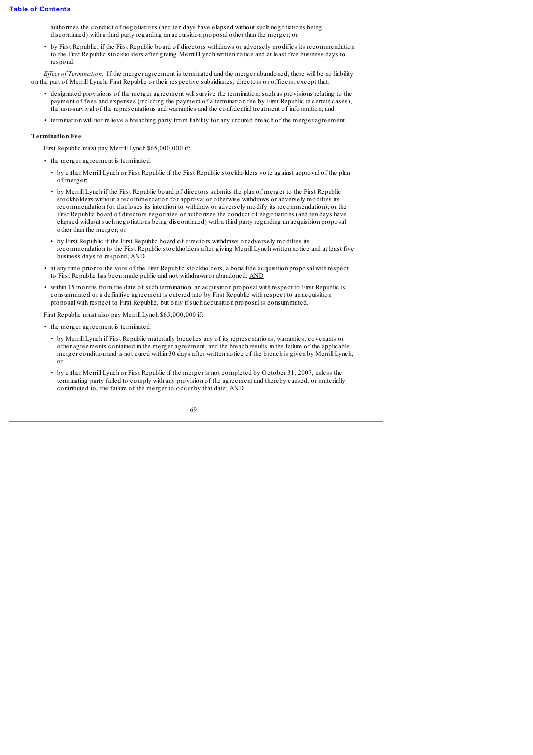authorizes the conduct of negotiations (and ten days have elapsed without such negotiations being discontinued) with a third party regarding an acquisition proposal other than the merger; or

• by First Republic, if the First Republic board of directors withdraws or adversely modifies its recommendation to the First Republic stockholders after giving Merrill Lynch written notice and at least five business days to respond.

*Ef ect of Termination.* If the merger agreement is terminated and the merger abandoned, there will be no liability on the part of Merrill Lynch, First Republic or their respective subsidiaries, directors or officers, except that:

- designated provisions of the merger agreement willsurvive the termination, such as provisions relating to the payment of fees and expenses (including the payment of a termination fee by First Republic in certain cases), the non-survival of the representations and warranties and the confidential treatment of information; and
- termination will not relieve a breaching party from liability for any uncured breach of the merger agreement.

## **Termination Fee**

First Republic must pay Merrill Lynch \$65,000,000 if:

- the merger agreement is terminated:
- by either Merrill Lynch or First Republic if the First Republic stockholders vote against approval of the plan of merger;
- by Merrill Lynch if the First Republic board of directors submits the plan of merger to the First Republic stockholders without a recommendation for approval or otherwise withdraws or adversely modifies its recommendation (or discloses its intention to withdraw or adversely modify its recommendation); or the First Republic board of directors negotiates or authorizes the conduct of negotiations (and ten days have elapsed without such negotiations being discontinued) with a third party regarding an acquisition proposal other than the merger; or
- by First Republic if the First Republic board of directors withdraws or adversely modifies its recommendation to the First Republic stockholders after giving Merrill Lynch written notice and at least five business days to respond; AND
- at any time prior to the vote of the First Republic stockholders, a bona fide acquisition proposal with respect to First Republic has been made public and not withdrawn or abandoned; AND
- within 15 months from the date of such termination, an acquisition proposal with respect to First Republic is consummated or a definitive agreement is entered into by First Republic with respect to an acquisition proposal with respect to First Republic, but only if such acquisition proposal is consummated.

First Republic must also pay Merrill Lynch \$65,000,000 if:

- the merger agreement is terminated:
	- by Merrill Lynch if First Republic materially breaches any of its representations, warranties, covenants or other agreements contained in the merger agreement, and the breach results in the failure of the applicable merger condition and is not cured within 30 days after written notice of the breach is given by Merrill Lynch; or
	- by either Merrill Lynch or First Republic if the merger is not completed by October 31, 2007, unless the terminating party failed to comply with any provision of the agreement and thereby caused, or materially contributed to, the failure of the merger to occur by that date; AND

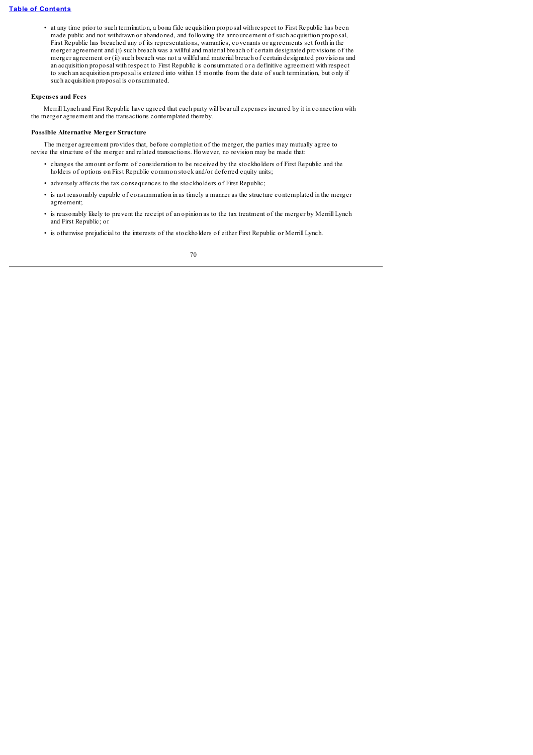## **Table of [Contents](#page-4-0)**

• at any time prior to such termination, a bona fide acquisition proposal with respect to First Republic has been made public and not withdrawn or abandoned, and following the announcement of such acquisition proposal, First Republic has breached any of its representations, warranties, covenants or agreements set forth in the merger agreement and (i) such breach was a willful and material breach of certain designated provisions of the merger agreement or (ii) such breach was not a willful and material breach of certain designated provisions and an acquisition proposal with respect to First Republic is consummated or a definitive agreement with respect to such an acquisition proposal is entered into within 15 months from the date of such termination, but only if such acquisition proposal is consummated.

## **Expenses and Fees**

Merrill Lynch and First Republic have agreed that each party will bear all expenses incurred by it in connection with the merger agreement and the transactions contemplated thereby.

### **Possible Alternative Merger Structure**

The merger agreement provides that, before completion of the merger, the parties may mutually agree to revise the structure of the merger and related transactions. However, no revision may be made that:

- changes the amount or form of consideration to be received by the stockholders of First Republic and the holders of options on First Republic common stock and/or deferred equity units;
- adversely affects the tax consequences to the stockholders of First Republic;
- is not reasonably capable of consummation in as timely a manner as the structure contemplated in the merger agreement;
- is reasonably likely to prevent the receipt of an opinion as to the tax treatment of the merger by Merrill Lynch and First Republic; or
- is otherwise prejudicial to the interests of the stockholders of either First Republic or Merrill Lynch.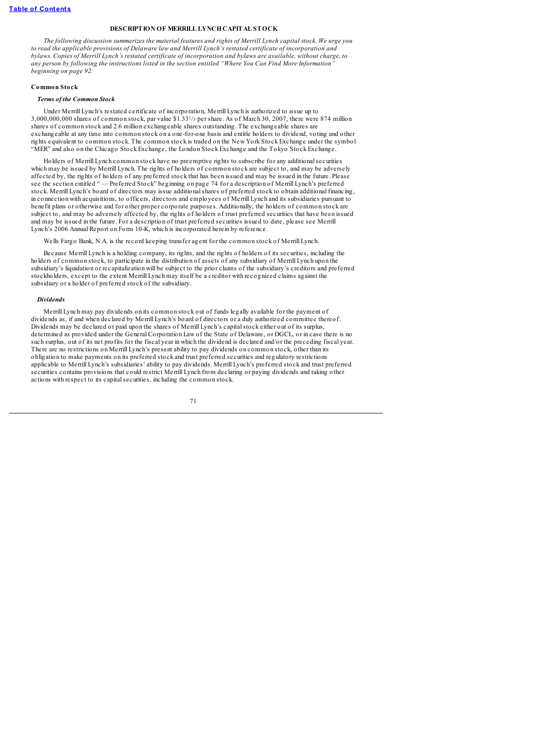### **DESCRIPTION OF MERRILL LYNCHCAPITAL STOCK**

The following discussion summarizes the material features and rights of Merrill Lynch capital stock. We urge you *to read the applicable provisions of Delaware law and Merrill Lynch's restated certificate of incorporation and* bylaws. Copies of Merrill Lynch's restated certificate of incorporation and bylaws are available, without charge, to any person by following the instructions listed in the section entitled "Where You Can Find More Information" *beginning on page 92.*

### **Common Stock**

### *Terms of the Common Stock*

Under Merrill Lynch's restated certificate of incorporation, Merrill Lynch is authorized to issue up to 3,000,000,000 shares of common stock, par value \$1.331/<sup>3</sup> per share. As of March 30, 2007, there were 874 million shares of common stock and 2.6 million exchangeable shares outstanding. The exchangeable shares are exchangeable at any time into common stock on a one-for-one basis and entitle holders to dividend, voting and other rights equivalent to common stock. The common stock is traded on the New York Stock Exchange under the symbol "MER" and also on the Chicago Stock Exchange, the London Stock Exchange and the Tokyo Stock Exchange.

Holders of Merrill Lynch common stock have no preemptive rights to subscribe for any additionalsecurities which may be issued by Merrill Lynch. The rights of holders of common stock are subject to, and may be adversely affected by, the rights of holders of any preferred stock that has been issued and may be issued in the future. Please see the section entitled " — Preferred Stock" beginning on page 74 for a description of Merrill Lynch's preferred stock. Merrill Lynch's board of directors may issue additionalshares of preferred stock to obtain additional financing, in connection with acquisitions, to officers, directors and employees of Merrill Lynch and its subsidiaries pursuant to benefit plans or otherwise and for other proper corporate purposes. Additionally, the holders of common stock are subject to, and may be adversely affected by, the rights of holders of trust preferred securities that have been issued and may be issued in the future. For a description of trust preferred securities issued to date, please see Merrill Lynch's 2006 Annual Report on Form 10-K, which is incorporated herein by reference.

Wells Fargo Bank, N.A. is the record keeping transfer agent for the common stock of Merrill Lynch.

Because Merrill Lynch is a holding company, its rights, and the rights of holders of its securities, including the holders of common stock, to participate in the distribution of assets of any subsidiary of Merrill Lynch upon the subsidiary's liquidation or recapitalization will be subject to the prior claims of the subsidiary's creditors and preferred stockholders, except to the extent Merrill Lynch may itself be a creditor with recognized claims against the subsidiary or a holder of preferred stock of the subsidiary.

### *Dividends*

Merrill Lynch may pay dividends on its common stock out of funds legally available for the payment of dividends as, if and when declared by Merrill Lynch's board of directors or a duly authorized committee thereof. Dividends may be declared or paid upon the shares of Merrill Lynch's capitalstock either out of its surplus, determined as provided under the General Corporation Law of the State of Delaware, or DGCL, or in case there is no such surplus, out of its net profits for the fiscal year in which the dividend is declared and/or the preceding fiscal year. There are no restrictions on Merrill Lynch's present ability to pay dividends on common stock, other than its obligation to make payments on its preferred stock and trust preferred securities and regulatory restrictions applicable to Merrill Lynch's subsidiaries' ability to pay dividends. Merrill Lynch's preferred stock and trust preferred securities contains provisions that could restrict Merrill Lynch from declaring or paying dividends and taking other actions with respect to its capitalsecurities, including the common stock.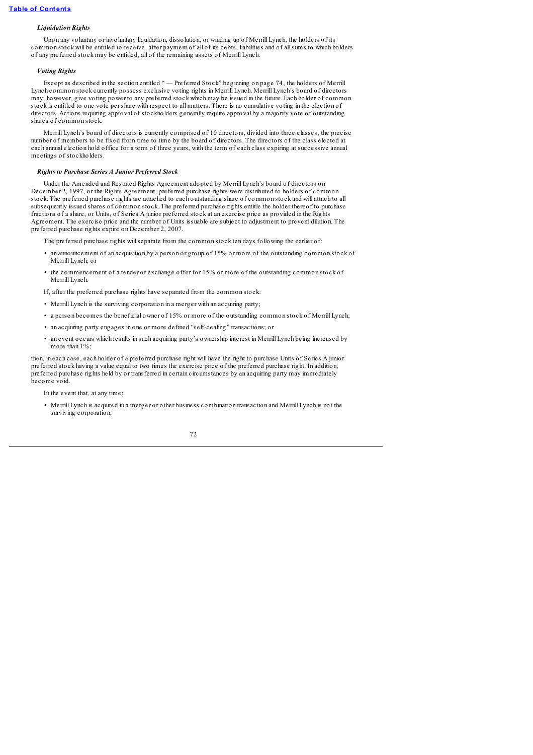# *Liquidation Rights*

Upon any voluntary or involuntary liquidation, dissolution, or winding up of Merrill Lynch, the holders of its common stock will be entitled to receive, after payment of all of its debts, liabilities and of allsums to which holders of any preferred stock may be entitled, all of the remaining assets of Merrill Lynch.

### *Voting Rights*

Except as described in the section entitled " — Preferred Stock" beginning on page 74, the holders of Merrill Lynch common stock currently possess exclusive voting rights in Merrill Lynch. Merrill Lynch's board of directors may, however, give voting power to any preferred stock which may be issued in the future. Each holder of common stock is entitled to one vote per share with respect to all matters. There is no cumulative voting in the election of directors. Actions requiring approval of stockholders generally require approval by a majority vote of outstanding shares of common stock.

Merrill Lynch's board of directors is currently comprised of 10 directors, divided into three classes, the precise number of members to be fixed from time to time by the board of directors. The directors of the class elected at each annual election hold office for a term of three years, with the term of each class expiring at successive annual meetings of stockholders.

### *Rights to Purchase Series A Junior Preferred Stock*

Under the Amended and Restated Rights Agreement adopted by Merrill Lynch's board of directors on December 2, 1997, or the Rights Agreement, preferred purchase rights were distributed to holders of common stock. The preferred purchase rights are attached to each outstanding share of common stock and will attach to all subsequently issued shares of common stock. The preferred purchase rights entitle the holder thereof to purchase fractions of a share, or Units, of Series A junior preferred stock at an exercise price as provided in the Rights Agreement. The exercise price and the number of Units issuable are subject to adjustment to prevent dilution. The preferred purchase rights expire on December 2, 2007.

The preferred purchase rights will separate from the common stock ten days following the earlier of:

- an announcement of an acquisition by a person or group of 15% or more of the outstanding common stock of Merrill Lynch; or
- the commencement of a tender or exchange offer for 15% or more of the outstanding common stock of Merrill Lynch.

If, after the preferred purchase rights have separated from the common stock:

- Merrill Lynch is the surviving corporation in a merger with an acquiring party;
- a person becomes the beneficial owner of 15% or more of the outstanding common stock of Merrill Lynch;
- an acquiring party engages in one or more defined "self-dealing" transactions; or
- an event occurs which results in such acquiring party's ownership interest in Merrill Lynch being increased by more than  $1\%$

then, in each case, each holder of a preferred purchase right will have the right to purchase Units of Series A junior preferred stock having a value equal to two times the exercise price of the preferred purchase right. In addition, preferred purchase rights held by or transferred in certain circumstances by an acquiring party may immediately become void.

In the event that, at any time:

• Merrill Lynch is acquired in a merger or other business combination transaction and Merrill Lynch is not the surviving corporation;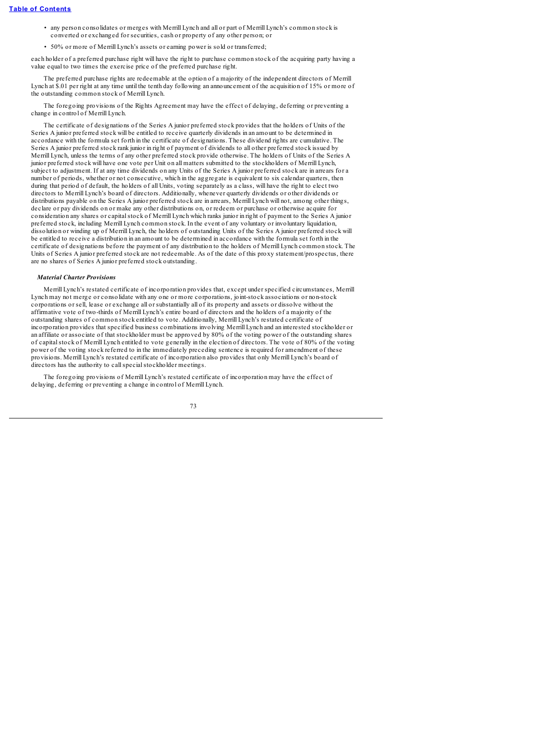- any person consolidates or merges with Merrill Lynch and all or part of Merrill Lynch's common stock is converted or exchanged for securities, cash or property of any other person; or
- 50% or more of Merrill Lynch's assets or earning power is sold or transferred;

each holder of a preferred purchase right will have the right to purchase common stock of the acquiring party having a value equal to two times the exercise price of the preferred purchase right.

The preferred purchase rights are redeemable at the option of a majority of the independent directors of Merrill Lynch at \$.01 per right at any time until the tenth day following an announcement of the acquisition of 15% or more of the outstanding common stock of Merrill Lynch.

The foregoing provisions of the Rights Agreement may have the effect of delaying, deferring or preventing a change in control of Merrill Lynch.

The certificate of designations of the Series A junior preferred stock provides that the holders of Units of the Series A junior preferred stock will be entitled to receive quarterly dividends in an amount to be determined in accordance with the formula set forth in the certificate of designations. These dividend rights are cumulative. The Series A junior preferred stock rank junior in right of payment of dividends to all other preferred stock issued by Merrill Lynch, unless the terms of any other preferred stock provide otherwise. The holders of Units of the Series A junior preferred stock will have one vote per Unit on all matters submitted to the stockholders of Merrill Lynch, subject to adjustment. If at any time dividends on any Units of the Series A junior preferred stock are in arrears for a number of periods, whether or not consecutive, which in the aggregate is equivalent to six calendar quarters, then during that period of default, the holders of all Units, voting separately as a class, will have the right to elect two directors to Merrill Lynch's board of directors. Additionally, whenever quarterly dividends or other dividends or distributions payable on the Series A junior preferred stock are in arrears, Merrill Lynch will not, among other things, declare or pay dividends on or make any other distributions on, or redeem or purchase or otherwise acquire for consideration any shares or capitalstock of Merrill Lynch which ranks junior in right of payment to the Series A junior preferred stock, including Merrill Lynch common stock. In the event of any voluntary or involuntary liquidation, dissolution or winding up of Merrill Lynch, the holders of outstanding Units of the Series A junior preferred stock will be entitled to receive a distribution in an amount to be determined in accordance with the formula set forth in the certificate of designations before the payment of any distribution to the holders of Merrill Lynch common stock. The Units of Series A junior preferred stock are not redeemable. As of the date of this proxy statement/prospectus, there are no shares of Series A junior preferred stock outstanding.

### *Material Charter Provisions*

Merrill Lynch's restated certificate of incorporation provides that, except under specified circumstances, Merrill Lynch may not merge or consolidate with any one or more corporations, joint-stock associations or non-stock corporations or sell, lease or exchange all or substantially all of its property and assets or dissolve without the affirmative vote of two-thirds of Merrill Lynch's entire board of directors and the holders of a majority of the outstanding shares of common stock entitled to vote. Additionally, Merrill Lynch's restated certificate of incorporation provides that specified business combinations involving Merrill Lynch and an interested stockholder or an affiliate or associate of that stockholder must be approved by 80% of the voting power of the outstanding shares of capitalstock of Merrill Lynch entitled to vote generally in the election of directors. The vote of 80% of the voting power of the voting stock referred to in the immediately preceding sentence is required for amendment of these provisions. Merrill Lynch's restated certificate of incorporation also provides that only Merrill Lynch's board of directors has the authority to callspecialstockholder meetings.

The foregoing provisions of Merrill Lynch's restated certificate of incorporation may have the effect of delaying, deferring or preventing a change in control of Merrill Lynch.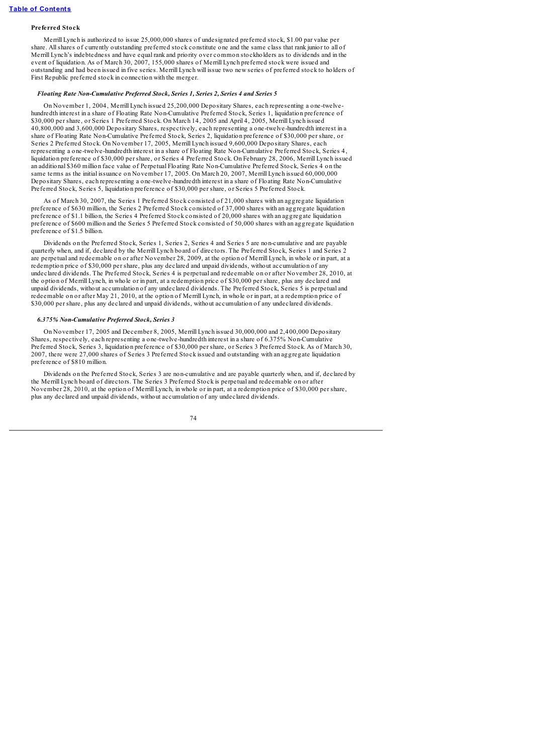# **Preferred Stock**

Merrill Lynch is authorized to issue 25,000,000 shares of undesignated preferred stock, \$1.00 par value per share. Allshares of currently outstanding preferred stock constitute one and the same class that rank junior to all of Merrill Lynch's indebtedness and have equal rank and priority over common stockholders as to dividends and in the event of liquidation. As of March 30, 2007, 155,000 shares of Merrill Lynch preferred stock were issued and outstanding and had been issued in five series. Merrill Lynch will issue two new series of preferred stock to holders of First Republic preferred stock in connection with the merger.

# *Floating Rate Non-Cumulative Preferred Stock, Series 1, Series 2, Series 4 and Series 5*

On November 1, 2004, Merrill Lynch issued 25,200,000 Depositary Shares, each representing a one-twelvehundredth interest in a share of Floating Rate Non-Cumulative Preferred Stock, Series 1, liquidation preference of \$30,000 per share, or Series 1 Preferred Stock. On March 14, 2005 and April 4, 2005, Merrill Lynch issued 40,800,000 and 3,600,000 Depositary Shares, respectively, each representing a one-twelve-hundredth interest in a share of Floating Rate Non-Cumulative Preferred Stock, Series 2, liquidation preference of \$30,000 per share, or Series 2 Preferred Stock. On November 17, 2005, Merrill Lynch issued 9,600,000 Depositary Shares, each representing a one-twelve-hundredth interest in a share of Floating Rate Non-Cumulative Preferred Stock, Series 4, liquidation preference of \$30,000 per share, or Series 4 Preferred Stock. On February 28, 2006, Merrill Lynch issued an additional \$360 million face value of Perpetual Floating Rate Non-Cumulative Preferred Stock, Series 4 on the same terms as the initial issuance on November 17, 2005. On March 20, 2007, Merrill Lynch issued 60,000,000 Depositary Shares, each representing a one-twelve-hundredth interest in a share of Floating Rate Non-Cumulative Preferred Stock, Series 5, liquidation preference of \$30,000 per share, or Series 5 Preferred Stock.

As of March 30, 2007, the Series 1 Preferred Stock consisted of 21,000 shares with an aggregate liquidation preference of \$630 million, the Series 2 Preferred Stock consisted of 37,000 shares with an aggregate liquidation preference of \$1.1 billion, the Series 4 Preferred Stock consisted of 20,000 shares with an aggregate liquidation preference of \$600 million and the Series 5 Preferred Stock consisted of 50,000 shares with an aggregate liquidation preference of \$1.5 billion.

Dividends on the Preferred Stock, Series 1, Series 2, Series 4 and Series 5 are non-cumulative and are payable quarterly when, and if, declared by the Merrill Lynch board of directors. The Preferred Stock, Series 1 and Series 2 are perpetual and redeemable on or after November 28, 2009, at the option of Merrill Lynch, in whole or in part, at a redemption price of \$30,000 per share, plus any declared and unpaid dividends, without accumulation of any undeclared dividends. The Preferred Stock, Series 4 is perpetual and redeemable on or after November 28, 2010, at the option of Merrill Lynch, in whole or in part, at a redemption price of \$30,000 per share, plus any declared and unpaid dividends, without accumulation of any undeclared dividends. The Preferred Stock, Series 5 is perpetual and redeemable on or after May 21, 2010, at the option of Merrill Lynch, in whole or in part, at a redemption price of \$30,000 per share, plus any declared and unpaid dividends, without accumulation of any undeclared dividends.

### *6.375% Non-Cumulative Preferred Stock, Series 3*

On November 17, 2005 and December 8, 2005, Merrill Lynch issued 30,000,000 and 2,400,000 Depositary Shares, respectively, each representing a one-twelve-hundredth interest in a share of 6.375% Non-Cumulative Preferred Stock, Series 3, liquidation preference of \$30,000 per share, or Series 3 Preferred Stock. As of March 30, 2007, there were 27,000 shares of Series 3 Preferred Stock issued and outstanding with an aggregate liquidation preference of \$810 million.

Dividends on the Preferred Stock, Series 3 are non-cumulative and are payable quarterly when, and if, declared by the Merrill Lynch board of directors. The Series 3 Preferred Stock is perpetual and redeemable on or after November 28, 2010, at the option of Merrill Lynch, in whole or in part, at a redemption price of \$30,000 per share, plus any declared and unpaid dividends, without accumulation of any undeclared dividends.

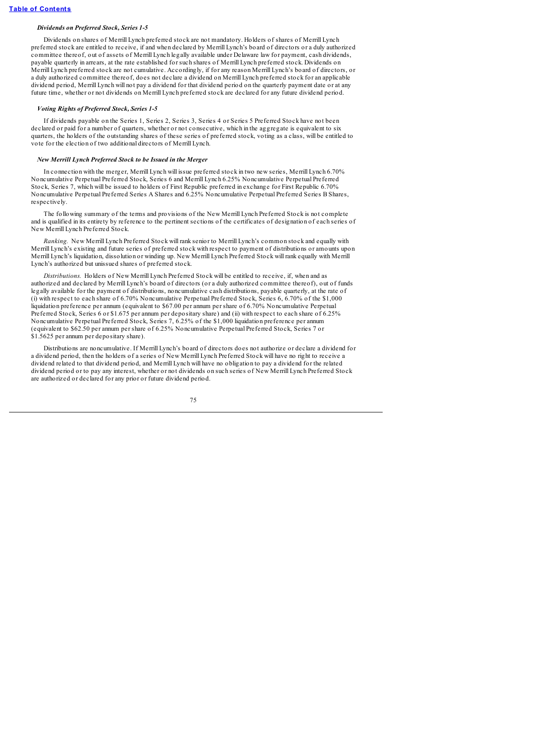### *Dividends on Preferred Stock, Series 1-5*

Dividends on shares of Merrill Lynch preferred stock are not mandatory. Holders of shares of Merrill Lynch preferred stock are entitled to receive, if and when declared by Merrill Lynch's board of directors or a duly authorized committee thereof, out of assets of Merrill Lynch legally available under Delaware law for payment, cash dividends, payable quarterly in arrears, at the rate established for such shares of Merrill Lynch preferred stock. Dividends on Merrill Lynch preferred stock are not cumulative. Accordingly, if for any reason Merrill Lynch's board of directors, or a duly authorized committee thereof, does not declare a dividend on Merrill Lynch preferred stock for an applicable dividend period, Merrill Lynch will not pay a dividend for that dividend period on the quarterly payment date or at any future time, whether or not dividends on Merrill Lynch preferred stock are declared for any future dividend period.

### *Voting Rights of Preferred Stock, Series 1-5*

If dividends payable on the Series 1, Series 2, Series 3, Series 4 or Series 5 Preferred Stock have not been declared or paid for a number of quarters, whether or not consecutive, which in the aggregate is equivalent to six quarters, the holders of the outstanding shares of these series of preferred stock, voting as a class, will be entitled to vote for the election of two additional directors of Merrill Lynch.

### *New Merrill Lynch Preferred Stock to be Issued in the Merger*

In connection with the merger, Merrill Lynch will issue preferred stock in two new series, Merrill Lynch 6.70% Noncumulative Perpetual Preferred Stock, Series 6 and Merrill Lynch 6.25% Noncumulative Perpetual Preferred Stock, Series 7, which will be issued to holders of First Republic preferred in exchange for First Republic 6.70% Noncumulative Perpetual Preferred Series A Shares and 6.25% Noncumulative Perpetual Preferred Series B Shares, respectively.

The following summary of the terms and provisions of the New Merrill Lynch Preferred Stock is not complete and is qualified in its entirety by reference to the pertinent sections of the certificates of designation of each series of New Merrill Lynch Preferred Stock.

*Ranking.* New Merrill Lynch Preferred Stock will rank senior to Merrill Lynch's common stock and equally with Merrill Lynch's existing and future series of preferred stock with respect to payment of distributions or amounts upon Merrill Lynch's liquidation, dissolution or winding up. New Merrill Lynch Preferred Stock will rank equally with Merrill Lynch's authorized but unissued shares of preferred stock.

*Distributions.* Holders of New Merrill Lynch Preferred Stock will be entitled to receive, if, when and as authorized and declared by Merrill Lynch's board of directors (or a duly authorized committee thereof), out of funds legally available for the payment of distributions, noncumulative cash distributions, payable quarterly, at the rate of (i) with respect to each share of 6.70% Noncumulative Perpetual Preferred Stock, Series 6, 6.70% of the \$1,000 liquidation preference per annum (equivalent to \$67.00 per annum per share of 6.70% Noncumulative Perpetual Preferred Stock, Series 6 or \$1.675 per annum per depositary share) and (ii) with respect to each share of 6.25% Noncumulative Perpetual Preferred Stock, Series 7, 6.25% of the \$1,000 liquidation preference per annum (equivalent to \$62.50 per annum per share of 6.25% Noncumulative Perpetual Preferred Stock, Series 7 or \$1.5625 per annum per depositary share).

Distributions are noncumulative. If Merrill Lynch's board of directors does not authorize or declare a dividend for a dividend period, then the holders of a series of New Merrill Lynch Preferred Stock will have no right to receive a dividend related to that dividend period, and Merrill Lynch will have no obligation to pay a dividend for the related dividend period or to pay any interest, whether or not dividends on such series of New Merrill Lynch Preferred Stock are authorized or declared for any prior or future dividend period.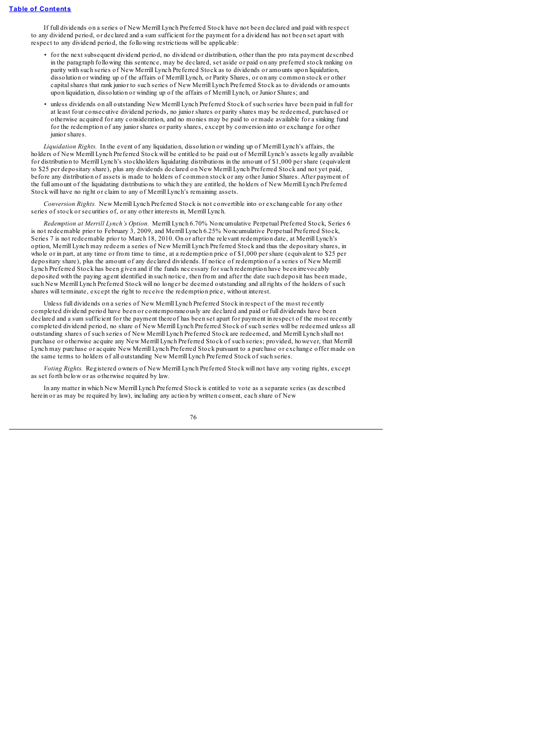If full dividends on a series of New Merrill Lynch Preferred Stock have not been declared and paid with respect to any dividend period, or declared and a sum sufficient for the payment for a dividend has not been set apart with respect to any dividend period, the following restrictions will be applicable:

- for the next subsequent dividend period, no dividend or distribution, other than the pro rata payment described in the paragraph following this sentence, may be declared, set aside or paid on any preferred stock ranking on parity with such series of New Merrill Lynch Preferred Stock as to dividends or amounts upon liquidation, dissolution or winding up of the affairs of Merrill Lynch, or Parity Shares, or on any common stock or other capitalshares that rank junior to such series of New Merrill Lynch Preferred Stock as to dividends or amounts upon liquidation, dissolution or winding up of the affairs of Merrill Lynch, or Junior Shares; and
- unless dividends on all outstanding New Merrill Lynch Preferred Stock of such series have been paid in full for at least four consecutive dividend periods, no junior shares or parity shares may be redeemed, purchased or otherwise acquired for any consideration, and no monies may be paid to or made available for a sinking fund for the redemption of any junior shares or parity shares, except by conversion into or exchange for other junior shares.

*Liquidation Rights.* In the event of any liquidation, dissolution or winding up of Merrill Lynch's affairs, the holders of New Merrill Lynch Preferred Stock will be entitled to be paid out of Merrill Lynch's assets legally available for distribution to Merrill Lynch's stockholders liquidating distributions in the amount of \$1,000 per share (equivalent to \$25 per depositary share), plus any dividends declared on New Merrill Lynch Preferred Stock and not yet paid, before any distribution of assets is made to holders of common stock or any other Junior Shares. After payment of the full amount of the liquidating distributions to which they are entitled, the holders of New Merrill Lynch Preferred Stock will have no right or claim to any of Merrill Lynch's remaining assets.

*Conversion Rights.* New Merrill Lynch Preferred Stock is not convertible into or exchangeable for any other series of stock or securities of, or any other interests in, Merrill Lynch.

*Redemption at Merrill Lynch's Option.* Merrill Lynch 6.70% Noncumulative Perpetual Preferred Stock, Series 6 is not redeemable prior to February 3, 2009, and Merrill Lynch 6.25% Noncumulative Perpetual Preferred Stock, Series 7 is not redeemable prior to March 18, 2010. On or after the relevant redemption date, at Merrill Lynch's option, Merrill Lynch may redeem a series of New Merrill Lynch Preferred Stock and thus the depositary shares, in whole or in part, at any time or from time to time, at a redemption price of \$1,000 per share (equivalent to \$25 per depositary share), plus the amount of any declared dividends. If notice of redemption of a series of New Merrill Lynch Preferred Stock has been given and if the funds necessary for such redemption have been irrevocably deposited with the paying agent identified in such notice, then from and after the date such deposit has been made, such New Merrill Lynch Preferred Stock will no longer be deemed outstanding and all rights of the holders of such shares will terminate, except the right to receive the redemption price, without interest.

Unless full dividends on a series of New Merrill Lynch Preferred Stock in respect of the most recently completed dividend period have been or contemporaneously are declared and paid or full dividends have been declared and a sum sufficient for the payment thereof has been set apart for payment in respect of the most recently completed dividend period, no share of New Merrill Lynch Preferred Stock of such series will be redeemed unless all outstanding shares of such series of New Merrill Lynch Preferred Stock are redeemed, and Merrill Lynch shall not purchase or otherwise acquire any New Merrill Lynch Preferred Stock of such series; provided, however, that Merrill Lynch may purchase or acquire New Merrill Lynch Preferred Stock pursuant to a purchase or exchange offer made on the same terms to holders of all outstanding New Merrill Lynch Preferred Stock of such series.

*Voting Rights.* Registered owners of New Merrill Lynch Preferred Stock will not have any voting rights, except as set forth below or as otherwise required by law.

In any matter in which New Merrill Lynch Preferred Stock is entitled to vote as a separate series (as described herein or as may be required by law), including any action by written consent, each share of New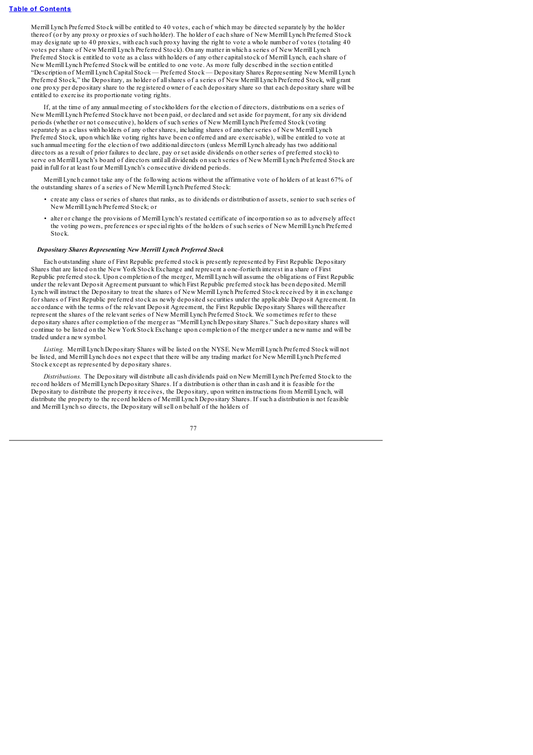Merrill Lynch Preferred Stock will be entitled to 40 votes, each of which may be directed separately by the holder thereof (or by any proxy or proxies of such holder). The holder of each share of New Merrill Lynch Preferred Stock may designate up to 40 proxies, with each such proxy having the right to vote a whole number of votes (totaling 40 votes per share of New Merrill Lynch Preferred Stock). On any matter in which a series of New Merrill Lynch Preferred Stock is entitled to vote as a class with holders of any other capitalstock of Merrill Lynch, each share of New Merrill Lynch Preferred Stock will be entitled to one vote. As more fully described in the section entitled "Description of Merrill Lynch Capital Stock — Preferred Stock — Depositary Shares Representing New Merrill Lynch Preferred Stock," the Depositary, as holder of allshares of a series of New Merrill Lynch Preferred Stock, will grant one proxy per depositary share to the registered owner of each depositary share so that each depositary share will be entitled to exercise its proportionate voting rights.

If, at the time of any annual meeting of stockholders for the election of directors, distributions on a series of New Merrill Lynch Preferred Stock have not been paid, or declared and set aside for payment, for any six dividend periods (whether or not consecutive), holders of such series of New Merrill Lynch Preferred Stock (voting separately as a class with holders of any other shares, including shares of another series of New Merrill Lynch Preferred Stock, upon which like voting rights have been conferred and are exercisable), will be entitled to vote at such annual meeting for the election of two additional directors (unless Merrill Lynch already has two additional directors as a result of prior failures to declare, pay or set aside dividends on other series of preferred stock) to serve on Merrill Lynch's board of directors until all dividends on such series of New Merrill Lynch Preferred Stock are paid in full for at least four Merrill Lynch's consecutive dividend periods.

Merrill Lynch cannot take any of the following actions without the affirmative vote of holders of at least 67% of the outstanding shares of a series of New Merrill Lynch Preferred Stock:

- create any class or series of shares that ranks, as to dividends or distribution of assets, senior to such series of New Merrill Lynch Preferred Stock; or
- alter or change the provisions of Merrill Lynch's restated certificate of incorporation so as to adversely affect the voting powers, preferences or special rights of the holders of such series of New Merrill Lynch Preferred Stock.

### *Depositary Shares Representing New Merrill Lynch Preferred Stock*

Each outstanding share of First Republic preferred stock is presently represented by First Republic Depositary Shares that are listed on the New York Stock Exchange and represent a one-fortieth interest in a share of First Republic preferred stock. Upon completion of the merger, Merrill Lynch will assume the obligations of First Republic under the relevant Deposit Agreement pursuant to which First Republic preferred stock has been deposited. Merrill Lynch will instruct the Depositary to treat the shares of New Merrill Lynch Preferred Stock received by it in exchange for shares of First Republic preferred stock as newly deposited securities under the applicable Deposit Agreement. In accordance with the terms of the relevant Deposit Agreement, the First Republic Depositary Shares will thereafter represent the shares of the relevant series of New Merrill Lynch Preferred Stock. We sometimes refer to these depositary shares after completion of the merger as "Merrill Lynch Depositary Shares." Such depositary shares will continue to be listed on the New York Stock Exchange upon completion of the merger under a new name and will be traded under a new symbol.

*Listing.* Merrill Lynch Depositary Shares will be listed on the NYSE. New Merrill Lynch Preferred Stock will not be listed, and Merrill Lynch does not expect that there will be any trading market for New Merrill Lynch Preferred Stock except as represented by depositary shares.

*Distributions.* The Depositary will distribute all cash dividends paid on New Merrill Lynch Preferred Stock to the record holders of Merrill Lynch Depositary Shares. If a distribution is other than in cash and it is feasible for the Depositary to distribute the property it receives, the Depositary, upon written instructions from Merrill Lynch, will distribute the property to the record holders of Merrill Lynch Depositary Shares. If such a distribution is not feasible and Merrill Lynch so directs, the Depositary willsell on behalf of the holders of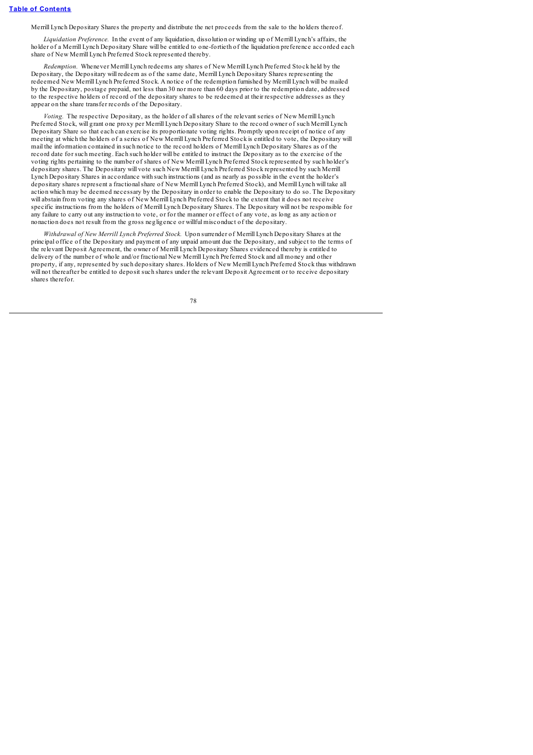Merrill Lynch Depositary Shares the property and distribute the net proceeds from the sale to the holders thereof.

*Liquidation Preference.* In the event of any liquidation, dissolution or winding up of Merrill Lynch's affairs, the holder of a Merrill Lynch Depositary Share will be entitled to one-fortieth of the liquidation preference accorded each share of New Merrill Lynch Preferred Stock represented thereby.

*Redemption.* Whenever Merrill Lynch redeems any shares of New Merrill Lynch Preferred Stock held by the Depositary, the Depositary will redeem as of the same date, Merrill Lynch Depositary Shares representing the redeemed New Merrill Lynch Preferred Stock. A notice of the redemption furnished by Merrill Lynch will be mailed by the Depositary, postage prepaid, not less than 30 nor more than 60 days prior to the redemption date, addressed to the respective holders of record of the depositary shares to be redeemed at their respective addresses as they appear on the share transfer records of the Depositary.

*Voting.* The respective Depositary, as the holder of allshares of the relevant series of New Merrill Lynch Preferred Stock, will grant one proxy per Merrill Lynch Depositary Share to the record owner of such Merrill Lynch Depositary Share so that each can exercise its proportionate voting rights. Promptly upon receipt of notice of any meeting at which the holders of a series of New Merrill Lynch Preferred Stock is entitled to vote, the Depositary will mail the information contained in such notice to the record holders of Merrill Lynch Depositary Shares as of the record date for such meeting. Each such holder will be entitled to instruct the Depositary as to the exercise of the voting rights pertaining to the number of shares of New Merrill Lynch Preferred Stock represented by such holder's depositary shares. The Depositary will vote such New Merrill Lynch Preferred Stock represented by such Merrill Lynch Depositary Shares in accordance with such instructions (and as nearly as possible in the event the holder's depositary shares represent a fractionalshare of New Merrill Lynch Preferred Stock), and Merrill Lynch will take all action which may be deemed necessary by the Depositary in order to enable the Depositary to do so. The Depositary will abstain from voting any shares of New Merrill Lynch Preferred Stock to the extent that it does not receive specific instructions from the holders of Merrill Lynch Depositary Shares. The Depositary will not be responsible for any failure to carry out any instruction to vote, or for the manner or effect of any vote, as long as any action or nonaction does not result from the gross negligence or willful misconduct of the depositary.

*Withdrawal of New Merrill Lynch Preferred Stock.* Upon surrender of Merrill Lynch Depositary Shares at the principal office of the Depositary and payment of any unpaid amount due the Depositary, and subject to the terms of the relevant Deposit Agreement, the owner of Merrill Lynch Depositary Shares evidenced thereby is entitled to delivery of the number of whole and/or fractional New Merrill Lynch Preferred Stock and all money and other property, if any, represented by such depositary shares. Holders of New Merrill Lynch Preferred Stock thus withdrawn will not thereafter be entitled to deposit such shares under the relevant Deposit Agreement or to receive depositary shares therefor.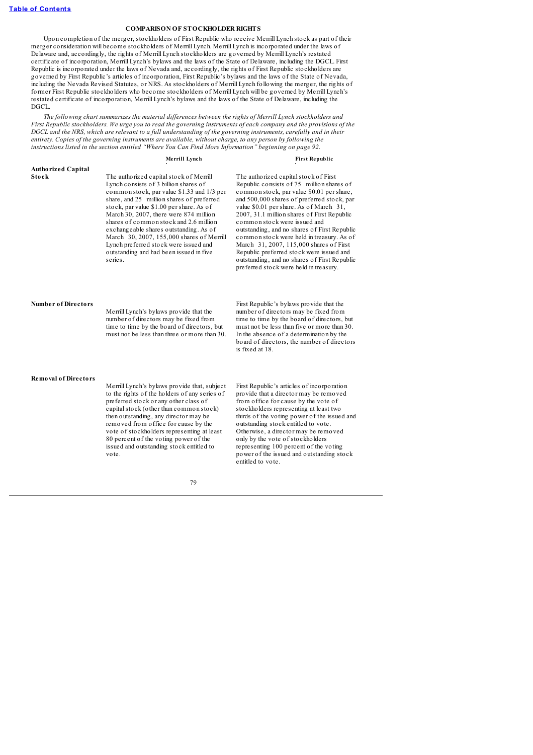### **COMPARISON OF STOCKHOLDER RIGHTS**

Upon completion of the merger, stockholders of First Republic who receive Merrill Lynch stock as part of their merger consideration will become stockholders of Merrill Lynch. Merrill Lynch is incorporated under the laws of Delaware and, accordingly, the rights of Merrill Lynch stockholders are governed by Merrill Lynch's restated certificate of incorporation, Merrill Lynch's bylaws and the laws of the State of Delaware, including the DGCL. First Republic is incorporated under the laws of Nevada and, accordingly, the rights of First Republic stockholders are governed by First Republic's articles of incorporation, First Republic's bylaws and the laws of the State of Nevada, including the Nevada Revised Statutes, or NRS. As stockholders of Merrill Lynch following the merger, the rights of former First Republic stockholders who become stockholders of Merrill Lynch will be governed by Merrill Lynch's restated certificate of incorporation, Merrill Lynch's bylaws and the laws of the State of Delaware, including the DGCL.

*The following chart summarizes the material dif erences between the rights of Merrill Lynch stockholders and* First Republic stockholders. We urge you to read the governing instruments of each company and the provisions of the DGCL and the NRS, which are relevant to a full understanding of the governing instruments, carefully and in their *entirety. Copies of the governing instruments are available, without charge, to any person by following the instructions listed in the section entitled "Where You Can Find More Information" beginning on page 92.*

**Merrill Lynch First Republic**

| <b>Authorized Capital</b>  |                                                                                                                                                                                                                                                                                                                                                                                                                                                                                                   |                                                                                                                                                                                                                                                                                                                                                                                                                                                                                                                                                                                       |
|----------------------------|---------------------------------------------------------------------------------------------------------------------------------------------------------------------------------------------------------------------------------------------------------------------------------------------------------------------------------------------------------------------------------------------------------------------------------------------------------------------------------------------------|---------------------------------------------------------------------------------------------------------------------------------------------------------------------------------------------------------------------------------------------------------------------------------------------------------------------------------------------------------------------------------------------------------------------------------------------------------------------------------------------------------------------------------------------------------------------------------------|
| Stock                      | The authorized capital stock of Merrill<br>Lynch consists of 3 billion shares of<br>common stock, par value \$1.33 and 1/3 per<br>share, and 25 million shares of preferred<br>stock, par value \$1.00 per share. As of<br>March 30, 2007, there were 874 million<br>shares of common stock and 2.6 million<br>exchangeable shares outstanding. As of<br>March 30, 2007, 155,000 shares of Merrill<br>Lynch preferred stock were issued and<br>outstanding and had been issued in five<br>series. | The authorized capital stock of First<br>Republic consists of 75 million shares of<br>common stock, par value \$0.01 per share,<br>and 500,000 shares of preferred stock, par<br>value \$0.01 per share. As of March 31,<br>2007, 31.1 million shares of First Republic<br>common stock were issued and<br>outstanding, and no shares of First Republic<br>common stock were held in treasury. As of<br>March 31, 2007, 115,000 shares of First<br>Republic preferred stock were issued and<br>outstanding, and no shares of First Republic<br>preferred stock were held in treasury. |
| <b>Number of Directors</b> | Merrill Lynch's bylaws provide that the<br>number of directors may be fixed from<br>time to time by the board of directors, but<br>must not be less than three or more than 30.                                                                                                                                                                                                                                                                                                                   | First Republic's bylaws provide that the<br>number of directors may be fixed from<br>time to time by the board of directors, but<br>must not be less than five or more than 30.<br>In the absence of a determination by the<br>board of directors, the number of directors<br>is fixed at 18.                                                                                                                                                                                                                                                                                         |
| Removal of Directors       | Merrill Lynch's bylaws provide that, subject<br>to the rights of the holders of any series of<br>preferred stock or any other class of<br>capital stock (other than common stock)<br>then outstanding, any director may be<br>removed from office for cause by the<br>vote of stockholders representing at least<br>80 percent of the voting power of the<br>issued and outstanding stock entitled to<br>vote.                                                                                    | First Republic's articles of incorporation<br>provide that a director may be removed<br>from office for cause by the vote of<br>stockholders representing at least two<br>thirds of the voting power of the issued and<br>outstanding stock entitled to vote.<br>Otherwise, a director may be removed<br>only by the vote of stockholders<br>representing 100 percent of the voting<br>power of the issued and outstanding stock<br>entitled to vote.                                                                                                                                 |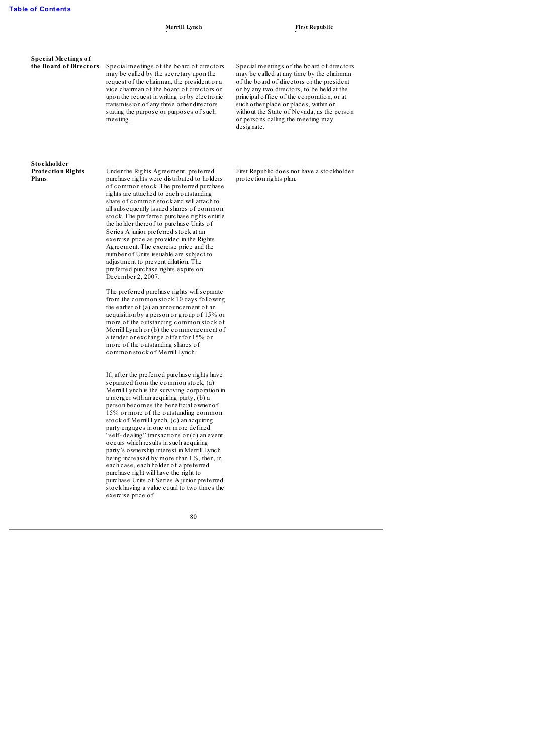**Special Meetings of**

**the Board of Directors** Special meetings of the board of directors may be called by the secretary upon the request of the chairman, the president or a vice chairman of the board of directors or upon the request in writing or by electronic transmission of any three other directors stating the purpose or purposes of such meeting.

Special meetings of the board of directors may be called at any time by the chairman of the board of directors or the president or by any two directors, to be held at the principal office of the corporation, or at such other place or places, within or without the State of Nevada, as the person or persons calling the meeting may designate.

### **Stockholder Protection Rights Plans**

Under the Rights Agreement, preferred purchase rights were distributed to holders of common stock. The preferred purchase rights are attached to each outstanding share of common stock and will attach to allsubsequently issued shares of common stock. The preferred purchase rights entitle the holder thereof to purchase Units of Series A junior preferred stock at an exercise price as provided in the Rights Agreement. The exercise price and the number of Units issuable are subject to adjustment to prevent dilution. The preferred purchase rights expire on December 2, 2007.

The preferred purchase rights willseparate from the common stock 10 days following the earlier of (a) an announcement of an acquisition by a person or group of 15% or more of the outstanding common stock of Merrill Lynch or (b) the commencement of a tender or exchange offer for 15% or more of the outstanding shares of common stock of Merrill Lynch.

If, after the preferred purchase rights have separated from the common stock, (a) Merrill Lynch is the surviving corporation in a merger with an acquiring party, (b) a person becomes the beneficial owner of 15% or more of the outstanding common stock of Merrill Lynch, (c) an acquiring party engages in one or more defined "self- dealing" transactions or (d) an event occurs which results in such acquiring party's ownership interest in Merrill Lynch being increased by more than 1%, then, in each case, each holder of a preferred purchase right will have the right to purchase Units of Series A junior preferred stock having a value equal to two times the exercise price of

80

First Republic does not have a stockholder protection rights plan.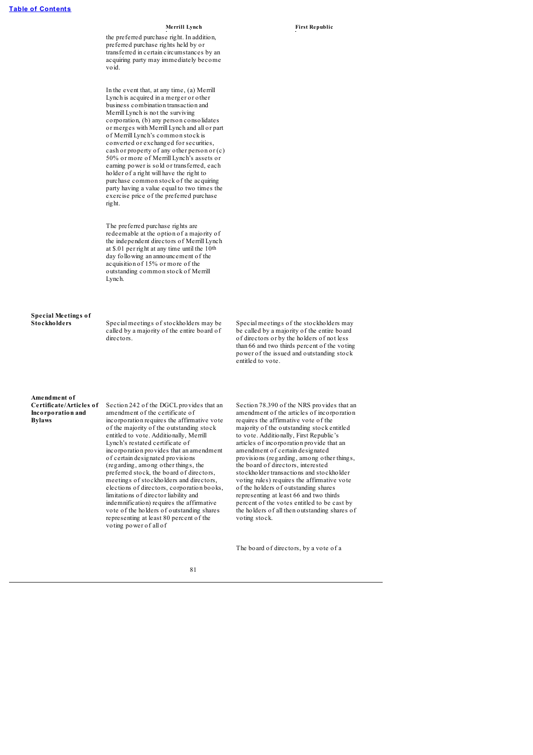the preferred purchase right. In addition, preferred purchase rights held by or transferred in certain circumstances by an acquiring party may immediately become void.

In the event that, at any time, (a) Merrill Lynch is acquired in a merger or other business combination transaction and Merrill Lynch is not the surviving corporation, (b) any person consolidates or merges with Merrill Lynch and all or part of Merrill Lynch's common stock is converted or exchanged for securities, cash or property of any other person or (c) 50% or more of Merrill Lynch's assets or earning power is sold or transferred, each holder of a right will have the right to purchase common stock of the acquiring party having a value equal to two times the exercise price of the preferred purchase right.

The preferred purchase rights are redeemable at the option of a majority of the independent directors of Merrill Lynch at \$.01 per right at any time until the 10th day following an announcement of the acquisition of 15% or more of the outstanding common stock of Merrill Lynch.

# **Special Meetings of**

**Stockholders** Special meetings of stockholders may be called by a majority of the entire board of directors.

Special meetings of the stockholders may be called by a majority of the entire board of directors or by the holders of not less than 66 and two thirds percent of the voting power of the issued and outstanding stock entitled to vote.

### **Amendment of Certificate/Articles of Incorporation and**

**Bylaws**

Section 242 of the DGCL provides that an amendment of the certificate of incorporation requires the affirmative vote of the majority of the outstanding stock entitled to vote. Additionally, Merrill Lynch's restated certificate of incorporation provides that an amendment of certain designated provisions (regarding, among other things, the preferred stock, the board of directors, meetings of stockholders and directors, elections of directors, corporation books, limitations of director liability and indemnification) requires the affirmative vote of the holders of outstanding shares representing at least 80 percent of the voting power of all of

Section 78.390 of the NRS provides that an amendment of the articles of incorporation requires the affirmative vote of the majority of the outstanding stock entitled to vote. Additionally, First Republic's articles of incorporation provide that an amendment of certain designated provisions (regarding, among other things, the board of directors, interested stockholder transactions and stockholder voting rules) requires the affirmative vote of the holders of outstanding shares representing at least 66 and two thirds percent of the votes entitled to be cast by the holders of all then outstanding shares of voting stock.

The board of directors, by a vote of a

### 81

### **Merrill Lynch First Republic**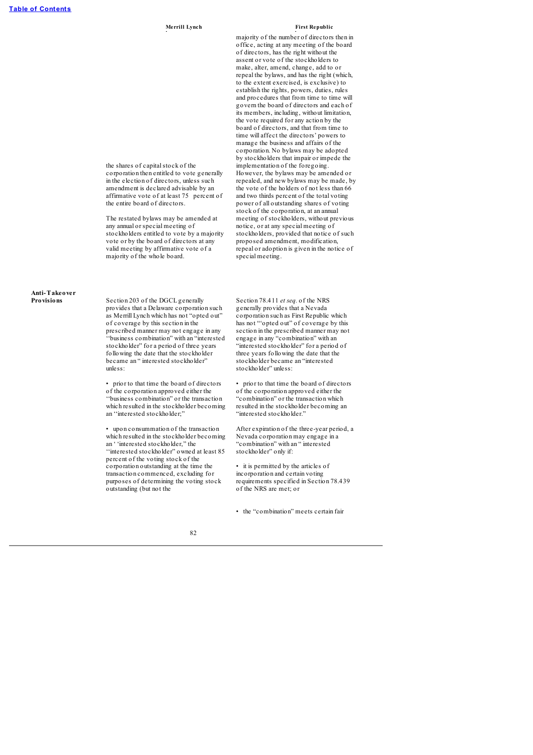majority of the number of directors then in office, acting at any meeting of the board of directors, has the right without the assent or vote of the stockholders to make, alter, amend, change, add to or repeal the bylaws, and has the right (which, to the extent exercised, is exclusive) to establish the rights, powers, duties, rules and procedures that from time to time will govern the board of directors and each of its members, including, without limitation, the vote required for any action by the board of directors, and that from time to time will affect the directors' powers to manage the business and affairs of the corporation. No bylaws may be adopted by stockholders that impair or impede the implementation of the foregoing. However, the bylaws may be amended or repealed, and new bylaws may be made, by the vote of the holders of not less than 66 and two thirds percent of the total voting power of all outstanding shares of voting stock of the corporation, at an annual meeting of stockholders, without previous notice, or at any special meeting of stockholders, provided that notice of such proposed amendment, modification, repeal or adoption is given in the notice of special meeting.

# **Anti-Takeover**

**Provisions** Section 203 of the DGCL generally provides that a Delaware corporation such as Merrill Lynch which has not "opted out" of coverage by this section in the prescribed manner may not engage in any ''business combination" with an "interested stockholder" for a period of three years following the date that the stockholder became an " interested stockholder" unless:

the shares of capital stock of the corporation then entitled to vote generally in the election of directors, unless such amendment is declared advisable by an affirmative vote of at least 75 percent of

the entire board of directors.

The restated bylaws may be amended at any annual or special meeting of stockholders entitled to vote by a majority vote or by the board of directors at any valid meeting by affirmative vote of a majority of the whole board.

• prior to that time the board of directors of the corporation approved either the ''business combination" or the transaction which resulted in the stockholder becoming an ''interested stockholder;"

• upon consummation of the transaction which resulted in the stockholder becoming an ' 'interested stockholder," the ''interested stockholder" owned at least 85 percent of the voting stock of the corporation outstanding at the time the transaction commenced, excluding for purposes of determining the voting stock outstanding (but not the

Section 78.411 *et seq.* of the NRS generally provides that a Nevada corporation such as First Republic which has not "'opted out" of coverage by this section in the prescribed manner may not engage in any "combination" with an "interested stockholder" for a period of three years following the date that the stockholder became an "interested stockholder" unless:

• prior to that time the board of directors of the corporation approved either the "combination" or the transaction which resulted in the stockholder becoming an "interested stockholder."

After expiration of the three-year period, a Nevada corporation may engage in a "combination" with an " interested stockholder" only if:

• it is permitted by the articles of incorporation and certain voting requirements specified in Section 78.439 of the NRS are met; or

• the "combination" meets certain fair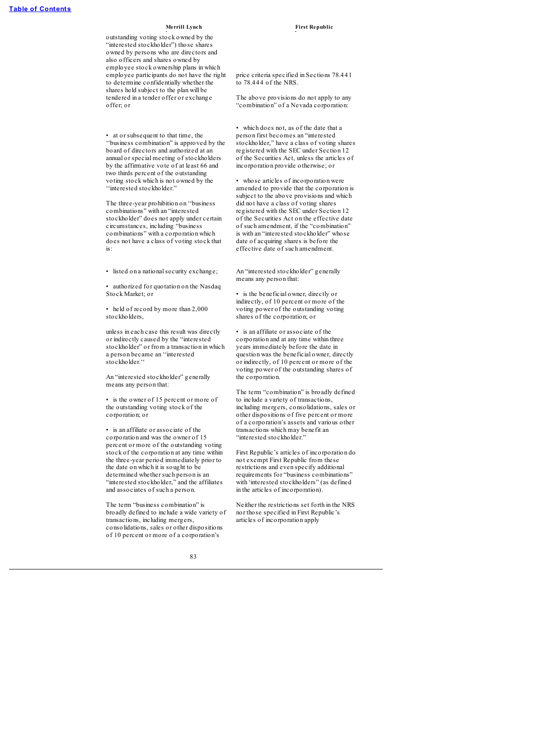outstanding voting stock owned by the "interested stockholder") those shares owned by persons who are directors and also officers and shares owned by employee stock ownership plans in which employee participants do not have the right to determine confidentially whether the shares held subject to the plan will be tendered in a tender offer or exchange offer; or

• at or subsequent to that time, the ''business combination" is approved by the board of directors and authorized at an annual or special meeting of stockholders by the affirmative vote of at least 66 and two thirds percent of the outstanding voting stock which is not owned by the ''interested stockholder."

The three-year prohibition on ''business combinations" with an "interested stockholder" does not apply under certain circumstances, including "business" combinations" with a corporation which does not have a class of voting stock that is:

• listed on a nationalsecurity exchange;

• authorized for quotation on the Nasdaq Stock Market; or

• held of record by more than 2,000 stockholders,

unless in each case this result was directly or indirectly caused by the "interested stockholder" or from a transaction in which a person became an ''interested stockholder.''

An "interested stockholder" generally means any person that:

• is the owner of 15 percent or more of the outstanding voting stock of the corporation; or

• is an affiliate or associate of the corporation and was the owner of 15 percent or more of the outstanding voting stock of the corporation at any time within the three-year period immediately prior to the date on which it is sought to be determined whether such person is an "interested stockholder," and the affiliates and associates of such a person.

The term "business combination" is broadly defined to include a wide variety of transactions, including mergers, consolidations, sales or other dispositions of 10 percent or more of a corporation's

price criteria specified in Sections 78.441 to  $78.444$  of the NRS.

The above provisions do not apply to any "combination" of a Nevada corporation:

• which does not, as of the date that a person first becomes an "interested stockholder," have a class of voting shares registered with the SEC under Section 12 of the Securities Act, unless the articles of incorporation provide otherwise; or

• whose articles of incorporation were amended to provide that the corporation is subject to the above provisions and which did not have a class of voting shares registered with the SEC under Section 12 of the Securities Act on the effective date of such amendment, if the "combination" is with an "interested stockholder" whose date of acquiring shares is before the effective date of such amendment.

An "interested stockholder" generally means any person that:

• is the beneficial owner, directly or indirectly, of 10 percent or more of the voting power of the outstanding voting shares of the corporation; or

• is an affiliate or associate of the corporation and at any time within three years immediately before the date in question was the beneficial owner, directly or indirectly, of 10 percent or more of the voting power of the outstanding shares of the corporation.

The term "combination" is broadly defined to include a variety of transactions, including mergers, consolidations, sales or other dispositions of five percent or more of a corporation's assets and various other transactions which may benefit an "interested stockholder."

First Republic's articles of incorporation do not exempt First Republic from these restrictions and even specify additional requirements for "business combinations" with 'interested stockholders" (as defined in the articles of incorporation).

Neither the restrictions set forth in the NRS nor those specified in First Republic's articles of incorporation apply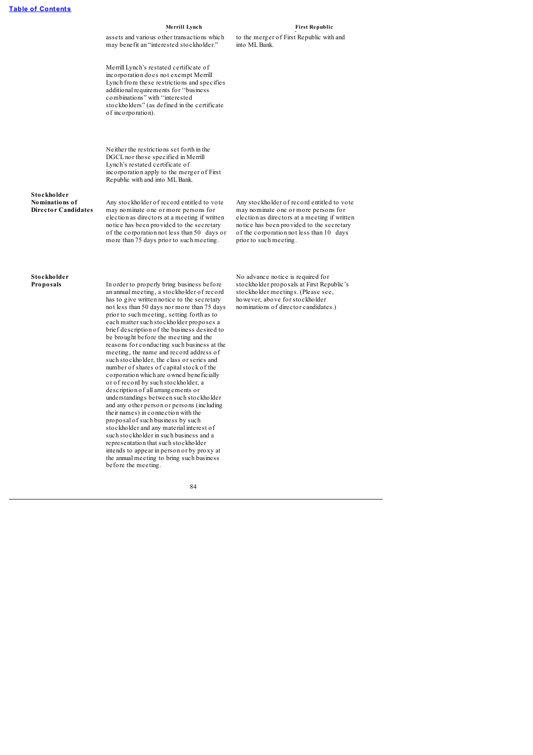| Merrill Lynch                                                                                                                                                                                                                                                                     | <b>First Republic</b>                                     |  |
|-----------------------------------------------------------------------------------------------------------------------------------------------------------------------------------------------------------------------------------------------------------------------------------|-----------------------------------------------------------|--|
| assets and various other transactions which<br>may benefit an "interested stockholder."                                                                                                                                                                                           | to the merger of First Republic with and<br>into ML Bank. |  |
| Merrill Lynch's restated certificate of<br>incorporation does not exempt Merrill<br>Lynch from these restrictions and specifies<br>additional requirements for "business"<br>combinations" with "interested<br>stockholders" (as defined in the certificate<br>of incorporation). |                                                           |  |
| Neither the restrictions set forth in the<br>DGCL nor those specified in Merrill<br>Lynch's restated certificate of<br>incorporation apply to the merger of First<br>Republic with and into ML Bank.                                                                              |                                                           |  |

**Stockholder Nominations of Director Candidates**

Any stockholder of record entitled to vote may nominate one or more persons for election as directors at a meeting if written notice has been provided to the secretary of the corporation not less than 50 days or more than 75 days prior to such meeting.

Any stockholder of record entitled to vote may nominate one or more persons for election as directors at a meeting if written notice has been provided to the secretary of the corporation not less than 10 days prior to such meeting.

# **Stockholder**

In order to properly bring business before an annual meeting, a stockholder of record has to give written notice to the secretary not less than 50 days nor more than 75 days prior to such meeting, setting forth as to each matter such stockholder proposes a brief description of the business desired to be brought before the meeting and the reasons for conducting such business at the meeting, the name and record address of such stockholder, the class or series and number of shares of capital stock of the corporation which are owned beneficially or of record by such stockholder, a description of all arrangements or understandings between such stockholder and any other person or persons (including their names) in connection with the proposal of such business by such stockholder and any material interest of such stockholder in such business and a representation that such stockholder intends to appear in person or by proxy at the annual meeting to bring such business before the meeting.

No advance notice is required for stockholder proposals at First Republic's stockholder meetings. (Please see, however, above for stockholder nominations of director candidates.)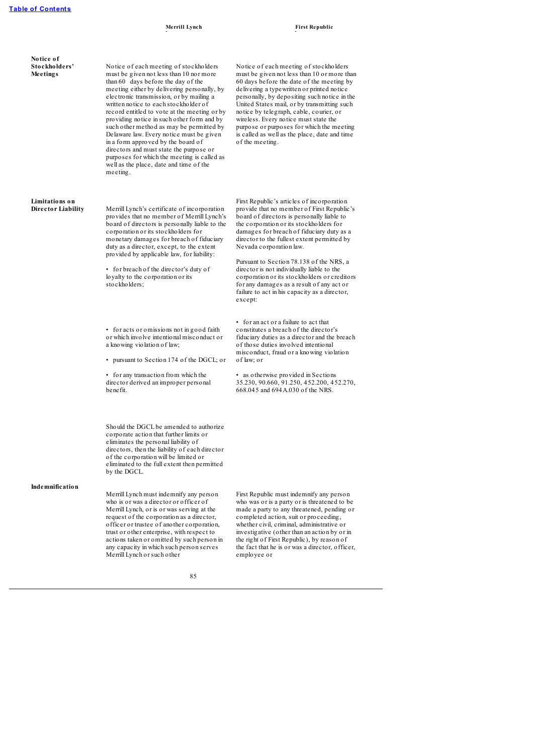| Notice of<br>Stockholders'<br>Meetings | Notice of each meeting of stockholders<br>must be given not less than 10 nor more<br>than 60 days before the day of the<br>meeting either by delivering personally, by<br>electronic transmission, or by mailing a<br>written no tice to each stockholder of<br>record entitled to vote at the meeting or by<br>providing notice in such other form and by<br>such other method as may be permitted by<br>Delaware law. Every notice must be given<br>in a form approved by the board of<br>directors and must state the purpose or<br>purposes for which the meeting is called as<br>well as the place, date and time of the<br>meeting. | Notice of each meeting of stockholders<br>must be given not less than 10 or more than<br>60 days before the date of the meeting by<br>delivering a type written or printed notice<br>personally, by depositing such notice in the<br>United States mail, or by transmitting such<br>notice by telegraph, cable, courier, or<br>wireless. Every notice must state the<br>purpose or purposes for which the meeting<br>is called as well as the place, date and time<br>of the meeting.                                                                       |
|----------------------------------------|-------------------------------------------------------------------------------------------------------------------------------------------------------------------------------------------------------------------------------------------------------------------------------------------------------------------------------------------------------------------------------------------------------------------------------------------------------------------------------------------------------------------------------------------------------------------------------------------------------------------------------------------|-------------------------------------------------------------------------------------------------------------------------------------------------------------------------------------------------------------------------------------------------------------------------------------------------------------------------------------------------------------------------------------------------------------------------------------------------------------------------------------------------------------------------------------------------------------|
| Limitations on<br>Director Liability   | Merrill Lynch's certificate of incorporation<br>provides that no member of Merrill Lynch's<br>board of directors is personally liable to the<br>corporation or its stockholders for<br>monetary damages for breach of fiduciary<br>duty as a director, except, to the extent<br>provided by applicable law, for liability:<br>• for breach of the director's duty of<br>loyalty to the corporation or its<br>stockholders;                                                                                                                                                                                                                | First Republic's articles of incorporation<br>provide that no member of First Republic's<br>board of directors is personally liable to<br>the corporation or its stockholders for<br>damages for breach of fiduciary duty as a<br>director to the fullest extent permitted by<br>Nevada corporation law.<br>Pursuant to Section 78.138 of the NRS, a<br>director is not individually liable to the<br>corporation or its stockholders or creditors<br>for any damages as a result of any act or<br>failure to act in his capacity as a director,<br>except: |
|                                        | • for acts or omissions not in good faith<br>or which involve intentional misconduct or<br>a knowing violation of law;<br>• pursuant to Section 174 of the DGCL; or<br>• for any transaction from which the<br>director derived an improper personal<br>benefit.                                                                                                                                                                                                                                                                                                                                                                          | • for an act or a failure to act that<br>constitutes a breach of the director's<br>fiduciary duties as a director and the breach<br>of those duties involved intentional<br>misconduct, fraud or a knowing violation<br>of law; or<br>• as otherwise provided in Sections<br>35.230, 90.660, 91.250, 452.200, 452.270,<br>668.045 and 694 A.030 of the NRS.                                                                                                                                                                                                 |
|                                        | Should the DGCL be amended to authorize<br>corporate action that further limits or<br>eliminates the personal liability of<br>directors, then the liability of each director<br>of the corporation will be limited or<br>eliminated to the full extent then permitted<br>by the DGCL.                                                                                                                                                                                                                                                                                                                                                     |                                                                                                                                                                                                                                                                                                                                                                                                                                                                                                                                                             |
| Indemnification                        | Merrill Lynch must indemnify any person<br>who is or was a director or officer of<br>Merrill Lynch, or is or was serving at the<br>request of the corporation as a director,<br>officer or trustee of another corporation,<br>trust or other enterprise, with respect to<br>actions taken or omitted by such person in<br>any capacity in which such person serves<br>Merrill Lynch or such other                                                                                                                                                                                                                                         | First Republic must indemnify any person<br>who was or is a party or is threatened to be<br>made a party to any threatened, pending or<br>completed action, suit or proceeding,<br>whether civil, criminal, administrative or<br>investigative (other than an action by or in<br>the right of First Republic), by reason of<br>the fact that he is or was a director, officer,<br>employee or                                                                                                                                                               |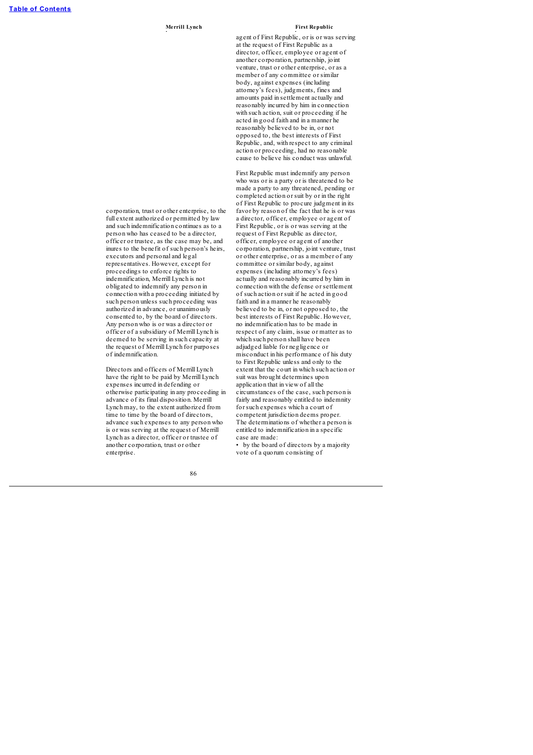agent of First Republic, or is or was serving at the request of First Republic as a director, officer, employee or agent of another corporation, partnership, joint venture, trust or other enterprise, or as a member of any committee or similar body, against expenses (including attorney's fees), judgments, fines and amounts paid in settlement actually and reasonably incurred by him in connection with such action, suit or proceeding if he acted in good faith and in a manner he reasonably believed to be in, or not opposed to, the best interests of First Republic, and, with respect to any criminal action or proceeding, had no reasonable cause to believe his conduct was unlawful.

First Republic must indemnify any person who was or is a party or is threatened to be made a party to any threatened, pending or completed action or suit by or in the right of First Republic to procure judgment in its favor by reason of the fact that he is or was a director, officer, employee or agent of First Republic, or is or was serving at the request of First Republic as director, officer, employee or agent of another corporation, partnership, joint venture, trust or other enterprise, or as a member of any committee or similar body, against expenses (including attorney's fees) actually and reasonably incurred by him in connection with the defense or settlement of such action or suit if he acted in good faith and in a manner he reasonably believed to be in, or not opposed to, the best interests of First Republic. However, no indemnification has to be made in respect of any claim, issue or matter as to which such person shall have been adjudged liable for negligence or misconduct in his performance of his duty to First Republic unless and only to the extent that the court in which such action or suit was brought determines upon application that in view of all the circumstances of the case, such person is fairly and reasonably entitled to indemnity for such expenses which a court of competent jurisdiction deems proper. The determinations of whether a person is entitled to indemnification in a specific case are made:

• by the board of directors by a majority vote of a quorum consisting of

86

corporation, trust or other enterprise, to the full extent authorized or permitted by law and such indemnification continues as to a person who has ceased to be a director, officer or trustee, as the case may be, and inures to the benefit of such person's heirs, executors and personal and legal representatives. However, except for proceedings to enforce rights to indemnification, Merrill Lynch is not obligated to indemnify any person in connection with a proceeding initiated by such person unless such proceeding was authorized in advance, or unanimously consented to, by the board of directors. Any person who is or was a director or officer of a subsidiary of Merrill Lynch is deemed to be serving in such capacity at the request of Merrill Lynch for purposes of indemnification.

Directors and officers of Merrill Lynch have the right to be paid by Merrill Lynch expenses incurred in defending or otherwise participating in any proceeding in advance of its final disposition. Merrill Lynch may, to the extent authorized from time to time by the board of directors, advance such expenses to any person who is or was serving at the request of Merrill Lynch as a director, officer or trustee of another corporation, trust or other enterprise.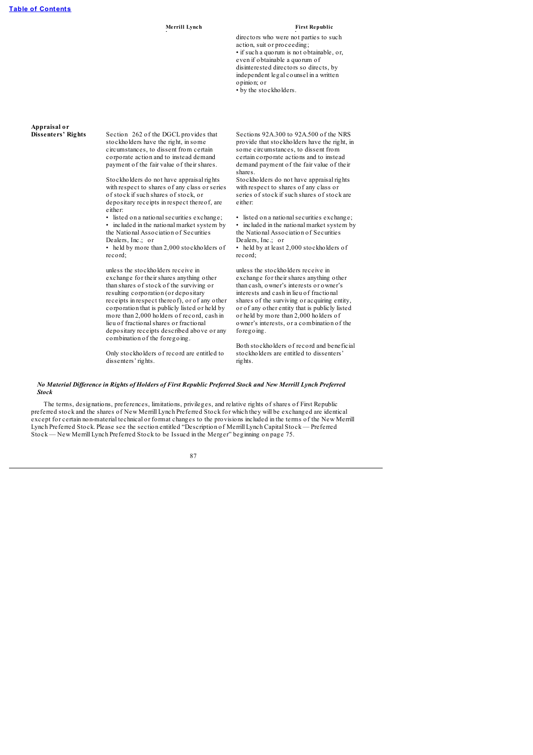directors who were not parties to such action, suit or proceeding; • if such a quorum is not obtainable, or, even if obtainable a quorum of disinterested directors so directs, by independent legal counsel in a written opinion; or

• by the stockholders.

# **Appraisal or**

Section 262 of the DGCL provides that stockholders have the right, in some circumstances, to dissent from certain corporate action and to instead demand payment of the fair value of their shares. Stockholders do not have appraisal rights

with respect to shares of any class or series of stock if such shares of stock, or depositary receipts in respect thereof, are either:

listed on a national securities exchange; included in the national market system by the National Association of Securities Dealers, Inc.; or

• held by more than 2,000 stockholders of record;

unless the stockholders receive in exchange for their shares anything other than shares of stock of the surviving or resulting corporation (or depositary receipts in respect thereof), or of any other corporation that is publicly listed or held by more than 2,000 holders of record, cash in lieu of fractionalshares or fractional depositary receipts described above or any combination of the foregoing.

Only stockholders of record are entitled to dissenters' rights.

Sections 92A.300 to 92A.500 of the NRS provide that stockholders have the right, in some circumstances, to dissent from certain corporate actions and to instead demand payment of the fair value of their shares.

Stockholders do not have appraisal rights with respect to shares of any class or series of stock if such shares of stock are either:

• listed on a national securities exchange: • included in the national market system by the National Association of Securities Dealers, Inc.; or

• held by at least 2,000 stockholders of record;

unless the stockholders receive in exchange for their shares anything other than cash, owner's interests or owner's interests and cash in lieu of fractional shares of the surviving or acquiring entity, or of any other entity that is publicly listed or held by more than 2,000 holders of owner's interests, or a combination of the foregoing.

Both stockholders of record and beneficial stockholders are entitled to dissenters' rights.

### No Material Difference in Rights of Holders of First Republic Preferred Stock and New Merrill Lynch Preferred *Stock*

The terms, designations, preferences, limitations, privileges, and relative rights of shares of First Republic preferred stock and the shares of New Merrill Lynch Preferred Stock for which they will be exchanged are identical except for certain non-material technical or format changes to the provisions included in the terms of the New Merrill Lynch Preferred Stock. Please see the section entitled "Description of Merrill Lynch Capital Stock — Preferred Stock — New Merrill Lynch Preferred Stock to be Issued in the Merger" beginning on page 75.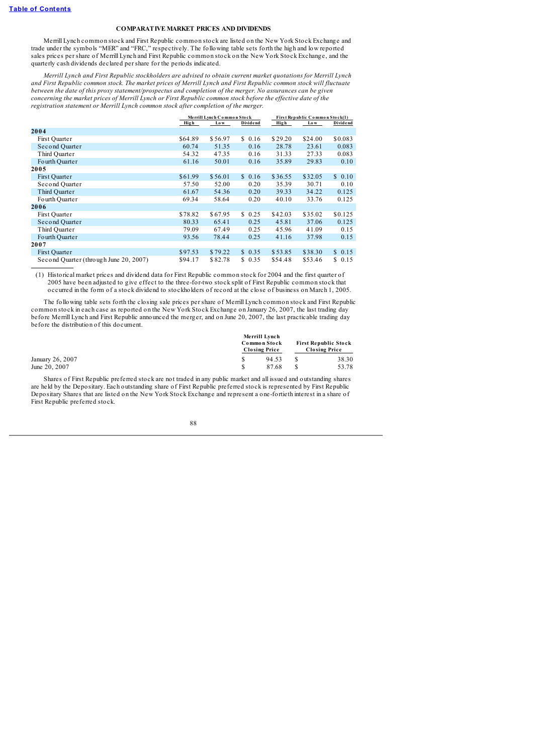### **COMPARATIVE MARKET PRICES AND DIVIDENDS**

Merrill Lynch common stock and First Republic common stock are listed on the New York Stock Exchange and trade under the symbols "MER" and "FRC," respectively. The following table sets forth the high and low reported sales prices per share of Merrill Lynch and First Republic common stock on the New York Stock Exchange, and the quarterly cash dividends declared per share for the periods indicated.

*Merrill Lynch and First Republic stockholders are advised to obtain current market quotations for Merrill Lynch* and First Republic common stock. The market prices of Merrill Lynch and First Republic common stock will fluctuate between the date of this proxy statement/prospectus and completion of the merger. No assurances can be given concerning the market prices of Merrill Lynch or First Republic common stock before the effective date of the *registration statement or Merrill Lynch common stock after completion of the merger.*

|                                        |         | Merrill Lynch Common Stock |            | First Republic Common Stock(1) |         |          |
|----------------------------------------|---------|----------------------------|------------|--------------------------------|---------|----------|
|                                        | High    | Lo w                       | Dividend   | High                           | Lo w    | Dividend |
| 2004                                   |         |                            |            |                                |         |          |
| First Ouarter                          | \$64.89 | \$56.97                    | \$0.16     | \$29.20                        | \$24.00 | \$0.083  |
| Second Quarter                         | 60.74   | 51.35                      | 0.16       | 28.78                          | 23.61   | 0.083    |
| Third Quarter                          | 54.32   | 47.35                      | 0.16       | 31.33                          | 27.33   | 0.083    |
| Fourth Quarter                         | 61.16   | 50.01                      | 0.16       | 35.89                          | 29.83   | 0.10     |
| 2005                                   |         |                            |            |                                |         |          |
| First Quarter                          | \$61.99 | \$56.01                    | \$0.16     | \$36.55                        | \$32.05 | \$0.10   |
| Second Quarter                         | 57.50   | 52.00                      | 0.20       | 35.39                          | 30.71   | 0.10     |
| Third Quarter                          | 61.67   | 54.36                      | 0.20       | 39.33                          | 34.22   | 0.125    |
| Fourth Quarter                         | 69.34   | 58.64                      | 0.20       | 40.10                          | 33.76   | 0.125    |
| 2006                                   |         |                            |            |                                |         |          |
| First Quarter                          | \$78.82 | \$67.95                    | \$0.25     | \$42.03                        | \$35.02 | \$0.125  |
| Second Quarter                         | 80.33   | 65.41                      | 0.25       | 45.81                          | 37.06   | 0.125    |
| Third Quarter                          | 79.09   | 67.49                      | 0.25       | 45.96                          | 41.09   | 0.15     |
| Fourth Quarter                         | 93.56   | 78.44                      | 0.25       | 41.16                          | 37.98   | 0.15     |
| 2007                                   |         |                            |            |                                |         |          |
| First Quarter                          | \$97.53 | \$79.22                    | \$0.35     | \$53.85                        | \$38.30 | \$0.15   |
| Second Quarter (through June 20, 2007) | \$94.17 | \$82.78                    | 0.35<br>S. | \$54.48                        | \$53.46 | \$0.15   |

(1) Historical market prices and dividend data for First Republic common stock for 2004 and the first quarter of 2005 have been adjusted to give effect to the three-for-two stock split of First Republic common stock that occurred in the form of a stock dividend to stockholders of record at the close of business on March 1, 2005.

The following table sets forth the closing sale prices per share of Merrill Lynch common stock and First Republic common stock in each case as reported on the New York Stock Exchange on January 26, 2007, the last trading day before Merrill Lynch and First Republic announced the merger, and on June 20, 2007, the last practicable trading day before the distribution of this document.

|                  | Merrill Lynch<br>Common Stock<br><b>Closing Price</b> | <b>First Republic Stock</b><br><b>Closing Price</b> |  |       |
|------------------|-------------------------------------------------------|-----------------------------------------------------|--|-------|
| January 26, 2007 |                                                       | 94.53                                               |  | 38.30 |
| June 20, 2007    |                                                       | 87.68                                               |  | 53.78 |

Shares of First Republic preferred stock are not traded in any public market and all issued and outstanding shares are held by the Depositary. Each outstanding share of First Republic preferred stock is represented by First Republic Depositary Shares that are listed on the New York Stock Exchange and represent a one-fortieth interest in a share of First Republic preferred stock.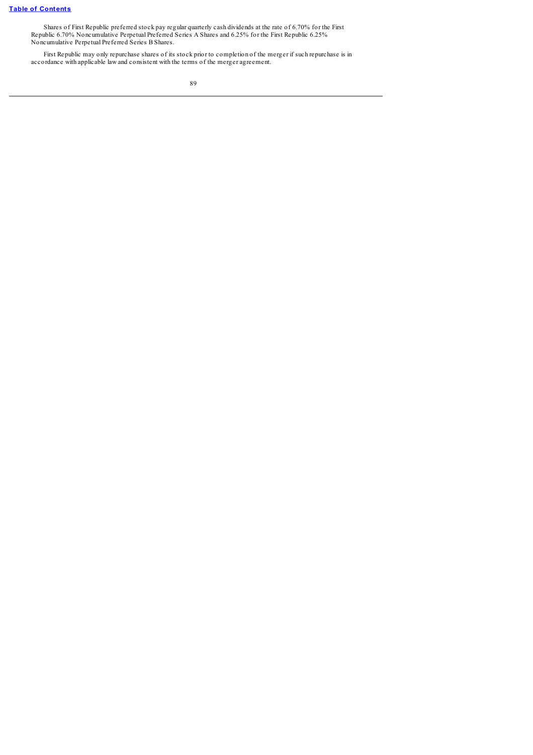Shares of First Republic preferred stock pay regular quarterly cash dividends at the rate of 6.70% for the First Republic 6.70% Noncumulative Perpetual Preferred Series A Shares and 6.25% for the First Republic 6.25% Noncumulative Perpetual Preferred Series B Shares.

First Republic may only repurchase shares of its stock prior to completion of the merger if such repurchase is in accordance with applicable law and consistent with the terms of the merger agreement.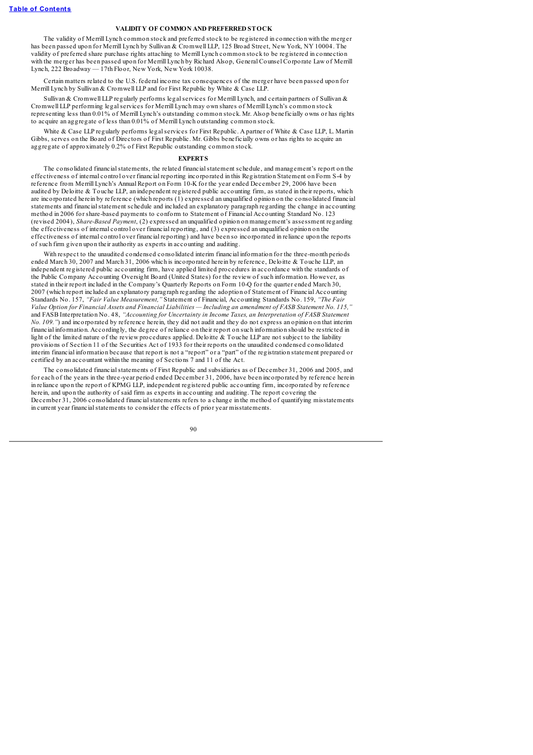### **VALIDITY OF COMMON AND PREFERRED STOCK**

The validity of Merrill Lynch common stock and preferred stock to be registered in connection with the merger has been passed upon for Merrill Lynch by Sullivan & Cromwell LLP, 125 Broad Street, New York, NY 10004. The validity of preferred share purchase rights attaching to Merrill Lynch common stock to be registered in connection with the merger has been passed upon for Merrill Lynch by Richard Alsop, General Counsel Corporate Law of Merrill Lynch, 222 Broadway — 17th Floor, New York, New York 10038.

Certain matters related to the U.S. federal income tax consequences of the merger have been passed upon for Merrill Lynch by Sullivan & Cromwell LLP and for First Republic by White & Case LLP.

Sullivan & Cromwell LLP regularly performs legal services for Merrill Lynch, and certain partners of Sullivan & Cromwell LLP performing legalservices for Merrill Lynch may own shares of Merrill Lynch's common stock representing less than 0.01% of Merrill Lynch's outstanding common stock. Mr. Alsop beneficially owns or has rights to acquire an aggregate of less than 0.01% of Merrill Lynch outstanding common stock.

White & Case LLP regularly performs legal services for First Republic. A partner of White & Case LLP, L. Martin Gibbs, serves on the Board of Directors of First Republic. Mr. Gibbs beneficially owns or has rights to acquire an aggregate of approximately 0.2% of First Republic outstanding common stock.

### **EXPERTS**

The consolidated financialstatements, the related financialstatement schedule, and management's report on the effectiveness of internal control over financial reporting incorporated in this Registration Statement on Form S-4 by reference from Merrill Lynch's Annual Report on Form 10-K for the year ended December 29, 2006 have been audited by Deloitte & Touche LLP, an independent registered public accounting firm, as stated in their reports, which are incorporated herein by reference (which reports (1) expressed an unqualified opinion on the consolidated financial statements and financialstatement schedule and included an explanatory paragraph regarding the change in accounting method in 2006 for share-based payments to conform to Statement of Financial Accounting Standard No. 123 (revised 2004), *Share-Based Payment*, (2) expressed an unqualified opinion on management's assessment regarding the effectiveness of internal control over financial reporting, and (3) expressed an unqualified opinion on the effectiveness of internal control over financial reporting) and have been so incorporated in reliance upon the reports of such firm given upon their authority as experts in accounting and auditing.

With respect to the unaudited condensed consolidated interim financial information for the three-month periods ended March 30, 2007 and March 31, 2006 which is incorporated herein by reference, Deloitte & Touche LLP, an independent registered public accounting firm, have applied limited procedures in accordance with the standards of the Public Company Accounting Oversight Board (United States) for the review of such information. However, as stated in their report included in the Company's Quarterly Reports on Form 10-Q for the quarter ended March 30, 2007 (which report included an explanatory paragraph regarding the adoption of Statement of Financial Accounting Standards No. 157, *"Fair Value Measurement,"* Statement of Financial, Accounting Standards No. 159, *"The Fair* Value Option for Financial Assets and Financial Liabilities - Including an amendment of FASB Statement No. 115,' and FASB Interpretation No. 48, *"Accounting for Uncertainty in Income Taxes, an Interpretation of FASB Statement No. 109."*) and incorporated by reference herein, they did not audit and they do not express an opinion on that interim financial information. Accordingly, the degree of reliance on their report on such information should be restricted in light of the limited nature of the review procedures applied. Deloitte & Touche LLP are not subject to the liability provisions of Section 11 of the Securities Act of 1933 for their reports on the unaudited condensed consolidated interim financial information because that report is not a "report" or a "part" of the registration statement prepared or certified by an accountant within the meaning of Sections 7 and 11 of the Act.

The consolidated financialstatements of First Republic and subsidiaries as of December 31, 2006 and 2005, and for each of the years in the three-year period ended December 31, 2006, have been incorporated by reference herein in reliance upon the report of KPMG LLP, independent registered public accounting firm, incorporated by reference herein, and upon the authority of said firm as experts in accounting and auditing. The report covering the December 31, 2006 consolidated financialstatements refers to a change in the method of quantifying misstatements in current year financialstatements to consider the effects of prior year misstatements.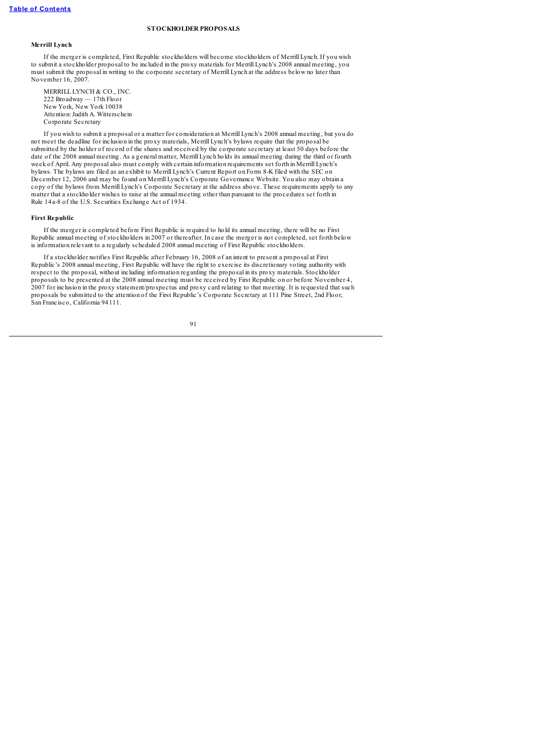## **STOCKHOLDER PROPOSALS**

# **Merrill Lynch**

If the merger is completed, First Republic stockholders will become stockholders of Merrill Lynch. If you wish to submit a stockholder proposal to be included in the proxy materials for Merrill Lynch's 2008 annual meeting, you must submit the proposal in writing to the corporate secretary of Merrill Lynch at the address below no later than November 16, 2007.

MERRILL LYNCH & CO., INC. 222 Broadway — 17th Floor New York, New York 10038 Attention: Judith A. Witterschein Corporate Secretary

If you wish to submit a proposal or a matter for consideration at Merrill Lynch's 2008 annual meeting, but you do not meet the deadline for inclusion in the proxy materials, Merrill Lynch's bylaws require that the proposal be submitted by the holder of record of the shares and received by the corporate secretary at least 50 days before the date of the 2008 annual meeting. As a general matter, Merrill Lynch holds its annual meeting during the third or fourth week of April. Any proposal also must comply with certain information requirements set forth in Merrill Lynch's bylaws. The bylaws are filed as an exhibit to Merrill Lynch's Current Report on Form 8-K filed with the SEC on December 12, 2006 and may be found on Merrill Lynch's Corporate Governance Website. You also may obtain a copy of the bylaws from Merrill Lynch's Corporate Secretary at the address above. These requirements apply to any matter that a stockholder wishes to raise at the annual meeting other than pursuant to the procedures set forth in Rule 14a-8 of the U.S. Securities Exchange Act of 1934.

### **First Republic**

If the merger is completed before First Republic is required to hold its annual meeting, there will be no First Republic annual meeting of stockholders in 2007 or thereafter. In case the merger is not completed, set forth below is information relevant to a regularly scheduled 2008 annual meeting of First Republic stockholders.

If a stockholder notifies First Republic after February 16, 2008 of an intent to present a proposal at First Republic's 2008 annual meeting, First Republic will have the right to exercise its discretionary voting authority with respect to the proposal, without including information regarding the proposal in its proxy materials. Stockholder proposals to be presented at the 2008 annual meeting must be received by First Republic on or before November 4, 2007 for inclusion in the proxy statement/prospectus and proxy card relating to that meeting. It is requested that such proposals be submitted to the attention of the First Republic's Corporate Secretary at 111 Pine Street, 2nd Floor, San Francisco, California 94111.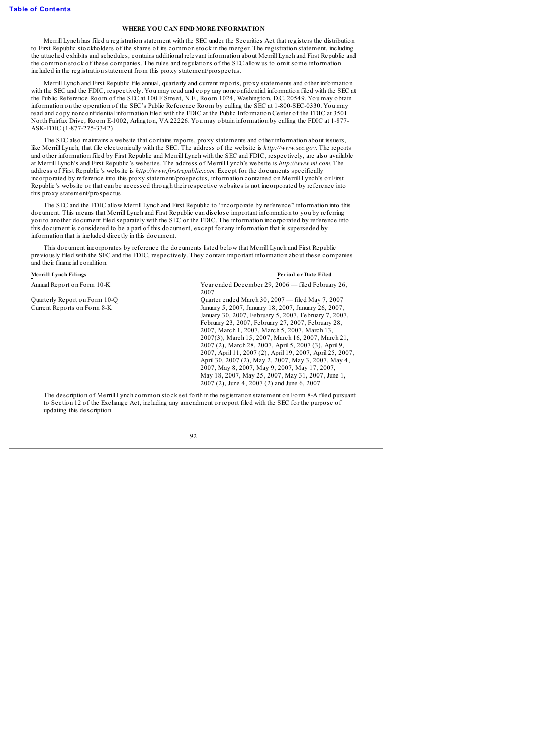### **WHERE YOU CAN FIND MORE INFORMATION**

Merrill Lynch has filed a registration statement with the SEC under the Securities Act that registers the distribution to First Republic stockholders of the shares of its common stock in the merger. The registration statement, including the attached exhibits and schedules, contains additional relevant information about Merrill Lynch and First Republic and the common stock of these companies. The rules and regulations of the SEC allow us to omit some information included in the registration statement from this proxy statement/prospectus.

Merrill Lynch and First Republic file annual, quarterly and current reports, proxy statements and other information with the SEC and the FDIC, respectively. You may read and copy any nonconfidential information filed with the SEC at the Public Reference Room of the SEC at 100 F Street, N.E., Room 1024, Washington, D.C. 20549. You may obtain information on the operation of the SEC's Public Reference Room by calling the SEC at 1-800-SEC-0330. You may read and copy nonconfidential information filed with the FDIC at the Public Information Center of the FDIC at 3501 North Fairfax Drive, Room E-1002, Arlington, VA 22226. You may obtain information by calling the FDIC at 1-877- ASK-FDIC (1-877-275-3342).

The SEC also maintains a website that contains reports, proxy statements and other information about issuers, like Merrill Lynch, that file electronically with the SEC. The address of the website is *http://www.sec.gov.* The reports and other information filed by First Republic and Merrill Lynch with the SEC and FDIC, respectively, are also available at Merrill Lynch's and First Republic's websites. The address of Merrill Lynch's website is *http://www.ml.com.* The address of First Republic's website is *http://www.firstrepublic.com.* Except for the documents specifically incorporated by reference into this proxy statement/prospectus, information contained on Merrill Lynch's or First Republic's website or that can be accessed through their respective websites is not incorporated by reference into this proxy statement/prospectus.

The SEC and the FDIC allow Merrill Lynch and First Republic to "incorporate by reference" information into this document. This means that Merrill Lynch and First Republic can disclose important information to you by referring you to another document filed separately with the SEC or the FDIC. The information incorporated by reference into this document is considered to be a part of this document, except for any information that is superseded by information that is included directly in this document.

This document incorporates by reference the documents listed below that Merrill Lynch and First Republic previously filed with the SEC and the FDIC, respectively. They contain important information about these companies and their financial condition.

### **Merrill Lynch Filings Perio d o r Date Filed**

Annual Report on Form 10-K Year ended December 29, 2006 — filed February 26, 2007

Quarterly Report on Form 10-Q<br>
Current Reports on Form 8-K<br>
January 5, 2007, January 18, 2007, January 26, 2007. January 5, 2007, January 18, 2007, January 26, 2007, January 30, 2007, February 5, 2007, February 7, 2007, February 23, 2007, February 27, 2007, February 28, 2007, March 1, 2007, March 5, 2007, March 13, 2007(3), March 15, 2007, March 16, 2007, March 21, 2007 (2), March 28, 2007, April 5, 2007 (3), April 9, 2007, April 11, 2007 (2), April 19, 2007, April 25, 2007, April 30, 2007 (2), May 2, 2007, May 3, 2007, May 4, 2007, May 8, 2007, May 9, 2007, May 17, 2007, May 18, 2007, May 25, 2007, May 31, 2007, June 1, 2007 (2), June 4, 2007 (2) and June 6, 2007

The description of Merrill Lynch common stock set forth in the registration statement on Form 8-A filed pursuant to Section 12 of the Exchange Act, including any amendment or report filed with the SEC for the purpose of updating this description.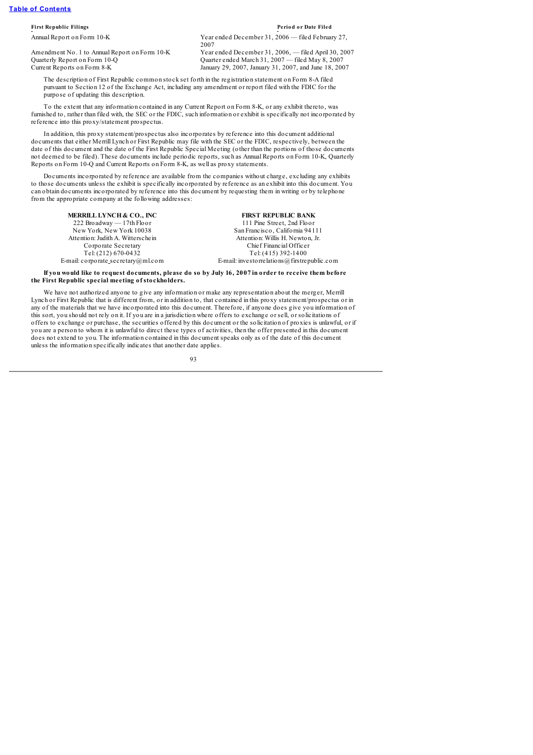### **First Republic Filings Perio d o r Date Filed**

Annual Report on Form 10-K Year ended December 31, 2006 — filed February 27,

Current Reports on Form 8-K January 29, 2007, January 31, 2007, and June 18, 2007

2007 Amendment No. 1 to Annual Report on Form 10-K Year ended December 31, 2006, — filed April 30, 2007 Quarterly Report on Form 10-Q Quarter ended March 31, 2007 — filed May 8, 2007

The description of First Republic common stock set forth in the registration statement on Form 8-A filed pursuant to Section 12 of the Exchange Act, including any amendment or report filed with the FDIC for the purpose of updating this description.

To the extent that any information contained in any Current Report on Form 8-K, or any exhibit thereto, was furnished to, rather than filed with, the SEC or the FDIC, such information or exhibit is specifically not incorporated by reference into this proxy/statement prospectus.

In addition, this proxy statement/prospectus also incorporates by reference into this document additional documents that either Merrill Lynch or First Republic may file with the SEC or the FDIC, respectively, between the date of this document and the date of the First Republic Special Meeting (other than the portions of those documents not deemed to be filed). These documents include periodic reports, such as Annual Reports on Form 10-K, Quarterly Reports on Form 10-Q and Current Reports on Form 8-K, as well as proxy statements.

Documents incorporated by reference are available from the companies without charge, excluding any exhibits to those documents unless the exhibit is specifically incorporated by reference as an exhibit into this document. You can obtain documents incorporated by reference into this document by requesting them in writing or by telephone from the appropriate company at the following addresses:

**MERRILL LYNCH & CO., INC FIRST REPUBLIC BANK** 222 Broadway — 17th Floor 111 Pine Street, 2nd Floor<br>
New York. New York 10038 San Francisco. California 941

San Francisco, California 94111 Attention: Judith A. Witterschein Attention: Willis H. Newton, Jr. Corporate Secretary Chief Financial Officer Tel: (212) 670-0432 Tel: (415) 392-1400 E-mail: corporate secretary@ml.com E-mail: investorrelations@firstrepublic.com

If you would like to request documents, please do so by July 16, 2007 in order to receive them before **the First Republic special meeting of stockholders.**

We have not authorized anyone to give any information or make any representation about the merger, Merrill Lynch or First Republic that is different from, or in addition to, that contained in this proxy statement/prospectus or in any of the materials that we have incorporated into this document. Therefore, if anyone does give you information of this sort, you should not rely on it. If you are in a jurisdiction where offers to exchange or sell, or solicitations of offers to exchange or purchase, the securities offered by this document or the solicitation of proxies is unlawful, or if you are a person to whom it is unlawful to direct these types of activities, then the offer presented in this document does not extend to you. The information contained in this document speaks only as of the date of this document unless the information specifically indicates that another date applies.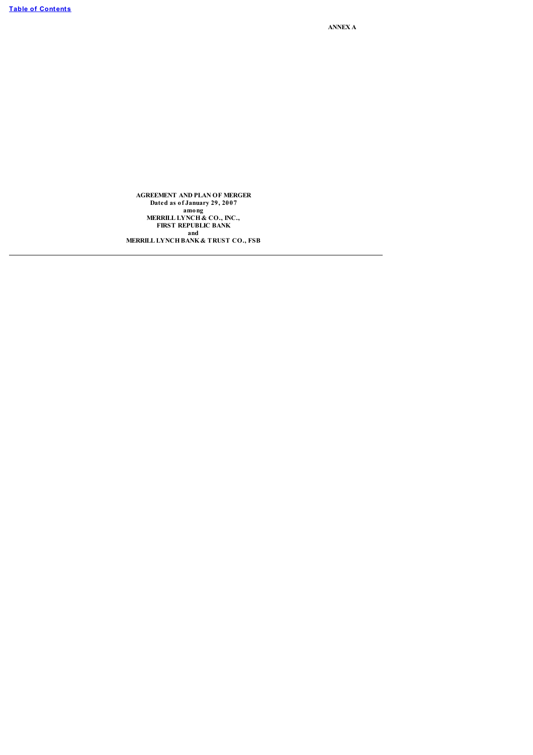**ANNEX A**

**AGREEMENT AND PLAN OF MERGER Dated as of January 29, 2007 among MERRILL LYNCH & CO., INC., FIRST REPUBLIC BANK and**

**MERRILL LYNCHBANK & TRUST CO., FSB**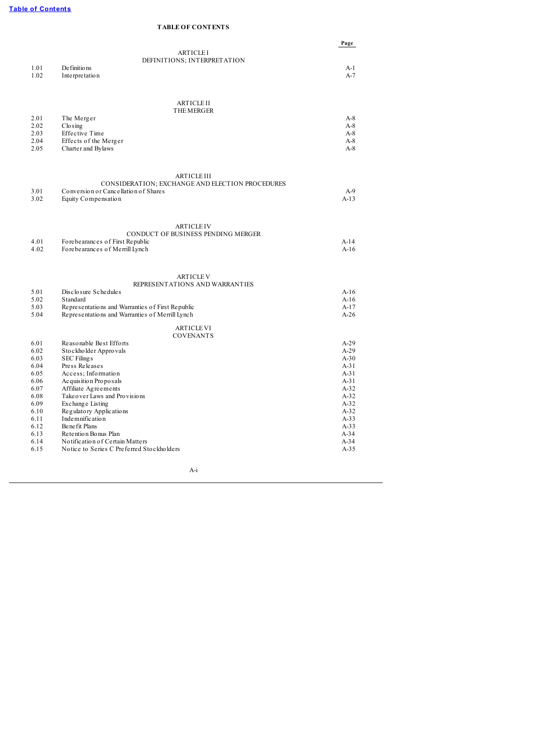# **TABLE OF CONTENTS**

|              |                                                         | Page             |
|--------------|---------------------------------------------------------|------------------|
|              | <b>ARTICLEI</b>                                         |                  |
|              | DEFINITIONS; INTERPRETATION                             |                  |
| 1.01         | De finitions                                            | $A-1$            |
| 1.02         | Interpretation                                          | $A-7$            |
|              |                                                         |                  |
|              | <b>ARTICLE II</b><br><b>THE MERGER</b>                  |                  |
| 2.01         | The Merger                                              | $A-8$            |
| 2.02         | $C$ lo sing                                             | $A-8$            |
| 2.03         | Effective Time                                          | $A-8$            |
| 2.04         | Effects of the Merger                                   | $A-8$            |
| 2.05         | Charter and Bylaws                                      | $A-8$            |
|              | <b>ARTICLE III</b>                                      |                  |
|              | CONSIDERATION; EXCHANGE AND ELECTION PROCEDURES         |                  |
| 3.01         | Conversion or Cancellation of Shares                    | $A-9$            |
| 3.02         | Equity Compensation                                     | $A-13$           |
|              |                                                         |                  |
|              | <b>ARTICLE IV</b><br>CONDUCT OF BUSINESS PENDING MERGER |                  |
| 4.01         | Forebearances of First Republic                         | $A-14$           |
| 4.02         | Forebearances of Merrill Lynch                          | $A-16$           |
|              |                                                         |                  |
|              | <b>ARTICLE V</b><br>REPRESENTATIONS AND WARRANTIES      |                  |
| 5.01         | Disclosure Schedules                                    | $A-16$           |
| 5.02         | Standard                                                | $A-16$           |
| 5.03         | Representations and Warranties of First Republic        | $A-17$           |
| 5.04         | Representations and Warranties of Merrill Lynch         | $A-26$           |
|              | <b>ARTICLE VI</b><br><b>COVENANTS</b>                   |                  |
| 6.01         | Reasonable Best Efforts                                 | $A-29$           |
| 6.02         | Stockholder Approvals                                   | $A-29$           |
| 6.03         | <b>SEC Filings</b>                                      | $A-30$           |
| 6.04         | Press Releases                                          | $A-31$           |
| 6.05         | Access; Information                                     | $A-31$<br>$A-31$ |
| 6.06<br>6.07 | Acquisition Proposals<br>Affiliate Agreements           | $A-32$           |
| 6.08         | Take over Laws and Provisions                           | $A-32$           |
| 6.09         | Exchange Listing                                        | $A-32$           |
| 6.10         | Regulatory Applications                                 | $A-32$           |
| 6.11         | Indemnification                                         | $A-33$           |
| 6.12         | Benefit Plans                                           | $A-33$           |
| 6.13         | Retention Bonus Plan                                    | $A-34$           |
| 6.14         | No tification of Certain Matters                        | $A-34$           |
| 6.15         | Notice to Series C Preferred Stockholders               | $A-35$           |

A-i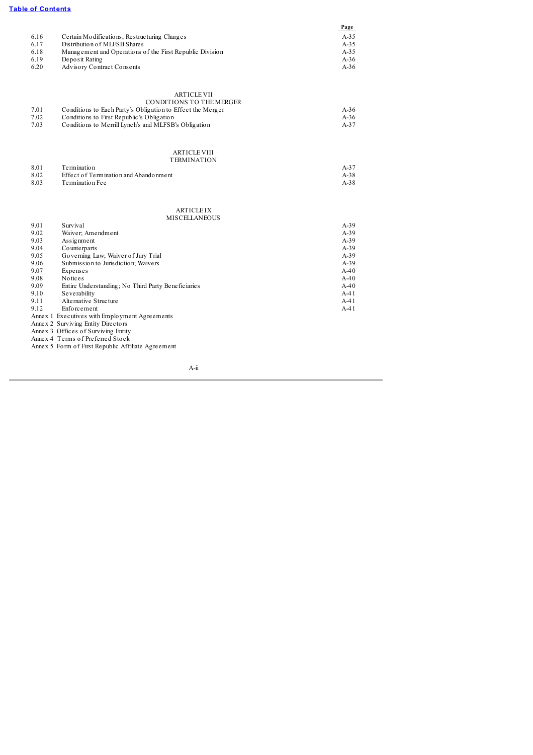# **Table of [Contents](#page-4-0)**

| 6.18<br>Management and Operations of the First Republic Division<br>$A-3.5$<br>6.19<br>Deposit Rating<br>$A-36$<br>6.20<br>Advisory Contract Consents<br>$A-36$                                                                                                                                                                                                                                                                                                                                                                                                                                                                                                                                                                                                             |
|-----------------------------------------------------------------------------------------------------------------------------------------------------------------------------------------------------------------------------------------------------------------------------------------------------------------------------------------------------------------------------------------------------------------------------------------------------------------------------------------------------------------------------------------------------------------------------------------------------------------------------------------------------------------------------------------------------------------------------------------------------------------------------|
| <b>ARTICLE VII</b><br>CONDITIONS TO THE MERGER<br>Conditions to Each Party's Obligation to Effect the Merger<br>7.01<br>$A-36$<br>7.02<br>Conditions to First Republic's Obligation<br>$A-36$<br>7.03<br>Conditions to Merrill Lynch's and MLFSB's Obligation<br>$A-37$                                                                                                                                                                                                                                                                                                                                                                                                                                                                                                     |
| <b>ARTICLE VIII</b><br><b>TERMINATION</b><br>Termination<br>8.01<br>$A-37$<br>8.02<br>Effect of Termination and Abandonment<br>$A-38$<br>8.03<br>Termination Fee<br>$A-38$                                                                                                                                                                                                                                                                                                                                                                                                                                                                                                                                                                                                  |
| <b>ARTICLE IX</b><br><b>MISCELLANEOUS</b><br>9.01<br>Survival<br>$A-39$<br>Waiver; Amendment<br>9.02<br>$A-39$<br>$A-39$<br>9.03<br>Assignment<br>9.04<br>$A-39$<br>Counterparts<br>Governing Law; Waiver of Jury Trial<br>9.05<br>$A-39$<br>9.06<br>Submission to Jurisdiction; Waivers<br>$A-39$<br>9.07<br>Expenses<br>$A-40$<br>9.08<br>Notices<br>$A-40$<br>9.09<br>Entire Understanding; No Third Party Beneficiaries<br>$A-40$<br>$A-41$<br>9.10<br>Severability<br>Alternative Structure<br>9.11<br>$A-41$<br>9.12<br>Enforcement<br>$A-41$<br>Annex 1 Executives with Employment Agreements<br>Annex 2 Surviving Entity Directors<br>Annex 3 Offices of Surviving Entity<br>Annex 4 Terms of Preferred Stock<br>Annex 5 Form of First Republic Affiliate Agreement |

A-ii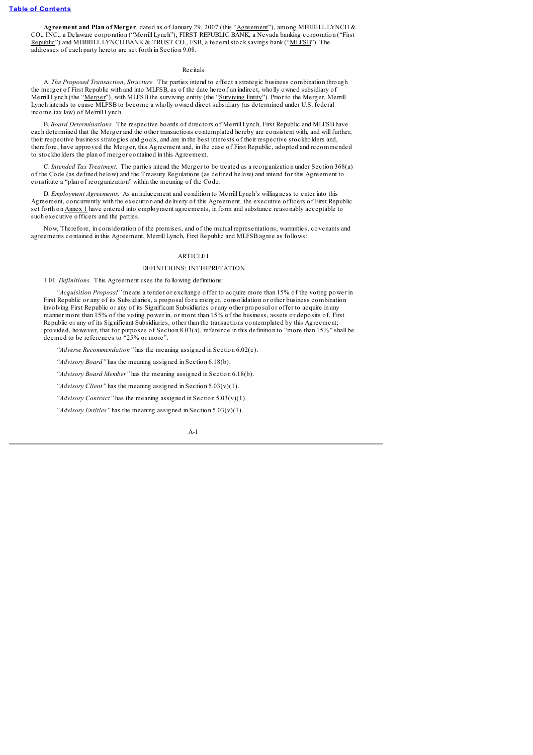**Agreement and Plan of Merger**, dated as of January 29, 2007 (this "Agreement"), among MERRILL LYNCH & CO., INC., a Delaware corporation ("Merrill Lynch"), FIRST REPUBLIC BANK, a Nevada banking corporation ("First Republic") and MERRILL LYNCH BANK & TRUST CO., FSB, a federal stock savings bank ("MLFSB"). The addresses of each party hereto are set forth in Section 9.08.

### Recitals

A. *The Proposed Transaction; Structure.* The parties intend to effect a strategic business combination through the merger of First Republic with and into MLFSB, as of the date hereof an indirect, wholly owned subsidiary of Merrill Lynch (the "Merger"), with MLFSB the surviving entity (the "Surviving Entity"). Prior to the Merger, Merrill Lynch intends to cause MLFSB to become a wholly owned direct subsidiary (as determined under U.S. federal income tax law) of Merrill Lynch.

B. *Board Determinations.* The respective boards of directors of Merrill Lynch, First Republic and MLFSB have each determined that the Merger and the other transactions contemplated hereby are consistent with, and will further, their respective business strategies and goals, and are in the best interests of their respective stockholders and, therefore, have approved the Merger, this Agreement and, in the case of First Republic, adopted and recommended to stockholders the plan of merger contained in this Agreement.

C. *Intended Tax Treatment.* The parties intend the Merger to be treated as a reorganization under Section 368(a) of the Code (as defined below) and the Treasury Regulations (as defined below) and intend for this Agreement to constitute a "plan of reorganization" within the meaning of the Code.

D. *Employment Agreements.* As an inducement and condition to Merrill Lynch's willingness to enter into this Agreement, concurrently with the execution and delivery of this Agreement, the executive officers of First Republic set forth on Annex 1 have entered into employment agreements, in form and substance reasonably acceptable to such executive officers and the parties.

Now, Therefore, in consideration of the premises, and of the mutual representations, warranties, covenants and agreements contained in this Agreement, Merrill Lynch, First Republic and MLFSB agree as follows:

### **ARTICLE I**

### DEFINITIONS; INTERPRETATION

1.01 *Definitions.* This Agreement uses the following definitions:

*"Acquisition Proposal"* means a tender or exchange offer to acquire more than 15% of the voting power in First Republic or any of its Subsidiaries, a proposal for a merger, consolidation or other business combination involving First Republic or any of its Significant Subsidiaries or any other proposal or offer to acquire in any manner more than 15% of the voting power in, or more than 15% of the business, assets or deposits of, First Republic or any of its Significant Subsidiaries, other than the transactions contemplated by this Agreement; provided, however, that for purposes of Section 8.03(a), reference in this definition to "more than 15%" shall be deemed to be references to "25% or more".

*"Adverse Recommendation"* has the meaning assigned in Section 6.02(c).

*"Advisory Board"* has the meaning assigned in Section 6.18(b).

*"Advisory Board Member"* has the meaning assigned in Section 6.18(b).

*"Advisory Client"* has the meaning assigned in Section 5.03(v)(1).

*"Advisory Contract"* has the meaning assigned in Section 5.03(v)(1).

*"Advisory Entities"* has the meaning assigned in Section 5.03(v)(1).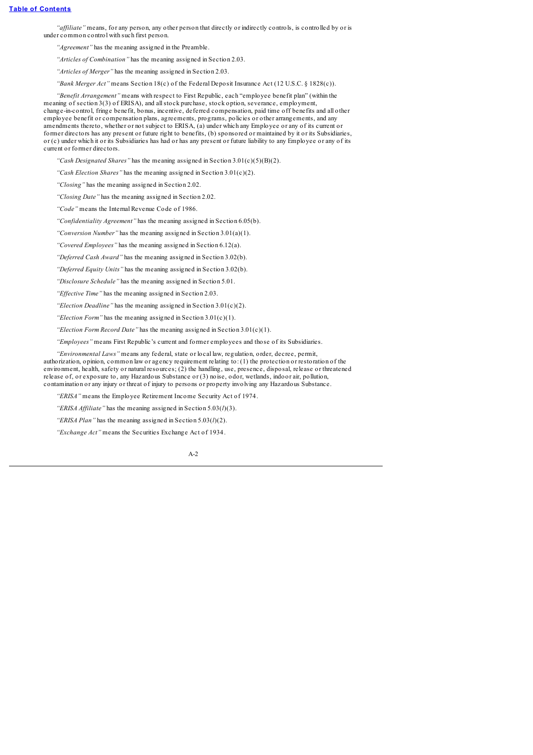*"af iliate"* means, for any person, any other person that directly or indirectly controls, is controlled by or is under common control with such first person.

*"Agreement"* has the meaning assigned in the Preamble.

*"Articles of Combination"* has the meaning assigned in Section 2.03.

*"Articles of Merger"* has the meaning assigned in Section 2.03.

*"Bank Merger Act"* means Section 18(c) of the Federal Deposit Insurance Act (12 U.S.C. § 1828(c)).

*"Benefit Arrangement"* means with respect to First Republic, each "employee benefit plan" (within the meaning of section 3(3) of ERISA), and allstock purchase, stock option, severance, employment, change-in-control, fringe benefit, bonus, incentive, deferred compensation, paid time off benefits and all other employee benefit or compensation plans, agreements, programs, policies or other arrangements, and any amendments thereto, whether or not subject to ERISA, (a) under which any Employee or any of its current or former directors has any present or future right to benefits, (b) sponsored or maintained by it or its Subsidiaries, or (c) under which it or its Subsidiaries has had or has any present or future liability to any Employee or any of its current or former directors.

*"Cash Designated Shares"* has the meaning assigned in Section 3.01(c)(5)(B)(2).

*"Cash Election Shares"* has the meaning assigned in Section 3.01(c)(2).

*"Closing"* has the meaning assigned in Section 2.02.

*"Closing Date"* has the meaning assigned in Section 2.02.

*"Code"* means the Internal Revenue Code of 1986.

*"Confidentiality Agreement"* has the meaning assigned in Section 6.05(b).

*"Conversion Number"* has the meaning assigned in Section 3.01(a)(1).

*"Covered Employees"* has the meaning assigned in Section 6.12(a).

*"Deferred Cash Award"* has the meaning assigned in Section 3.02(b).

*"Deferred Equity Units"* has the meaning assigned in Section 3.02(b).

*"Disclosure Schedule"* has the meaning assigned in Section 5.01.

*"Ef ective Time"* has the meaning assigned in Section 2.03.

*"Election Deadline"* has the meaning assigned in Section 3.01(c)(2).

*"Election Form"* has the meaning assigned in Section 3.01(c)(1).

*"Election Form Record Date"* has the meaning assigned in Section 3.01(c)(1).

*"Employees"* means First Republic's current and former employees and those of its Subsidiaries.

*"Environmental Laws"* means any federal, state or local law, regulation, order, decree, permit,

authorization, opinion, common law or agency requirement relating to: (1) the protection or restoration of the environment, health, safety or natural resources; (2) the handling, use, presence, disposal, release or threatened release of, or exposure to, any Hazardous Substance or (3) noise, odor, wetlands, indoor air, pollution, contamination or any injury or threat of injury to persons or property involving any Hazardous Substance.

*"ERISA"* means the Employee Retirement Income Security Act of 1974.

*"ERISA Affiliate"* has the meaning assigned in Section 5.03( $l$ )(3).

*"ERISA Plan"* has the meaning assigned in Section 5.03(*l*)(2).

*"Exchange Act"* means the Securities Exchange Act of 1934.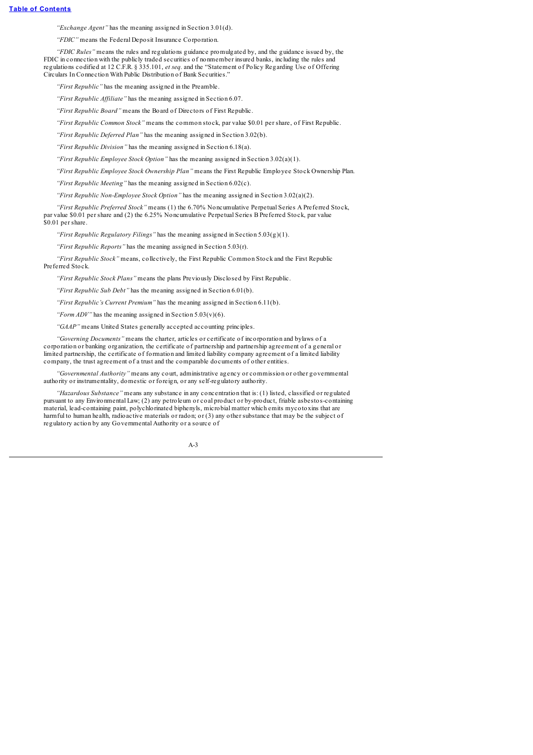*"Exchange Agent"* has the meaning assigned in Section 3.01(d).

*"FDIC"* means the Federal Deposit Insurance Corporation.

*"FDIC Rules"* means the rules and regulations guidance promulgated by, and the guidance issued by, the FDIC in connection with the publicly traded securities of nonmember insured banks, including the rules and regulations codified at 12 C.F.R. § 335.101, *et seq.* and the "Statement of Policy Regarding Use of Offering Circulars In Connection With Public Distribution of Bank Securities."

*"First Republic"* has the meaning assigned in the Preamble.

*"First Republic Af iliate"* has the meaning assigned in Section 6.07.

*"First Republic Board"* means the Board of Directors of First Republic.

*"First Republic Common Stock"* means the common stock, par value \$0.01 per share, of First Republic.

*"First Republic Deferred Plan"* has the meaning assigned in Section 3.02(b).

*"First Republic Division"* has the meaning assigned in Section 6.18(a).

*"First Republic Employee Stock Option"* has the meaning assigned in Section 3.02(a)(1).

*"First Republic Employee Stock Ownership Plan"* means the First Republic Employee Stock Ownership Plan.

*"First Republic Meeting"* has the meaning assigned in Section 6.02(c).

*"First Republic Non-Employee Stock Option"* has the meaning assigned in Section 3.02(a)(2).

*"First Republic Preferred Stock"* means (1) the 6.70% Noncumulative Perpetual Series A Preferred Stock, par value \$0.01 per share and (2) the 6.25% Noncumulative Perpetual Series B Preferred Stock, par value \$0.01 per share.

*"First Republic Regulatory Filings"* has the meaning assigned in Section 5.03(g)(1).

*"First Republic Reports"* has the meaning assigned in Section 5.03(r).

*"First Republic Stock"* means, collectively, the First Republic Common Stock and the First Republic Preferred Stock.

*"First Republic Stock Plans"* means the plans Previously Disclosed by First Republic.

*"First Republic Sub Debt"* has the meaning assigned in Section 6.01(b).

*"First Republic's Current Premium"* has the meaning assigned in Section 6.11(b).

*"Form ADV"* has the meaning assigned in Section 5.03(v)(6).

*"GAAP"* means United States generally accepted accounting principles.

*"Governing Documents"* means the charter, articles or certificate of incorporation and bylaws of a corporation or banking organization, the certificate of partnership and partnership agreement of a general or limited partnership, the certificate of formation and limited liability company agreement of a limited liability company, the trust agreement of a trust and the comparable documents of other entities.

*"Governmental Authority"* means any court, administrative agency or commission or other governmental authority or instrumentality, domestic or foreign, or any self-regulatory authority.

*"Hazardous Substance"* means any substance in any concentration that is: (1) listed, classified or regulated pursuant to any Environmental Law; (2) any petroleum or coal product or by-product, friable asbestos-containing material, lead-containing paint, polychlorinated biphenyls, microbial matter which emits mycotoxins that are harmful to human health, radioactive materials or radon; or (3) any other substance that may be the subject of regulatory action by any Governmental Authority or a source of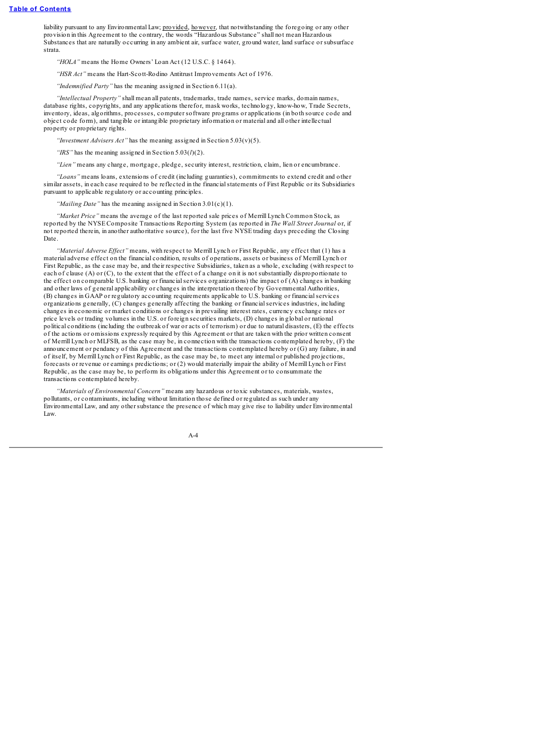liability pursuant to any Environmental Law; provided, however, that notwithstanding the foregoing or any other provision in this Agreement to the contrary, the words "Hazardous Substance" shall not mean Hazardous Substances that are naturally occurring in any ambient air, surface water, ground water, land surface or subsurface strata.

*"HOLA"* means the Home Owners' Loan Act (12 U.S.C. § 1464).

*"HSR Act"* means the Hart-Scott-Rodino Antitrust Improvements Act of 1976.

*"Indemnified Party"* has the meaning assigned in Section 6.11(a).

*"Intellectual Property"* shall mean all patents, trademarks, trade names, service marks, domain names, database rights, copyrights, and any applications therefor, mask works, technology, know-how, Trade Secrets, inventory, ideas, algorithms, processes, computer software programs or applications (in both source code and object code form), and tangible or intangible proprietary information or material and all other intellectual property or proprietary rights.

*"Investment Advisers Act"* has the meaning assigned in Section 5.03(v)(5).

*"IRS"* has the meaning assigned in Section 5.03(*l*)(2).

*"Lien"* means any charge, mortgage, pledge, security interest, restriction, claim, lien or encumbrance.

*"Loans"* means loans, extensions of credit (including guaranties), commitments to extend credit and other similar assets, in each case required to be reflected in the financialstatements of First Republic or its Subsidiaries pursuant to applicable regulatory or accounting principles.

*"Mailing Date"* has the meaning assigned in Section 3.01(c)(1).

*"Market Price"* means the average of the last reported sale prices of Merrill Lynch Common Stock, as reported by the NYSEComposite Transactions Reporting System (as reported in *The Wall Street Journal* or, if not reported therein, in another authoritative source), for the last five NYSE trading days preceding the Closing Date.

*"Material Adverse Effect"* means, with respect to Merrill Lynch or First Republic, any effect that (1) has a material adverse effect on the financial condition, results of operations, assets or business of Merrill Lynch or First Republic, as the case may be, and their respective Subsidiaries, taken as a whole, excluding (with respect to each of clause (A) or (C), to the extent that the effect of a change on it is not substantially disproportionate to the effect on comparable U.S. banking or financialservices organizations) the impact of (A) changes in banking and other laws of general applicability or changes in the interpretation thereof by Governmental Authorities, (B) changes in GAAP or regulatory accounting requirements applicable to U.S. banking or financialservices organizations generally, (C) changes generally affecting the banking or financialservices industries, including changes in economic or market conditions or changes in prevailing interest rates, currency exchange rates or price levels or trading volumes in the U.S. or foreign securities markets, (D) changes in global or national political conditions (including the outbreak of war or acts of terrorism) or due to natural disasters, (E) the effects of the actions or omissions expressly required by this Agreement or that are taken with the prior written consent of Merrill Lynch or MLFSB, as the case may be, in connection with the transactions contemplated hereby, (F) the announcement or pendancy of this Agreement and the transactions contemplated hereby or (G) any failure, in and of itself, by Merrill Lynch or First Republic, as the case may be, to meet any internal or published projections, forecasts or revenue or earnings predictions; or (2) would materially impair the ability of Merrill Lynch or First Republic, as the case may be, to perform its obligations under this Agreement or to consummate the transactions contemplated hereby.

*"Materials of Environmental Concern"* means any hazardous or toxic substances, materials, wastes, pollutants, or contaminants, including without limitation those defined or regulated as such under any Environmental Law, and any other substance the presence of which may give rise to liability under Environmental Law.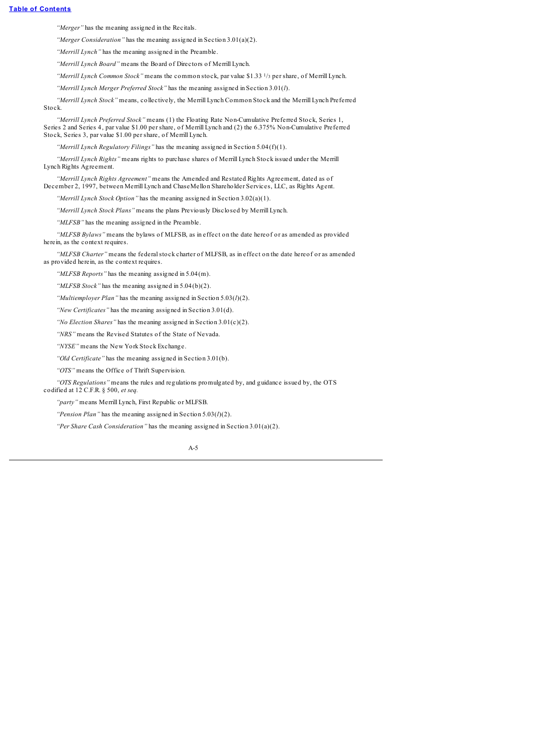*"Merger"* has the meaning assigned in the Recitals.

*"Merger Consideration"* has the meaning assigned in Section 3.01(a)(2).

*"Merrill Lynch"* has the meaning assigned in the Preamble.

*"Merrill Lynch Board"* means the Board of Directors of Merrill Lynch.

*"Merrill Lynch Common Stock"* means the common stock, par value \$1.33 <sup>1</sup>/<sup>3</sup> per share, of Merrill Lynch.

*"Merrill Lynch Merger Preferred Stock"* has the meaning assigned in Section 3.01(*l*).

*"Merrill Lynch Stock"* means, collectively, the Merrill Lynch Common Stock and the Merrill Lynch Preferred Stock.

*"Merrill Lynch Preferred Stock"* means (1) the Floating Rate Non-Cumulative Preferred Stock, Series 1, Series 2 and Series 4, par value \$1.00 per share, of Merrill Lynch and (2) the 6.375% Non-Cumulative Preferred Stock, Series 3, par value \$1.00 per share, of Merrill Lynch.

*"Merrill Lynch Regulatory Filings"* has the meaning assigned in Section 5.04(f)(1).

*"Merrill Lynch Rights"* means rights to purchase shares of Merrill Lynch Stock issued under the Merrill Lynch Rights Agreement.

*"Merrill Lynch Rights Agreement"* means the Amended and Restated Rights Agreement, dated as of December 2, 1997, between Merrill Lynch and ChaseMellon Shareholder Services, LLC, as Rights Agent.

*"Merrill Lynch Stock Option"* has the meaning assigned in Section 3.02(a)(1).

*"Merrill Lynch Stock Plans"* means the plans Previously Disclosed by Merrill Lynch.

*"MLFSB"* has the meaning assigned in the Preamble.

*"MLFSB Bylaws"* means the bylaws of MLFSB, as in effect on the date hereof or as amended as provided herein, as the context requires.

*"MLFSB Charter"* means the federal stock charter of MLFSB, as in effect on the date hereof or as amended as provided herein, as the context requires.

*"MLFSB Reports"* has the meaning assigned in 5.04(m).

*"MLFSB Stock"* has the meaning assigned in 5.04(b)(2).

*"Multiemployer Plan"* has the meaning assigned in Section 5.03(*l*)(2).

*"New Certificates"* has the meaning assigned in Section 3.01(d).

*"No Election Shares"* has the meaning assigned in Section 3.01(c)(2).

*"NRS"* means the Revised Statutes of the State of Nevada.

*"NYSE"* means the New York Stock Exchange.

*"Old Certificate"* has the meaning assigned in Section 3.01(b).

*"OTS"* means the Office of Thrift Supervision.

*"OTS Regulations"* means the rules and regulations promulgated by, and guidance issued by, the OTS codified at 12 C.F.R. § 500, *et seq.*

*"party"* means Merrill Lynch, First Republic or MLFSB.

*"Pension Plan"* has the meaning assigned in Section 5.03(*l*)(2).

*"Per Share Cash Consideration"* has the meaning assigned in Section 3.01(a)(2).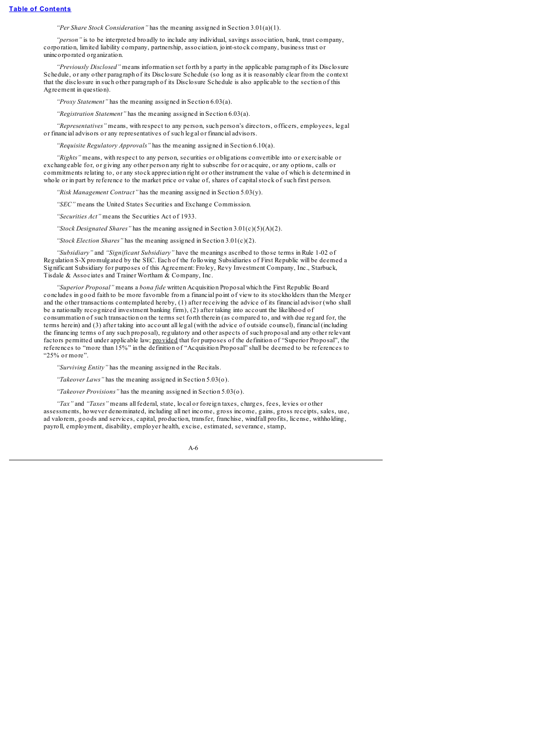*"Per Share Stock Consideration"* has the meaning assigned in Section 3.01(a)(1).

*"person"* is to be interpreted broadly to include any individual, savings association, bank, trust company, corporation, limited liability company, partnership, association, joint-stock company, business trust or unincorporated organization.

*"Previously Disclosed"* means information set forth by a party in the applicable paragraph of its Disclosure Schedule, or any other paragraph of its Disclosure Schedule (so long as it is reasonably clear from the context that the disclosure in such other paragraph of its Disclosure Schedule is also applicable to the section of this Agreement in question).

*"Proxy Statement"* has the meaning assigned in Section 6.03(a).

*"Registration Statement"* has the meaning assigned in Section 6.03(a).

*"Representatives"* means, with respect to any person, such person's directors, officers, employees, legal or financial advisors or any representatives of such legal or financial advisors.

*"Requisite Regulatory Approvals"* has the meaning assigned in Section 6.10(a).

*"Rights"* means, with respect to any person, securities or obligations convertible into or exercisable or exchangeable for, or giving any other person any right to subscribe for or acquire, or any options, calls or commitments relating to, or any stock appreciation right or other instrument the value of which is determined in whole or in part by reference to the market price or value of, shares of capitalstock of such first person.

*"Risk Management Contract"* has the meaning assigned in Section 5.03(y).

*"SEC"* means the United States Securities and Exchange Commission.

*"Securities Act"* means the Securities Act of 1933.

*"Stock Designated Shares"* has the meaning assigned in Section 3.01(c)(5)(A)(2).

*"Stock Election Shares"* has the meaning assigned in Section 3.01(c)(2).

*"Subsidiary"* and *"Significant Subsidiary"* have the meanings ascribed to those terms in Rule 1-02 of Regulation S-X promulgated by the SEC. Each of the following Subsidiaries of First Republic will be deemed a Significant Subsidiary for purposes of this Agreement: Froley, Revy Investment Company, Inc., Starbuck, Tisdale & Associates and Trainer Wortham & Company, Inc.

*"Superior Proposal"* means a *bona fide* written Acquisition Proposal which the First Republic Board concludes in good faith to be more favorable from a financial point of view to its stockholders than the Merger and the other transactions contemplated hereby, (1) after receiving the advice of its financial advisor (who shall be a nationally recognized investment banking firm), (2) after taking into account the likelihood of consummation of such transaction on the terms set forth therein (as compared to, and with due regard for, the terms herein) and (3) after taking into account all legal (with the advice of outside counsel), financial (including the financing terms of any such proposal), regulatory and other aspects of such proposal and any other relevant factors permitted under applicable law; provided that for purposes of the definition of "Superior Proposal", the references to "more than 15%" in the definition of "Acquisition Proposal" shall be deemed to be references to "25% or more".

*"Surviving Entity"* has the meaning assigned in the Recitals.

*"Takeover Laws"* has the meaning assigned in Section 5.03(o).

*"Takeover Provisions"* has the meaning assigned in Section 5.03(o).

*"Tax"* and *"Taxes"* means all federal, state, local or foreign taxes, charges, fees, levies or other assessments, however denominated, including all net income, gross income, gains, gross receipts, sales, use, ad valorem, goods and services, capital, production, transfer, franchise, windfall profits, license, withholding, payroll, employment, disability, employer health, excise, estimated, severance, stamp,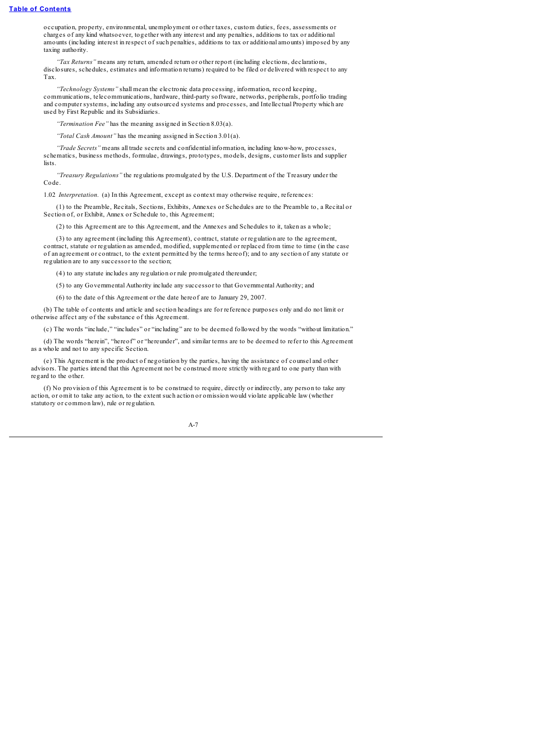occupation, property, environmental, unemployment or other taxes, custom duties, fees, assessments or charges of any kind whatsoever, together with any interest and any penalties, additions to tax or additional amounts (including interest in respect of such penalties, additions to tax or additional amounts) imposed by any taxing authority.

*"Tax Returns"* means any return, amended return or other report (including elections, declarations, disclosures, schedules, estimates and information returns) required to be filed or delivered with respect to any Tax.

*"Technology Systems"* shall mean the electronic data processing, information, record keeping, communications, telecommunications, hardware, third-party software, networks, peripherals, portfolio trading and computer systems, including any outsourced systems and processes, and Intellectual Property which are used by First Republic and its Subsidiaries.

*"Termination Fee"* has the meaning assigned in Section 8.03(a).

*"Total Cash Amount"* has the meaning assigned in Section 3.01(a).

*"Trade Secrets"* means all trade secrets and confidential information, including know-how, processes, schematics, business methods, formulae, drawings, prototypes, models, designs, customer lists and supplier lists.

*"Treasury Regulations"* the regulations promulgated by the U.S. Department of the Treasury under the Code.

1.02 *Interpretation.* (a) In this Agreement, except as context may otherwise require, references:

(1) to the Preamble, Recitals, Sections, Exhibits, Annexes or Schedules are to the Preamble to, a Recital or Section of, or Exhibit, Annex or Schedule to, this Agreement:

(2) to this Agreement are to this Agreement, and the Annexes and Schedules to it, taken as a whole;

(3) to any agreement (including this Agreement), contract, statute or regulation are to the agreement, contract, statute or regulation as amended, modified, supplemented or replaced from time to time (in the case of an agreement or contract, to the extent permitted by the terms hereof); and to any section of any statute or regulation are to any successor to the section;

(4) to any statute includes any regulation or rule promulgated thereunder;

(5) to any Governmental Authority include any successor to that Governmental Authority; and

(6) to the date of this Agreement or the date hereof are to January 29, 2007.

(b) The table of contents and article and section headings are for reference purposes only and do not limit or otherwise affect any of the substance of this Agreement.

(c) The words "include," "includes" or "including" are to be deemed followed by the words "without limitation."

(d) The words "herein", "hereof" or "hereunder", and similar terms are to be deemed to refer to this Agreement as a whole and not to any specific Section.

(e) This Agreement is the product of negotiation by the parties, having the assistance of counsel and other advisors. The parties intend that this Agreement not be construed more strictly with regard to one party than with regard to the other.

(f) No provision of this Agreement is to be construed to require, directly or indirectly, any person to take any action, or omit to take any action, to the extent such action or omission would violate applicable law (whether statutory or common law), rule or regulation.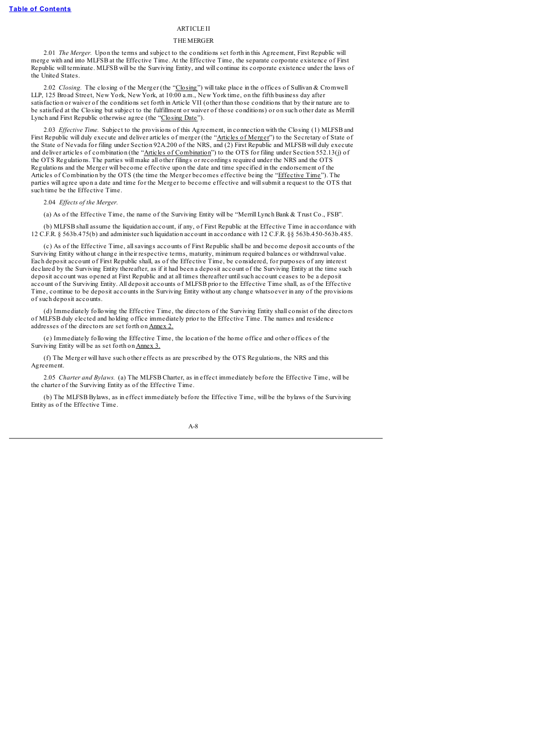## **ARTICLE II**

### THE MERGER

2.01 *The Merger.* Upon the terms and subject to the conditions set forth in this Agreement, First Republic will merge with and into MLFSB at the Effective Time. At the Effective Time, the separate corporate existence of First Republic will terminate. MLFSB will be the Surviving Entity, and will continue its corporate existence under the laws of the United States.

2.02 *Closing*. The closing of the Merger (the "Closing") will take place in the offices of Sullivan & Cromwell LLP, 125 Broad Street, New York, New York, at 10:00 a.m., New York time, on the fifth business day after satisfaction or waiver of the conditions set forth in Article VII (other than those conditions that by their nature are to be satisfied at the Closing but subject to the fulfillment or waiver of those conditions) or on such other date as Merrill Lynch and First Republic otherwise agree (the "Closing Date").

2.03 *Ef ective Time.* Subject to the provisions of this Agreement, in connection with the Closing (1) MLFSB and First Republic will duly execute and deliver articles of merger (the "Articles of Merger") to the Secretary of State of the State of Nevada for filing under Section 92A.200 of the NRS, and (2) First Republic and MLFSB will duly execute and deliver articles of combination (the "Articles of Combination") to the OTS for filing under Section 552.13(j) of the OTS Regulations. The parties will make all other filings or recordings required under the NRS and the OTS Regulations and the Merger will become effective upon the date and time specified in the endorsement of the Articles of Combination by the OTS (the time the Merger becomes effective being the "Effective Time"). The parties will agree upon a date and time for the Merger to become effective and willsubmit a request to the OTS that such time be the Effective Time.

2.04 *Ef ects of the Merger.*

(a) As of the Effective Time, the name of the Surviving Entity will be "Merrill Lynch Bank & Trust Co., FSB".

(b) MLFSB shall assume the liquidation account, if any, of First Republic at the Effective Time in accordance with 12 C.F.R. § 563b.475(b) and administer such liquidation account in accordance with 12 C.F.R. §§ 563b.450-563b.485.

(c) As of the Effective Time, allsavings accounts of First Republic shall be and become deposit accounts of the Surviving Entity without change in their respective terms, maturity, minimum required balances or withdrawal value. Each deposit account of First Republic shall, as of the Effective Time, be considered, for purposes of any interest declared by the Surviving Entity thereafter, as if it had been a deposit account of the Surviving Entity at the time such deposit account was opened at First Republic and at all times thereafter untilsuch account ceases to be a deposit account of the Surviving Entity. All deposit accounts of MLFSB prior to the Effective Time shall, as of the Effective Time, continue to be deposit accounts in the Surviving Entity without any change whatsoever in any of the provisions of such deposit accounts.

(d) Immediately following the Effective Time, the directors of the Surviving Entity shall consist of the directors of MLFSB duly elected and holding office immediately prior to the Effective Time. The names and residence addresses of the directors are set forth on Annex 2.

(e) Immediately following the Effective Time, the location of the home office and other offices of the Surviving Entity will be as set forth on Annex 3.

(f) The Merger will have such other effects as are prescribed by the OTS Regulations, the NRS and this Agreement.

2.05 *Charter and Bylaws.* (a) The MLFSB Charter, as in effect immediately before the Effective Time, will be the charter of the Surviving Entity as of the Effective Time.

(b) The MLFSB Bylaws, as in effect immediately before the Effective Time, will be the bylaws of the Surviving Entity as of the Effective Time.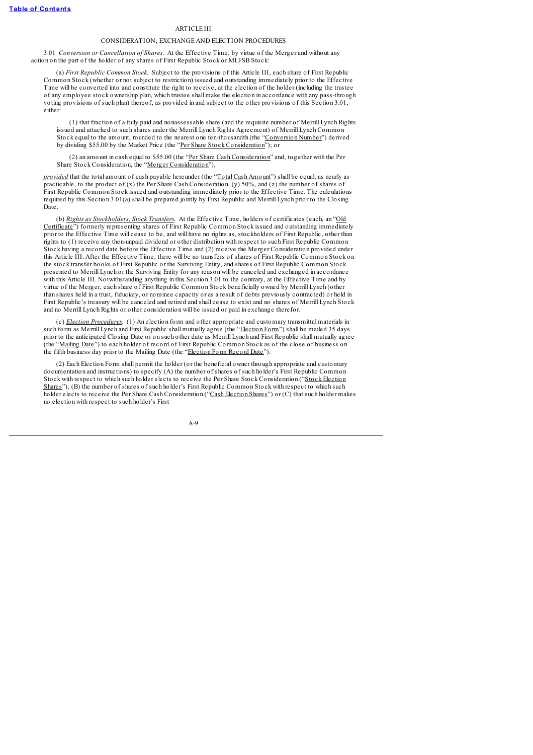### **ARTICLE III**

### CONSIDERATION; EXCHANGE AND ELECTION PROCEDURES

3.01 *Conversion or Cancellation of Shares.* At the Effective Time, by virtue of the Merger and without any action on the part of the holder of any shares of First Republic Stock or MLFSB Stock:

(a) *First Republic Common Stock.* Subject to the provisions of this Article III, each share of First Republic Common Stock (whether or not subject to restriction) issued and outstanding immediately prior to the Effective Time will be converted into and constitute the right to receive, at the election of the holder (including the trustee of any employee stock ownership plan, which trustee shall make the election in accordance with any pass-through voting provisions of such plan) thereof, as provided in and subject to the other provisions of this Section 3.01, either:

(1) that fraction of a fully paid and nonassessable share (and the requisite number of Merrill Lynch Rights issued and attached to such shares under the Merrill Lynch Rights Agreement) of Merrill Lynch Common Stock equal to the amount, rounded to the nearest one ten-thousandth (the "Conversion Number") derived by dividing \$55.00 by the Market Price (the "Per Share Stock Consideration"); or

(2) an amount in cash equal to \$55.00 (the "Per Share Cash Consideration" and, together with the Per Share Stock Consideration, the "Merger Consideration"),

*provided* that the total amount of cash payable hereunder (the "Total Cash Amount") shall be equal, as nearly as practicable, to the product of (x) the Per Share Cash Consideration, (y) 50%, and (z) the number of shares of First Republic Common Stock issued and outstanding immediately prior to the Effective Time. The calculations required by this Section 3.01(a) shall be prepared jointly by First Republic and Merrill Lynch prior to the Closing Date.

(b) *Rights as Stockholders; Stock Transfers.* At the Effective Time, holders of certificates (each, an "Old Certificate") formerly representing shares of First Republic Common Stock issued and outstanding immediately prior to the Effective Time will cease to be, and will have no rights as, stockholders of First Republic, other than rights to (1) receive any then-unpaid dividend or other distribution with respect to such First Republic Common Stock having a record date before the Effective Time and (2) receive the Merger Consideration provided under this Article III. After the Effective Time, there will be no transfers of shares of First Republic Common Stock on the stock transfer books of First Republic or the Surviving Entity, and shares of First Republic Common Stock presented to Merrill Lynch or the Surviving Entity for any reason will be canceled and exchanged in accordance with this Article III. Notwithstanding anything in this Section 3.01 to the contrary, at the Effective Time and by virtue of the Merger, each share of First Republic Common Stock beneficially owned by Merrill Lynch (other than shares held in a trust, fiduciary, or nominee capacity or as a result of debts previously contracted) or held in First Republic's treasury will be canceled and retired and shall cease to exist and no shares of Merrill Lynch Stock and no Merrill Lynch Rights or other consideration will be issued or paid in exchange therefor.

(c) *Election Procedures.* (1) An election form and other appropriate and customary transmittal materials in such form as Merrill Lynch and First Republic shall mutually agree (the "Election Form") shall be mailed 35 days prior to the anticipated Closing Date or on such other date as Merrill Lynch and First Republic shall mutually agree (the "Mailing Date") to each holder of record of First Republic Common Stock as of the close of business on the fifth business day prior to the Mailing Date (the "Election Form Record Date").

(2) Each Election Form shall permit the holder (or the beneficial owner through appropriate and customary documentation and instructions) to specify (A) the number of shares of such holder's First Republic Common Stock with respect to which such holder elects to receive the Per Share Stock Consideration ("Stock Election Shares"), (B) the number of shares of such holder's First Republic Common Stock with respect to which such holder elects to receive the Per Share Cash Consideration ("Cash Election Shares") or (C) that such holder makes no election with respect to such holder's First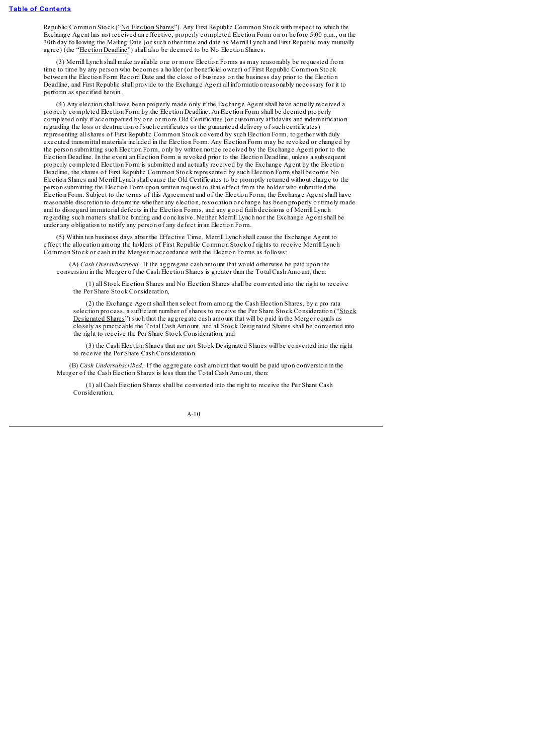Republic Common Stock ("No Election Shares"). Any First Republic Common Stock with respect to which the Exchange Agent has not received an effective, properly completed Election Form on or before 5:00 p.m., on the 30th day following the Mailing Date (or such other time and date as Merrill Lynch and First Republic may mutually agree) (the "Election Deadline") shall also be deemed to be No Election Shares.

(3) Merrill Lynch shall make available one or more Election Forms as may reasonably be requested from time to time by any person who becomes a holder (or beneficial owner) of First Republic Common Stock between the Election Form Record Date and the close of business on the business day prior to the Election Deadline, and First Republic shall provide to the Exchange Agent all information reasonably necessary for it to perform as specified herein.

(4) Any election shall have been properly made only if the Exchange Agent shall have actually received a properly completed Election Form by the Election Deadline. An Election Form shall be deemed properly completed only if accompanied by one or more Old Certificates (or customary affidavits and indemnification regarding the loss or destruction of such certificates or the guaranteed delivery of such certificates) representing allshares of First Republic Common Stock covered by such Election Form, together with duly executed transmittal materials included in the Election Form. Any Election Form may be revoked or changed by the person submitting such Election Form, only by written notice received by the Exchange Agent prior to the Election Deadline. In the event an Election Form is revoked prior to the Election Deadline, unless a subsequent properly completed Election Form is submitted and actually received by the Exchange Agent by the Election Deadline, the shares of First Republic Common Stock represented by such Election Form shall become No Election Shares and Merrill Lynch shall cause the Old Certificates to be promptly returned without charge to the person submitting the Election Form upon written request to that effect from the holder who submitted the Election Form. Subject to the terms of this Agreement and of the Election Form, the Exchange Agent shall have reasonable discretion to determine whether any election, revocation or change has been properly or timely made and to disregard immaterial defects in the Election Forms, and any good faith decisions of Merrill Lynch regarding such matters shall be binding and conclusive. Neither Merrill Lynch nor the Exchange Agent shall be under any obligation to notify any person of any defect in an Election Form.

(5) Within ten business days after the Effective Time, Merrill Lynch shall cause the Exchange Agent to effect the allocation among the holders of First Republic Common Stock of rights to receive Merrill Lynch Common Stock or cash in the Merger in accordance with the Election Forms as follows:

(A) *Cash Oversubscribed.* If the aggregate cash amount that would otherwise be paid upon the conversion in the Merger of the Cash Election Shares is greater than the Total Cash Amount, then:

(1) all Stock Election Shares and No Election Shares shall be converted into the right to receive the Per Share Stock Consideration,

(2) the Exchange Agent shall then select from among the Cash Election Shares, by a pro rata selection process, a sufficient number of shares to receive the Per Share Stock Consideration ("Stock Designated Shares") such that the aggregate cash amount that will be paid in the Merger equals as closely as practicable the Total Cash Amount, and all Stock Designated Shares shall be converted into the right to receive the Per Share Stock Consideration, and

(3) the Cash Election Shares that are not Stock Designated Shares will be converted into the right to receive the Per Share Cash Consideration.

(B) *Cash Undersubscribed.* If the aggregate cash amount that would be paid upon conversion in the Merger of the Cash Election Shares is less than the Total Cash Amount, then:

(1) all Cash Election Shares shall be converted into the right to receive the Per Share Cash Consideration,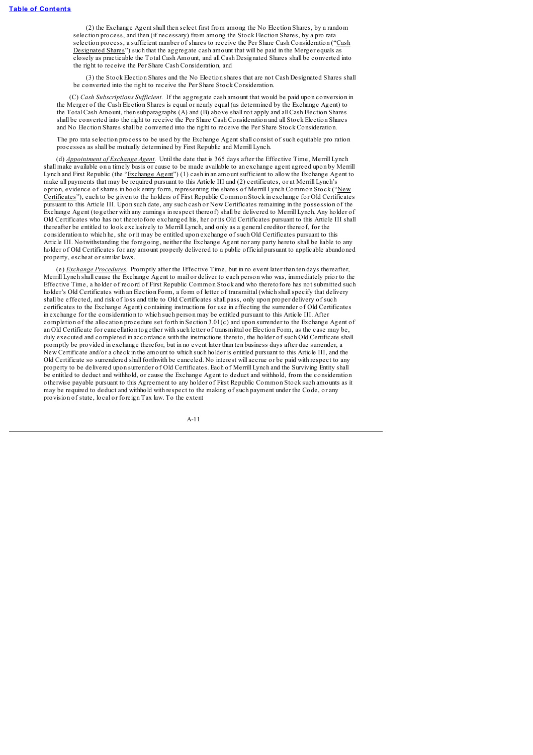(2) the Exchange Agent shall then select first from among the No Election Shares, by a random selection process, and then (if necessary) from among the Stock Election Shares, by a pro rata selection process, a sufficient number of shares to receive the Per Share Cash Consideration ("Cash Designated Shares") such that the aggregate cash amount that will be paid in the Merger equals as closely as practicable the Total Cash Amount, and all Cash Designated Shares shall be converted into the right to receive the Per Share Cash Consideration, and

(3) the Stock Election Shares and the No Election shares that are not Cash Designated Shares shall be converted into the right to receive the Per Share Stock Consideration.

(C) *Cash Subscriptions Suf icient.* If the aggregate cash amount that would be paid upon conversion in the Merger of the Cash Election Shares is equal or nearly equal (as determined by the Exchange Agent) to the Total Cash Amount, then subparagraphs (A) and (B) above shall not apply and all Cash Election Shares shall be converted into the right to receive the Per Share Cash Consideration and all Stock Election Shares and No Election Shares shall be converted into the right to receive the Per Share Stock Consideration.

The pro rata selection process to be used by the Exchange Agent shall consist of such equitable pro ration processes as shall be mutually determined by First Republic and Merrill Lynch.

(d) *Appointment of Exchange Agent.* Until the date that is 365 days after the Effective Time, Merrill Lynch shall make available on a timely basis or cause to be made available to an exchange agent agreed upon by Merrill Lynch and First Republic (the "Exchange Agent") (1) cash in an amount sufficient to allow the Exchange Agent to make all payments that may be required pursuant to this Article III and (2) certificates, or at Merrill Lynch's option, evidence of shares in book entry form, representing the shares of Merrill Lynch Common Stock ("New Certificates"), each to be given to the holders of First Republic Common Stock in exchange for Old Certificates pursuant to this Article III. Upon such date, any such cash or New Certificates remaining in the possession of the Exchange Agent (together with any earnings in respect thereof) shall be delivered to Merrill Lynch. Any holder of Old Certificates who has not theretofore exchanged his, her or its Old Certificates pursuant to this Article III shall thereafter be entitled to look exclusively to Merrill Lynch, and only as a general creditor thereof, for the consideration to which he, she or it may be entitled upon exchange of such Old Certificates pursuant to this Article III. Notwithstanding the foregoing, neither the Exchange Agent nor any party hereto shall be liable to any holder of Old Certificates for any amount properly delivered to a public official pursuant to applicable abandoned property, escheat or similar laws.

(e) *Exchange Procedures.* Promptly after the Effective Time, but in no event later than ten days thereafter, Merrill Lynch shall cause the Exchange Agent to mail or deliver to each person who was, immediately prior to the Effective Time, a holder of record of First Republic Common Stock and who theretofore has not submitted such holder's Old Certificates with an Election Form, a form of letter of transmittal (which shallspecify that delivery shall be effected, and risk of loss and title to Old Certificates shall pass, only upon proper delivery of such certificates to the Exchange Agent) containing instructions for use in effecting the surrender of Old Certificates in exchange for the consideration to which such person may be entitled pursuant to this Article III. After completion of the allocation procedure set forth in Section 3.01(c) and upon surrender to the Exchange Agent of an Old Certificate for cancellation together with such letter of transmittal or Election Form, as the case may be, duly executed and completed in accordance with the instructions thereto, the holder of such Old Certificate shall promptly be provided in exchange therefor, but in no event later than ten business days after due surrender, a New Certificate and/or a check in the amount to which such holder is entitled pursuant to this Article III, and the Old Certificate so surrendered shall forthwith be canceled. No interest will accrue or be paid with respect to any property to be delivered upon surrender of Old Certificates. Each of Merrill Lynch and the Surviving Entity shall be entitled to deduct and withhold, or cause the Exchange Agent to deduct and withhold, from the consideration otherwise payable pursuant to this Agreement to any holder of First Republic Common Stock such amounts as it may be required to deduct and withhold with respect to the making of such payment under the Code, or any provision of state, local or foreign Tax law. To the extent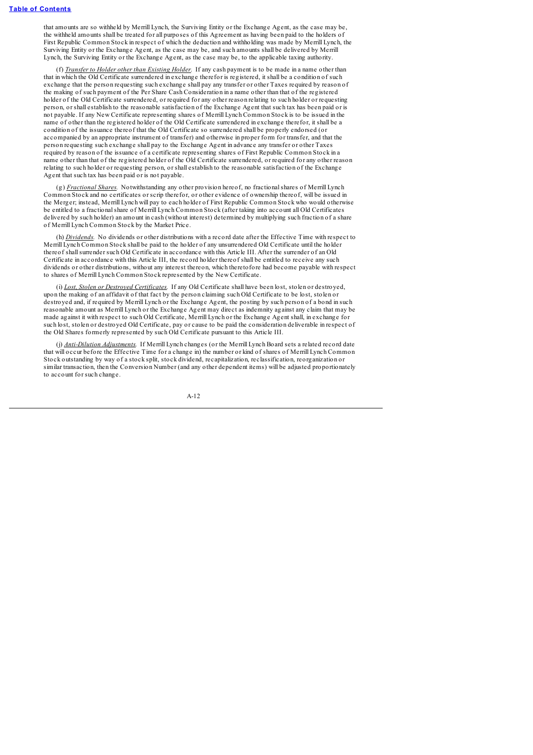that amounts are so withheld by Merrill Lynch, the Surviving Entity or the Exchange Agent, as the case may be, the withheld amounts shall be treated for all purposes of this Agreement as having been paid to the holders of First Republic Common Stock in respect of which the deduction and withholding was made by Merrill Lynch, the Surviving Entity or the Exchange Agent, as the case may be, and such amounts shall be delivered by Merrill Lynch, the Surviving Entity or the Exchange Agent, as the case may be, to the applicable taxing authority.

(f) *Transfer to Holder other than Existing Holder.* If any cash payment is to be made in a name other than that in which the Old Certificate surrendered in exchange therefor is registered, it shall be a condition of such exchange that the person requesting such exchange shall pay any transfer or other Taxes required by reason of the making of such payment of the Per Share Cash Consideration in a name other than that of the registered holder of the Old Certificate surrendered, or required for any other reason relating to such holder or requesting person, or shall establish to the reasonable satisfaction of the Exchange Agent that such tax has been paid or is not payable. If any New Certificate representing shares of Merrill Lynch Common Stock is to be issued in the name of other than the registered holder of the Old Certificate surrendered in exchange therefor, it shall be a condition of the issuance thereof that the Old Certificate so surrendered shall be properly endorsed (or accompanied by an appropriate instrument of transfer) and otherwise in proper form for transfer, and that the person requesting such exchange shall pay to the Exchange Agent in advance any transfer or other Taxes required by reason of the issuance of a certificate representing shares of First Republic Common Stock in a name other than that of the registered holder of the Old Certificate surrendered, or required for any other reason relating to such holder or requesting person, or shall establish to the reasonable satisfaction of the Exchange Agent that such tax has been paid or is not payable.

(g) *Fractional Shares.* Notwithstanding any other provision hereof, no fractionalshares of Merrill Lynch Common Stock and no certificates or scrip therefor, or other evidence of ownership thereof, will be issued in the Merger; instead, Merrill Lynch will pay to each holder of First Republic Common Stock who would otherwise be entitled to a fractionalshare of Merrill Lynch Common Stock (after taking into account all Old Certificates delivered by such holder) an amount in cash (without interest) determined by multiplying such fraction of a share of Merrill Lynch Common Stock by the Market Price.

(h) *Dividends.* No dividends or other distributions with a record date after the Effective Time with respect to Merrill Lynch Common Stock shall be paid to the holder of any unsurrendered Old Certificate until the holder thereof shallsurrender such Old Certificate in accordance with this Article III. After the surrender of an Old Certificate in accordance with this Article III, the record holder thereof shall be entitled to receive any such dividends or other distributions, without any interest thereon, which theretofore had become payable with respect to shares of Merrill Lynch Common Stock represented by the New Certificate.

(i) *Lost, Stolen or Destroyed Certificates.* If any Old Certificate shall have been lost, stolen or destroyed, upon the making of an affidavit of that fact by the person claiming such Old Certificate to be lost, stolen or destroyed and, if required by Merrill Lynch or the Exchange Agent, the posting by such person of a bond in such reasonable amount as Merrill Lynch or the Exchange Agent may direct as indemnity against any claim that may be made against it with respect to such Old Certificate, Merrill Lynch or the Exchange Agent shall, in exchange for such lost, stolen or destroyed Old Certificate, pay or cause to be paid the consideration deliverable in respect of the Old Shares formerly represented by such Old Certificate pursuant to this Article III.

(j) *Anti-Dilution Adjustments.* If Merrill Lynch changes (or the Merrill Lynch Board sets a related record date that will occur before the Effective Time for a change in) the number or kind of shares of Merrill Lynch Common Stock outstanding by way of a stock split, stock dividend, recapitalization, reclassification, reorganization or similar transaction, then the Conversion Number (and any other dependent items) will be adjusted proportionately to account for such change.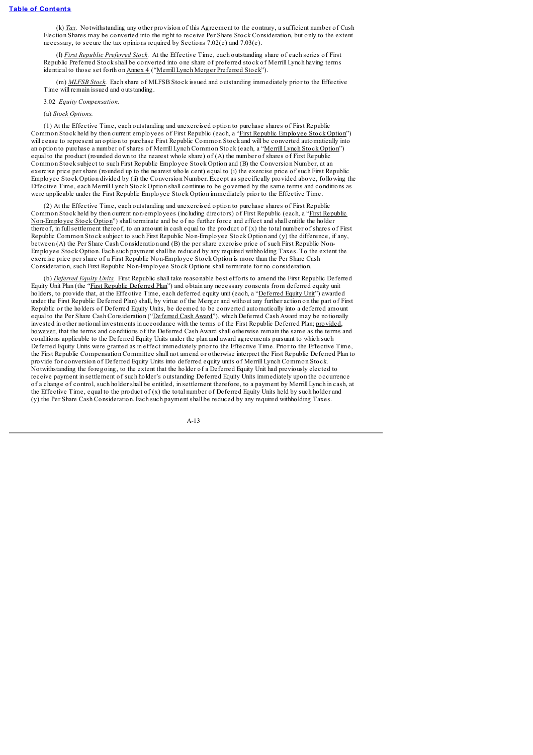(k) *Tax.* Notwithstanding any other provision of this Agreement to the contrary, a sufficient number of Cash Election Shares may be converted into the right to receive Per Share Stock Consideration, but only to the extent necessary, to secure the tax opinions required by Sections 7.02(c) and 7.03(c).

(l) *First Republic Preferred Stock.* At the Effective Time, each outstanding share of each series of First Republic Preferred Stock shall be converted into one share of preferred stock of Merrill Lynch having terms identical to those set forth on Annex 4 ("Merrill Lynch Merger Preferred Stock").

(m) *MLFSB Stock.* Each share of MLFSB Stock issued and outstanding immediately prior to the Effective Time will remain issued and outstanding.

3.02 *Equity Compensation.*

### (a) *Stock Options.*

(1) At the Effective Time, each outstanding and unexercised option to purchase shares of First Republic Common Stock held by then current employees of First Republic (each, a "First Republic Employee Stock Option") will cease to represent an option to purchase First Republic Common Stock and will be converted automatically into an option to purchase a number of shares of Merrill Lynch Common Stock (each, a "Merrill Lynch Stock Option") equal to the product (rounded down to the nearest whole share) of (A) the number of shares of First Republic Common Stock subject to such First Republic Employee Stock Option and (B) the Conversion Number, at an exercise price per share (rounded up to the nearest whole cent) equal to (i) the exercise price of such First Republic Employee Stock Option divided by (ii) the Conversion Number. Except as specifically provided above, following the Effective Time, each Merrill Lynch Stock Option shall continue to be governed by the same terms and conditions as were applicable under the First Republic Employee Stock Option immediately prior to the Effective Time.

(2) At the Effective Time, each outstanding and unexercised option to purchase shares of First Republic Common Stock held by then current non-employees (including directors) of First Republic (each, a "First Republic Non-Employee Stock Option") shall terminate and be of no further force and effect and shall entitle the holder thereof, in fullsettlement thereof, to an amount in cash equal to the product of (x) the total number of shares of First Republic Common Stock subject to such First Republic Non-Employee Stock Option and (y) the difference, if any, between (A) the Per Share Cash Consideration and (B) the per share exercise price of such First Republic Non-Employee Stock Option. Each such payment shall be reduced by any required withholding Taxes. To the extent the exercise price per share of a First Republic Non-Employee Stock Option is more than the Per Share Cash Consideration, such First Republic Non-Employee Stock Options shall terminate for no consideration.

(b) *Deferred Equity Units.* First Republic shall take reasonable best efforts to amend the First Republic Deferred Equity Unit Plan (the "First Republic Deferred Plan") and obtain any necessary consents from deferred equity unit holders, to provide that, at the Effective Time, each deferred equity unit (each, a "Deferred Equity Unit") awarded under the First Republic Deferred Plan) shall, by virtue of the Merger and without any further action on the part of First Republic or the holders of Deferred Equity Units, be deemed to be converted automatically into a deferred amount equal to the Per Share Cash Consideration ("Deferred Cash Award"), which Deferred Cash Award may be notionally invested in other notional investments in accordance with the terms of the First Republic Deferred Plan; provided, however, that the terms and conditions of the Deferred Cash Award shall otherwise remain the same as the terms and conditions applicable to the Deferred Equity Units under the plan and award agreements pursuant to which such Deferred Equity Units were granted as in effect immediately prior to the Effective Time. Prior to the Effective Time, the First Republic Compensation Committee shall not amend or otherwise interpret the First Republic Deferred Plan to provide for conversion of Deferred Equity Units into deferred equity units of Merrill Lynch Common Stock. Notwithstanding the foregoing, to the extent that the holder of a Deferred Equity Unit had previously elected to receive payment in settlement of such holder's outstanding Deferred Equity Units immediately upon the occurrence of a change of control, such holder shall be entitled, in settlement therefore, to a payment by Merrill Lynch in cash, at the Effective Time, equal to the product of (x) the total number of Deferred Equity Units held by such holder and (y) the Per Share Cash Consideration. Each such payment shall be reduced by any required withholding Taxes.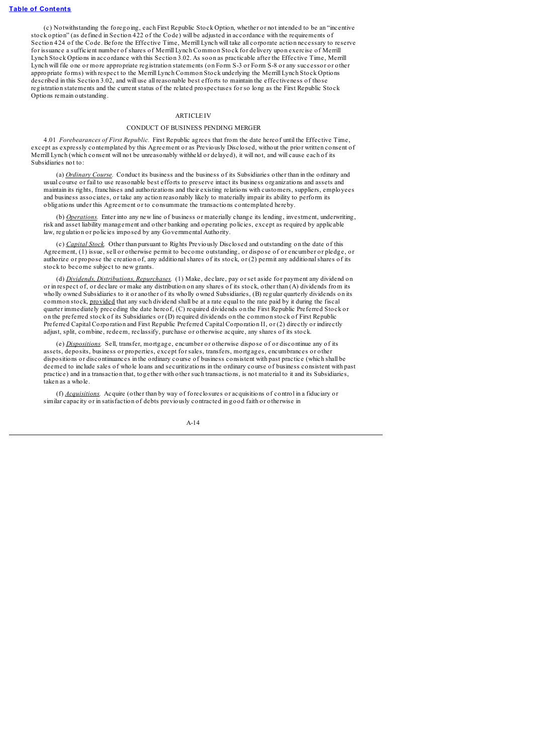(c) Notwithstanding the foregoing, each First Republic Stock Option, whether or not intended to be an "incentive stock option" (as defined in Section 422 of the Code) will be adjusted in accordance with the requirements of Section 424 of the Code. Before the Effective Time, Merrill Lynch will take all corporate action necessary to reserve for issuance a sufficient number of shares of Merrill Lynch Common Stock for delivery upon exercise of Merrill Lynch Stock Options in accordance with this Section 3.02. As soon as practicable after the Effective Time, Merrill Lynch will file one or more appropriate registration statements (on Form S-3 or Form S-8 or any successor or other appropriate forms) with respect to the Merrill Lynch Common Stock underlying the Merrill Lynch Stock Options described in this Section 3.02, and will use all reasonable best efforts to maintain the effectiveness of those registration statements and the current status of the related prospectuses for so long as the First Republic Stock Options remain outstanding.

### **ARTICLE IV**

#### CONDUCT OF BUSINESS PENDING MERGER

4.01 *Forebearances of First Republic.* First Republic agrees that from the date hereof until the Effective Time, except as expressly contemplated by this Agreement or as Previously Disclosed, without the prior written consent of Merrill Lynch (which consent will not be unreasonably withheld or delayed), it will not, and will cause each of its Subsidiaries not to:

(a) *Ordinary Course.* Conduct its business and the business of its Subsidiaries other than in the ordinary and usual course or fail to use reasonable best efforts to preserve intact its business organizations and assets and maintain its rights, franchises and authorizations and their existing relations with customers, suppliers, employees and business associates, or take any action reasonably likely to materially impair its ability to perform its obligations under this Agreement or to consummate the transactions contemplated hereby.

(b) *Operations.* Enter into any new line of business or materially change its lending, investment, underwriting, risk and asset liability management and other banking and operating policies, except as required by applicable law, regulation or policies imposed by any Governmental Authority.

(c) *Capital Stock.* Other than pursuant to Rights Previously Disclosed and outstanding on the date of this Agreement, (1) issue, sell or otherwise permit to become outstanding, or dispose of or encumber or pledge, or authorize or propose the creation of, any additionalshares of its stock, or (2) permit any additionalshares of its stock to become subject to new grants.

(d) *Dividends, Distributions, Repurchases.* (1) Make, declare, pay or set aside for payment any dividend on or in respect of, or declare or make any distribution on any shares of its stock, other than (A) dividends from its wholly owned Subsidiaries to it or another of its wholly owned Subsidiaries, (B) regular quarterly dividends on its common stock, provided that any such dividend shall be at a rate equal to the rate paid by it during the fiscal quarter immediately preceding the date hereof, (C) required dividends on the First Republic Preferred Stock or on the preferred stock of its Subsidiaries or (D) required dividends on the common stock of First Republic Preferred Capital Corporation and First Republic Preferred Capital Corporation II, or (2) directly or indirectly adjust, split, combine, redeem, reclassify, purchase or otherwise acquire, any shares of its stock.

(e) *Dispositions.* Sell, transfer, mortgage, encumber or otherwise dispose of or discontinue any of its assets, deposits, business or properties, except for sales, transfers, mortgages, encumbrances or other dispositions or discontinuances in the ordinary course of business consistent with past practice (which shall be deemed to include sales of whole loans and securitizations in the ordinary course of business consistent with past practice) and in a transaction that, together with other such transactions, is not material to it and its Subsidiaries, taken as a whole.

(f) *Acquisitions.* Acquire (other than by way of foreclosures or acquisitions of control in a fiduciary or similar capacity or in satisfaction of debts previously contracted in good faith or otherwise in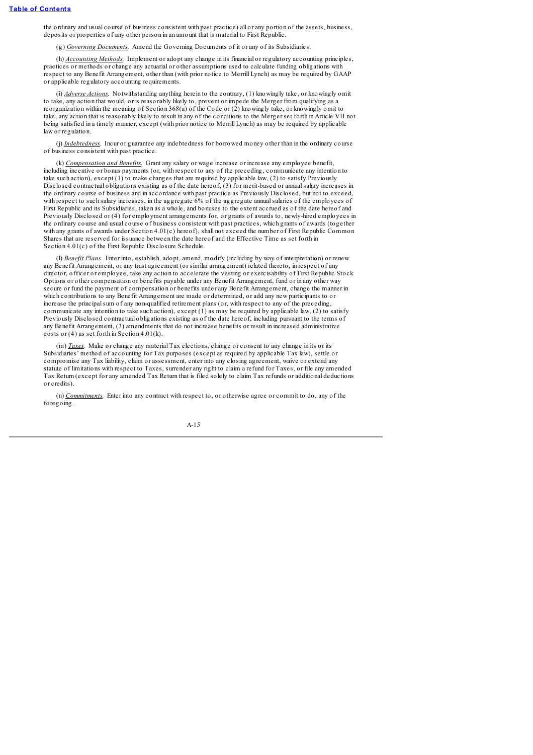the ordinary and usual course of business consistent with past practice) all or any portion of the assets, business, deposits or properties of any other person in an amount that is material to First Republic.

(g) *Governing Documents.* Amend the Governing Documents of it or any of its Subsidiaries.

(h) *Accounting Methods.* Implement or adopt any change in its financial or regulatory accounting principles, practices or methods or change any actuarial or other assumptions used to calculate funding obligations with respect to any Benefit Arrangement, other than (with prior notice to Merrill Lynch) as may be required by GAAP or applicable regulatory accounting requirements.

(i) *Adverse Actions.* Notwithstanding anything herein to the contrary, (1) knowingly take, or knowingly omit to take, any action that would, or is reasonably likely to, prevent or impede the Merger from qualifying as a reorganization within the meaning of Section 368(a) of the Code or (2) knowingly take, or knowingly omit to take, any action that is reasonably likely to result in any of the conditions to the Merger set forth in Article VII not being satisfied in a timely manner, except (with prior notice to Merrill Lynch) as may be required by applicable law or regulation.

(j) *Indebtedness.* Incur or guarantee any indebtedness for borrowed money other than in the ordinary course of business consistent with past practice.

(k) *Compensation and Benefits.* Grant any salary or wage increase or increase any employee benefit, including incentive or bonus payments (or, with respect to any of the preceding, communicate any intention to take such action), except (1) to make changes that are required by applicable law, (2) to satisfy Previously Disclosed contractual obligations existing as of the date hereof, (3) for merit-based or annualsalary increases in the ordinary course of business and in accordance with past practice as Previously Disclosed, but not to exceed, with respect to such salary increases, in the aggregate 6% of the aggregate annualsalaries of the employees of First Republic and its Subsidiaries, taken as a whole, and bonuses to the extent accrued as of the date hereof and Previously Disclosed or (4) for employment arrangements for, or grants of awards to, newly-hired employees in the ordinary course and usual course of business consistent with past practices, which grants of awards (together with any grants of awards under Section 4.01(c) hereof), shall not exceed the number of First Republic Common Shares that are reserved for issuance between the date hereof and the Effective Time as set forth in Section 4.01(c) of the First Republic Disclosure Schedule.

(l) *Benefit Plans.* Enter into, establish, adopt, amend, modify (including by way of interpretation) or renew any Benefit Arrangement, or any trust agreement (or similar arrangement) related thereto, in respect of any director, officer or employee, take any action to accelerate the vesting or exercisability of First Republic Stock Options or other compensation or benefits payable under any Benefit Arrangement, fund or in any other way secure or fund the payment of compensation or benefits under any Benefit Arrangement, change the manner in which contributions to any Benefit Arrangement are made or determined, or add any new participants to or increase the principalsum of any non-qualified retirement plans (or, with respect to any of the preceding, communicate any intention to take such action), except (1) as may be required by applicable law, (2) to satisfy Previously Disclosed contractual obligations existing as of the date hereof, including pursuant to the terms of any Benefit Arrangement, (3) amendments that do not increase benefits or result in increased administrative costs or (4) as set forth in Section 4.01(k).

(m) *Taxes.* Make or change any material Tax elections, change or consent to any change in its or its Subsidiaries' method of accounting for Tax purposes (except as required by applicable Tax law), settle or compromise any Tax liability, claim or assessment, enter into any closing agreement, waive or extend any statute of limitations with respect to Taxes, surrender any right to claim a refund for Taxes, or file any amended Tax Return (except for any amended Tax Return that is filed solely to claim Tax refunds or additional deductions or credits).

(n) *Commitments.* Enter into any contract with respect to, or otherwise agree or commit to do, any of the foregoing.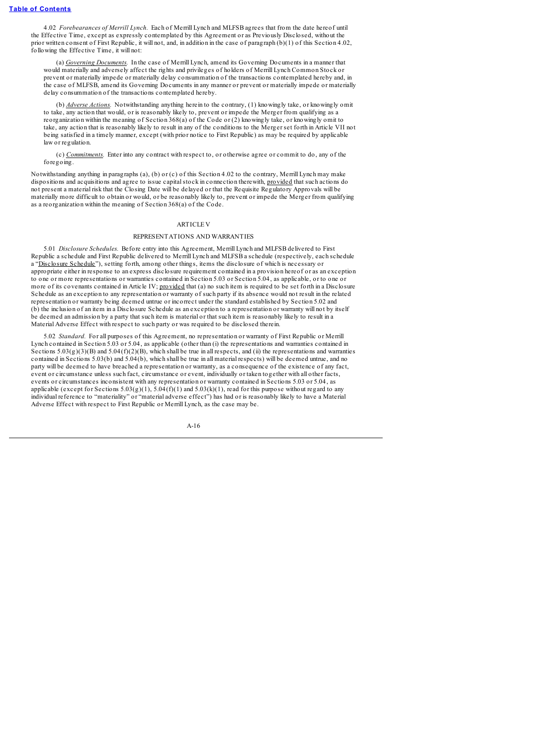4.02 *Forebearances of Merrill Lynch.* Each of Merrill Lynch and MLFSB agrees that from the date hereof until the Effective Time, except as expressly contemplated by this Agreement or as Previously Disclosed, without the prior written consent of First Republic, it will not, and, in addition in the case of paragraph  $(b)(1)$  of this Section 4.02, following the Effective Time, it will not:

(a) *Governing Documents.* In the case of Merrill Lynch, amend its Governing Documents in a manner that would materially and adversely affect the rights and privileges of holders of Merrill Lynch Common Stock or prevent or materially impede or materially delay consummation of the transactions contemplated hereby and, in the case of MLFSB, amend its Governing Documents in any manner or prevent or materially impede or materially delay consummation of the transactions contemplated hereby.

(b) *Adverse Actions.* Notwithstanding anything herein to the contrary, (1) knowingly take, or knowingly omit to take, any action that would, or is reasonably likely to, prevent or impede the Merger from qualifying as a reorganization within the meaning of Section 368(a) of the Code or (2) knowingly take, or knowingly omit to take, any action that is reasonably likely to result in any of the conditions to the Merger set forth in Article VII not being satisfied in a timely manner, except (with prior notice to First Republic) as may be required by applicable law or regulation.

(c) *Commitments.* Enter into any contract with respect to, or otherwise agree or commit to do, any of the foregoing.

Notwithstanding anything in paragraphs (a), (b) or (c) of this Section 4.02 to the contrary, Merrill Lynch may make dispositions and acquisitions and agree to issue capitalstock in connection therewith, provided that such actions do not present a material risk that the Closing Date will be delayed or that the Requisite Regulatory Approvals will be materially more difficult to obtain or would, or be reasonably likely to, prevent or impede the Merger from qualifying as a reorganization within the meaning of Section 368(a) of the Code.

### **ARTICLE V**

### REPRESENTATIONS AND WARRANTIES

5.01 *Disclosure Schedules.* Before entry into this Agreement, Merrill Lynch and MLFSB delivered to First Republic a schedule and First Republic delivered to Merrill Lynch and MLFSB a schedule (respectively, each schedule a "Disclosure Schedule"), setting forth, among other things, items the disclosure of which is necessary or appropriate either in response to an express disclosure requirement contained in a provision hereof or as an exception to one or more representations or warranties contained in Section 5.03 or Section 5.04, as applicable, or to one or more of its covenants contained in Article IV; provided that (a) no such item is required to be set forth in a Disclosure Schedule as an exception to any representation or warranty of such party if its absence would not result in the related representation or warranty being deemed untrue or incorrect under the standard established by Section 5.02 and (b) the inclusion of an item in a Disclosure Schedule as an exception to a representation or warranty will not by itself be deemed an admission by a party that such item is material or that such item is reasonably likely to result in a Material Adverse Effect with respect to such party or was required to be disclosed therein.

5.02 *Standard.* For all purposes of this Agreement, no representation or warranty of First Republic or Merrill Lynch contained in Section 5.03 or 5.04, as applicable (other than (i) the representations and warranties contained in Sections  $5.03(g)(3)(B)$  and  $5.04(f)(2)(B)$ , which shall be true in all respects, and (ii) the representations and warranties contained in Sections 5.03(b) and 5.04(b), which shall be true in all material respects) will be deemed untrue, and no party will be deemed to have breached a representation or warranty, as a consequence of the existence of any fact, event or circumstance unless such fact, circumstance or event, individually or taken together with all other facts, events or circumstances inconsistent with any representation or warranty contained in Sections 5.03 or 5.04, as applicable (except for Sections  $5.03(g)(1)$ ,  $5.04(f)(1)$  and  $5.03(k)(1)$ , read for this purpose without regard to any individual reference to "materiality" or "material adverse effect") has had or is reasonably likely to have a Material Adverse Effect with respect to First Republic or Merrill Lynch, as the case may be.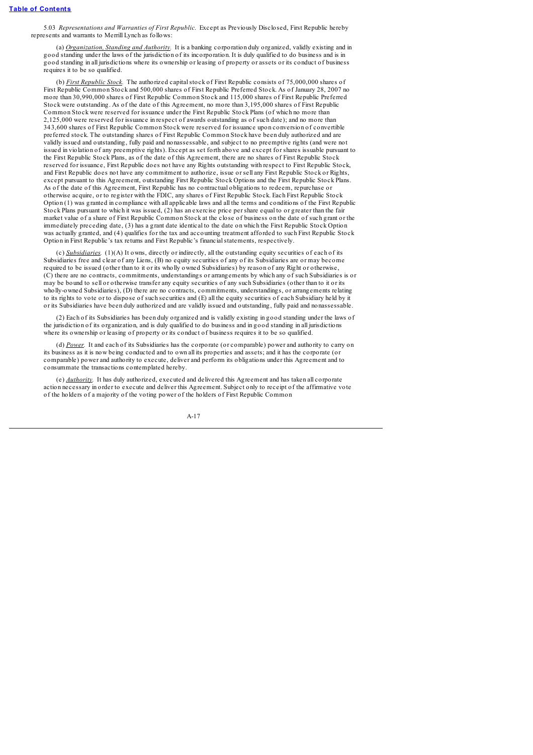5.03 *Representations and Warranties of First Republic.* Except as Previously Disclosed, First Republic hereby represents and warrants to Merrill Lynch as follows:

(a) *Organization, Standing and Authority.* It is a banking corporation duly organized, validly existing and in good standing under the laws of the jurisdiction of its incorporation. It is duly qualified to do business and is in good standing in all jurisdictions where its ownership or leasing of property or assets or its conduct of business requires it to be so qualified.

(b) *First Republic Stock.* The authorized capitalstock of First Republic consists of 75,000,000 shares of First Republic Common Stock and 500,000 shares of First Republic Preferred Stock. As of January 28, 2007 no more than 30,990,000 shares of First Republic Common Stock and 115,000 shares of First Republic Preferred Stock were outstanding. As of the date of this Agreement, no more than 3,195,000 shares of First Republic Common Stock were reserved for issuance under the First Republic Stock Plans (of which no more than 2,125,000 were reserved for issuance in respect of awards outstanding as of such date); and no more than 343,600 shares of First Republic Common Stock were reserved for issuance upon conversion of convertible preferred stock. The outstanding shares of First Republic Common Stock have been duly authorized and are validly issued and outstanding, fully paid and nonassessable, and subject to no preemptive rights (and were not issued in violation of any preemptive rights). Except as set forth above and except for shares issuable pursuant to the First Republic Stock Plans, as of the date of this Agreement, there are no shares of First Republic Stock reserved for issuance, First Republic does not have any Rights outstanding with respect to First Republic Stock, and First Republic does not have any commitment to authorize, issue or sell any First Republic Stock or Rights, except pursuant to this Agreement, outstanding First Republic Stock Options and the First Republic Stock Plans. As of the date of this Agreement, First Republic has no contractual obligations to redeem, repurchase or otherwise acquire, or to register with the FDIC, any shares of First Republic Stock. Each First Republic Stock Option (1) was granted in compliance with all applicable laws and all the terms and conditions of the First Republic Stock Plans pursuant to which it was issued, (2) has an exercise price per share equal to or greater than the fair market value of a share of First Republic Common Stock at the close of business on the date of such grant or the immediately preceding date, (3) has a grant date identical to the date on which the First Republic Stock Option was actually granted, and (4) qualifies for the tax and accounting treatment afforded to such First Republic Stock Option in First Republic's tax returns and First Republic's financialstatements, respectively.

(c) *Subsidiaries.* (1)(A) It owns, directly or indirectly, all the outstanding equity securities of each of its Subsidiaries free and clear of any Liens, (B) no equity securities of any of its Subsidiaries are or may become required to be issued (other than to it or its wholly owned Subsidiaries) by reason of any Right or otherwise, (C) there are no contracts, commitments, understandings or arrangements by which any of such Subsidiaries is or may be bound to sell or otherwise transfer any equity securities of any such Subsidiaries (other than to it or its wholly-owned Subsidiaries), (D) there are no contracts, commitments, understandings, or arrangements relating to its rights to vote or to dispose of such securities and (E) all the equity securities of each Subsidiary held by it or its Subsidiaries have been duly authorized and are validly issued and outstanding, fully paid and nonassessable.

(2) Each of its Subsidiaries has been duly organized and is validly existing in good standing under the laws of the jurisdiction of its organization, and is duly qualified to do business and in good standing in all jurisdictions where its ownership or leasing of property or its conduct of business requires it to be so qualified.

(d) *Power.* It and each of its Subsidiaries has the corporate (or comparable) power and authority to carry on its business as it is now being conducted and to own all its properties and assets; and it has the corporate (or comparable) power and authority to execute, deliver and perform its obligations under this Agreement and to consummate the transactions contemplated hereby.

(e) *Authority.* It has duly authorized, executed and delivered this Agreement and has taken all corporate action necessary in order to execute and deliver this Agreement. Subject only to receipt of the affirmative vote of the holders of a majority of the voting power of the holders of First Republic Common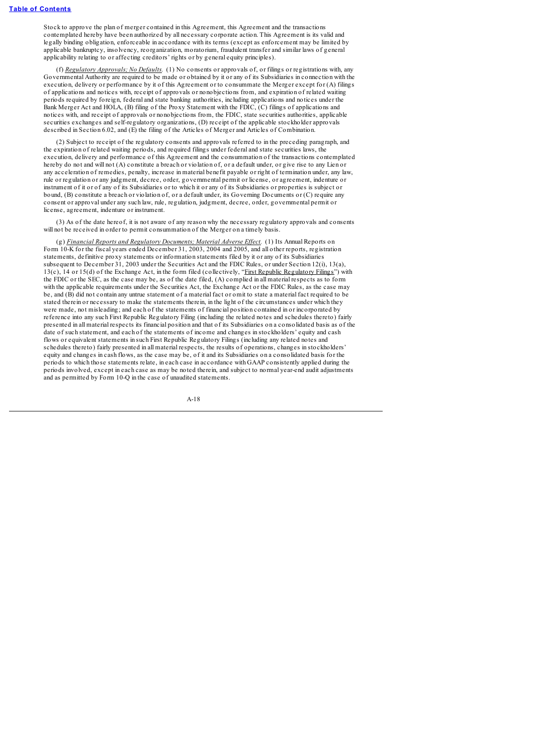Stock to approve the plan of merger contained in this Agreement, this Agreement and the transactions contemplated hereby have been authorized by all necessary corporate action. This Agreement is its valid and legally binding obligation, enforceable in accordance with its terms (except as enforcement may be limited by applicable bankruptcy, insolvency, reorganization, moratorium, fraudulent transfer and similar laws of general applicability relating to or affecting creditors' rights or by general equity principles).

(f) *Regulatory Approvals; No Defaults.* (1) No consents or approvals of, or filings or registrations with, any Governmental Authority are required to be made or obtained by it or any of its Subsidiaries in connection with the execution, delivery or performance by it of this Agreement or to consummate the Merger except for (A) filings of applications and notices with, receipt of approvals or nonobjections from, and expiration of related waiting periods required by foreign, federal and state banking authorities, including applications and notices under the Bank Merger Act and HOLA, (B) filing of the Proxy Statement with the FDIC, (C) filings of applications and notices with, and receipt of approvals or nonobjections from, the FDIC, state securities authorities, applicable securities exchanges and self-regulatory organizations, (D) receipt of the applicable stockholder approvals described in Section 6.02, and (E) the filing of the Articles of Merger and Articles of Combination.

(2) Subject to receipt of the regulatory consents and approvals referred to in the preceding paragraph, and the expiration of related waiting periods, and required filings under federal and state securities laws, the execution, delivery and performance of this Agreement and the consummation of the transactions contemplated hereby do not and will not (A) constitute a breach or violation of, or a default under, or give rise to any Lien or any acceleration of remedies, penalty, increase in material benefit payable or right of termination under, any law, rule or regulation or any judgment, decree, order, governmental permit or license, or agreement, indenture or instrument of it or of any of its Subsidiaries or to which it or any of its Subsidiaries or properties is subject or bound, (B) constitute a breach or violation of, or a default under, its Governing Documents or (C) require any consent or approval under any such law, rule, regulation, judgment, decree, order, governmental permit or license, agreement, indenture or instrument.

(3) As of the date hereof, it is not aware of any reason why the necessary regulatory approvals and consents will not be received in order to permit consummation of the Merger on a timely basis

(g) *Financial Reports and Regulatory Documents; Material Adverse Ef ect.* (1) Its Annual Reports on Form 10-K for the fiscal years ended December 31, 2003, 2004 and 2005, and all other reports, registration statements, definitive proxy statements or information statements filed by it or any of its Subsidiaries subsequent to December 31, 2003 under the Securities Act and the FDIC Rules, or under Section 12(i), 13(a),  $13(c)$ ,  $14$  or  $15(d)$  of the Exchange Act, in the form filed (collectively, "First Republic Regulatory Filings") with the FDIC or the SEC, as the case may be, as of the date filed, (A) complied in all material respects as to form with the applicable requirements under the Securities Act, the Exchange Act or the FDIC Rules, as the case may be, and (B) did not contain any untrue statement of a material fact or omit to state a material fact required to be stated therein or necessary to make the statements therein, in the light of the circumstances under which they were made, not misleading; and each of the statements of financial position contained in or incorporated by reference into any such First Republic Regulatory Filing (including the related notes and schedules thereto) fairly presented in all material respects its financial position and that of its Subsidiaries on a consolidated basis as of the date of such statement, and each of the statements of income and changes in stockholders' equity and cash flows or equivalent statements in such First Republic Regulatory Filings (including any related notes and schedules thereto) fairly presented in all material respects, the results of operations, changes in stockholders' equity and changes in cash flows, as the case may be, of it and its Subsidiaries on a consolidated basis for the periods to which those statements relate, in each case in accordance with GAAP consistently applied during the periods involved, except in each case as may be noted therein, and subject to normal year-end audit adjustments and as permitted by Form 10-Q in the case of unaudited statements.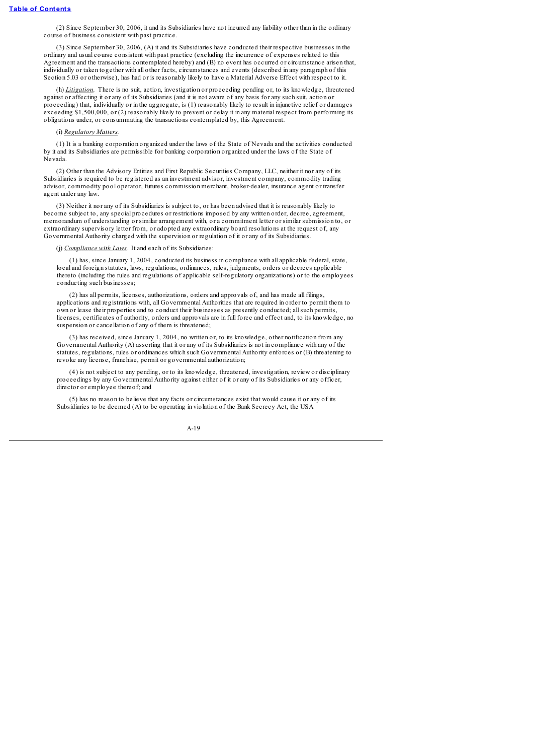(2) Since September 30, 2006, it and its Subsidiaries have not incurred any liability other than in the ordinary course of business consistent with past practice.

(3) Since September 30, 2006, (A) it and its Subsidiaries have conducted their respective businesses in the ordinary and usual course consistent with past practice (excluding the incurrence of expenses related to this Agreement and the transactions contemplated hereby) and (B) no event has occurred or circumstance arisen that, individually or taken together with all other facts, circumstances and events (described in any paragraph of this Section 5.03 or otherwise), has had or is reasonably likely to have a Material Adverse Effect with respect to it.

(h) *Litigation.* There is no suit, action, investigation or proceeding pending or, to its knowledge, threatened against or affecting it or any of its Subsidiaries (and it is not aware of any basis for any such suit, action or proceeding) that, individually or in the aggregate, is (1) reasonably likely to result in injunctive relief or damages exceeding \$1,500,000, or (2) reasonably likely to prevent or delay it in any material respect from performing its obligations under, or consummating the transactions contemplated by, this Agreement.

#### (i) *Regulatory Matters.*

(1) It is a banking corporation organized under the laws of the State of Nevada and the activities conducted by it and its Subsidiaries are permissible for banking corporation organized under the laws of the State of Nevada.

(2) Other than the Advisory Entities and First Republic Securities Company, LLC, neither it nor any of its Subsidiaries is required to be registered as an investment advisor, investment company, commodity trading advisor, commodity pool operator, futures commission merchant, broker-dealer, insurance agent or transfer agent under any law.

(3) Neither it nor any of its Subsidiaries is subject to, or has been advised that it is reasonably likely to become subject to, any special procedures or restrictions imposed by any written order, decree, agreement, memorandum of understanding or similar arrangement with, or a commitment letter or similar submission to, or extraordinary supervisory letter from, or adopted any extraordinary board resolutions at the request of, any Governmental Authority charged with the supervision or regulation of it or any of its Subsidiaries.

(j) *Compliance with Laws.* It and each of its Subsidiaries:

(1) has, since January 1, 2004, conducted its business in compliance with all applicable federal, state, local and foreign statutes, laws, regulations, ordinances, rules, judgments, orders or decrees applicable thereto (including the rules and regulations of applicable self-regulatory organizations) or to the employees conducting such businesses;

(2) has all permits, licenses, authorizations, orders and approvals of, and has made all filings, applications and registrations with, all Governmental Authorities that are required in order to permit them to own or lease their properties and to conduct their businesses as presently conducted; allsuch permits, licenses, certificates of authority, orders and approvals are in full force and effect and, to its knowledge, no suspension or cancellation of any of them is threatened;

(3) has received, since January 1, 2004, no written or, to its knowledge, other notification from any Governmental Authority (A) asserting that it or any of its Subsidiaries is not in compliance with any of the statutes, regulations, rules or ordinances which such Governmental Authority enforces or (B) threatening to revoke any license, franchise, permit or governmental authorization;

(4) is not subject to any pending, or to its knowledge, threatened, investigation, review or disciplinary proceedings by any Governmental Authority against either of it or any of its Subsidiaries or any officer, director or employee thereof; and

(5) has no reason to believe that any facts or circumstances exist that would cause it or any of its Subsidiaries to be deemed (A) to be operating in violation of the Bank Secrecy Act, the USA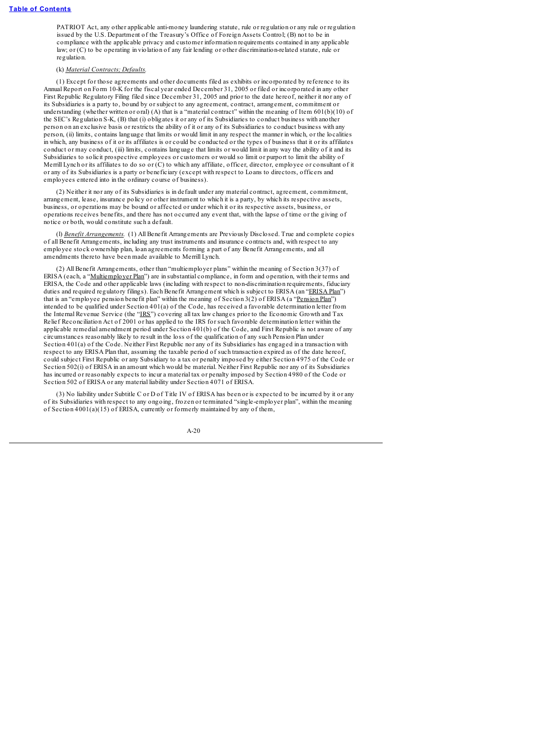PATRIOT Act, any other applicable anti-money laundering statute, rule or regulation or any rule or regulation issued by the U.S. Department of the Treasury's Office of Foreign Assets Control; (B) not to be in compliance with the applicable privacy and customer information requirements contained in any applicable law; or (C) to be operating in violation of any fair lending or other discrimination-related statute, rule or regulation.

### (k) *Material Contracts; Defaults.*

(1) Except for those agreements and other documents filed as exhibits or incorporated by reference to its Annual Report on Form 10-K for the fiscal year ended December 31, 2005 or filed or incorporated in any other First Republic Regulatory Filing filed since December 31, 2005 and prior to the date hereof, neither it nor any of its Subsidiaries is a party to, bound by or subject to any agreement, contract, arrangement, commitment or understanding (whether written or oral) (A) that is a "material contract" within the meaning of Item 601(b)(10) of the SEC's Regulation S-K, (B) that (i) obligates it or any of its Subsidiaries to conduct business with another person on an exclusive basis or restricts the ability of it or any of its Subsidiaries to conduct business with any person, (ii) limits, contains language that limits or would limit in any respect the manner in which, or the localities in which, any business of it or its affiliates is or could be conducted or the types of business that it or its affiliates conduct or may conduct, (iii) limits, contains language that limits or would limit in any way the ability of it and its Subsidiaries to solicit prospective employees or customers or would so limit or purport to limit the ability of Merrill Lynch or its affiliates to do so or (C) to which any affiliate, officer, director, employee or consultant of it or any of its Subsidiaries is a party or beneficiary (except with respect to Loans to directors, officers and employees entered into in the ordinary course of business).

(2) Neither it nor any of its Subsidiaries is in default under any material contract, agreement, commitment, arrangement, lease, insurance policy or other instrument to which it is a party, by which its respective assets, business, or operations may be bound or affected or under which it or its respective assets, business, or operations receives benefits, and there has not occurred any event that, with the lapse of time or the giving of notice or both, would constitute such a default.

(l) *Benefit Arrangements.* (1) All Benefit Arrangements are Previously Disclosed. True and complete copies of all Benefit Arrangements, including any trust instruments and insurance contracts and, with respect to any employee stock ownership plan, loan agreements forming a part of any Benefit Arrangements, and all amendments thereto have been made available to Merrill Lynch.

(2) All Benefit Arrangements, other than "multiemployer plans" within the meaning of Section 3(37) of ERISA (each, a "Multiemployer Plan") are in substantial compliance, in form and operation, with their terms and ERISA, the Code and other applicable laws (including with respect to non-discrimination requirements, fiduciary duties and required regulatory filings). Each Benefit Arrangement which is subject to ERISA (an "ERISA Plan") that is an "employee pension benefit plan" within the meaning of Section 3(2) of ERISA (a "Pension Plan") intended to be qualified under Section 401(a) of the Code, has received a favorable determination letter from the Internal Revenue Service (the "IRS") covering all tax law changes prior to the Economic Growth and Tax Relief Reconciliation Act of 2001 or has applied to the IRS for such favorable determination letter within the applicable remedial amendment period under Section 401(b) of the Code, and First Republic is not aware of any circumstances reasonably likely to result in the loss of the qualification of any such Pension Plan under Section 401(a) of the Code. Neither First Republic nor any of its Subsidiaries has engaged in a transaction with respect to any ERISA Plan that, assuming the taxable period of such transaction expired as of the date hereof, could subject First Republic or any Subsidiary to a tax or penalty imposed by either Section 4975 of the Code or Section 502(i) of ERISA in an amount which would be material. Neither First Republic nor any of its Subsidiaries has incurred or reasonably expects to incur a material tax or penalty imposed by Section 4980 of the Code or Section 502 of ERISA or any material liability under Section 4071 of ERISA.

(3) No liability under Subtitle C or D of Title IV of ERISA has been or is expected to be incurred by it or any of its Subsidiaries with respect to any ongoing, frozen or terminated "single-employer plan", within the meaning of Section 4001(a)(15) of ERISA, currently or formerly maintained by any of them,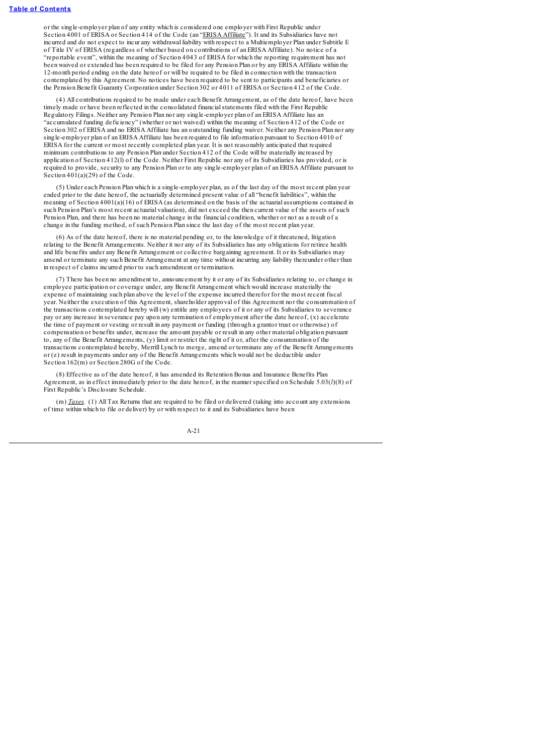or the single-employer plan of any entity which is considered one employer with First Republic under Section 4001 of ERISA or Section 414 of the Code (an "ERISA Affiliate"). It and its Subsidiaries have not incurred and do not expect to incur any withdrawal liability with respect to a Multiemployer Plan under Subtitle E of Title IV of ERISA (regardless of whether based on contributions of an ERISA Affiliate). No notice of a "reportable event", within the meaning of Section 4043 of ERISA for which the reporting requirement has not been waived or extended has been required to be filed for any Pension Plan or by any ERISA Affiliate within the 12-month period ending on the date hereof or will be required to be filed in connection with the transaction contemplated by this Agreement. No notices have been required to be sent to participants and beneficiaries or the Pension Benefit Guaranty Corporation under Section 302 or 4011 of ERISA or Section 412 of the Code.

(4) All contributions required to be made under each Benefit Arrangement, as of the date hereof, have been timely made or have been reflected in the consolidated financialstatements filed with the First Republic Regulatory Filings. Neither any Pension Plan nor any single-employer plan of an ERISA Affiliate has an "accumulated funding deficiency" (whether or not waived) within the meaning of Section 412 of the Code or Section 302 of ERISA and no ERISA Affiliate has an outstanding funding waiver. Neither any Pension Plan nor any single-employer plan of an ERISA Affiliate has been required to file information pursuant to Section 4010 of ERISA for the current or most recently completed plan year. It is not reasonably anticipated that required minimum contributions to any Pension Plan under Section 412 of the Code will be materially increased by application of Section 412(l) of the Code. Neither First Republic nor any of its Subsidiaries has provided, or is required to provide, security to any Pension Plan or to any single-employer plan of an ERISA Affiliate pursuant to Section  $401(a)(29)$  of the Code.

(5) Under each Pension Plan which is a single-employer plan, as of the last day of the most recent plan year ended prior to the date hereof, the actuarially determined present value of all "benefit liabilities", within the meaning of Section 4001(a)(16) of ERISA (as determined on the basis of the actuarial assumptions contained in such Pension Plan's most recent actuarial valuation), did not exceed the then current value of the assets of such Pension Plan, and there has been no material change in the financial condition, whether or not as a result of a change in the funding method, of such Pension Plan since the last day of the most recent plan year.

(6) As of the date hereof, there is no material pending or, to the knowledge of it threatened, litigation relating to the Benefit Arrangements. Neither it nor any of its Subsidiaries has any obligations for retiree health and life benefits under any Benefit Arrangement or collective bargaining agreement. It or its Subsidiaries may amend or terminate any such Benefit Arrangement at any time without incurring any liability thereunder other than in respect of claims incurred prior to such amendment or termination.

(7) There has been no amendment to, announcement by it or any of its Subsidiaries relating to, or change in employee participation or coverage under, any Benefit Arrangement which would increase materially the expense of maintaining such plan above the level of the expense incurred therefor for the most recent fiscal year. Neither the execution of this Agreement, shareholder approval of this Agreement nor the consummation of the transactions contemplated hereby will (w) entitle any employees of it or any of its Subsidiaries to severance pay or any increase in severance pay upon any termination of employment after the date hereof, (x) accelerate the time of payment or vesting or result in any payment or funding (through a grantor trust or otherwise) of compensation or benefits under, increase the amount payable or result in any other material obligation pursuant to, any of the Benefit Arrangements, (y) limit or restrict the right of it or, after the consummation of the transactions contemplated hereby, Merrill Lynch to merge, amend or terminate any of the Benefit Arrangements or (z) result in payments under any of the Benefit Arrangements which would not be deductible under Section 162(m) or Section 280G of the Code.

(8) Effective as of the date hereof, it has amended its Retention Bonus and Insurance Benefits Plan Agreement, as in effect immediately prior to the date hereof, in the manner specified on Schedule 5.03(*l*)(8) of First Republic's Disclosure Schedule.

(m) *Taxes.* (1) All Tax Returns that are required to be filed or delivered (taking into account any extensions of time within which to file or deliver) by or with respect to it and its Subsidiaries have been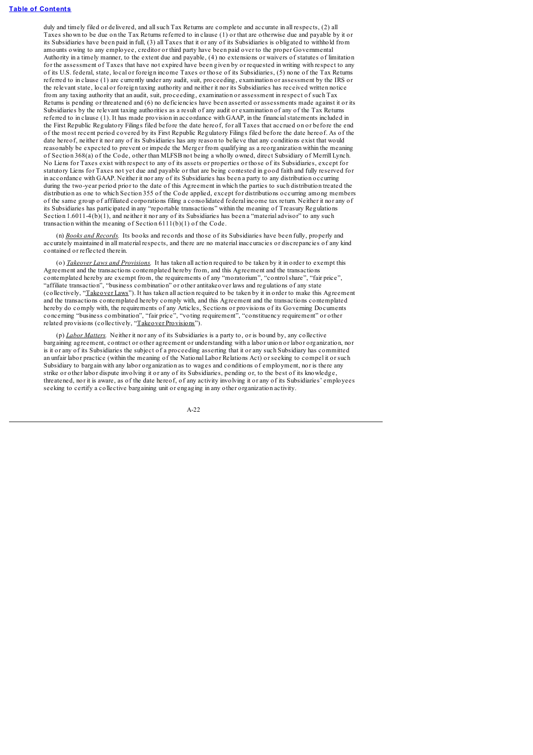duly and timely filed or delivered, and allsuch Tax Returns are complete and accurate in all respects, (2) all Taxes shown to be due on the Tax Returns referred to in clause (1) or that are otherwise due and payable by it or its Subsidiaries have been paid in full, (3) all Taxes that it or any of its Subsidiaries is obligated to withhold from amounts owing to any employee, creditor or third party have been paid over to the proper Governmental Authority in a timely manner, to the extent due and payable, (4) no extensions or waivers of statutes of limitation for the assessment of Taxes that have not expired have been given by or requested in writing with respect to any of its U.S. federal, state, local or foreign income Taxes or those of its Subsidiaries, (5) none of the Tax Returns referred to in clause (1) are currently under any audit, suit, proceeding, examination or assessment by the IRS or the relevant state, local or foreign taxing authority and neither it nor its Subsidiaries has received written notice from any taxing authority that an audit, suit, proceeding, examination or assessment in respect of such Tax Returns is pending or threatened and (6) no deficiencies have been asserted or assessments made against it or its Subsidiaries by the relevant taxing authorities as a result of any audit or examination of any of the Tax Returns referred to in clause (1). It has made provision in accordance with GAAP, in the financialstatements included in the First Republic Regulatory Filings filed before the date hereof, for all Taxes that accrued on or before the end of the most recent period covered by its First Republic Regulatory Filings filed before the date hereof. As of the date hereof, neither it nor any of its Subsidiaries has any reason to believe that any conditions exist that would reasonably be expected to prevent or impede the Merger from qualifying as a reorganization within the meaning of Section 368(a) of the Code, other than MLFSB not being a wholly owned, direct Subsidiary of Merrill Lynch. No Liens for Taxes exist with respect to any of its assets or properties or those of its Subsidiaries, except for statutory Liens for Taxes not yet due and payable or that are being contested in good faith and fully reserved for in accordance with GAAP. Neither it nor any of its Subsidiaries has been a party to any distribution occurring during the two-year period prior to the date of this Agreement in which the parties to such distribution treated the distribution as one to which Section 355 of the Code applied, except for distributions occurring among members of the same group of affiliated corporations filing a consolidated federal income tax return. Neither it nor any of its Subsidiaries has participated in any "reportable transactions" within the meaning of Treasury Regulations Section 1.6011-4(b)(1), and neither it nor any of its Subsidiaries has been a "material advisor" to any such transaction within the meaning of Section  $6111(b)(1)$  of the Code.

(n) *Books and Records.* Its books and records and those of its Subsidiaries have been fully, properly and accurately maintained in all material respects, and there are no material inaccuracies or discrepancies of any kind contained or reflected therein.

(o) *Takeover Laws and Provisions.* It has taken all action required to be taken by it in order to exempt this Agreement and the transactions contemplated hereby from, and this Agreement and the transactions contemplated hereby are exempt from, the requirements of any "moratorium", "controlshare", "fair price", "affiliate transaction", "business combination" or other antitakeover laws and regulations of any state (collectively, "Takeover Laws"). It has taken all action required to be taken by it in order to make this Agreement and the transactions contemplated hereby comply with, and this Agreement and the transactions contemplated hereby do comply with, the requirements of any Articles, Sections or provisions of its Governing Documents concerning "business combination", "fair price", "voting requirement", "constituency requirement" or other related provisions (collectively, "Takeover Provisions").

(p) *Labor Matters.* Neither it nor any of its Subsidiaries is a party to, or is bound by, any collective bargaining agreement, contract or other agreement or understanding with a labor union or labor organization, nor is it or any of its Subsidiaries the subject of a proceeding asserting that it or any such Subsidiary has committed an unfair labor practice (within the meaning of the National Labor Relations Act) or seeking to compel it or such Subsidiary to bargain with any labor organization as to wages and conditions of employment, nor is there any strike or other labor dispute involving it or any of its Subsidiaries, pending or, to the best of its knowledge, threatened, nor it is aware, as of the date hereof, of any activity involving it or any of its Subsidiaries' employees seeking to certify a collective bargaining unit or engaging in any other organization activity.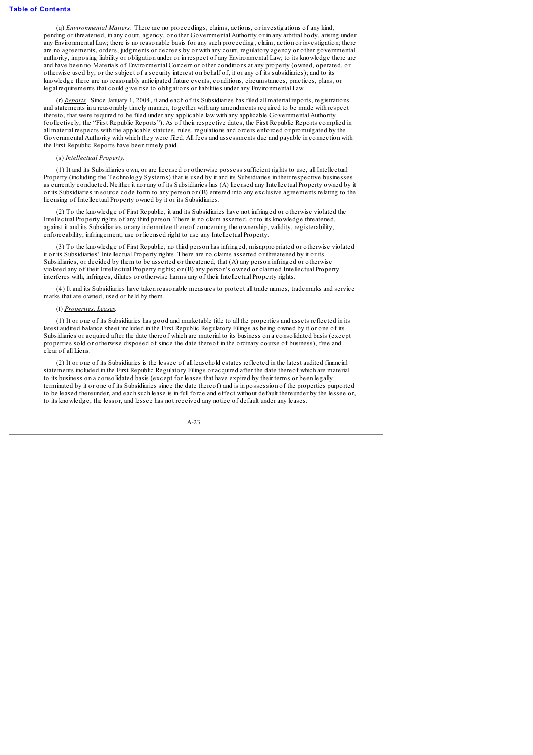(q) *Environmental Matters.* There are no proceedings, claims, actions, or investigations of any kind, pending or threatened, in any court, agency, or other Governmental Authority or in any arbitral body, arising under any Environmental Law; there is no reasonable basis for any such proceeding, claim, action or investigation; there are no agreements, orders, judgments or decrees by or with any court, regulatory agency or other governmental authority, imposing liability or obligation under or in respect of any Environmental Law; to its knowledge there are and have been no Materials of Environmental Concern or other conditions at any property (owned, operated, or otherwise used by, or the subject of a security interest on behalf of, it or any of its subsidiaries); and to its knowledge there are no reasonably anticipated future events, conditions, circumstances, practices, plans, or legal requirements that could give rise to obligations or liabilities under any Environmental Law.

(r) *Reports.* Since January 1, 2004, it and each of its Subsidiaries has filed all material reports, registrations and statements in a reasonably timely manner, together with any amendments required to be made with respect thereto, that were required to be filed under any applicable law with any applicable Governmental Authority (collectively, the "First Republic Reports"). As of their respective dates, the First Republic Reports complied in all material respects with the applicable statutes, rules, regulations and orders enforced or promulgated by the Governmental Authority with which they were filed. All fees and assessments due and payable in connection with the First Republic Reports have been timely paid.

#### (s) *Intellectual Property.*

(1) It and its Subsidiaries own, or are licensed or otherwise possess sufficient rights to use, all Intellectual Property (including the Technology Systems) that is used by it and its Subsidiaries in their respective businesses as currently conducted. Neither it nor any of its Subsidiaries has (A) licensed any Intellectual Property owned by it or its Subsidiaries in source code form to any person or (B) entered into any exclusive agreements relating to the licensing of Intellectual Property owned by it or its Subsidiaries.

(2) To the knowledge of First Republic, it and its Subsidiaries have not infringed or otherwise violated the Intellectual Property rights of any third person. There is no claim asserted, or to its knowledge threatened, against it and its Subsidiaries or any indemnitee thereof concerning the ownership, validity, registerability, enforceability, infringement, use or licensed right to use any Intellectual Property.

(3) To the knowledge of First Republic, no third person has infringed, misappropriated or otherwise violated it or its Subsidiaries' Intellectual Property rights. There are no claims asserted or threatened by it or its Subsidiaries, or decided by them to be asserted or threatened, that (A) any person infringed or otherwise violated any of their Intellectual Property rights; or (B) any person's owned or claimed Intellectual Property interferes with, infringes, dilutes or otherwise harms any of their Intellectual Property rights.

(4) It and its Subsidiaries have taken reasonable measures to protect all trade names, trademarks and service marks that are owned, used or held by them.

### (t) *Properties; Leases.*

(1) It or one of its Subsidiaries has good and marketable title to all the properties and assets reflected in its latest audited balance sheet included in the First Republic Regulatory Filings as being owned by it or one of its Subsidiaries or acquired after the date thereof which are material to its business on a consolidated basis (except properties sold or otherwise disposed of since the date thereof in the ordinary course of business), free and clear of all Liens.

(2) It or one of its Subsidiaries is the lessee of all leasehold estates reflected in the latest audited financial statements included in the First Republic Regulatory Filings or acquired after the date thereof which are material to its business on a consolidated basis (except for leases that have expired by their terms or been legally terminated by it or one of its Subsidiaries since the date thereof) and is in possession of the properties purported to be leased thereunder, and each such lease is in full force and effect without default thereunder by the lessee or, to its knowledge, the lessor, and lessee has not received any notice of default under any leases.

$$
A-23
$$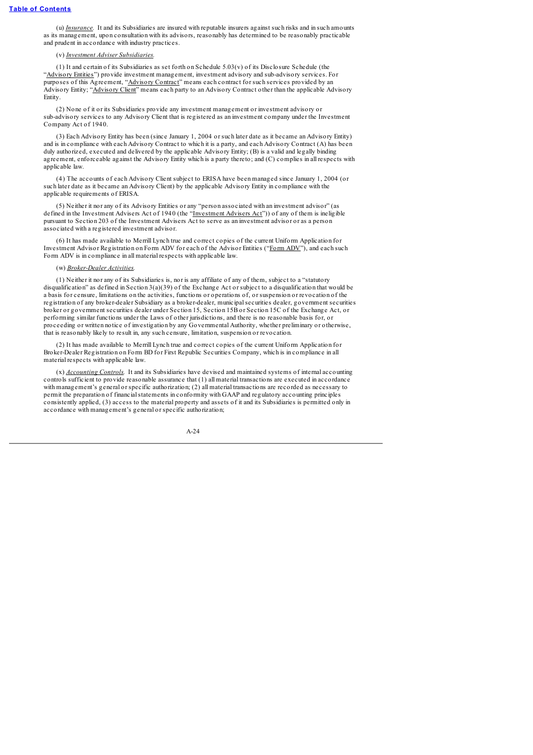(u) *Insurance.* It and its Subsidiaries are insured with reputable insurers against such risks and in such amounts as its management, upon consultation with its advisors, reasonably has determined to be reasonably practicable and prudent in accordance with industry practices.

#### (v) *Investment Adviser Subsidiaries.*

(1) It and certain of its Subsidiaries as set forth on Schedule 5.03(v) of its Disclosure Schedule (the "Advisory Entities") provide investment management, investment advisory and sub-advisory services. For purposes of this Agreement, "Advisory Contract" means each contract for such services provided by an Advisory Entity; "Advisory Client" means each party to an Advisory Contract other than the applicable Advisory Entity.

(2) None of it or its Subsidiaries provide any investment management or investment advisory or sub-advisory services to any Advisory Client that is registered as an investment company under the Investment Company Act of 1940.

(3) Each Advisory Entity has been (since January 1, 2004 or such later date as it became an Advisory Entity) and is in compliance with each Advisory Contract to which it is a party, and each Advisory Contract (A) has been duly authorized, executed and delivered by the applicable Advisory Entity; (B) is a valid and legally binding agreement, enforceable against the Advisory Entity which is a party thereto; and (C) complies in all respects with applicable law

(4) The accounts of each Advisory Client subject to ERISA have been managed since January 1, 2004 (or such later date as it became an Advisory Client) by the applicable Advisory Entity in compliance with the applicable requirements of ERISA.

(5) Neither it nor any of its Advisory Entities or any "person associated with an investment advisor" (as defined in the Investment Advisers Act of 1940 (the "Investment Advisers Act")) of any of them is ineligible pursuant to Section 203 of the Investment Advisers Act to serve as an investment advisor or as a person associated with a registered investment advisor.

(6) It has made available to Merrill Lynch true and correct copies of the current Uniform Application for Investment Advisor Registration on Form ADV for each of the Advisor Entities ("Form ADV"), and each such Form ADV is in compliance in all material respects with applicable law.

#### (w) *Broker-Dealer Activities.*

(1) Neither it nor any of its Subsidiaries is, nor is any affiliate of any of them, subject to a "statutory disqualification" as defined in Section 3(a)(39) of the Exchange Act or subject to a disqualification that would be a basis for censure, limitations on the activities, functions or operations of, or suspension or revocation of the registration of any broker-dealer Subsidiary as a broker-dealer, municipalsecurities dealer, government securities broker or government securities dealer under Section 15, Section 15B or Section 15C of the Exchange Act, or performing similar functions under the Laws of other jurisdictions, and there is no reasonable basis for, or proceeding or written notice of investigation by any Governmental Authority, whether preliminary or otherwise, that is reasonably likely to result in, any such censure, limitation, suspension or revocation.

(2) It has made available to Merrill Lynch true and correct copies of the current Uniform Application for Broker-Dealer Registration on Form BD for First Republic Securities Company, which is in compliance in all material respects with applicable law.

(x) *Accounting Controls.* It and its Subsidiaries have devised and maintained systems of internal accounting controls sufficient to provide reasonable assurance that (1) all material transactions are executed in accordance with management's general or specific authorization; (2) all material transactions are recorded as necessary to permit the preparation of financialstatements in conformity with GAAP and regulatory accounting principles consistently applied, (3) access to the material property and assets of it and its Subsidiaries is permitted only in accordance with management's general or specific authorization;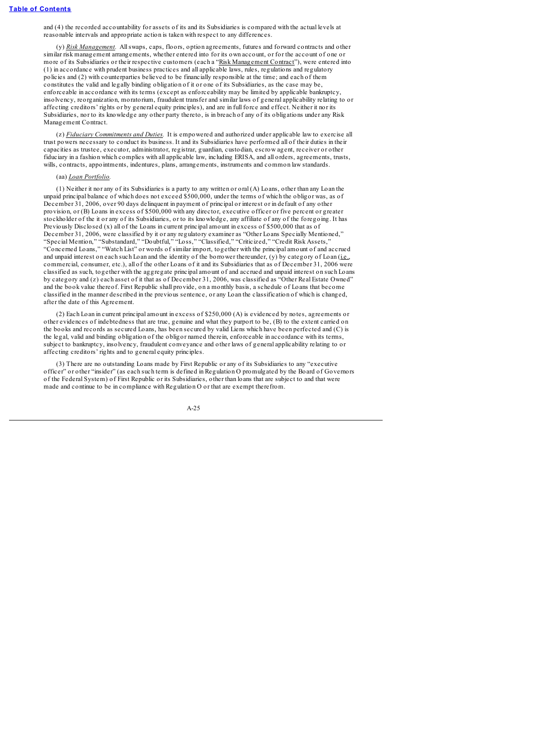and (4) the recorded accountability for assets of its and its Subsidiaries is compared with the actual levels at reasonable intervals and appropriate action is taken with respect to any differences.

(y) *Risk Management.* Allswaps, caps, floors, option agreements, futures and forward contracts and other similar risk management arrangements, whether entered into for its own account, or for the account of one or more of its Subsidiaries or their respective customers (each a "Risk Management Contract"), were entered into (1) in accordance with prudent business practices and all applicable laws, rules, regulations and regulatory policies and (2) with counterparties believed to be financially responsible at the time; and each of them constitutes the valid and legally binding obligation of it or one of its Subsidiaries, as the case may be, enforceable in accordance with its terms (except as enforceability may be limited by applicable bankruptcy, insolvency, reorganization, moratorium, fraudulent transfer and similar laws of general applicability relating to or affecting creditors' rights or by general equity principles), and are in full force and effect. Neither it nor its Subsidiaries, nor to its knowledge any other party thereto, is in breach of any of its obligations under any Risk Management Contract.

(z) *Fiduciary Commitments and Duties.* It is empowered and authorized under applicable law to exercise all trust powers necessary to conduct its business. It and its Subsidiaries have performed all of their duties in their capacities as trustee, executor, administrator, registrar, guardian, custodian, escrow agent, receiver or other fiduciary in a fashion which complies with all applicable law, including ERISA, and all orders, agreements, trusts, wills, contracts, appointments, indentures, plans, arrangements, instruments and common law standards.

#### (aa) *Loan Portfolio.*

(1) Neither it nor any of its Subsidiaries is a party to any written or oral (A) Loans, other than any Loan the unpaid principal balance of which does not exceed \$500,000, under the terms of which the obligor was, as of December 31, 2006, over 90 days delinquent in payment of principal or interest or in default of any other provision, or (B) Loans in excess of \$500,000 with any director, executive officer or five percent or greater stockholder of the it or any of its Subsidiaries, or to its knowledge, any affiliate of any of the foregoing. It has Previously Disclosed (x) all of the Loans in current principal amount in excess of \$500,000 that as of December 31, 2006, were classified by it or any regulatory examiner as "Other Loans Specially Mentioned," "Special Mention," "Substandard," "Doubtful," "Loss," "Classified," "Criticized," "Credit Risk Assets," "Concerned Loans," "Watch List" or words of similar import, together with the principal amount of and accrued and unpaid interest on each such Loan and the identity of the borrower thereunder, (y) by category of Loan (i.e., commercial, consumer, etc.), all of the other Loans of it and its Subsidiaries that as of December 31, 2006 were classified as such, together with the aggregate principal amount of and accrued and unpaid interest on such Loans by category and (z) each asset of it that as of December 31, 2006, was classified as "Other Real Estate Owned" and the book value thereof. First Republic shall provide, on a monthly basis, a schedule of Loans that become classified in the manner described in the previous sentence, or any Loan the classification of which is changed, after the date of this Agreement.

(2) Each Loan in current principal amount in excess of \$250,000 (A) is evidenced by notes, agreements or other evidences of indebtedness that are true, genuine and what they purport to be, (B) to the extent carried on the books and records as secured Loans, has been secured by valid Liens which have been perfected and (C) is the legal, valid and binding obligation of the obligor named therein, enforceable in accordance with its terms, subject to bankruptcy, insolvency, fraudulent conveyance and other laws of general applicability relating to or affecting creditors' rights and to general equity principles.

(3) There are no outstanding Loans made by First Republic or any of its Subsidiaries to any "executive officer" or other "insider" (as each such term is defined in Regulation O promulgated by the Board of Governors of the Federal System) of First Republic or its Subsidiaries, other than loans that are subject to and that were made and continue to be in compliance with Regulation O or that are exempt therefrom.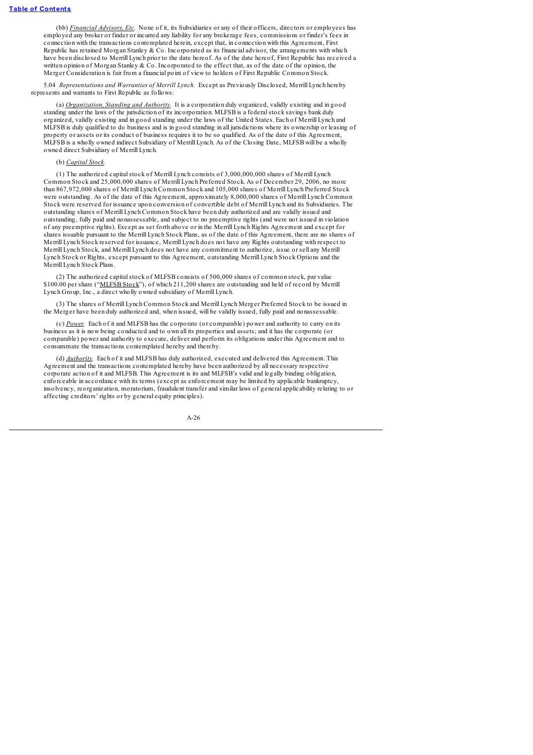(bb) *Financial Advisors, Etc.* None of it, its Subsidiaries or any of their officers, directors or employees has employed any broker or finder or incurred any liability for any brokerage fees, commissions or finder's fees in connection with the transactions contemplated herein, except that, in connection with this Agreement, First Republic has retained Morgan Stanley & Co. Incorporated as its financial advisor, the arrangements with which have been disclosed to Merrill Lynch prior to the date hereof. As of the date hereof, First Republic has received a written opinion of Morgan Stanley & Co. Incorporated to the effect that, as of the date of the opinion, the Merger Consideration is fair from a financial point of view to holders of First Republic Common Stock.

5.04 *Representations and Warranties of Merrill Lynch.* Except as Previously Disclosed, Merrill Lynch hereby represents and warrants to First Republic as follows:

(a) *Organization, Standing and Authority.* It is a corporation duly organized, validly existing and in good standing under the laws of the jurisdiction of its incorporation. MLFSB is a federalstock savings bank duly organized, validly existing and in good standing under the laws of the United States. Each of Merrill Lynch and MLFSB is duly qualified to do business and is in good standing in all jurisdictions where its ownership or leasing of property or assets or its conduct of business requires it to be so qualified. As of the date of this Agreement, MLFSB is a wholly owned indirect Subsidiary of Merrill Lynch. As of the Closing Date, MLFSB will be a wholly owned direct Subsidiary of Merrill Lynch.

### (b) *Capital Stock.*

(1) The authorized capitalstock of Merrill Lynch consists of 3,000,000,000 shares of Merrill Lynch Common Stock and 25,000,000 shares of Merrill Lynch Preferred Stock. As of December 29, 2006, no more than 867,972,000 shares of Merrill Lynch Common Stock and 105,000 shares of Merrill Lynch Preferred Stock were outstanding. As of the date of this Agreement, approximately 8,000,000 shares of Merrill Lynch Common Stock were reserved for issuance upon conversion of convertible debt of Merrill Lynch and its Subsidiaries. The outstanding shares of Merrill Lynch Common Stock have been duly authorized and are validly issued and outstanding, fully paid and nonassessable, and subject to no preemptive rights (and were not issued in violation of any preemptive rights). Except as set forth above or in the Merrill Lynch Rights Agreement and except for shares issuable pursuant to the Merrill Lynch Stock Plans, as of the date of this Agreement, there are no shares of Merrill Lynch Stock reserved for issuance, Merrill Lynch does not have any Rights outstanding with respect to Merrill Lynch Stock, and Merrill Lynch does not have any commitment to authorize, issue or sell any Merrill Lynch Stock or Rights, except pursuant to this Agreement, outstanding Merrill Lynch Stock Options and the Merrill Lynch Stock Plans.

(2) The authorized capitalstock of MLFSB consists of 500,000 shares of common stock, par value \$100.00 per share ("MLFSB Stock"), of which 211,200 shares are outstanding and held of record by Merrill Lynch Group, Inc., a direct wholly owned subsidiary of Merrill Lynch.

(3) The shares of Merrill Lynch Common Stock and Merrill Lynch Merger Preferred Stock to be issued in the Merger have been duly authorized and, when issued, will be validly issued, fully paid and nonassessable.

(c) *Power.* Each of it and MLFSB has the corporate (or comparable) power and authority to carry on its business as it is now being conducted and to own all its properties and assets; and it has the corporate (or comparable) power and authority to execute, deliver and perform its obligations under this Agreement and to consummate the transactions contemplated hereby and thereby.

(d) *Authority.* Each of it and MLFSB has duly authorized, executed and delivered this Agreement. This Agreement and the transactions contemplated hereby have been authorized by all necessary respective corporate action of it and MLFSB. This Agreement is its and MLFSB's valid and legally binding obligation, enforceable in accordance with its terms (except as enforcement may be limited by applicable bankruptcy, insolvency, reorganization, moratorium, fraudulent transfer and similar laws of general applicability relating to or affecting creditors' rights or by general equity principles).

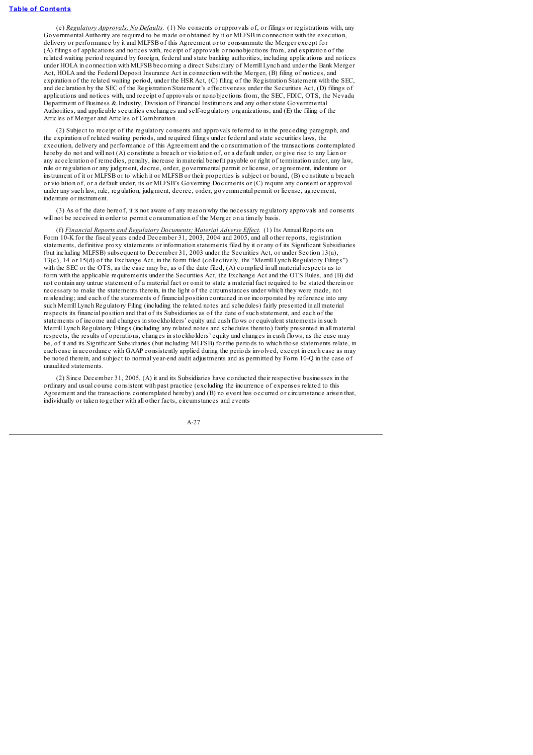(e) *Regulatory Approvals; No Defaults.* (1) No consents or approvals of, or filings or registrations with, any Governmental Authority are required to be made or obtained by it or MLFSB in connection with the execution, delivery or performance by it and MLFSB of this Agreement or to consummate the Merger except for (A) filings of applications and notices with, receipt of approvals or nonobjections from, and expiration of the related waiting period required by foreign, federal and state banking authorities, including applications and notices under HOLA in connection with MLFSB becoming a direct Subsidiary of Merrill Lynch and under the Bank Merger Act, HOLA and the Federal Deposit Insurance Act in connection with the Merger, (B) filing of notices, and expiration of the related waiting period, under the HSR Act, (C) filing of the Registration Statement with the SEC, and declaration by the SEC of the Registration Statement's effectiveness under the Securities Act, (D) filings of applications and notices with, and receipt of approvals or nonobjections from, the SEC, FDIC, OTS, the Nevada Department of Business & Industry, Division of Financial Institutions and any other state Governmental Authorities, and applicable securities exchanges and self-regulatory organizations, and (E) the filing of the Articles of Merger and Articles of Combination.

(2) Subject to receipt of the regulatory consents and approvals referred to in the preceding paragraph, and the expiration of related waiting periods, and required filings under federal and state securities laws, the execution, delivery and performance of this Agreement and the consummation of the transactions contemplated hereby do not and will not (A) constitute a breach or violation of, or a default under, or give rise to any Lien or any acceleration of remedies, penalty, increase in material benefit payable or right of termination under, any law, rule or regulation or any judgment, decree, order, governmental permit or license, or agreement, indenture or instrument of it or MLFSB or to which it or MLFSB or their properties is subject or bound, (B) constitute a breach or violation of, or a default under, its or MLFSB's Governing Documents or (C) require any consent or approval under any such law, rule, regulation, judgment, decree, order, governmental permit or license, agreement, indenture or instrument.

(3) As of the date hereof, it is not aware of any reason why the necessary regulatory approvals and consents will not be received in order to permit consummation of the Merger on a timely basis.

(f) *Financial Reports and Regulatory Documents; Material Adverse Ef ect.* (1) Its Annual Reports on Form 10-K for the fiscal years ended December 31, 2003, 2004 and 2005, and all other reports, registration statements, definitive proxy statements or information statements filed by it or any of its Significant Subsidiaries (but including MLFSB) subsequent to December 31, 2003 under the Securities Act, or under Section 13(a), 13(c), 14 or 15(d) of the Exchange Act, in the form filed (collectively, the "<u>Merrill Lynch Regulatory Filings</u>") with the SEC or the OTS, as the case may be, as of the date filed, (A) complied in all material respects as to form with the applicable requirements under the Securities Act, the Exchange Act and the OTS Rules, and (B) did not contain any untrue statement of a material fact or omit to state a material fact required to be stated therein or necessary to make the statements therein, in the light of the circumstances under which they were made, not misleading; and each of the statements of financial position contained in or incorporated by reference into any such Merrill Lynch Regulatory Filing (including the related notes and schedules) fairly presented in all material respects its financial position and that of its Subsidiaries as of the date of such statement, and each of the statements of income and changes in stockholders' equity and cash flows or equivalent statements in such Merrill Lynch Regulatory Filings (including any related notes and schedules thereto) fairly presented in all material respects, the results of operations, changes in stockholders' equity and changes in cash flows, as the case may be, of it and its Significant Subsidiaries (but including MLFSB) for the periods to which those statements relate, in each case in accordance with GAAP consistently applied during the periods involved, except in each case as may be noted therein, and subject to normal year-end audit adjustments and as permitted by Form 10-Q in the case of unaudited statements.

(2) Since December 31, 2005, (A) it and its Subsidiaries have conducted their respective businesses in the ordinary and usual course consistent with past practice (excluding the incurrence of expenses related to this Agreement and the transactions contemplated hereby) and (B) no event has occurred or circumstance arisen that, individually or taken together with all other facts, circumstances and events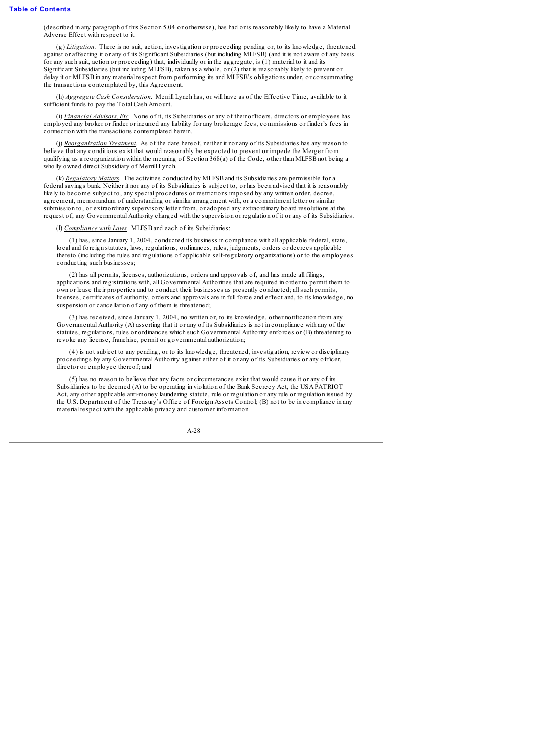(described in any paragraph of this Section 5.04 or otherwise), has had or is reasonably likely to have a Material Adverse Effect with respect to it.

(g) *Litigation.* There is no suit, action, investigation or proceeding pending or, to its knowledge, threatened against or affecting it or any of its Significant Subsidiaries (but including MLFSB) (and it is not aware of any basis for any such suit, action or proceeding) that, individually or in the aggregate, is (1) material to it and its Significant Subsidiaries (but including MLFSB), taken as a whole, or (2) that is reasonably likely to prevent or delay it or MLFSB in any material respect from performing its and MLFSB's obligations under, or consummating the transactions contemplated by, this Agreement.

(h) *Aggregate Cash Consideration.* Merrill Lynch has, or will have as of the Effective Time, available to it sufficient funds to pay the Total Cash Amount.

(i) *Financial Advisors, Etc.* None of it, its Subsidiaries or any of their officers, directors or employees has employed any broker or finder or incurred any liability for any brokerage fees, commissions or finder's fees in connection with the transactions contemplated herein.

(j) *Reorganization Treatment.* As of the date hereof, neither it nor any of its Subsidiaries has any reason to believe that any conditions exist that would reasonably be expected to prevent or impede the Merger from qualifying as a reorganization within the meaning of Section 368(a) of the Code, other than MLFSB not being a wholly owned direct Subsidiary of Merrill Lynch.

(k) *Regulatory Matters.* The activities conducted by MLFSB and its Subsidiaries are permissible for a federalsavings bank. Neither it nor any of its Subsidiaries is subject to, or has been advised that it is reasonably likely to become subject to, any special procedures or restrictions imposed by any written order, decree, agreement, memorandum of understanding or similar arrangement with, or a commitment letter or similar submission to, or extraordinary supervisory letter from, or adopted any extraordinary board resolutions at the request of, any Governmental Authority charged with the supervision or regulation of it or any of its Subsidiaries.

(l) *Compliance with Laws.* MLFSB and each of its Subsidiaries:

(1) has, since January 1, 2004, conducted its business in compliance with all applicable federal, state, local and foreign statutes, laws, regulations, ordinances, rules, judgments, orders or decrees applicable thereto (including the rules and regulations of applicable self-regulatory organizations) or to the employees conducting such businesses;

(2) has all permits, licenses, authorizations, orders and approvals of, and has made all filings, applications and registrations with, all Governmental Authorities that are required in order to permit them to own or lease their properties and to conduct their businesses as presently conducted; allsuch permits, licenses, certificates of authority, orders and approvals are in full force and effect and, to its knowledge, no suspension or cancellation of any of them is threatened;

(3) has received, since January 1, 2004, no written or, to its knowledge, other notification from any Governmental Authority (A) asserting that it or any of its Subsidiaries is not in compliance with any of the statutes, regulations, rules or ordinances which such Governmental Authority enforces or (B) threatening to revoke any license, franchise, permit or governmental authorization;

(4) is not subject to any pending, or to its knowledge, threatened, investigation, review or disciplinary proceedings by any Governmental Authority against either of it or any of its Subsidiaries or any officer, director or employee thereof; and

(5) has no reason to believe that any facts or circumstances exist that would cause it or any of its Subsidiaries to be deemed (A) to be operating in violation of the Bank Secrecy Act, the USA PATRIOT Act, any other applicable anti-money laundering statute, rule or regulation or any rule or regulation issued by the U.S. Department of the Treasury's Office of Foreign Assets Control; (B) not to be in compliance in any material respect with the applicable privacy and customer information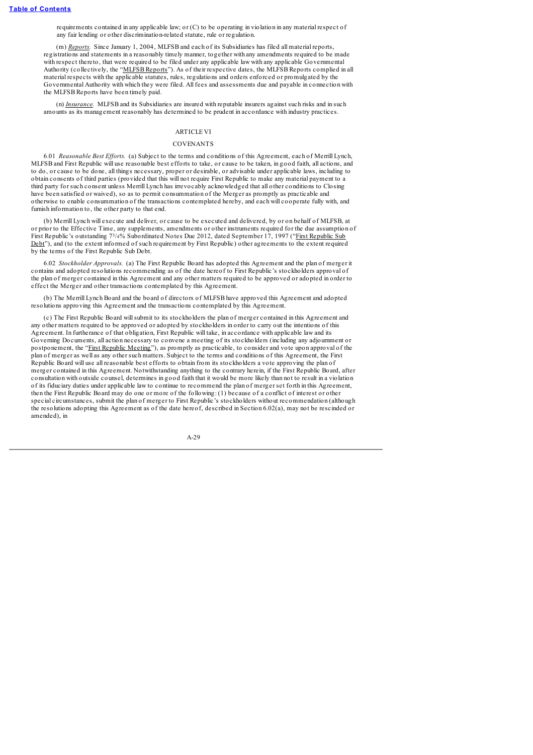requirements contained in any applicable law; or (C) to be operating in violation in any material respect of any fair lending or other discrimination-related statute, rule or regulation.

(m) *Reports.* Since January 1, 2004, MLFSB and each of its Subsidiaries has filed all material reports, registrations and statements in a reasonably timely manner, together with any amendments required to be made with respect thereto, that were required to be filed under any applicable law with any applicable Governmental Authority (collectively, the "MLFSB Reports"). As of their respective dates, the MLFSB Reports complied in all material respects with the applicable statutes, rules, regulations and orders enforced or promulgated by the Governmental Authority with which they were filed. All fees and assessments due and payable in connection with the MLFSB Reports have been timely paid.

(n) *Insurance.* MLFSB and its Subsidiaries are insured with reputable insurers against such risks and in such amounts as its management reasonably has determined to be prudent in accordance with industry practices.

### **ARTICLE VI**

#### **COVENANTS**

6.01 *Reasonable Best Ef orts.* (a) Subject to the terms and conditions of this Agreement, each of Merrill Lynch, MLFSB and First Republic will use reasonable best efforts to take, or cause to be taken, in good faith, all actions, and to do, or cause to be done, all things necessary, proper or desirable, or advisable under applicable laws, including to obtain consents of third parties (provided that this will not require First Republic to make any material payment to a third party for such consent unless Merrill Lynch has irrevocably acknowledged that all other conditions to Closing have been satisfied or waived), so as to permit consummation of the Merger as promptly as practicable and otherwise to enable consummation of the transactions contemplated hereby, and each will cooperate fully with, and furnish information to, the other party to that end.

(b) Merrill Lynch will execute and deliver, or cause to be executed and delivered, by or on behalf of MLFSB, at or prior to the Effective Time, any supplements, amendments or other instruments required for the due assumption of First Republic's outstanding  $73/4\%$  Subordinated Notes Due 2012, dated September 17, 1997 ("First Republic Sub Debt"), and (to the extent informed of such requirement by First Republic) other agreements to the extent required by the terms of the First Republic Sub Debt.

6.02 *Stockholder Approvals.* (a) The First Republic Board has adopted this Agreement and the plan of merger it contains and adopted resolutions recommending as of the date hereof to First Republic's stockholders approval of the plan of merger contained in this Agreement and any other matters required to be approved or adopted in order to effect the Merger and other transactions contemplated by this Agreement.

(b) The Merrill Lynch Board and the board of directors of MLFSB have approved this Agreement and adopted resolutions approving this Agreement and the transactions contemplated by this Agreement.

(c) The First Republic Board willsubmit to its stockholders the plan of merger contained in this Agreement and any other matters required to be approved or adopted by stockholders in order to carry out the intentions of this Agreement. In furtherance of that obligation, First Republic will take, in accordance with applicable law and its Governing Documents, all action necessary to convene a meeting of its stockholders (including any adjournment or postponement, the "First Republic Meeting"), as promptly as practicable, to consider and vote upon approval of the plan of merger as well as any other such matters. Subject to the terms and conditions of this Agreement, the First Republic Board will use all reasonable best efforts to obtain from its stockholders a vote approving the plan of merger contained in this Agreement. Notwithstanding anything to the contrary herein, if the First Republic Board, after consultation with outside counsel, determines in good faith that it would be more likely than not to result in a violation of its fiduciary duties under applicable law to continue to recommend the plan of merger set forth in this Agreement, then the First Republic Board may do one or more of the following: (1) because of a conflict of interest or other special circumstances, submit the plan of merger to First Republic's stockholders without recommendation (although the resolutions adopting this Agreement as of the date hereof, described in Section 6.02(a), may not be rescinded or amended), in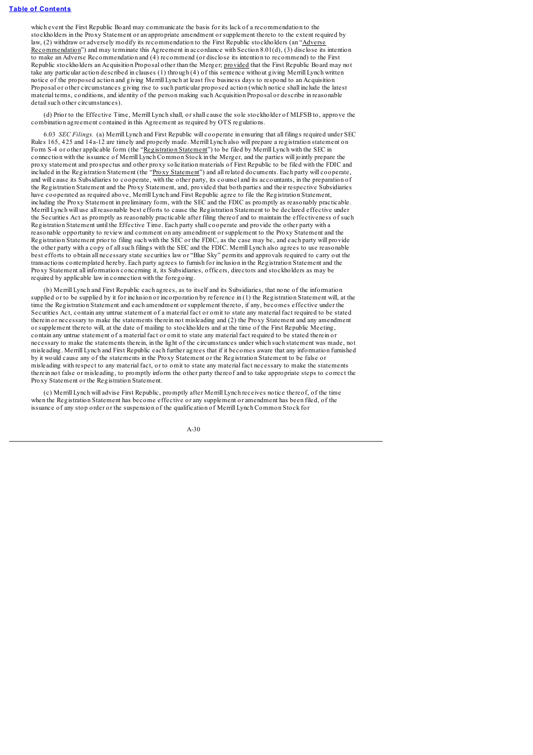which event the First Republic Board may communicate the basis for its lack of a recommendation to the stockholders in the Proxy Statement or an appropriate amendment or supplement thereto to the extent required by law, (2) withdraw or adversely modify its recommendation to the First Republic stockholders (an "Adverse Recommendation") and may terminate this Agreement in accordance with Section 8.01(d), (3) disclose its intention to make an Adverse Recommendation and (4) recommend (or disclose its intention to recommend) to the First Republic stockholders an Acquisition Proposal other than the Merger; provided that the First Republic Board may not take any particular action described in clauses (1) through (4) of this sentence without giving Merrill Lynch written notice of the proposed action and giving Merrill Lynch at least five business days to respond to an Acquisition Proposal or other circumstances giving rise to such particular proposed action (which notice shall include the latest material terms, conditions, and identity of the person making such Acquisition Proposal or describe in reasonable detailsuch other circumstances).

(d) Prior to the Effective Time, Merrill Lynch shall, or shall cause the sole stockholder of MLFSB to, approve the combination agreement contained in this Agreement as required by OTS regulations.

6.03 *SEC Filings.* (a) Merrill Lynch and First Republic will cooperate in ensuring that all filings required under SEC Rules 165, 425 and 14a-12 are timely and properly made. Merrill Lynch also will prepare a registration statement on Form S-4 or other applicable form (the "Registration Statement") to be filed by Merrill Lynch with the SEC in connection with the issuance of Merrill Lynch Common Stock in the Merger, and the parties will jointly prepare the proxy statement and prospectus and other proxy solicitation materials of First Republic to be filed with the FDIC and included in the Registration Statement (the "Proxy Statement") and all related documents. Each party will cooperate, and will cause its Subsidiaries to cooperate, with the other party, its counsel and its accountants, in the preparation of the Registration Statement and the Proxy Statement, and, provided that both parties and their respective Subsidiaries have cooperated as required above, Merrill Lynch and First Republic agree to file the Registration Statement, including the Proxy Statement in preliminary form, with the SEC and the FDIC as promptly as reasonably practicable. Merrill Lynch will use all reasonable best efforts to cause the Registration Statement to be declared effective under the Securities Act as promptly as reasonably practicable after filing thereof and to maintain the effectiveness of such Registration Statement until the Effective Time. Each party shall cooperate and provide the other party with a reasonable opportunity to review and comment on any amendment or supplement to the Proxy Statement and the Registration Statement prior to filing such with the SEC or the FDIC, as the case may be, and each party will provide the other party with a copy of allsuch filings with the SEC and the FDIC. Merrill Lynch also agrees to use reasonable best efforts to obtain all necessary state securities law or "Blue Sky" permits and approvals required to carry out the transactions contemplated hereby. Each party agrees to furnish for inclusion in the Registration Statement and the Proxy Statement all information concerning it, its Subsidiaries, officers, directors and stockholders as may be required by applicable law in connection with the foregoing.

(b) Merrill Lynch and First Republic each agrees, as to itself and its Subsidiaries, that none of the information supplied or to be supplied by it for inclusion or incorporation by reference in (1) the Registration Statement will, at the time the Registration Statement and each amendment or supplement thereto, if any, becomes effective under the Securities Act, contain any untrue statement of a material fact or omit to state any material fact required to be stated therein or necessary to make the statements therein not misleading and (2) the Proxy Statement and any amendment or supplement thereto will, at the date of mailing to stockholders and at the time of the First Republic Meeting, contain any untrue statement of a material fact or omit to state any material fact required to be stated therein or necessary to make the statements therein, in the light of the circumstances under which such statement was made, not misleading. Merrill Lynch and First Republic each further agrees that if it becomes aware that any information furnished by it would cause any of the statements in the Proxy Statement or the Registration Statement to be false or misleading with respect to any material fact, or to omit to state any material fact necessary to make the statements therein not false or misleading, to promptly inform the other party thereof and to take appropriate steps to correct the Proxy Statement or the Registration Statement.

(c) Merrill Lynch will advise First Republic, promptly after Merrill Lynch receives notice thereof, of the time when the Registration Statement has become effective or any supplement or amendment has been filed, of the issuance of any stop order or the suspension of the qualification of Merrill Lynch Common Stock for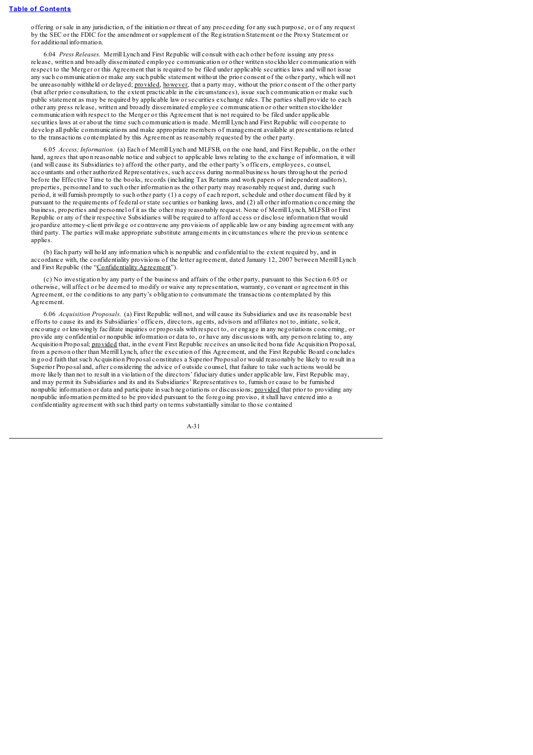offering or sale in any jurisdiction, of the initiation or threat of any proceeding for any such purpose, or of any request by the SEC or the FDIC for the amendment or supplement of the Registration Statement or the Proxy Statement or for additional information.

6.04 *Press Releases.* Merrill Lynch and First Republic will consult with each other before issuing any press release, written and broadly disseminated employee communication or other written stockholder communication with respect to the Merger or this Agreement that is required to be filed under applicable securities laws and will not issue any such communication or make any such public statement without the prior consent of the other party, which will not be unreasonably withheld or delayed; provided, however, that a party may, without the prior consent of the other party (but after prior consultation, to the extent practicable in the circumstances), issue such communication or make such public statement as may be required by applicable law or securities exchange rules. The parties shall provide to each other any press release, written and broadly disseminated employee communication or other written stockholder communication with respect to the Merger or this Agreement that is not required to be filed under applicable securities laws at or about the time such communication is made. Merrill Lynch and First Republic will cooperate to develop all public communications and make appropriate members of management available at presentations related to the transactions contemplated by this Agreement as reasonably requested by the other party.

6.05 *Access; Information.* (a) Each of Merrill Lynch and MLFSB, on the one hand, and First Republic, on the other hand, agrees that upon reasonable notice and subject to applicable laws relating to the exchange of information, it will (and will cause its Subsidiaries to) afford the other party, and the other party's officers, employees, counsel, accountants and other authorized Representatives, such access during normal business hours throughout the period before the Effective Time to the books, records (including Tax Returns and work papers of independent auditors), properties, personnel and to such other information as the other party may reasonably request and, during such period, it will furnish promptly to such other party (1) a copy of each report, schedule and other document filed by it pursuant to the requirements of federal or state securities or banking laws, and (2) all other information concerning the business, properties and personnel of it as the other may reasonably request. None of Merrill Lynch, MLFSB or First Republic or any of their respective Subsidiaries will be required to afford access or disclose information that would jeopardize attorney-client privilege or contravene any provisions of applicable law or any binding agreement with any third party. The parties will make appropriate substitute arrangements in circumstances where the previous sentence applies

(b) Each party will hold any information which is nonpublic and confidential to the extent required by, and in accordance with, the confidentiality provisions of the letter agreement, dated January 12, 2007 between Merrill Lynch and First Republic (the "Confidentiality Agreement").

(c) No investigation by any party of the business and affairs of the other party, pursuant to this Section 6.05 or otherwise, will affect or be deemed to modify or waive any representation, warranty, covenant or agreement in this Agreement, or the conditions to any party's obligation to consummate the transactions contemplated by this Agreement.

6.06 *Acquisition Proposals.* (a) First Republic will not, and will cause its Subsidiaries and use its reasonable best efforts to cause its and its Subsidiaries' officers, directors, agents, advisors and affiliates not to, initiate, solicit, encourage or knowingly facilitate inquiries or proposals with respect to, or engage in any negotiations concerning, or provide any confidential or nonpublic information or data to, or have any discussions with, any person relating to, any Acquisition Proposal; provided that, in the event First Republic receives an unsolicited bona fide Acquisition Proposal, from a person other than Merrill Lynch, after the execution of this Agreement, and the First Republic Board concludes in good faith that such Acquisition Proposal constitutes a Superior Proposal or would reasonably be likely to result in a Superior Proposal and, after considering the advice of outside counsel, that failure to take such actions would be more likely than not to result in a violation of the directors' fiduciary duties under applicable law, First Republic may, and may permit its Subsidiaries and its and its Subsidiaries' Representatives to, furnish or cause to be furnished nonpublic information or data and participate in such negotiations or discussions; provided that prior to providing any nonpublic information permitted to be provided pursuant to the foregoing proviso, it shall have entered into a confidentiality agreement with such third party on terms substantially similar to those contained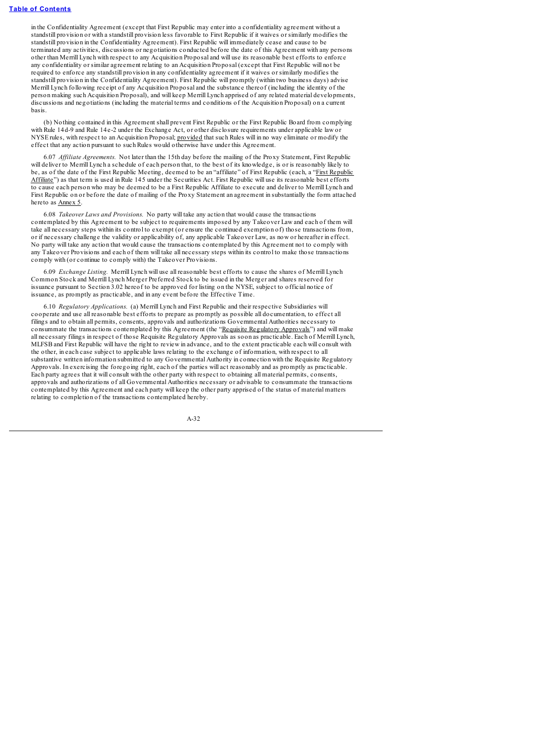in the Confidentiality Agreement (except that First Republic may enter into a confidentiality agreement without a standstill provision or with a standstill provision less favorable to First Republic if it waives or similarly modifies the standstill provision in the Confidentiality Agreement). First Republic will immediately cease and cause to be terminated any activities, discussions or negotiations conducted before the date of this Agreement with any persons other than Merrill Lynch with respect to any Acquisition Proposal and will use its reasonable best efforts to enforce any confidentiality or similar agreement relating to an Acquisition Proposal (except that First Republic will not be required to enforce any standstill provision in any confidentiality agreement if it waives or similarly modifies the standstill provision in the Confidentiality Agreement). First Republic will promptly (within two business days) advise Merrill Lynch following receipt of any Acquisition Proposal and the substance thereof (including the identity of the person making such Acquisition Proposal), and will keep Merrill Lynch apprised of any related material developments, discussions and negotiations (including the material terms and conditions of the Acquisition Proposal) on a current basis.

(b) Nothing contained in this Agreement shall prevent First Republic or the First Republic Board from complying with Rule 14d-9 and Rule 14e-2 under the Exchange Act, or other disclosure requirements under applicable law or NYSE rules, with respect to an Acquisition Proposal; provided that such Rules will in no way eliminate or modify the effect that any action pursuant to such Rules would otherwise have under this Agreement.

6.07 *Af iliate Agreements.* Not later than the 15th day before the mailing of the Proxy Statement, First Republic will deliver to Merrill Lynch a schedule of each person that, to the best of its knowledge, is or is reasonably likely to be, as of the date of the First Republic Meeting, deemed to be an "affiliate" of First Republic (each, a "First Republic Affiliate") as that term is used in Rule 145 under the Securities Act. First Republic will use its reasonable best efforts to cause each person who may be deemed to be a First Republic Affiliate to execute and deliver to Merrill Lynch and First Republic on or before the date of mailing of the Proxy Statement an agreement in substantially the form attached hereto as Annex 5.

6.08 *Takeover Laws and Provisions.* No party will take any action that would cause the transactions contemplated by this Agreement to be subject to requirements imposed by any Takeover Law and each of them will take all necessary steps within its control to exempt (or ensure the continued exemption of) those transactions from, or if necessary challenge the validity or applicability of, any applicable Takeover Law, as now or hereafter in effect. No party will take any action that would cause the transactions contemplated by this Agreement not to comply with any Takeover Provisions and each of them will take all necessary steps within its control to make those transactions comply with (or continue to comply with) the Takeover Provisions.

6.09 *Exchange Listing.* Merrill Lynch will use all reasonable best efforts to cause the shares of Merrill Lynch Common Stock and Merrill Lynch Merger Preferred Stock to be issued in the Merger and shares reserved for issuance pursuant to Section 3.02 hereof to be approved for listing on the NYSE, subject to official notice of issuance, as promptly as practicable, and in any event before the Effective Time.

6.10 *Regulatory Applications.* (a) Merrill Lynch and First Republic and their respective Subsidiaries will cooperate and use all reasonable best efforts to prepare as promptly as possible all documentation, to effect all filings and to obtain all permits, consents, approvals and authorizations Governmental Authorities necessary to consummate the transactions contemplated by this Agreement (the "Requisite Regulatory Approvals") and will make all necessary filings in respect of those Requisite Regulatory Approvals as soon as practicable. Each of Merrill Lynch, MLFSB and First Republic will have the right to review in advance, and to the extent practicable each will consult with the other, in each case subject to applicable laws relating to the exchange of information, with respect to all substantive written information submitted to any Governmental Authority in connection with the Requisite Regulatory Approvals. In exercising the foregoing right, each of the parties will act reasonably and as promptly as practicable. Each party agrees that it will consult with the other party with respect to obtaining all material permits, consents, approvals and authorizations of all Governmental Authorities necessary or advisable to consummate the transactions contemplated by this Agreement and each party will keep the other party apprised of the status of material matters relating to completion of the transactions contemplated hereby.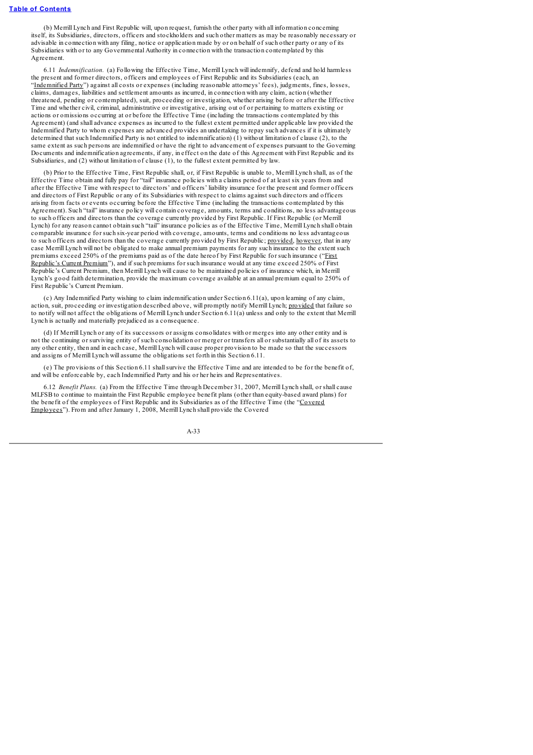(b) Merrill Lynch and First Republic will, upon request, furnish the other party with all information concerning itself, its Subsidiaries, directors, officers and stockholders and such other matters as may be reasonably necessary or advisable in connection with any filing, notice or application made by or on behalf of such other party or any of its Subsidiaries with or to any Governmental Authority in connection with the transaction contemplated by this Agreement.

6.11 *Indemnification.* (a) Following the Effective Time, Merrill Lynch will indemnify, defend and hold harmless the present and former directors, officers and employees of First Republic and its Subsidiaries (each, an "Indemnified Party") against all costs or expenses (including reasonable attorneys' fees), judgments, fines, losses, claims, damages, liabilities and settlement amounts as incurred, in connection with any claim, action (whether threatened, pending or contemplated), suit, proceeding or investigation, whether arising before or after the Effective Time and whether civil, criminal, administrative or investigative, arising out of or pertaining to matters existing or actions or omissions occurring at or before the Effective Time (including the transactions contemplated by this Agreement) (and shall advance expenses as incurred to the fullest extent permitted under applicable law provided the Indemnified Party to whom expenses are advanced provides an undertaking to repay such advances if it is ultimately determined that such Indemnified Party is not entitled to indemnification) (1) without limitation of clause (2), to the same extent as such persons are indemnified or have the right to advancement of expenses pursuant to the Governing Documents and indemnification agreements, if any, in effect on the date of this Agreement with First Republic and its Subsidiaries, and (2) without limitation of clause (1), to the fullest extent permitted by law.

(b) Prior to the Effective Time, First Republic shall, or, if First Republic is unable to, Merrill Lynch shall, as of the Effective Time obtain and fully pay for "tail" insurance policies with a claims period of at least six years from and after the Effective Time with respect to directors' and officers' liability insurance for the present and former officers and directors of First Republic or any of its Subsidiaries with respect to claims against such directors and officers arising from facts or events occurring before the Effective Time (including the transactions contemplated by this Agreement). Such "tail" insurance policy will contain coverage, amounts, terms and conditions, no less advantageous to such officers and directors than the coverage currently provided by First Republic. If First Republic (or Merrill Lynch) for any reason cannot obtain such "tail" insurance policies as of the Effective Time, Merrill Lynch shall obtain comparable insurance for such six-year period with coverage, amounts, terms and conditions no less advantageous to such officers and directors than the coverage currently provided by First Republic; provided, however, that in any case Merrill Lynch will not be obligated to make annual premium payments for any such insurance to the extent such premiums exceed 250% of the premiums paid as of the date hereof by First Republic for such insurance ("First Republic's Current Premium"), and if such premiums for such insurance would at any time exceed 250% of First Republic's Current Premium, then Merrill Lynch will cause to be maintained policies of insurance which, in Merrill Lynch's good faith determination, provide the maximum coverage available at an annual premium equal to 250% of First Republic's Current Premium.

(c) Any Indemnified Party wishing to claim indemnification under Section 6.11(a), upon learning of any claim, action, suit, proceeding or investigation described above, will promptly notify Merrill Lynch; provided that failure so to notify will not affect the obligations of Merrill Lynch under Section 6.11(a) unless and only to the extent that Merrill Lynch is actually and materially prejudiced as a consequence.

(d) If Merrill Lynch or any of its successors or assigns consolidates with or merges into any other entity and is not the continuing or surviving entity of such consolidation or merger or transfers all or substantially all of its assets to any other entity, then and in each case, Merrill Lynch will cause proper provision to be made so that the successors and assigns of Merrill Lynch will assume the obligations set forth in this Section 6.11.

(e) The provisions of this Section 6.11 shallsurvive the Effective Time and are intended to be for the benefit of, and will be enforceable by, each Indemnified Party and his or her heirs and Representatives.

6.12 *Benefit Plans.* (a) From the Effective Time through December 31, 2007, Merrill Lynch shall, or shall cause MLFSB to continue to maintain the First Republic employee benefit plans (other than equity-based award plans) for the benefit of the employees of First Republic and its Subsidiaries as of the Effective Time (the "Covered Employees"). From and after January 1, 2008, Merrill Lynch shall provide the Covered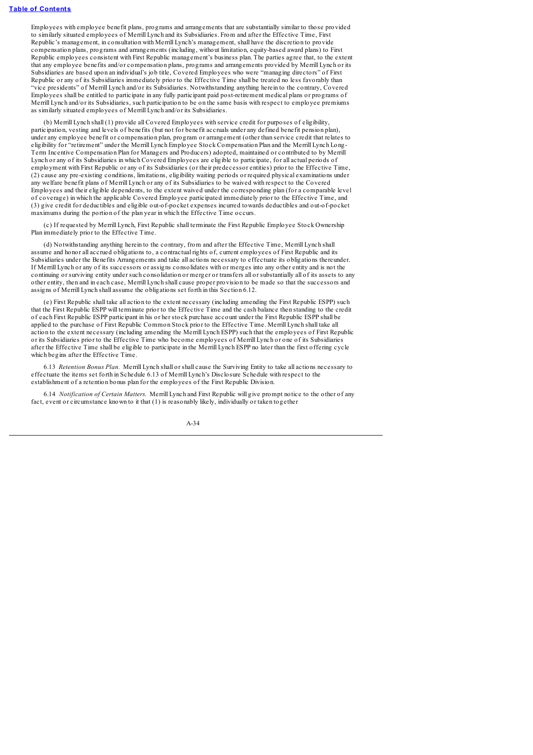Employees with employee benefit plans, programs and arrangements that are substantially similar to those provided to similarly situated employees of Merrill Lynch and its Subsidiaries. From and after the Effective Time, First Republic's management, in consultation with Merrill Lynch's management, shall have the discretion to provide compensation plans, programs and arrangements (including, without limitation, equity-based award plans) to First Republic employees consistent with First Republic management's business plan. The parties agree that, to the extent that any employee benefits and/or compensation plans, programs and arrangements provided by Merrill Lynch or its Subsidiaries are based upon an individual's job title, Covered Employees who were "managing directors" of First Republic or any of its Subsidiaries immediately prior to the Effective Time shall be treated no less favorably than "vice presidents" of Merrill Lynch and/or its Subsidiaries. Notwithstanding anything herein to the contrary, Covered Employees shall be entitled to participate in any fully participant paid post-retirement medical plans or programs of Merrill Lynch and/or its Subsidiaries, such participation to be on the same basis with respect to employee premiums as similarly situated employees of Merrill Lynch and/or its Subsidiaries.

(b) Merrill Lynch shall (1) provide all Covered Employees with service credit for purposes of eligibility, participation, vesting and levels of benefits (but not for benefit accruals under any defined benefit pension plan), under any employee benefit or compensation plan, program or arrangement (other than service credit that relates to eligibility for "retirement" under the Merrill Lynch Employee Stock Compensation Plan and the Merrill Lynch Long-Term Incentive Compensation Plan for Managers and Producers) adopted, maintained or contributed to by Merrill Lynch or any of its Subsidiaries in which Covered Employees are eligible to participate, for all actual periods of employment with First Republic or any of its Subsidiaries (or their predecessor entities) prior to the Effective Time, (2) cause any pre-existing conditions, limitations, eligibility waiting periods or required physical examinations under any welfare benefit plans of Merrill Lynch or any of its Subsidiaries to be waived with respect to the Covered Employees and their eligible dependents, to the extent waived under the corresponding plan (for a comparable level of coverage) in which the applicable Covered Employee participated immediately prior to the Effective Time, and (3) give credit for deductibles and eligible out-of-pocket expenses incurred towards deductibles and out-of-pocket maximums during the portion of the plan year in which the Effective Time occurs.

(c) If requested by Merrill Lynch, First Republic shall terminate the First Republic Employee Stock Ownership Plan immediately prior to the Effective Time.

(d) Notwithstanding anything herein to the contrary, from and after the Effective Time, Merrill Lynch shall assume and honor all accrued obligations to, a contractual rights of, current employees of First Republic and its Subsidiaries under the Benefits Arrangements and take all actions necessary to effectuate its obligations thereunder. If Merrill Lynch or any of its successors or assigns consolidates with or merges into any other entity and is not the continuing or surviving entity under such consolidation or merger or transfers all or substantially all of its assets to any other entity, then and in each case, Merrill Lynch shall cause proper provision to be made so that the successors and assigns of Merrill Lynch shall assume the obligations set forth in this Section 6.12.

(e) First Republic shall take all action to the extent necessary (including amending the First Republic ESPP) such that the First Republic ESPP will terminate prior to the Effective Time and the cash balance then standing to the credit of each First Republic ESPP participant in his or her stock purchase account under the First Republic ESPP shall be applied to the purchase of First Republic Common Stock prior to the Effective Time. Merrill Lynch shall take all action to the extent necessary (including amending the Merrill Lynch ESPP) such that the employees of First Republic or its Subsidiaries prior to the Effective Time who become employees of Merrill Lynch or one of its Subsidiaries after the Effective Time shall be eligible to participate in the Merrill Lynch ESPP no later than the first offering cycle which begins after the Effective Time.

6.13 *Retention Bonus Plan.* Merrill Lynch shall or shall cause the Surviving Entity to take all actions necessary to effectuate the items set forth in Schedule 6.13 of Merrill Lynch's Disclosure Schedule with respect to the establishment of a retention bonus plan for the employees of the First Republic Division.

6.14 *Notification of Certain Matters.* Merrill Lynch and First Republic will give prompt notice to the other of any fact, event or circumstance known to it that (1) is reasonably likely, individually or taken together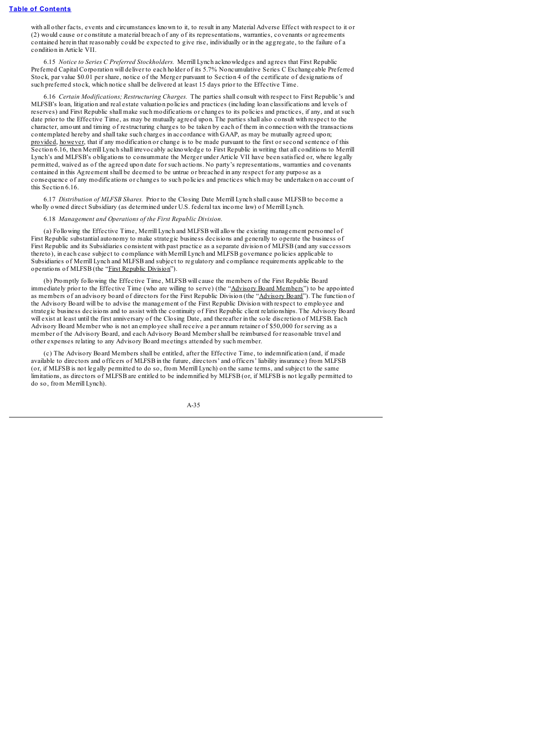with all other facts, events and circumstances known to it, to result in any Material Adverse Effect with respect to it or (2) would cause or constitute a material breach of any of its representations, warranties, covenants or agreements contained herein that reasonably could be expected to give rise, individually or in the aggregate, to the failure of a condition in Article VII.

6.15 *Notice to Series C Preferred Stockholders.* Merrill Lynch acknowledges and agrees that First Republic Preferred Capital Corporation will deliver to each holder of its 5.7% Noncumulative Series C Exchangeable Preferred Stock, par value \$0.01 per share, notice of the Merger pursuant to Section 4 of the certificate of designations of such preferred stock, which notice shall be delivered at least 15 days prior to the Effective Time.

6.16 *Certain Modifications; Restructuring Charges.* The parties shall consult with respect to First Republic's and MLFSB's loan, litigation and real estate valuation policies and practices (including loan classifications and levels of reserves) and First Republic shall make such modifications or changes to its policies and practices, if any, and at such date prior to the Effective Time, as may be mutually agreed upon. The parties shall also consult with respect to the character, amount and timing of restructuring charges to be taken by each of them in connection with the transactions contemplated hereby and shall take such charges in accordance with GAAP, as may be mutually agreed upon; provided, however, that if any modification or change is to be made pursuant to the first or second sentence of this Section 6.16, then Merrill Lynch shall irrevocably acknowledge to First Republic in writing that all conditions to Merrill Lynch's and MLFSB's obligations to consummate the Merger under Article VII have been satisfied or, where legally permitted, waived as of the agreed upon date for such actions. No party's representations, warranties and covenants contained in this Agreement shall be deemed to be untrue or breached in any respect for any purpose as a consequence of any modifications or changes to such policies and practices which may be undertaken on account of this Section 6.16.

6.17 *Distribution of MLFSB Shares.* Prior to the Closing Date Merrill Lynch shall cause MLFSB to become a wholly owned direct Subsidiary (as determined under U.S. federal tax income law) of Merrill Lynch.

6.18 *Management and Operations of the First Republic Division.*

(a) Following the Effective Time, Merrill Lynch and MLFSB will allow the existing management personnel of First Republic substantial autonomy to make strategic business decisions and generally to operate the business of First Republic and its Subsidiaries consistent with past practice as a separate division of MLFSB (and any successors thereto), in each case subject to compliance with Merrill Lynch and MLFSB governance policies applicable to Subsidiaries of Merrill Lynch and MLFSB and subject to regulatory and compliance requirements applicable to the operations of MLFSB (the "First Republic Division").

(b) Promptly following the Effective Time, MLFSB will cause the members of the First Republic Board immediately prior to the Effective Time (who are willing to serve) (the "Advisory Board Members") to be appointed as members of an advisory board of directors for the First Republic Division (the "Advisory Board"). The function of the Advisory Board will be to advise the management of the First Republic Division with respect to employee and strategic business decisions and to assist with the continuity of First Republic client relationships. The Advisory Board will exist at least until the first anniversary of the Closing Date, and thereafter in the sole discretion of MLFSB. Each Advisory Board Member who is not an employee shall receive a per annum retainer of \$50,000 for serving as a member of the Advisory Board, and each Advisory Board Member shall be reimbursed for reasonable travel and other expenses relating to any Advisory Board meetings attended by such member.

(c) The Advisory Board Members shall be entitled, after the Effective Time, to indemnification (and, if made available to directors and officers of MLFSB in the future, directors' and officers' liability insurance) from MLFSB (or, if MLFSB is not legally permitted to do so, from Merrill Lynch) on the same terms, and subject to the same limitations, as directors of MLFSB are entitled to be indemnified by MLFSB (or, if MLFSB is not legally permitted to do so, from Merrill Lynch).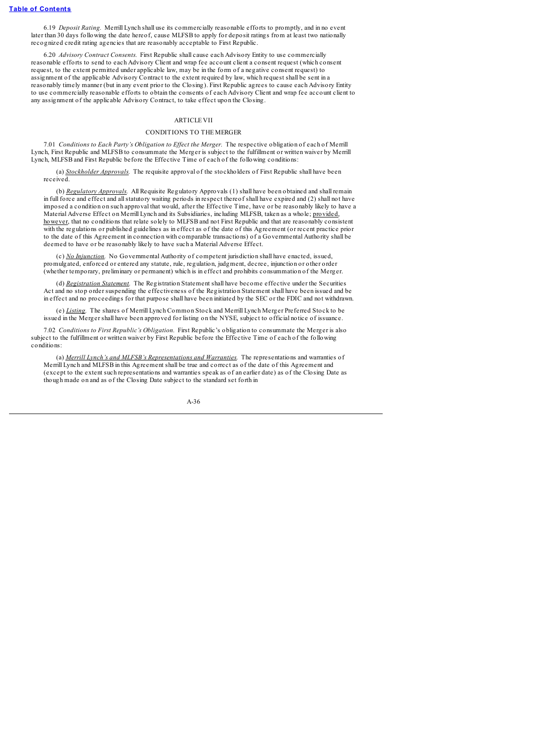6.19 *Deposit Rating.* Merrill Lynch shall use its commercially reasonable efforts to promptly, and in no event later than 30 days following the date hereof, cause MLFSB to apply for deposit ratings from at least two nationally recognized credit rating agencies that are reasonably acceptable to First Republic.

6.20 *Advisory Contract Consents.* First Republic shall cause each Advisory Entity to use commercially reasonable efforts to send to each Advisory Client and wrap fee account client a consent request (which consent request, to the extent permitted under applicable law, may be in the form of a negative consent request) to assignment of the applicable Advisory Contract to the extent required by law, which request shall be sent in a reasonably timely manner (but in any event prior to the Closing). First Republic agrees to cause each Advisory Entity to use commercially reasonable efforts to obtain the consents of each Advisory Client and wrap fee account client to any assignment of the applicable Advisory Contract, to take effect upon the Closing.

#### ARTICLE VII

### CONDITIONS TO THE MERGER

7.01 *Conditions to Each Party's Obligation to Ef ect the Merger.* The respective obligation of each of Merrill Lynch, First Republic and MLFSB to consummate the Merger is subject to the fulfillment or written waiver by Merrill Lynch, MLFSB and First Republic before the Effective Time of each of the following conditions:

(a) *Stockholder Approvals.* The requisite approval of the stockholders of First Republic shall have been received.

(b) *Regulatory Approvals.* All Requisite Regulatory Approvals (1) shall have been obtained and shall remain in full force and effect and allstatutory waiting periods in respect thereof shall have expired and (2) shall not have imposed a condition on such approval that would, after the Effective Time, have or be reasonably likely to have a Material Adverse Effect on Merrill Lynch and its Subsidiaries, including MLFSB, taken as a whole; provided, however, that no conditions that relate solely to MLFSB and not First Republic and that are reasonably consistent with the regulations or published guidelines as in effect as of the date of this Agreement (or recent practice prior to the date of this Agreement in connection with comparable transactions) of a Governmental Authority shall be deemed to have or be reasonably likely to have such a Material Adverse Effect.

(c) *No Injunction.* No Governmental Authority of competent jurisdiction shall have enacted, issued, promulgated, enforced or entered any statute, rule, regulation, judgment, decree, injunction or other order (whether temporary, preliminary or permanent) which is in effect and prohibits consummation of the Merger.

(d) *Registration Statement.* The Registration Statement shall have become effective under the Securities Act and no stop order suspending the effectiveness of the Registration Statement shall have been issued and be in effect and no proceedings for that purpose shall have been initiated by the SEC or the FDIC and not withdrawn.

(e) *Listing.* The shares of Merrill Lynch Common Stock and Merrill Lynch Merger Preferred Stock to be issued in the Merger shall have been approved for listing on the NYSE, subject to official notice of issuance.

7.02 *Conditions to First Republic's Obligation.* First Republic's obligation to consummate the Merger is also subject to the fulfillment or written waiver by First Republic before the Effective Time of each of the following conditions:

(a) *Merrill Lynch's and MLFSB's Representations and Warranties.* The representations and warranties of Merrill Lynch and MLFSB in this Agreement shall be true and correct as of the date of this Agreement and (except to the extent such representations and warranties speak as of an earlier date) as of the Closing Date as though made on and as of the Closing Date subject to the standard set forth in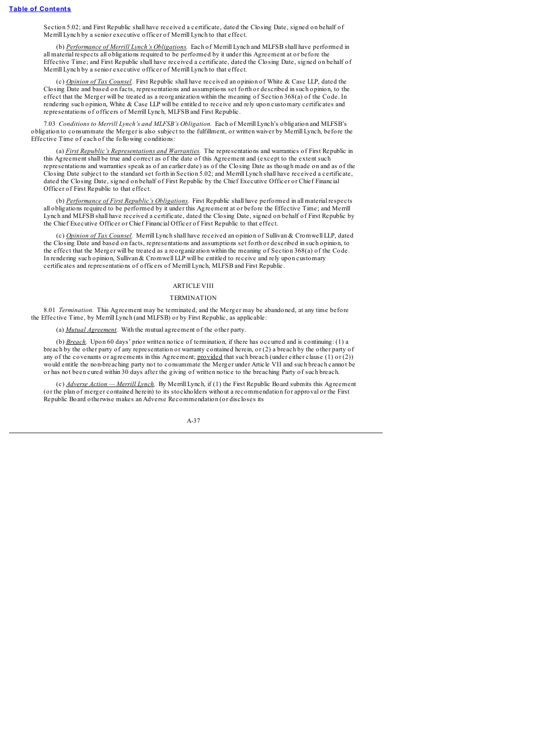Section 5.02; and First Republic shall have received a certificate, dated the Closing Date, signed on behalf of Merrill Lynch by a senior executive officer of Merrill Lynch to that effect.

(b) *Performance of Merrill Lynch's Obligations.* Each of Merrill Lynch and MLFSB shall have performed in all material respects all obligations required to be performed by it under this Agreement at or before the Effective Time; and First Republic shall have received a certificate, dated the Closing Date, signed on behalf of Merrill Lynch by a senior executive officer of Merrill Lynch to that effect.

(c) *Opinion of Tax Counsel.* First Republic shall have received an opinion of White & Case LLP, dated the Closing Date and based on facts, representations and assumptions set forth or described in such opinion, to the effect that the Merger will be treated as a reorganization within the meaning of Section 368(a) of the Code. In rendering such opinion, White & Case LLP will be entitled to receive and rely upon customary certificates and representations of officers of Merrill Lynch, MLFSB and First Republic.

7.03 *Conditions to Merrill Lynch's and MLFSB's Obligation.* Each of Merrill Lynch's obligation and MLFSB's obligation to consummate the Merger is also subject to the fulfillment, or written waiver by Merrill Lynch, before the Effective Time of each of the following conditions:

(a) *First Republic's Representations and Warranties.* The representations and warranties of First Republic in this Agreement shall be true and correct as of the date of this Agreement and (except to the extent such representations and warranties speak as of an earlier date) as of the Closing Date as though made on and as of the Closing Date subject to the standard set forth in Section 5.02; and Merrill Lynch shall have received a certificate, dated the Closing Date, signed on behalf of First Republic by the Chief Executive Officer or Chief Financial Officer of First Republic to that effect.

(b) *Performance of First Republic's Obligations.* First Republic shall have performed in all material respects all obligations required to be performed by it under this Agreement at or before the Effective Time; and Merrill Lynch and MLFSB shall have received a certificate, dated the Closing Date, signed on behalf of First Republic by the Chief Executive Officer or Chief Financial Officer of First Republic to that effect.

(c) *Opinion of Tax Counsel.* Merrill Lynch shall have received an opinion of Sullivan & Cromwell LLP, dated the Closing Date and based on facts, representations and assumptions set forth or described in such opinion, to the effect that the Merger will be treated as a reorganization within the meaning of Section 368(a) of the Code. In rendering such opinion, Sullivan & Cromwell LLP will be entitled to receive and rely upon customary certificates and representations of officers of Merrill Lynch, MLFSB and First Republic.

# **ARTICLE VIII**

#### **TERMINATION**

8.01 *Termination.* This Agreement may be terminated, and the Merger may be abandoned, at any time before the Effective Time, by Merrill Lynch (and MLFSB) or by First Republic, as applicable:

(a) *Mutual Agreement.* With the mutual agreement of the other party.

(b) *Breach.* Upon 60 days' prior written notice of termination, if there has occurred and is continuing: (1) a breach by the other party of any representation or warranty contained herein, or (2) a breach by the other party of any of the covenants or agreements in this Agreement; provided that such breach (under either clause (1) or (2)) would entitle the non-breaching party not to consummate the Merger under Article VII and such breach cannot be or has not been cured within 30 days after the giving of written notice to the breaching Party of such breach.

(c) *Adverse Action — Merrill Lynch.* By Merrill Lynch, if (1) the First Republic Board submits this Agreement (or the plan of merger contained herein) to its stockholders without a recommendation for approval or the First Republic Board otherwise makes an Adverse Recommendation (or discloses its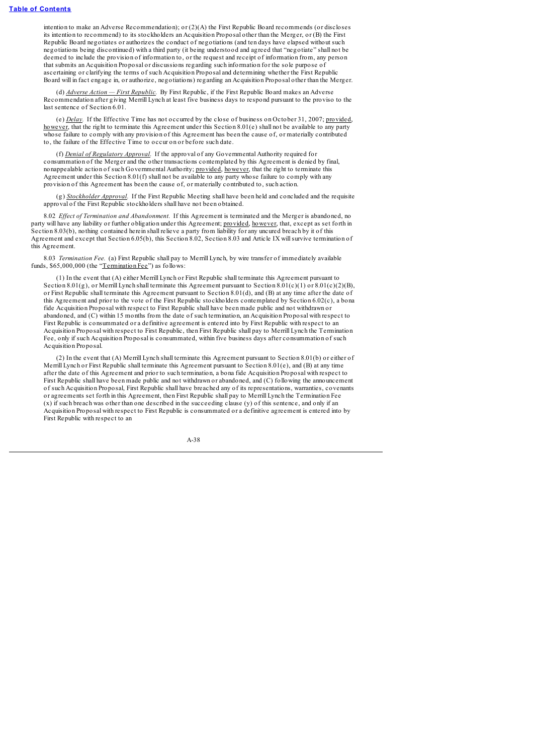intention to make an Adverse Recommendation); or (2)(A) the First Republic Board recommends (or discloses its intention to recommend) to its stockholders an Acquisition Proposal other than the Merger, or (B) the First Republic Board negotiates or authorizes the conduct of negotiations (and ten days have elapsed without such negotiations being discontinued) with a third party (it being understood and agreed that "negotiate" shall not be deemed to include the provision of information to, or the request and receipt of information from, any person that submits an Acquisition Proposal or discussions regarding such information for the sole purpose of ascertaining or clarifying the terms of such Acquisition Proposal and determining whether the First Republic Board will in fact engage in, or authorize, negotiations) regarding an Acquisition Proposal other than the Merger.

(d) *Adverse Action — First Republic.* By First Republic, if the First Republic Board makes an Adverse Recommendation after giving Merrill Lynch at least five business days to respond pursuant to the proviso to the last sentence of Section 6.01.

(e) *Delay.* If the Effective Time has not occurred by the close of business on October 31, 2007; provided, however, that the right to terminate this Agreement under this Section 8.01(e) shall not be available to any party whose failure to comply with any provision of this Agreement has been the cause of, or materially contributed to, the failure of the Effective Time to occur on or before such date.

(f) *Denial of Regulatory Approval.* If the approval of any Governmental Authority required for consummation of the Merger and the other transactions contemplated by this Agreement is denied by final, nonappealable action of such Governmental Authority; provided, however, that the right to terminate this Agreement under this Section 8.01(f) shall not be available to any party whose failure to comply with any provision of this Agreement has been the cause of, or materially contributed to, such action.

(g) *Stockholder Approval.* If the First Republic Meeting shall have been held and concluded and the requisite approval of the First Republic stockholders shall have not been obtained.

8.02 *Ef ect of Termination and Abandonment.* If this Agreement is terminated and the Merger is abandoned, no party will have any liability or further obligation under this Agreement; provided, however, that, except as set forth in Section 8.03(b), nothing contained herein shall relieve a party from liability for any uncured breach by it of this Agreement and except that Section 6.05(b), this Section 8.02, Section 8.03 and Article IX willsurvive termination of this Agreement.

8.03 *Termination Fee.* (a) First Republic shall pay to Merrill Lynch, by wire transfer of immediately available funds, \$65,000,000 (the "Termination Fee") as follows:

(1) In the event that (A) either Merrill Lynch or First Republic shall terminate this Agreement pursuant to Section 8.01(g), or Merrill Lynch shall terminate this Agreement pursuant to Section 8.01(c)(1) or 8.01(c)(2)(B), or First Republic shall terminate this Agreement pursuant to Section 8.01(d), and (B) at any time after the date of this Agreement and prior to the vote of the First Republic stockholders contemplated by Section 6.02(c), a bona fide Acquisition Proposal with respect to First Republic shall have been made public and not withdrawn or abandoned, and (C) within 15 months from the date of such termination, an Acquisition Proposal with respect to First Republic is consummated or a definitive agreement is entered into by First Republic with respect to an Acquisition Proposal with respect to First Republic, then First Republic shall pay to Merrill Lynch the Termination Fee, only if such Acquisition Proposal is consummated, within five business days after consummation of such Acquisition Proposal.

(2) In the event that (A) Merrill Lynch shall terminate this Agreement pursuant to Section 8.01(b) or either of Merrill Lynch or First Republic shall terminate this Agreement pursuant to Section 8.01(e), and (B) at any time after the date of this Agreement and prior to such termination, a bona fide Acquisition Proposal with respect to First Republic shall have been made public and not withdrawn or abandoned, and (C) following the announcement of such Acquisition Proposal, First Republic shall have breached any of its representations, warranties, covenants or agreements set forth in this Agreement, then First Republic shall pay to Merrill Lynch the Termination Fee (x) if such breach was other than one described in the succeeding clause (y) of this sentence, and only if an Acquisition Proposal with respect to First Republic is consummated or a definitive agreement is entered into by First Republic with respect to an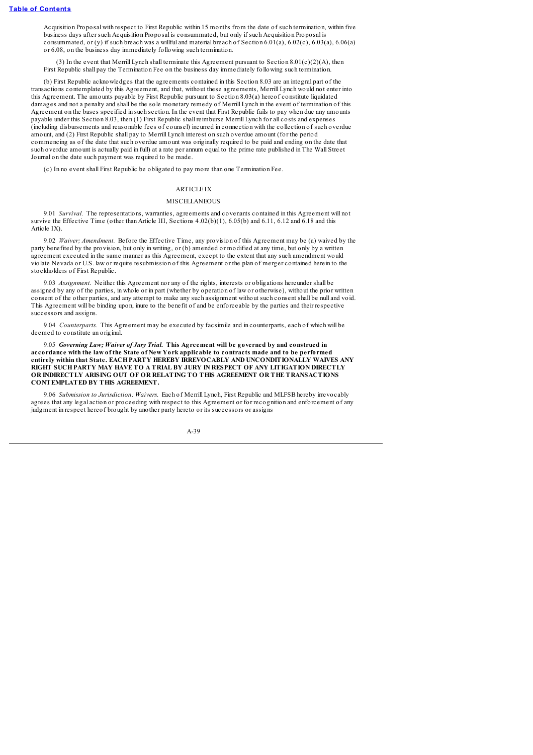Acquisition Proposal with respect to First Republic within 15 months from the date of such termination, within five business days after such Acquisition Proposal is consummated, but only if such Acquisition Proposal is consummated, or (y) if such breach was a willful and material breach of Section 6.01(a), 6.02(c), 6.03(a), 6.06(a) or 6.08, on the business day immediately following such termination.

(3) In the event that Merrill Lynch shall terminate this Agreement pursuant to Section 8.01(c)(2)(A), then First Republic shall pay the Termination Fee on the business day immediately following such termination.

(b) First Republic acknowledges that the agreements contained in this Section 8.03 are an integral part of the transactions contemplated by this Agreement, and that, without these agreements, Merrill Lynch would not enter into this Agreement. The amounts payable by First Republic pursuant to Section 8.03(a) hereof constitute liquidated damages and not a penalty and shall be the sole monetary remedy of Merrill Lynch in the event of termination of this Agreement on the bases specified in such section. In the event that First Republic fails to pay when due any amounts payable under this Section 8.03, then (1) First Republic shall reimburse Merrill Lynch for all costs and expenses (including disbursements and reasonable fees of counsel) incurred in connection with the collection of such overdue amount, and (2) First Republic shall pay to Merrill Lynch interest on such overdue amount (for the period commencing as of the date that such overdue amount was originally required to be paid and ending on the date that such overdue amount is actually paid in full) at a rate per annum equal to the prime rate published in The Wall Street Journal on the date such payment was required to be made.

(c) In no event shall First Republic be obligated to pay more than one Termination Fee.

### ARTICLE IX

#### **MISCELLANEOUS**

9.01 *Survival.* The representations, warranties, agreements and covenants contained in this Agreement will not survive the Effective Time (other than Article III, Sections 4.02(b)(1), 6.05(b) and 6.11, 6.12 and 6.18 and this Article IX).

9.02 *Waiver; Amendment.* Before the Effective Time, any provision of this Agreement may be (a) waived by the party benefited by the provision, but only in writing, or (b) amended or modified at any time, but only by a written agreement executed in the same manner as this Agreement, except to the extent that any such amendment would violate Nevada or U.S. law or require resubmission of this Agreement or the plan of merger contained herein to the stockholders of First Republic.

9.03 *Assignment.* Neither this Agreement nor any of the rights, interests or obligations hereunder shall be assigned by any of the parties, in whole or in part (whether by operation of law or otherwise), without the prior written consent of the other parties, and any attempt to make any such assignment without such consent shall be null and void. This Agreement will be binding upon, inure to the benefit of and be enforceable by the parties and their respective successors and assigns.

9.04 *Counterparts.* This Agreement may be executed by facsimile and in counterparts, each of which will be deemed to constitute an original.

9.05 *Governing Law; Waiver of Jury Trial.* **This Agreement will be governed by and construed in accordance with the law of the State of New York applicable to contracts made and to be performed entirely within that State. EACHPARTY HEREBY IRREVOCABLY AND UNCONDITIONALLY WAIVES ANY RIGHT SUCHPARTY MAY HAVE TO A TRIAL BY JURY IN RESPECT OF ANY LITIGATION DIRECTLY OR INDIRECTLY ARISING OUT OF OR RELATING TO THIS AGREEMENT OR THE TRANSACTIONS CONTEMPLATED BY THIS AGREEMENT.**

9.06 *Submission to Jurisdiction; Waivers.* Each of Merrill Lynch, First Republic and MLFSB hereby irrevocably agrees that any legal action or proceeding with respect to this Agreement or for recognition and enforcement of any judgment in respect hereof brought by another party hereto or its successors or assigns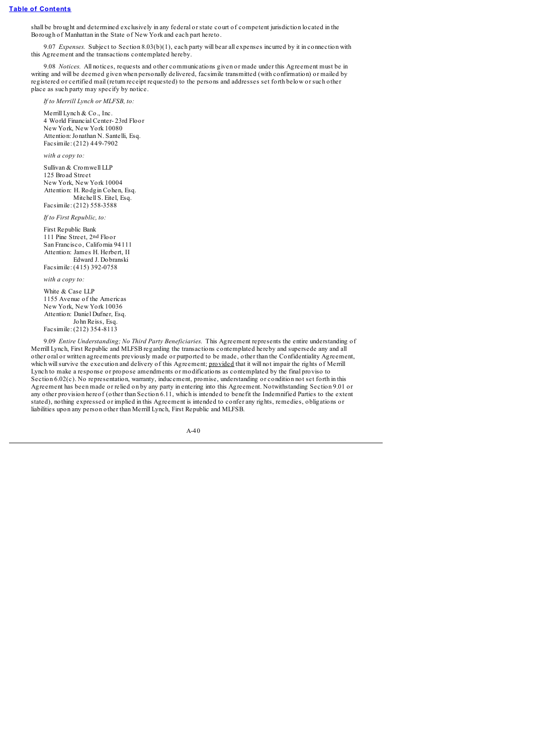shall be brought and determined exclusively in any federal or state court of competent jurisdiction located in the Borough of Manhattan in the State of New York and each part hereto.

9.07 *Expenses.* Subject to Section 8.03(b)(1), each party will bear all expenses incurred by it in connection with this Agreement and the transactions contemplated hereby.

9.08 *Notices.* All notices, requests and other communications given or made under this Agreement must be in writing and will be deemed given when personally delivered, facsimile transmitted (with confirmation) or mailed by registered or certified mail (return receipt requested) to the persons and addresses set forth below or such other place as such party may specify by notice.

*If to Merrill Lynch or MLFSB, to:*

Merrill Lynch & Co., Inc. 4 World Financial Center- 23rd Floor New York, New York 10080 Attention:Jonathan N. Santelli, Esq. Facsimile: (212) 449-7902

*with a copy to:*

Sullivan & Cromwell LLP 125 Broad Street New York, New York 10004 Attention: H. Rodgin Cohen, Esq. Mitchell S. Eitel, Esq. Facsimile: (212) 558-3588

*If to First Republic, to:*

First Republic Bank

111 Pine Street, 2nd Floor San Francisco, California 94111 Attention: James H. Herbert, II Edward J. Dobranski Facsimile: (415) 392-0758

*with a copy to:*

White & Case LLP 1155 Avenue of the Americas New York, New York 10036 Attention: Daniel Dufner, Esq. John Reiss, Esq. Facsimile: (212) 354-8113

9.09 *Entire Understanding; No Third Party Beneficiaries.* This Agreement represents the entire understanding of Merrill Lynch, First Republic and MLFSB regarding the transactions contemplated hereby and supersede any and all other oral or written agreements previously made or purported to be made, other than the Confidentiality Agreement, which will survive the execution and delivery of this Agreement; provided that it will not impair the rights of Merrill Lynch to make a response or propose amendments or modifications as contemplated by the final proviso to Section 6.02(c). No representation, warranty, inducement, promise, understanding or condition not set forth in this Agreement has been made or relied on by any party in entering into this Agreement. Notwithstanding Section 9.01 or any other provision hereof (other than Section 6.11, which is intended to benefit the Indemnified Parties to the extent stated), nothing expressed or implied in this Agreement is intended to confer any rights, remedies, obligations or liabilities upon any person other than Merrill Lynch, First Republic and MLFSB.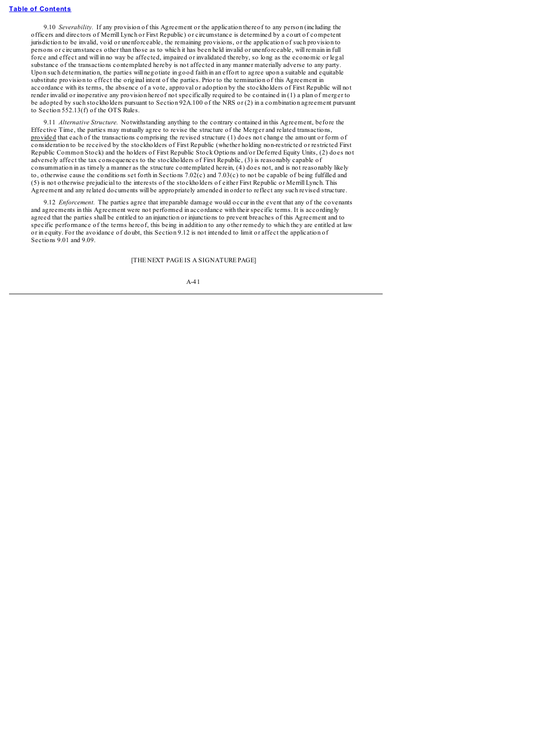9.10 *Severability.* If any provision of this Agreement or the application thereof to any person (including the officers and directors of Merrill Lynch or First Republic) or circumstance is determined by a court of competent jurisdiction to be invalid, void or unenforceable, the remaining provisions, or the application of such provision to persons or circumstances other than those as to which it has been held invalid or unenforceable, will remain in full force and effect and will in no way be affected, impaired or invalidated thereby, so long as the economic or legal substance of the transactions contemplated hereby is not affected in any manner materially adverse to any party. Upon such determination, the parties will negotiate in good faith in an effort to agree upon a suitable and equitable substitute provision to effect the original intent of the parties. Prior to the termination of this Agreement in accordance with its terms, the absence of a vote, approval or adoption by the stockholders of First Republic will not render invalid or inoperative any provision hereof not specifically required to be contained in (1) a plan of merger to be adopted by such stockholders pursuant to Section 92A.100 of the NRS or (2) in a combination agreement pursuant to Section 552.13(f) of the OTS Rules.

9.11 *Alternative Structure.* Notwithstanding anything to the contrary contained in this Agreement, before the Effective Time, the parties may mutually agree to revise the structure of the Merger and related transactions, provided that each of the transactions comprising the revised structure (1) does not change the amount or form of consideration to be received by the stockholders of First Republic (whether holding non-restricted or restricted First Republic Common Stock) and the holders of First Republic Stock Options and/or Deferred Equity Units, (2) does not adversely affect the tax consequences to the stockholders of First Republic, (3) is reasonably capable of consummation in as timely a manner as the structure contemplated herein, (4) does not, and is not reasonably likely to, otherwise cause the conditions set forth in Sections 7.02(c) and 7.03(c) to not be capable of being fulfilled and (5) is not otherwise prejudicial to the interests of the stockholders of either First Republic or Merrill Lynch. This Agreement and any related documents will be appropriately amended in order to reflect any such revised structure.

9.12 *Enforcement*. The parties agree that irreparable damage would occur in the event that any of the covenants and agreements in this Agreement were not performed in accordance with their specific terms. It is accordingly agreed that the parties shall be entitled to an injunction or injunctions to prevent breaches of this Agreement and to specific performance of the terms hereof, this being in addition to any other remedy to which they are entitled at law or in equity. For the avoidance of doubt, this Section 9.12 is not intended to limit or affect the application of Sections 9.01 and 9.09

### [THE NEXT PAGE IS A SIGNATURE PAGE]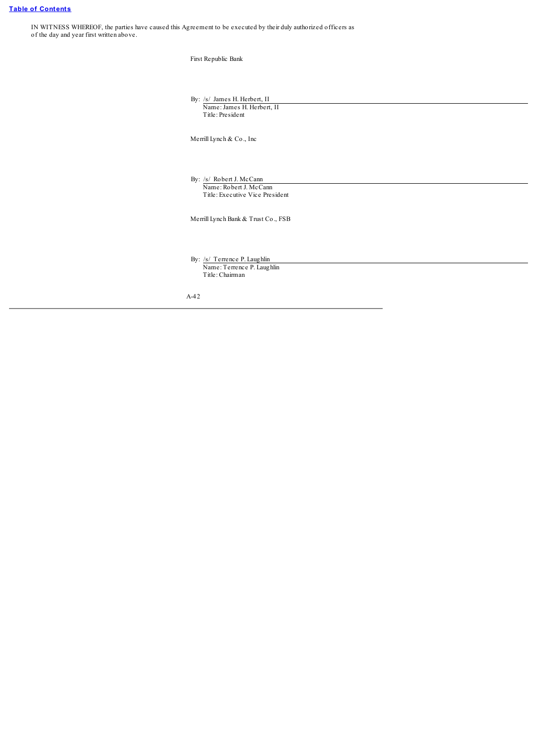IN WITNESS WHEREOF, the parties have caused this Agreement to be executed by their duly authorized officers as of the day and year first written above.

| $\alpha$ and the recent to be executed by their day additionated brine ets as |                                                                                       |
|-------------------------------------------------------------------------------|---------------------------------------------------------------------------------------|
|                                                                               | First Republic Bank                                                                   |
|                                                                               | By: /s/ James H. Herbert, II<br>Name: James H. Herbert, II<br>Title: President        |
|                                                                               | Merrill Lynch & Co., Inc                                                              |
|                                                                               | By: /s/ Robert J. McCann<br>Name: Robert J. McCann<br>Title: Executive Vice President |
|                                                                               | Merrill Lynch Bank & Trust Co., FSB                                                   |
|                                                                               | By: /s/ Terrence P. Laughlin<br>Name: Terrence P. Laughlin<br>Title: Chairman         |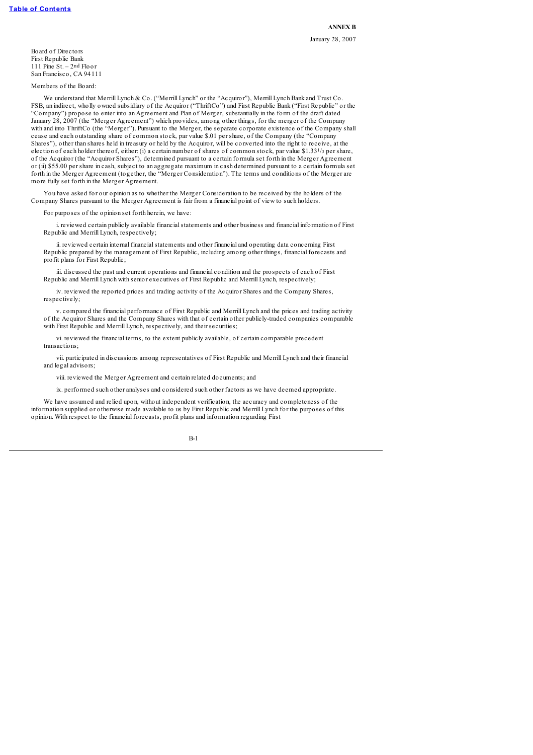**ANNEX B** January 28, 2007

Board of Directors First Republic Bank 111 Pine St. – 2nd Floor San Francisco, CA 94111

Members of the Board:

We understand that Merrill Lynch & Co. ("Merrill Lynch" or the "Acquiror"), Merrill Lynch Bank and Trust Co. FSB, an indirect, wholly owned subsidiary of the Acquiror ("ThriftCo") and First Republic Bank ("First Republic" or the "Company") propose to enter into an Agreement and Plan of Merger, substantially in the form of the draft dated January 28, 2007 (the "Merger Agreement") which provides, among other things, for the merger of the Company with and into ThriftCo (the "Merger"). Pursuant to the Merger, the separate corporate existence of the Company shall cease and each outstanding share of common stock, par value \$.01 per share, of the Company (the "Company Shares"), other than shares held in treasury or held by the Acquiror, will be converted into the right to receive, at the election of each holder thereof, either: (i) a certain number of shares of common stock, par value \$1.331/<sup>3</sup> per share, of the Acquiror (the "Acquiror Shares"), determined pursuant to a certain formula set forth in the Merger Agreement or (ii) \$55.00 per share in cash, subject to an aggregate maximum in cash determined pursuant to a certain formula set forth in the Merger Agreement (together, the "Merger Consideration"). The terms and conditions of the Merger are more fully set forth in the Merger Agreement.

You have asked for our opinion as to whether the Merger Consideration to be received by the holders of the Company Shares pursuant to the Merger Agreement is fair from a financial point of view to such holders.

For purposes of the opinion set forth herein, we have:

i. reviewed certain publicly available financialstatements and other business and financial information of First Republic and Merrill Lynch, respectively;

ii. reviewed certain internal financialstatements and other financial and operating data concerning First Republic prepared by the management of First Republic, including among other things, financial forecasts and profit plans for First Republic;

iii. discussed the past and current operations and financial condition and the prospects of each of First Republic and Merrill Lynch with senior executives of First Republic and Merrill Lynch, respectively;

iv. reviewed the reported prices and trading activity of the Acquiror Shares and the Company Shares, respectively;

v. compared the financial performance of First Republic and Merrill Lynch and the prices and trading activity of the Acquiror Shares and the Company Shares with that of certain other publicly-traded companies comparable with First Republic and Merrill Lynch, respectively, and their securities;

vi. reviewed the financial terms, to the extent publicly available, of certain comparable precedent transactions;

vii. participated in discussions among representatives of First Republic and Merrill Lynch and their financial and legal advisors;

viii. reviewed the Merger Agreement and certain related documents; and

ix. performed such other analyses and considered such other factors as we have deemed appropriate.

We have assumed and relied upon, without independent verification, the accuracy and completeness of the information supplied or otherwise made available to us by First Republic and Merrill Lynch for the purposes of this opinion. With respect to the financial forecasts, profit plans and information regarding First

B-1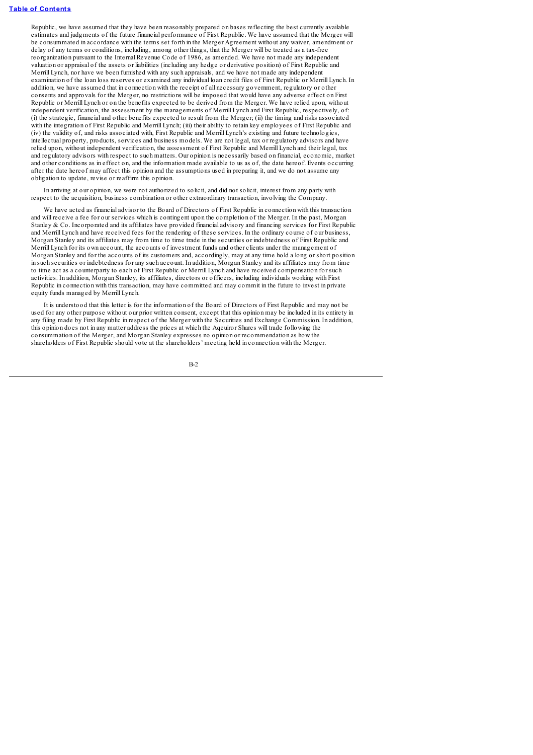Republic, we have assumed that they have been reasonably prepared on bases reflecting the best currently available estimates and judgments of the future financial performance of First Republic. We have assumed that the Merger will be consummated in accordance with the terms set forth in the Merger Agreement without any waiver, amendment or delay of any terms or conditions, including, among other things, that the Merger will be treated as a tax-free reorganization pursuant to the Internal Revenue Code of 1986, as amended. We have not made any independent valuation or appraisal of the assets or liabilities (including any hedge or derivative position) of First Republic and Merrill Lynch, nor have we been furnished with any such appraisals, and we have not made any independent examination of the loan loss reserves or examined any individual loan credit files of First Republic or Merrill Lynch. In addition, we have assumed that in connection with the receipt of all necessary government, regulatory or other consents and approvals for the Merger, no restrictions will be imposed that would have any adverse effect on First Republic or Merrill Lynch or on the benefits expected to be derived from the Merger. We have relied upon, without independent verification, the assessment by the managements of Merrill Lynch and First Republic, respectively, of: (i) the strategic, financial and other benefits expected to result from the Merger; (ii) the timing and risks associated with the integration of First Republic and Merrill Lynch; (iii) their ability to retain key employees of First Republic and (iv) the validity of, and risks associated with, First Republic and Merrill Lynch's existing and future technologies, intellectual property, products, services and business models. We are not legal, tax or regulatory advisors and have relied upon, without independent verification, the assessment of First Republic and Merrill Lynch and their legal, tax and regulatory advisors with respect to such matters. Our opinion is necessarily based on financial, economic, market and other conditions as in effect on, and the information made available to us as of, the date hereof. Events occurring after the date hereof may affect this opinion and the assumptions used in preparing it, and we do not assume any obligation to update, revise or reaffirm this opinion.

In arriving at our opinion, we were not authorized to solicit, and did not solicit, interest from any party with respect to the acquisition, business combination or other extraordinary transaction, involving the Company.

We have acted as financial advisor to the Board of Directors of First Republic in connection with this transaction and will receive a fee for our services which is contingent upon the completion of the Merger. In the past, Morgan Stanley & Co. Incorporated and its affiliates have provided financial advisory and financing services for First Republic and Merrill Lynch and have received fees for the rendering of these services. In the ordinary course of our business, Morgan Stanley and its affiliates may from time to time trade in the securities or indebtedness of First Republic and Merrill Lynch for its own account, the accounts of investment funds and other clients under the management of Morgan Stanley and for the accounts of its customers and, accordingly, may at any time hold a long or short position in such securities or indebtedness for any such account. In addition, Morgan Stanley and its affiliates may from time to time act as a counterparty to each of First Republic or Merrill Lynch and have received compensation for such activities. In addition, Morgan Stanley, its affiliates, directors or officers, including individuals working with First Republic in connection with this transaction, may have committed and may commit in the future to invest in private equity funds managed by Merrill Lynch.

It is understood that this letter is for the information of the Board of Directors of First Republic and may not be used for any other purpose without our prior written consent, except that this opinion may be included in its entirety in any filing made by First Republic in respect of the Merger with the Securities and Exchange Commission. In addition, this opinion does not in any matter address the prices at which the Aqcuiror Shares will trade following the consummation of the Merger, and Morgan Stanley expresses no opinion or recommendation as how the shareholders of First Republic should vote at the shareholders' meeting held in connection with the Merger.

 $B-2$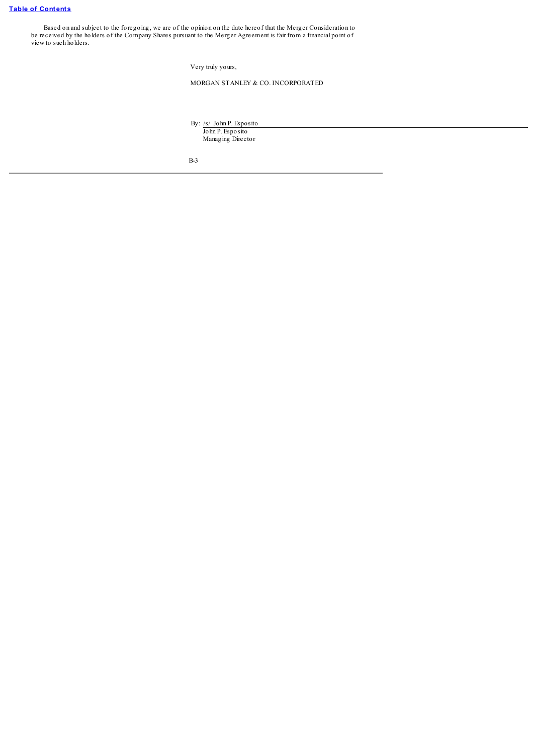Based on and subject to the foregoing, we are of the opinion on the date hereof that the Merger Consideration to be received by the holders of the Company Shares pursuant to the Merger Agreement is fair from a financial point of view to such holders.

Very truly yours,

MORGAN STANLEY & CO. INCORPORATED

By: /s/ John P. Esposito

John P. Esposito Managing Director

B-3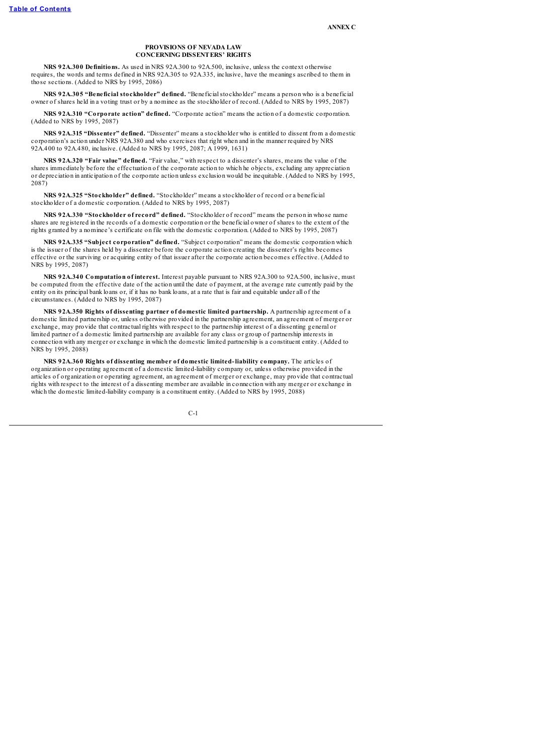### **PROVISIONS OF NEVADA LAW CONCERNING DISSENTERS' RIGHTS**

**NRS 92A.300 Definitions.** As used in NRS 92A.300 to 92A.500, inclusive, unless the context otherwise requires, the words and terms defined in NRS 92A.305 to 92A.335, inclusive, have the meanings ascribed to them in those sections. (Added to NRS by 1995, 2086)

**NRS 92A.305 "Beneficial stockholder" defined.** "Beneficialstockholder" means a person who is a beneficial owner of shares held in a voting trust or by a nominee as the stockholder of record. (Added to NRS by 1995, 2087)

**NRS 92A.310 "Corporate action" defined.** "Corporate action" means the action of a domestic corporation. (Added to NRS by 1995, 2087)

**NRS 92A.315 "Dissenter" defined.** "Dissenter" means a stockholder who is entitled to dissent from a domestic corporation's action under NRS 92A.380 and who exercises that right when and in the manner required by NRS 92A.400 to 92A.480, inclusive. (Added to NRS by 1995, 2087; A 1999, 1631)

**NRS 92A.320 "Fair value" defined.** "Fair value," with respect to a dissenter's shares, means the value of the shares immediately before the effectuation of the corporate action to which he objects, excluding any appreciation or depreciation in anticipation of the corporate action unless exclusion would be inequitable. (Added to NRS by 1995, 2087)

**NRS 92A.325 "Stockholder" defined.** "Stockholder" means a stockholder of record or a beneficial stockholder of a domestic corporation. (Added to NRS by 1995, 2087)

**NRS 92A.330 "Stockholder of record" defined.** "Stockholder of record" means the person in whose name shares are registered in the records of a domestic corporation or the beneficial owner of shares to the extent of the rights granted by a nominee's certificate on file with the domestic corporation. (Added to NRS by 1995, 2087)

**NRS 92A.335 "Subject corporation" defined.** "Subject corporation" means the domestic corporation which is the issuer of the shares held by a dissenter before the corporate action creating the dissenter's rights becomes effective or the surviving or acquiring entity of that issuer after the corporate action becomes effective. (Added to NRS by 1995, 2087)

**NRS 92A.340 Computation of interest.** Interest payable pursuant to NRS 92A.300 to 92A.500, inclusive, must be computed from the effective date of the action until the date of payment, at the average rate currently paid by the entity on its principal bank loans or, if it has no bank loans, at a rate that is fair and equitable under all of the circumstances. (Added to NRS by 1995, 2087)

**NRS 92A.350 Rights of dissenting partner of domestic limited partnership.** A partnership agreement of a domestic limited partnership or, unless otherwise provided in the partnership agreement, an agreement of merger or exchange, may provide that contractual rights with respect to the partnership interest of a dissenting general or limited partner of a domestic limited partnership are available for any class or group of partnership interests in connection with any merger or exchange in which the domestic limited partnership is a constituent entity. (Added to NRS by 1995, 2088)

**NRS 92A.360 Rights of dissenting member of domestic limited-liability company.** The articles of organization or operating agreement of a domestic limited-liability company or, unless otherwise provided in the articles of organization or operating agreement, an agreement of merger or exchange, may provide that contractual rights with respect to the interest of a dissenting member are available in connection with any merger or exchange in which the domestic limited-liability company is a constituent entity. (Added to NRS by 1995, 2088)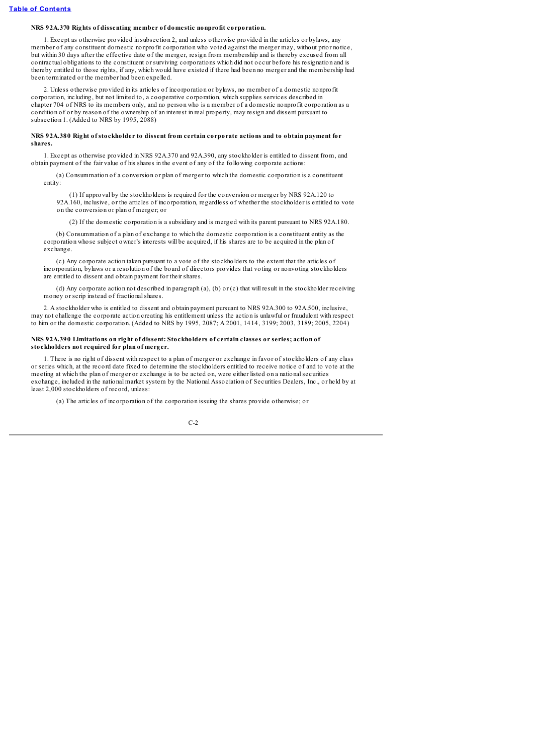### **NRS 92A.370 Rights of dissenting member of domestic nonprofit corporation.**

1. Except as otherwise provided in subsection 2, and unless otherwise provided in the articles or bylaws, any member of any constituent domestic nonprofit corporation who voted against the merger may, without prior notice, but within 30 days after the effective date of the merger, resign from membership and is thereby excused from all contractual obligations to the constituent or surviving corporations which did not occur before his resignation and is thereby entitled to those rights, if any, which would have existed if there had been no merger and the membership had been terminated or the member had been expelled.

2. Unless otherwise provided in its articles of incorporation or bylaws, no member of a domestic nonprofit corporation, including, but not limited to, a cooperative corporation, which supplies services described in chapter 704 of NRS to its members only, and no person who is a member of a domestic nonprofit corporation as a condition of or by reason of the ownership of an interest in real property, may resign and dissent pursuant to subsection 1. (Added to NRS by 1995, 2088)

### **NRS 92A.380 Right of stockholder to dissent from certain corporate actions and to obtain payment for shares.**

1. Except as otherwise provided in NRS 92A.370 and 92A.390, any stockholder is entitled to dissent from, and obtain payment of the fair value of his shares in the event of any of the following corporate actions:

(a) Consummation of a conversion or plan of merger to which the domestic corporation is a constituent entity:

(1) If approval by the stockholders is required for the conversion or merger by NRS 92A.120 to 92A.160, inclusive, or the articles of incorporation, regardless of whether the stockholder is entitled to vote on the conversion or plan of merger; or

(2) If the domestic corporation is a subsidiary and is merged with its parent pursuant to NRS 92A.180.

(b) Consummation of a plan of exchange to which the domestic corporation is a constituent entity as the corporation whose subject owner's interests will be acquired, if his shares are to be acquired in the plan of exchange.

(c) Any corporate action taken pursuant to a vote of the stockholders to the extent that the articles of incorporation, bylaws or a resolution of the board of directors provides that voting or nonvoting stockholders are entitled to dissent and obtain payment for their shares.

(d) Any corporate action not described in paragraph (a), (b) or (c) that will result in the stockholder receiving money or scrip instead of fractionalshares.

2. A stockholder who is entitled to dissent and obtain payment pursuant to NRS 92A.300 to 92A.500, inclusive, may not challenge the corporate action creating his entitlement unless the action is unlawful or fraudulent with respect to him or the domestic corporation. (Added to NRS by 1995, 2087; A 2001, 1414, 3199; 2003, 3189; 2005, 2204)

### **NRS 92A.390 Limitations on right of dissent: Stockholders of certain classes or series; action of stockholders not required for plan of merger.**

1. There is no right of dissent with respect to a plan of merger or exchange in favor of stockholders of any class or series which, at the record date fixed to determine the stockholders entitled to receive notice of and to vote at the meeting at which the plan of merger or exchange is to be acted on, were either listed on a nationalsecurities exchange, included in the national market system by the National Association of Securities Dealers, Inc., or held by at least 2,000 stockholders of record, unless:

(a) The articles of incorporation of the corporation issuing the shares provide otherwise; or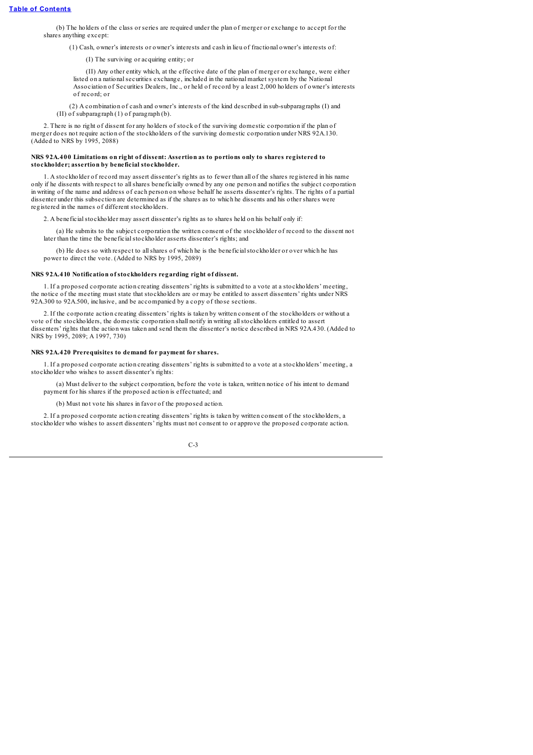(b) The holders of the class or series are required under the plan of merger or exchange to accept for the shares anything except:

(1) Cash, owner's interests or owner's interests and cash in lieu of fractional owner's interests of:

(I) The surviving or acquiring entity; or

(II) Any other entity which, at the effective date of the plan of merger or exchange, were either listed on a national securities exchange, included in the national market system by the National Association of Securities Dealers, Inc., or held of record by a least 2,000 holders of owner's interests of record; or

(2) A combination of cash and owner's interests of the kind described in sub-subparagraphs (I) and (II) of subparagraph (1) of paragraph (b).

2. There is no right of dissent for any holders of stock of the surviving domestic corporation if the plan of merger does not require action of the stockholders of the surviving domestic corporation under NRS 92A.130. (Added to NRS by 1995, 2088)

#### **NRS 92A.400 Limitations on right of dissent: Assertion as to portions only to shares registered to stockholder; assertion by beneficial stockholder.**

1. A stockholder of record may assert dissenter's rights as to fewer than all of the shares registered in his name only if he dissents with respect to allshares beneficially owned by any one person and notifies the subject corporation in writing of the name and address of each person on whose behalf he asserts dissenter's rights. The rights of a partial dissenter under this subsection are determined as if the shares as to which he dissents and his other shares were registered in the names of different stockholders.

2. A beneficial stockholder may assert dissenter's rights as to shares held on his behalf only if:

(a) He submits to the subject corporation the written consent of the stockholder of record to the dissent not later than the time the beneficialstockholder asserts dissenter's rights; and

(b) He does so with respect to allshares of which he is the beneficialstockholder or over which he has power to direct the vote. (Added to NRS by 1995, 2089)

### **NRS 92A.410 Notification of stockholders regarding right of dissent.**

1. If a proposed corporate action creating dissenters' rights is submitted to a vote at a stockholders' meeting, the notice of the meeting must state that stockholders are or may be entitled to assert dissenters' rights under NRS 92A.300 to 92A.500, inclusive, and be accompanied by a copy of those sections.

2. If the corporate action creating dissenters' rights is taken by written consent of the stockholders or without a vote of the stockholders, the domestic corporation shall notify in writing allstockholders entitled to assert dissenters' rights that the action was taken and send them the dissenter's notice described in NRS 92A.430. (Added to NRS by 1995, 2089; A 1997, 730)

#### **NRS 92A.420 Prerequisites to demand for payment for shares.**

1. If a proposed corporate action creating dissenters' rights is submitted to a vote at a stockholders' meeting, a stockholder who wishes to assert dissenter's rights:

(a) Must deliver to the subject corporation, before the vote is taken, written notice of his intent to demand payment for his shares if the proposed action is effectuated; and

(b) Must not vote his shares in favor of the proposed action.

2. If a proposed corporate action creating dissenters' rights is taken by written consent of the stockholders, a stockholder who wishes to assert dissenters' rights must not consent to or approve the proposed corporate action.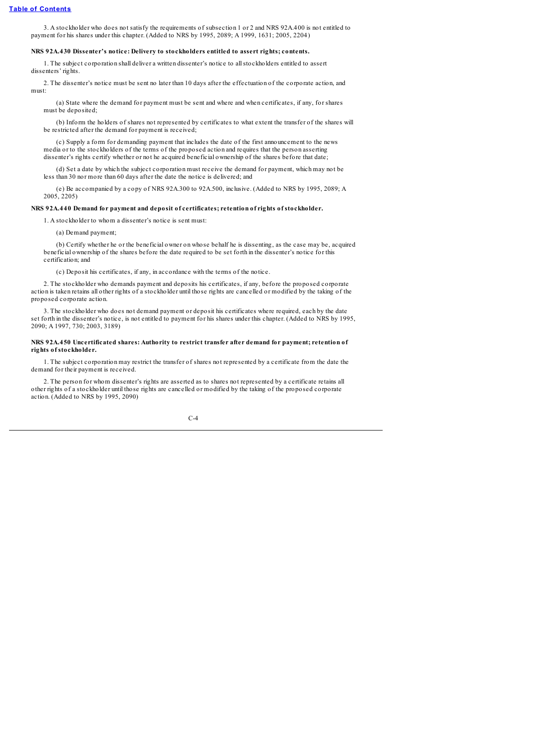3. A stockholder who does not satisfy the requirements of subsection 1 or 2 and NRS 92A.400 is not entitled to payment for his shares under this chapter. (Added to NRS by 1995, 2089; A 1999, 1631; 2005, 2204)

#### **NRS 92A.430 Dissenter's notice: Delivery to stockholders entitled to assert rights; contents.**

1. The subject corporation shall deliver a written dissenter's notice to allstockholders entitled to assert dissenters' rights.

2. The dissenter's notice must be sent no later than 10 days after the effectuation of the corporate action, and must:

(a) State where the demand for payment must be sent and where and when certificates, if any, for shares must be deposited;

(b) Inform the holders of shares not represented by certificates to what extent the transfer of the shares will be restricted after the demand for payment is received;

(c) Supply a form for demanding payment that includes the date of the first announcement to the news media or to the stockholders of the terms of the proposed action and requires that the person asserting dissenter's rights certify whether or not he acquired beneficial ownership of the shares before that date;

(d) Set a date by which the subject corporation must receive the demand for payment, which may not be less than 30 nor more than 60 days after the date the notice is delivered; and

(e) Be accompanied by a copy of NRS 92A.300 to 92A.500, inclusive. (Added to NRS by 1995, 2089; A 2005, 2205)

### **NRS 92A.440 Demand for payment and deposit of certificates; retention of rights of stockholder.**

1. A stockholder to whom a dissenter's notice is sent must:

(a) Demand payment;

(b) Certify whether he or the beneficial owner on whose behalf he is dissenting, as the case may be, acquired beneficial ownership of the shares before the date required to be set forth in the dissenter's notice for this certification; and

(c) Deposit his certificates, if any, in accordance with the terms of the notice.

2. The stockholder who demands payment and deposits his certificates, if any, before the proposed corporate action is taken retains all other rights of a stockholder until those rights are cancelled or modified by the taking of the proposed corporate action.

3. The stockholder who does not demand payment or deposit his certificates where required, each by the date set forth in the dissenter's notice, is not entitled to payment for his shares under this chapter. (Added to NRS by 1995, 2090; A 1997, 730; 2003, 3189)

### **NRS 92A.450 Uncertificated shares: Authority to restrict transfer after demand for payment; retention of rights of stockholder.**

1. The subject corporation may restrict the transfer of shares not represented by a certificate from the date the demand for their payment is received.

2. The person for whom dissenter's rights are asserted as to shares not represented by a certificate retains all other rights of a stockholder until those rights are cancelled or modified by the taking of the proposed corporate action. (Added to NRS by 1995, 2090)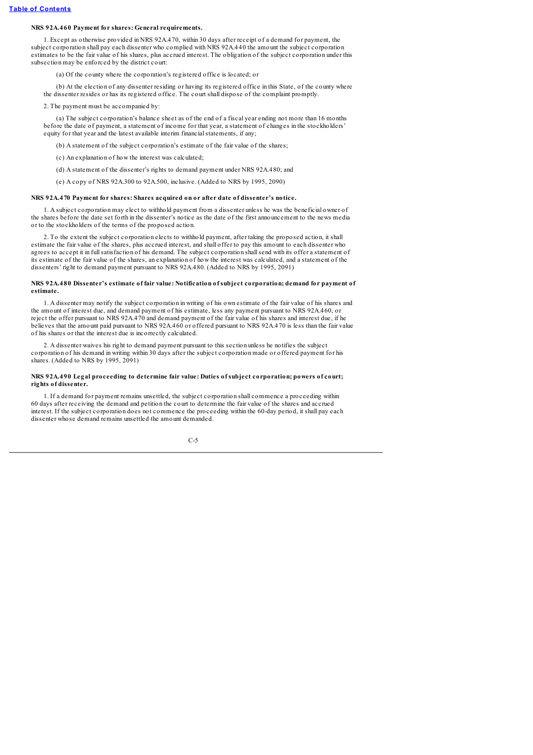## **NRS 92A.460 Payment for shares: General requirements.**

1. Except as otherwise provided in NRS 92A.470, within 30 days after receipt of a demand for payment, the subject corporation shall pay each dissenter who complied with NRS 92A.440 the amount the subject corporation estimates to be the fair value of his shares, plus accrued interest. The obligation of the subject corporation under this subsection may be enforced by the district court:

(a) Of the county where the corporation's registered office is located; or

(b) At the election of any dissenter residing or having its registered office in this State, of the county where the dissenter resides or has its registered office. The court shall dispose of the complaint promptly.

#### 2. The payment must be accompanied by:

(a) The subject corporation's balance sheet as of the end of a fiscal year ending not more than 16 months before the date of payment, a statement of income for that year, a statement of changes in the stockholders' equity for that year and the latest available interim financial statements, if any;

(b) A statement of the subject corporation's estimate of the fair value of the shares;

(c) An explanation of how the interest was calculated;

(d) A statement of the dissenter's rights to demand payment under NRS 92A.480; and

(e) A copy of NRS 92A.300 to 92A.500, inclusive. (Added to NRS by 1995, 2090)

#### **NRS 92A.470 Payment for shares: Shares acquired on or after date of dissenter's notice.**

1. A subject corporation may elect to withhold payment from a dissenter unless he was the beneficial owner of the shares before the date set forth in the dissenter's notice as the date of the first announcement to the news media or to the stockholders of the terms of the proposed action.

2. To the extent the subject corporation elects to withhold payment, after taking the proposed action, it shall estimate the fair value of the shares, plus accrued interest, and shall offer to pay this amount to each dissenter who agrees to accept it in fullsatisfaction of his demand. The subject corporation shallsend with its offer a statement of its estimate of the fair value of the shares, an explanation of how the interest was calculated, and a statement of the dissenters' right to demand payment pursuant to NRS 92A.480. (Added to NRS by 1995, 2091)

#### **NRS 92A.480 Dissenter's estimate of fair value: Notification of subject corporation; demand for payment of estimate.**

1. A dissenter may notify the subject corporation in writing of his own estimate of the fair value of his shares and the amount of interest due, and demand payment of his estimate, less any payment pursuant to NRS 92A.460, or reject the offer pursuant to NRS 92A.470 and demand payment of the fair value of his shares and interest due, if he believes that the amount paid pursuant to NRS 92A.460 or offered pursuant to NRS 92A.470 is less than the fair value of his shares or that the interest due is incorrectly calculated.

2. A dissenter waives his right to demand payment pursuant to this section unless he notifies the subject corporation of his demand in writing within 30 days after the subject corporation made or offered payment for his shares. (Added to NRS by 1995, 2091)

#### **NRS 92A.490 Legal proceeding to determine fair value: Duties of subject corporation; powers of court; rights of dissenter.**

1. If a demand for payment remains unsettled, the subject corporation shall commence a proceeding within 60 days after receiving the demand and petition the court to determine the fair value of the shares and accrued interest. If the subject corporation does not commence the proceeding within the 60-day period, it shall pay each dissenter whose demand remains unsettled the amount demanded.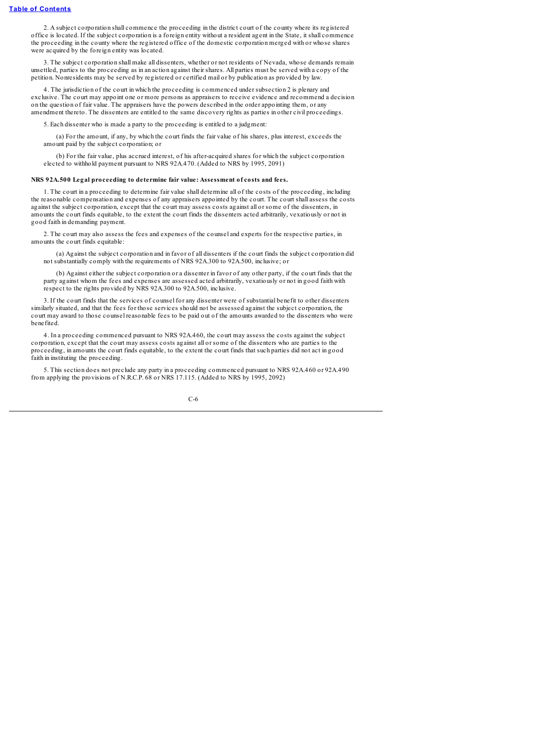2. A subject corporation shall commence the proceeding in the district court of the county where its registered office is located. If the subject corporation is a foreign entity without a resident agent in the State, it shall commence the proceeding in the county where the registered office of the domestic corporation merged with or whose shares were acquired by the foreign entity was located.

3. The subject corporation shall make all dissenters, whether or not residents of Nevada, whose demands remain unsettled, parties to the proceeding as in an action against their shares. All parties must be served with a copy of the petition. Nonresidents may be served by registered or certified mail or by publication as provided by law.

4. The jurisdiction of the court in which the proceeding is commenced under subsection 2 is plenary and exclusive. The court may appoint one or more persons as appraisers to receive evidence and recommend a decision on the question of fair value. The appraisers have the powers described in the order appointing them, or any amendment thereto. The dissenters are entitled to the same discovery rights as parties in other civil proceedings.

5. Each dissenter who is made a party to the proceeding is entitled to a judgment:

(a) For the amount, if any, by which the court finds the fair value of his shares, plus interest, exceeds the amount paid by the subject corporation; or

(b) For the fair value, plus accrued interest, of his after-acquired shares for which the subject corporation elected to withhold payment pursuant to NRS 92A.470. (Added to NRS by 1995, 2091)

#### **NRS 92A.500 Legal proceeding to determine fair value: Assessment of costs and fees.**

1. The court in a proceeding to determine fair value shall determine all of the costs of the proceeding, including the reasonable compensation and expenses of any appraisers appointed by the court. The court shall assess the costs against the subject corporation, except that the court may assess costs against all or some of the dissenters, in amounts the court finds equitable, to the extent the court finds the dissenters acted arbitrarily, vexatiously or not in good faith in demanding payment.

2. The court may also assess the fees and expenses of the counsel and experts for the respective parties, in amounts the court finds equitable:

(a) Against the subject corporation and in favor of all dissenters if the court finds the subject corporation did not substantially comply with the requirements of NRS 92A.300 to 92A.500, inclusive; or

(b) Against either the subject corporation or a dissenter in favor of any other party, if the court finds that the party against whom the fees and expenses are assessed acted arbitrarily, vexatiously or not in good faith with respect to the rights provided by NRS 92A.300 to 92A.500, inclusive.

3. If the court finds that the services of counsel for any dissenter were of substantial benefit to other dissenters similarly situated, and that the fees for those services should not be assessed against the subject corporation, the court may award to those counsel reasonable fees to be paid out of the amounts awarded to the dissenters who were benefited.

4. In a proceeding commenced pursuant to NRS 92A.460, the court may assess the costs against the subject corporation, except that the court may assess costs against all or some of the dissenters who are parties to the proceeding, in amounts the court finds equitable, to the extent the court finds that such parties did not act in good faith in instituting the proceeding.

5. This section does not preclude any party in a proceeding commenced pursuant to NRS 92A.460 or 92A.490 from applying the provisions of N.R.C.P. 68 or NRS 17.115. (Added to NRS by 1995, 2092)